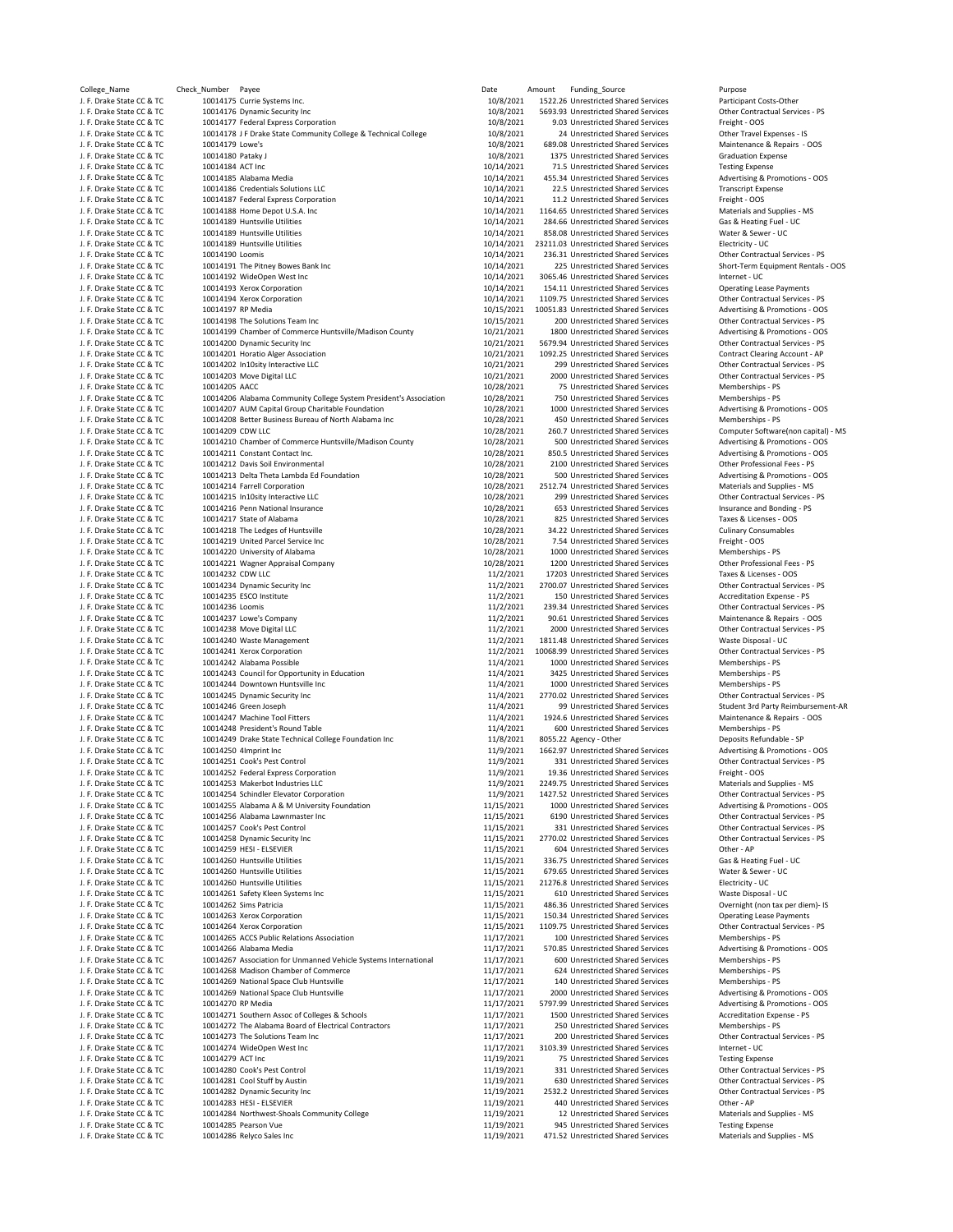| College_Name                                           | Check_Number Payee |                                                                                          | Date                     | Amount | Funding_Source                                                                | Purpose                                                            |
|--------------------------------------------------------|--------------------|------------------------------------------------------------------------------------------|--------------------------|--------|-------------------------------------------------------------------------------|--------------------------------------------------------------------|
| J. F. Drake State CC & TC                              |                    | 10014175 Currie Systems Inc.                                                             | 10/8/2021                |        | 1522.26 Unrestricted Shared Services                                          | Participant Costs-Other                                            |
| J. F. Drake State CC & TC                              |                    | 10014176 Dynamic Security Inc                                                            | 10/8/2021                |        | 5693.93 Unrestricted Shared Services                                          | Other Contractual Services - PS                                    |
| J. F. Drake State CC & TC                              |                    | 10014177 Federal Express Corporation                                                     | 10/8/2021                |        | 9.03 Unrestricted Shared Services                                             | Freight - OOS                                                      |
| J. F. Drake State CC & TC                              |                    | 10014178 J F Drake State Community College & Technical College                           | 10/8/2021                |        | 24 Unrestricted Shared Services                                               | Other Travel Expenses - IS                                         |
| J. F. Drake State CC & TC                              | 10014179 Lowe's    |                                                                                          | 10/8/2021                |        | 689.08 Unrestricted Shared Services                                           | Maintenance & Repairs - OOS                                        |
| J. F. Drake State CC & TC                              | 10014180 Pataky J  |                                                                                          | 10/8/2021                |        | 1375 Unrestricted Shared Services                                             | <b>Graduation Expense</b>                                          |
| J. F. Drake State CC & TC<br>J. F. Drake State CC & TC | 10014184 ACT Inc   | 10014185 Alabama Media                                                                   | 10/14/2021<br>10/14/2021 |        | 71.5 Unrestricted Shared Services<br>455.34 Unrestricted Shared Services      | <b>Testing Expense</b><br>Advertising & Promotions - OOS           |
| J. F. Drake State CC & TC                              |                    | 10014186 Credentials Solutions LLC                                                       | 10/14/2021               |        | 22.5 Unrestricted Shared Services                                             | <b>Transcript Expense</b>                                          |
| J. F. Drake State CC & TC                              |                    | 10014187 Federal Express Corporation                                                     | 10/14/2021               |        | 11.2 Unrestricted Shared Services                                             | Freight - OOS                                                      |
| J. F. Drake State CC & TC                              |                    | 10014188 Home Depot U.S.A. Inc                                                           | 10/14/2021               |        | 1164.65 Unrestricted Shared Services                                          | Materials and Supplies - MS                                        |
| J. F. Drake State CC & TC                              |                    | 10014189 Huntsville Utilities                                                            | 10/14/2021               |        | 284.66 Unrestricted Shared Services                                           | Gas & Heating Fuel - UC                                            |
| J. F. Drake State CC & TC                              |                    | 10014189 Huntsville Utilities                                                            | 10/14/2021               |        | 858.08 Unrestricted Shared Services                                           | Water & Sewer - UC                                                 |
| J. F. Drake State CC & TC                              |                    | 10014189 Huntsville Utilities                                                            | 10/14/2021               |        | 23211.03 Unrestricted Shared Services                                         | Electricity - UC                                                   |
| J. F. Drake State CC & TC                              | 10014190 Loomis    |                                                                                          | 10/14/2021               |        | 236.31 Unrestricted Shared Services                                           | Other Contractual Services - PS                                    |
| J. F. Drake State CC & TC                              |                    | 10014191 The Pitney Bowes Bank Inc                                                       | 10/14/2021               |        | 225 Unrestricted Shared Services                                              | Short-Term Equipment Rentals                                       |
| J. F. Drake State CC & TC                              |                    | 10014192 WideOpen West Inc                                                               | 10/14/2021               |        | 3065.46 Unrestricted Shared Services                                          | Internet - UC                                                      |
| J. F. Drake State CC & TC                              |                    | 10014193 Xerox Corporation<br>10014194 Xerox Corporation                                 | 10/14/2021               |        | 154.11 Unrestricted Shared Services                                           | <b>Operating Lease Payments</b><br>Other Contractual Services - PS |
| J. F. Drake State CC & TC<br>J. F. Drake State CC & TC | 10014197 RP Media  |                                                                                          | 10/14/2021<br>10/15/2021 |        | 1109.75 Unrestricted Shared Services<br>10051.83 Unrestricted Shared Services | Advertising & Promotions - OOS                                     |
| J. F. Drake State CC & TC                              |                    | 10014198 The Solutions Team Inc                                                          | 10/15/2021               |        | 200 Unrestricted Shared Services                                              | Other Contractual Services - PS                                    |
| J. F. Drake State CC & TC                              |                    | 10014199 Chamber of Commerce Huntsville/Madison County                                   | 10/21/2021               |        | 1800 Unrestricted Shared Services                                             | Advertising & Promotions - OOS                                     |
| J. F. Drake State CC & TC                              |                    | 10014200 Dynamic Security Inc                                                            | 10/21/2021               |        | 5679.94 Unrestricted Shared Services                                          | Other Contractual Services - PS                                    |
| J. F. Drake State CC & TC                              |                    | 10014201 Horatio Alger Association                                                       | 10/21/2021               |        | 1092.25 Unrestricted Shared Services                                          | Contract Clearing Account - AP                                     |
| J. F. Drake State CC & TC                              |                    | 10014202 In10sity Interactive LLC                                                        | 10/21/2021               |        | 299 Unrestricted Shared Services                                              | Other Contractual Services - PS                                    |
| J. F. Drake State CC & TC                              |                    | 10014203 Move Digital LLC                                                                | 10/21/2021               |        | 2000 Unrestricted Shared Services                                             | Other Contractual Services - PS                                    |
| J. F. Drake State CC & TC                              | 10014205 AACC      |                                                                                          | 10/28/2021               |        | 75 Unrestricted Shared Services                                               | Memberships - PS                                                   |
| J. F. Drake State CC & TC                              |                    | 10014206 Alabama Community College System President's Association                        | 10/28/2021               |        | 750 Unrestricted Shared Services                                              | Memberships - PS                                                   |
| J. F. Drake State CC & TC                              |                    | 10014207 AUM Capital Group Charitable Foundation                                         | 10/28/2021               |        | 1000 Unrestricted Shared Services                                             | Advertising & Promotions - OOS                                     |
| J. F. Drake State CC & TC                              |                    | 10014208 Better Business Bureau of North Alabama Inc                                     | 10/28/2021               |        | 450 Unrestricted Shared Services                                              | Memberships - PS                                                   |
| J. F. Drake State CC & TC<br>J. F. Drake State CC & TC | 10014209 CDW LLC   |                                                                                          | 10/28/2021               |        | 260.7 Unrestricted Shared Services                                            | Computer Software(non capital<br>Advertising & Promotions - OOS    |
| J. F. Drake State CC & TC                              |                    | 10014210 Chamber of Commerce Huntsville/Madison County<br>10014211 Constant Contact Inc. | 10/28/2021<br>10/28/2021 |        | 500 Unrestricted Shared Services<br>850.5 Unrestricted Shared Services        | Advertising & Promotions - OOS                                     |
| J. F. Drake State CC & TC                              |                    | 10014212 Davis Soil Environmental                                                        | 10/28/2021               |        | 2100 Unrestricted Shared Services                                             | Other Professional Fees - PS                                       |
| J. F. Drake State CC & TC                              |                    | 10014213 Delta Theta Lambda Ed Foundation                                                | 10/28/2021               |        | 500 Unrestricted Shared Services                                              | Advertising & Promotions - OOS                                     |
| J. F. Drake State CC & TC                              |                    | 10014214 Farrell Corporation                                                             | 10/28/2021               |        | 2512.74 Unrestricted Shared Services                                          | Materials and Supplies - MS                                        |
| J. F. Drake State CC & TC                              |                    | 10014215 In10sity Interactive LLC                                                        | 10/28/2021               |        | 299 Unrestricted Shared Services                                              | Other Contractual Services - PS                                    |
| J. F. Drake State CC & TC                              |                    | 10014216 Penn National Insurance                                                         | 10/28/2021               |        | 653 Unrestricted Shared Services                                              | Insurance and Bonding - PS                                         |
| J. F. Drake State CC & TC                              |                    | 10014217 State of Alabama                                                                | 10/28/2021               |        | 825 Unrestricted Shared Services                                              | Taxes & Licenses - OOS                                             |
| J. F. Drake State CC & TC                              |                    | 10014218 The Ledges of Huntsville                                                        | 10/28/2021               |        | 34.22 Unrestricted Shared Services                                            | <b>Culinary Consumables</b>                                        |
| J. F. Drake State CC & TC                              |                    | 10014219 United Parcel Service Inc                                                       | 10/28/2021               |        | 7.54 Unrestricted Shared Services                                             | Freight - OOS                                                      |
| J. F. Drake State CC & TC                              |                    | 10014220 University of Alabama                                                           | 10/28/2021               |        | 1000 Unrestricted Shared Services                                             | Memberships - PS                                                   |
| J. F. Drake State CC & TC                              |                    | 10014221 Wagner Appraisal Company                                                        | 10/28/2021               |        | 1200 Unrestricted Shared Services                                             | Other Professional Fees - PS                                       |
| J. F. Drake State CC & TC                              | 10014232 CDW LLC   |                                                                                          | 11/2/2021                |        | 17203 Unrestricted Shared Services                                            | Taxes & Licenses - OOS                                             |
| J. F. Drake State CC & TC<br>J. F. Drake State CC & TC |                    | 10014234 Dynamic Security Inc<br>10014235 ESCO Institute                                 | 11/2/2021<br>11/2/2021   |        | 2700.07 Unrestricted Shared Services<br>150 Unrestricted Shared Services      | Other Contractual Services - PS<br>Accreditation Expense - PS      |
| J. F. Drake State CC & TC                              | 10014236 Loomis    |                                                                                          | 11/2/2021                |        | 239.34 Unrestricted Shared Services                                           | Other Contractual Services - PS                                    |
| J. F. Drake State CC & TC                              |                    | 10014237 Lowe's Company                                                                  | 11/2/2021                |        | 90.61 Unrestricted Shared Services                                            | Maintenance & Repairs - OOS                                        |
| J. F. Drake State CC & TC                              |                    | 10014238 Move Digital LLC                                                                | 11/2/2021                |        | 2000 Unrestricted Shared Services                                             | Other Contractual Services - PS                                    |
| J. F. Drake State CC & TC                              |                    | 10014240 Waste Management                                                                | 11/2/2021                |        | 1811.48 Unrestricted Shared Services                                          | Waste Disposal - UC                                                |
| J. F. Drake State CC & TC                              |                    | 10014241 Xerox Corporation                                                               | 11/2/2021                |        | 10068.99 Unrestricted Shared Services                                         | Other Contractual Services - PS                                    |
| J. F. Drake State CC & TC                              |                    | 10014242 Alabama Possible                                                                | 11/4/2021                |        | 1000 Unrestricted Shared Services                                             | Memberships - PS                                                   |
| J. F. Drake State CC & TC                              |                    | 10014243 Council for Opportunity in Education                                            | 11/4/2021                |        | 3425 Unrestricted Shared Services                                             | Memberships - PS                                                   |
| J. F. Drake State CC & TC                              |                    | 10014244 Downtown Huntsville Inc                                                         | 11/4/2021                |        | 1000 Unrestricted Shared Services                                             | Memberships - PS                                                   |
| J. F. Drake State CC & TC                              |                    | 10014245 Dynamic Security Inc                                                            | 11/4/2021                |        | 2770.02 Unrestricted Shared Services                                          | Other Contractual Services - PS                                    |
| J. F. Drake State CC & TC                              |                    | 10014246 Green Joseph                                                                    | 11/4/2021<br>11/4/2021   |        | 99 Unrestricted Shared Services<br>1924.6 Unrestricted Shared Services        | Student 3rd Party Reimburseme                                      |
| J. F. Drake State CC & TC<br>J. F. Drake State CC & TC |                    | 10014247 Machine Tool Fitters<br>10014248 President's Round Table                        | 11/4/2021                |        | 600 Unrestricted Shared Services                                              | Maintenance & Repairs - OOS<br>Memberships - PS                    |
| J. F. Drake State CC & TC                              |                    | 10014249 Drake State Technical College Foundation Inc                                    | 11/8/2021                |        | 8055.22 Agency - Other                                                        | Deposits Refundable - SP                                           |
| J. F. Drake State CC & TC                              |                    | 10014250 4Imprint Inc                                                                    | 11/9/2021                |        | 1662.97 Unrestricted Shared Services                                          | Advertising & Promotions - OOS                                     |
| J. F. Drake State CC & TC                              |                    | 10014251 Cook's Pest Control                                                             | 11/9/2021                |        | 331 Unrestricted Shared Services                                              | Other Contractual Services - PS                                    |
| J. F. Drake State CC & TC                              |                    | 10014252 Federal Express Corporation                                                     | 11/9/2021                |        | 19.36 Unrestricted Shared Services                                            | Freight - OOS                                                      |
| J. F. Drake State CC & TC                              |                    | 10014253 Makerbot Industries LLC                                                         | 11/9/2021                |        | 2249.75 Unrestricted Shared Services                                          | Materials and Supplies - MS                                        |
| J. F. Drake State CC & TC                              |                    | 10014254 Schindler Elevator Corporation                                                  | 11/9/2021                |        | 1427.52 Unrestricted Shared Services                                          | Other Contractual Services - PS                                    |
| J. F. Drake State CC & TC                              |                    | 10014255 Alabama A & M University Foundation                                             | 11/15/2021               |        | 1000 Unrestricted Shared Services                                             | Advertising & Promotions - OOS                                     |
| J. F. Drake State CC & TC                              |                    | 10014256 Alabama Lawnmaster Inc                                                          | 11/15/2021               |        | 6190 Unrestricted Shared Services                                             | Other Contractual Services - PS                                    |
| J. F. Drake State CC & TC                              |                    | 10014257 Cook's Pest Control                                                             | 11/15/2021               |        | 331 Unrestricted Shared Services                                              | Other Contractual Services - PS                                    |
| J. F. Drake State CC & TC                              |                    | 10014258 Dynamic Security Inc                                                            | 11/15/2021               |        | 2770.02 Unrestricted Shared Services                                          | Other Contractual Services - PS<br>Other - AP                      |
| J. F. Drake State CC & TC<br>J. F. Drake State CC & TC |                    | 10014259 HESI - ELSEVIER<br>10014260 Huntsville Utilities                                | 11/15/2021<br>11/15/2021 |        | 604 Unrestricted Shared Services<br>336.75 Unrestricted Shared Services       |                                                                    |
| J. F. Drake State CC & TC                              |                    | 10014260 Huntsville Utilities                                                            | 11/15/2021               |        | 679.65 Unrestricted Shared Services                                           | Gas & Heating Fuel - UC<br>Water & Sewer - UC                      |
| J. F. Drake State CC & TC                              |                    | 10014260 Huntsville Utilities                                                            | 11/15/2021               |        | 21276.8 Unrestricted Shared Services                                          | Electricity - UC                                                   |
| J. F. Drake State CC & TC                              |                    | 10014261 Safety Kleen Systems Inc                                                        | 11/15/2021               |        | 610 Unrestricted Shared Services                                              | Waste Disposal - UC                                                |
| J. F. Drake State CC & TC                              |                    | 10014262 Sims Patricia                                                                   | 11/15/2021               |        | 486.36 Unrestricted Shared Services                                           | Overnight (non tax per diem)- I!                                   |
| J. F. Drake State CC & TC                              |                    | 10014263 Xerox Corporation                                                               | 11/15/2021               |        | 150.34 Unrestricted Shared Services                                           | <b>Operating Lease Payments</b>                                    |
| J. F. Drake State CC & TC                              |                    | 10014264 Xerox Corporation                                                               | 11/15/2021               |        | 1109.75 Unrestricted Shared Services                                          | Other Contractual Services - PS                                    |
| J. F. Drake State CC & TC                              |                    | 10014265 ACCS Public Relations Association                                               | 11/17/2021               |        | 100 Unrestricted Shared Services                                              | Memberships - PS                                                   |
| J. F. Drake State CC & TC                              |                    | 10014266 Alabama Media                                                                   | 11/17/2021               |        | 570.85 Unrestricted Shared Services                                           | Advertising & Promotions - OOS                                     |
| J. F. Drake State CC & TC                              |                    | 10014267 Association for Unmanned Vehicle Systems International                          | 11/17/2021               |        | 600 Unrestricted Shared Services                                              | Memberships - PS                                                   |
| J. F. Drake State CC & TC                              |                    | 10014268 Madison Chamber of Commerce                                                     | 11/17/2021               |        | 624 Unrestricted Shared Services                                              | Memberships - PS                                                   |
| J. F. Drake State CC & TC                              |                    | 10014269 National Space Club Huntsville                                                  | 11/17/2021               |        | 140 Unrestricted Shared Services                                              | Memberships - PS                                                   |
| J. F. Drake State CC & TC<br>J. F. Drake State CC & TC | 10014270 RP Media  | 10014269 National Space Club Huntsville                                                  | 11/17/2021               |        | 2000 Unrestricted Shared Services<br>5797.99 Unrestricted Shared Services     | Advertising & Promotions - OOS                                     |
| J. F. Drake State CC & TC                              |                    | 10014271 Southern Assoc of Colleges & Schools                                            | 11/17/2021<br>11/17/2021 |        | 1500 Unrestricted Shared Services                                             | Advertising & Promotions - OOS<br>Accreditation Expense - PS       |
| J. F. Drake State CC & TC                              |                    | 10014272 The Alabama Board of Electrical Contractors                                     | 11/17/2021               |        | 250 Unrestricted Shared Services                                              | Memberships - PS                                                   |
| J. F. Drake State CC & TC                              |                    | 10014273 The Solutions Team Inc                                                          | 11/17/2021               |        | 200 Unrestricted Shared Services                                              | Other Contractual Services - PS                                    |
| J. F. Drake State CC & TC                              |                    | 10014274 WideOpen West Inc                                                               | 11/17/2021               |        | 3103.39 Unrestricted Shared Services                                          | Internet - UC                                                      |
| J. F. Drake State CC & TC                              | 10014279 ACT Inc   |                                                                                          | 11/19/2021               |        | 75 Unrestricted Shared Services                                               | <b>Testing Expense</b>                                             |
| J. F. Drake State CC & TC                              |                    | 10014280 Cook's Pest Control                                                             | 11/19/2021               |        | 331 Unrestricted Shared Services                                              | Other Contractual Services - PS                                    |
| J. F. Drake State CC & TC                              |                    | 10014281 Cool Stuff by Austin                                                            | 11/19/2021               |        | 630 Unrestricted Shared Services                                              | Other Contractual Services - PS                                    |
| J. F. Drake State CC & TC                              |                    | 10014282 Dynamic Security Inc                                                            | 11/19/2021               |        | 2532.2 Unrestricted Shared Services                                           | Other Contractual Services - PS                                    |
| J. F. Drake State CC & TC                              |                    | 10014283 HESI - ELSEVIER                                                                 | 11/19/2021               |        | 440 Unrestricted Shared Services                                              | Other - AP                                                         |
| J. F. Drake State CC & TC                              |                    | 10014284 Northwest-Shoals Community College                                              | 11/19/2021               |        | 12 Unrestricted Shared Services                                               | Materials and Supplies - MS                                        |
| J. F. Drake State CC & TC                              |                    | 10014285 Pearson Vue                                                                     | 11/19/2021               |        | 945 Unrestricted Shared Services                                              | <b>Testing Expense</b>                                             |
| J. F. Drake State CC & TC                              |                    | 10014286 Relyco Sales Inc                                                                | 11/19/2021               |        | 471.52 Unrestricted Shared Services                                           | Materials and Supplies - MS                                        |

10/8/2021 5693.93 Unrestricted Shared Services Contractual Security Inc 10/8/2021 5693.93 Unrestricted Shared Services Chercatual Services Chercatual Services Chercatual Services Chercatual Services Chercatual Services Ser J. 10/8/2021 9.03 Unrestricted Shared Services Freight ‐ OOS<br>10/8/2021 24 Unrestricted Shared Services Corporation 110/8/2021 1375 Unrestricted Shared Services 10/14/2021 455.34 Unrestricted Shared Services Advertising & Prom<br>10/14/2021 22.5 Unrestricted Shared Services Transcript Expense 10/14/2021 22.5 Unrestricted Shared Services Transcript Expense Credential Credential Credential State Transcript Expense Transcript Expense Transcript Expense Credential Credential Credential Credential ODS 10/14/2021 11.2 Unrestricted Shared Services Freight ‐ 0OS<br>10/14/2021 1164.65 Unrestricted Shared Services Materials and Supplies ‐ MS 10/14/2021 1164.65 Unrestricted Shared Services Materials and Supplies -<br>10/14/2021 284.66 Unrestricted Shared Services Gas & Heating Fuel - UC 10/14/2021 284.66 Unrestricted Shared Services Gas & Heating Fuel -<br>10/14/2021 858.08 Unrestricted Shared Services Gas & Heating Fuel -858.08 Unrestricted Shared Services 10/14/2021 23211.03 Unrestricted Shared Services Electricity - UC<br>10/14/2021 236.31 Unrestricted Shared Services Other Contractual Services - PS 10/14/2021 236.31 Unrestricted Shared Services<br>10/14/2021 225 Unrestricted Shared Services 10/14/2021 3065.46 Unrestricted Shared Services Internet - UC<br>10/14/2021 154.11 Unrestricted Shared Services Operating Lease Payments 10/14/2021 154.11 Unrestricted Shared Services<br>10/14/2021 154.11 Unrestricted Shared Services 10/15/2021 10051.83 Unrestricted Shared Services Advertising & Promotions - OOS<br>10/15/2021 200 Unrestricted Shared Services Other Contractual Services - PS 10/15/2021 200 Unrestricted Shared Services<br>10/21/2021 1800 Unrestricted Shared Services 10/21/2021 5679.94 Unrestricted Shared Services Other Contractual Services - PS<br>10/21/2021 1092.25 Unrestricted Shared Services Contract Clearing Account - AP 10/21/2021 1092.25 Unrestricted Shared Services Contract Clearing Account - AP<br>10/21/2021 799 Unrestricted Shared Services Contract Clearing Account - PS 10/21/2021 299 Unrestricted Shared Services<br>10/21/2021 2000 Unrestricted Shared Services 10/21/2021 2000 Unrestricted Shared Services Cher Contractual Services - PS<br>10/28/2021 75 Unrestricted Shared Services Memberships - PS 10/28/2021 75 Unrestricted Shared Services Memberships - PS<br>10/28/2021 750 Unrestricted Shared Services Memberships - PS 10/28/2021 750 Unrestricted Shared Services<br>10/28/2021 1000 Unrestricted Shared Services 10/28/2021 450 Unrestricted Shared Services Memberships - PS<br>10/28/2021 260.7 Unrestricted Shared Services Computer Software - 1. J. J. P. Drake State Computer Software(non capital) - MS<br>10/28/2021 260.7 Unrestricted Shared Services Computer Software(non capital) - MS<br>10/28/2021 500 Unrestricted Shared Services Advertising & Promotions − OOS 10/28/2021 500 Unrestricted Shared Services Advertising & Promotions - OOS<br>10/28/2021 850.5 Unrestricted Shared Services Advertising & Promotions - OOS 10/28/2021 850.5 Unrestricted Shared Services Advertising & Promotions - C<br>10/28/2021 2100 Unrestricted Shared Services Other Professional Fees - PS 10/28/2021 2100 Unrestricted Shared Services<br>10/28/2021 500 Unrestricted Shared Services 10/28/2021 500 Unrestricted Shared Services Advertising & Promotions - OOS<br>10/28/2021 2512.74 Unrestricted Shared Services Materials and Supplies - MS J. F. Drake State CC & TC 10014214 Farrell Corporation 10/28/2021 2512.74 Unrestricted Shared Services Materials and Supplies ‐ MS 10/28/2021 299 Unrestricted Shared Services<br>10/28/2021 653 Unrestricted Shared Services J. F. Drake State CC & TC 10014217 State of Alabama 10/28/2021 825 Unrestricted Shared Services Taxes & Licenses ‐ OOS 10/28/2021 34.22 Unrestricted Shared Services Culinary Consument 10/28/2021 34.22 Unrestricted Shared Services 10/28/2021 7.54 Unrestricted Shared Services Freight - OOS<br>10/28/2021 1000 Unrestricted Shared Services Memberships - PS 10/28/2021 1000 Unrestricted Shared Services Memberships - PS<br>10/28/2021 1200 Unrestricted Shared Services Other Professional Fees - PS D. T. B. B. A. E. Dramaical Company 12000 Unrestricted Shared Services Company 10. Company 11/2/2021 1200 Unrestricted Shared Services Taxes & Licenses - OOS 17203 Unrestricted Shared Services 11/2/2021 2700.07 Unrestricted Shared Services COMERC CONTRACTUAL Services - PS<br>11/2/2021 150 Unrestricted Shared Services Contractual Services PS 11/2/2021 150 Unrestricted Shared Services Accreditation Expense ‐ PS<br>11/2/2021 239.34 Unrestricted Shared Services Other Contractual Services ‐ PS 239.34 Unrestricted Shared Services 11/2/2021 90.61 Unrestricted Shared Services Maintenance & Repairs - OOS<br>11/2/2021 2000 Unrestricted Shared Services Cher Contractual Services - PS 11/2/2021 2000 Unrestricted Shared Services Contractual Services COMETA 2000 Unrestricted Shared Services Contractual Services COMETA 2000 Unrestricted Shared Services Contractual Services COMETA 2002 11/2/2021 1811.48 Unrestricted Shared Services Waste Disposal - UC<br>11/2/2021 10068.99 Unrestricted Shared Services Other Contractual Services - PS 11/2/2021 10068.99 Unrestricted Shared Services **COMIT CONTRET CONTRET CONTRET 11/4/2021** 100068.99 Unrestricted Shared Services **CONTRET CONTRET CONTRET 11/4/2021** 11/4/2021 1000 Unrestricted Shared Services Memberships ‐ PS<br>11/4/2021 3425 Unrestricted Shared Services Memberships ‐ PS 11/4/2021 3425 Unrestricted Shared Services Memberships ‐ PS<br>11/4/2021 1000 Unrestricted Shared Services Memberships ‐ PS 1000 Unrestricted Shared Services 11/4/2021 2770.02 Unrestricted Shared Services Other Contractual Services - PS<br>11/4/2021 99 Unrestricted Shared Services Student 3rd Party Reimbursem 11/4/2021 99 Unrestricted Shared Services Student 3rd Party Reimbursement-AR<br>11/4/2021 1924.6 Unrestricted Shared Services Maintenance & Renairs - OOS 11/4/2021 600 Unrestricted Shared Services Memberships - PS<br>11/8/2021 8055.22 Agency - Other Deposits Refundat 11/8/2021 8055.22 Agency - Other<br>11/8/2021 1662.97 Unrestricted Shared Services Advertising & Promotion 11/9/2021 331 Unrestricted Shared Services Other Contractual Services - PS<br>11/9/2021 19.36 Unrestricted Shared Services Freight - OOS 11/9/2021 19.36 Unrestricted Shared Services Freight ‐ OOS<br>11/9/2021 2249.75 Unrestricted Shared Services Materials and Supplies ‐ MS 2249.75 Unrestricted Shared Services 11/9/2021 1427.52 Unrestricted Shared Services Other Contractual Services - PS<br>11/15/2021 1000 Unrestricted Shared Services Advertising & Promotions - OOS 11/15/2021 1000 Unrestricted Shared Services<br>11/15/2021 6190 Unrestricted Shared Services 11/15/2021 6190 Unrestricted Shared Services Other Contractual Services - PS<br>11/15/2021 6191 Unrestricted Shared Services Other Contractual Services - PS 11/15/2021 331 Unrestricted Shared Services Other Contractual Services - PS<br>11/15/2021 2770.02 Unrestricted Shared Services Other Contractual Services - PS 11/15/2021 2770.02 Unrestricted Shared Services **COMIC 11/15/2021** 2770.02 Unrestricted Shared Services **CONTRACTUAL SERVICES** 11/15/2021 604 Unrestricted Shared Services Other - AP<br>11/15/2021 336.75 Unrestricted Shared Services Gas & Heating Fuel - UC 11/15/2021 336.75 Unrestricted Shared Services Gas & Heating Fuel -<br>11/15/2021 679.65 Unrestricted Shared Services Gas & Heating Fuel -J. F. Drake State CC & TC 10014260 Huntsville Utilities 11/15/2021 679.65 Unrestricted Shared Services Water & Sewer ‐ UC 21276.8 Unrestricted Shared Services 11/15/2021 610 Unrestricted Shared Services Waste Disposal - UC<br>11/15/2021 486.36 Unrestricted Shared Services Overnight Inon tax per diem)-15 11/15/2021 486.36 Unrestricted Shared Services Overnight (non tax per diem)<br>11/15/2021 150.34 Unrestricted Shared Services Operating Lease Payments 11/15/2021 150.34 Unrestricted Shared Services Operating Lease Payments<br>11/15/2021 1109.75 Unrestricted Shared Services Other Contractual Services - PS 11/15/2021 1109.75 Unrestricted Shared Services Corporation Contractual 11/17/2021 100 Unrestricted Shared Services Memberships - PS 11/17/2021 100 Unrestricted Shared Services Memberships - PS<br>11/17/2021 570.85 Unrestricted Shared Services Advertising & Promotions - OOS 11/17/2021 570.85 Unrestricted Shared Services Advertising & Promotions 600 Unrestricted Shared Services Advertising & Promotions - PS 600 Unrestricted Shared Services 11/17/2021 624 Unrestricted Shared Services Memberships - PS<br>11/17/2021 140 Unrestricted Shared Services Memberships - PS 11/17/2021 140 Unrestricted Shared Services<br>11/17/2021 2000 Unrestricted Shared Services 11/17/2021 5797.99 Unrestricted Shared Services Advertising & Promotions - OOS<br>11/17/2021 1500 Unrestricted Shared Services Accreditation Expense - PS 1. F. Drake State Colleges Colleges Accreditation Expense - PS<br>11/17/2021 1500 Unrestricted Shared Services Accreditation Expense - PS<br>11/17/2021 250 Unrestricted Shared Services Memberships - PS 250 Unrestricted Shared Services 75 Unrestricted Shared Services 11/19/2021 331 Unrestricted Shared Services Other Contractual Services - PS<br>11/19/2021 630 Unrestricted Shared Services Other Contractual Services - PS 11/19/2021 630 Unrestricted Shared Services Contractual Services - PS<br>11/19/2021 2532.2 Unrestricted Shared Services Other Contractual Services - PS 11/19/2021 2532.2 Unrestricted Shared Services Other Contractual 2532.2 Unrestricted Shared Services Contractual Shared Services Contractual Shared Services Contractual Services Contractual Services Contractual Services Co 11/19/2021 440 Unrestricted Shared Services 611/19/2021 440 Unrestricted Shared Services 6140 11/19/2021 12 Unrestricted Shared Services Materials and Supplies - MS 11/19/2021 945 Unrestricted Shared Services Testing Expense<br>11/19/2021 471.52 Unrestricted Shared Services Materials and Supplies - MS A71. 52 Unrestricted Shared Services

Short-Term Equipment Rentals - OOS Other Contractual Services - PS Advertising & Promotions - OOS Advertising & Promotions - OOS J. F. Drake State CC & TC 10014216 Penn National Insurance 10/28/2021 653 Unrestricted Shared Services Insurance and Bonding ‐ PS .<br>Advertising & Promotions - OOS Advertising & Promotions - OOS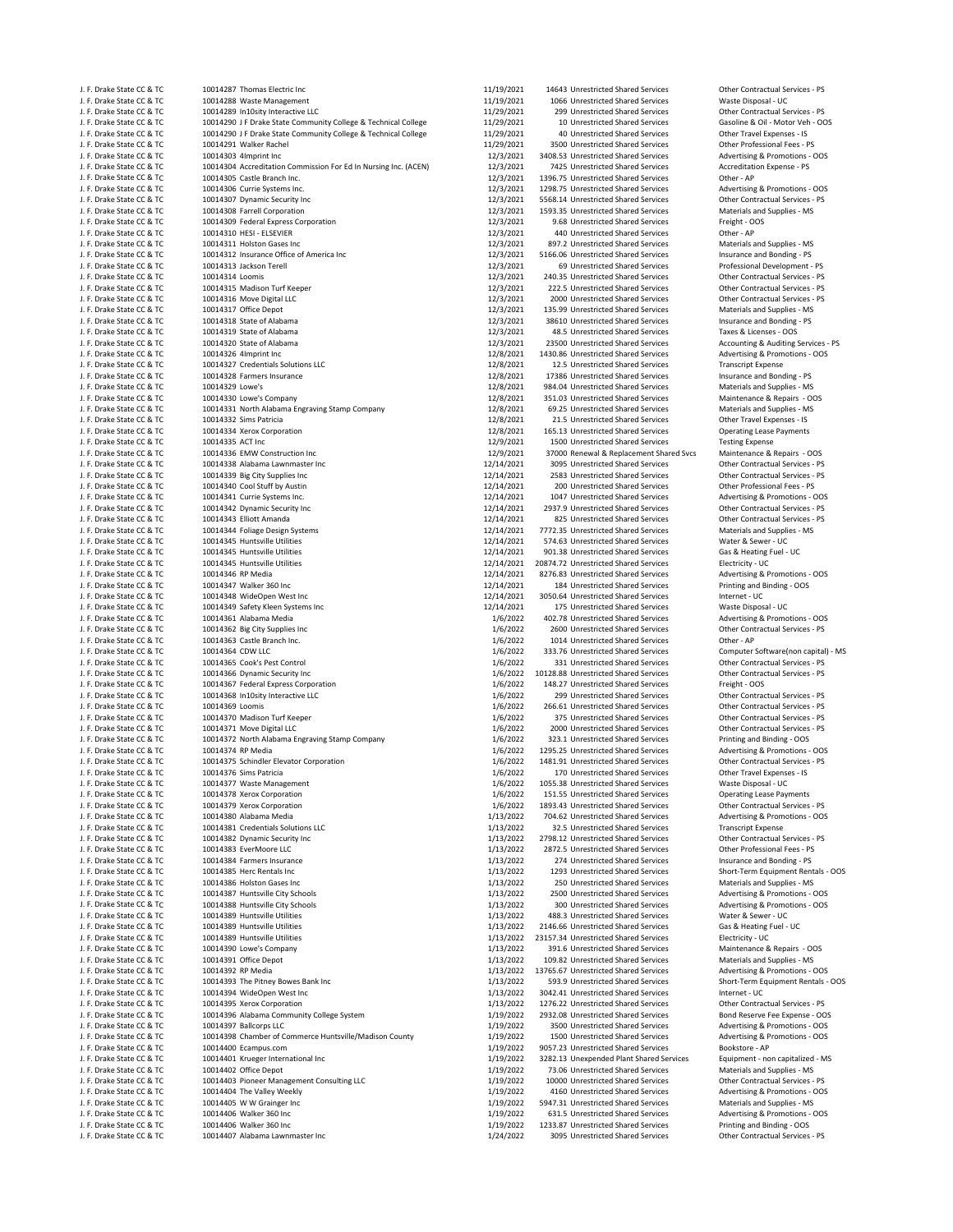| J. F. Drake State CC & TC                              | 10014287 Thomas Electric Inc                                           | 11/19/2021             | 14643 Unrestricted Shared Services                                         | Other Contractual Services - PS                               |
|--------------------------------------------------------|------------------------------------------------------------------------|------------------------|----------------------------------------------------------------------------|---------------------------------------------------------------|
| J. F. Drake State CC & TC                              | 10014288 Waste Management                                              | 11/19/2021             | 1066 Unrestricted Shared Services                                          | Waste Disposal - UC                                           |
| J. F. Drake State CC & TC                              | 10014289 In10sity Interactive LLC                                      | 11/29/2021             | 299 Unrestricted Shared Services                                           | Other Contractual Services - PS                               |
| J. F. Drake State CC & TC                              | 10014290 J F Drake State Community College & Technical College         | 11/29/2021             | 10 Unrestricted Shared Services                                            | Gasoline & Oil - Motor Veh - OOS                              |
| J. F. Drake State CC & TC                              | 10014290 J F Drake State Community College & Technical College         | 11/29/2021             | 40 Unrestricted Shared Services                                            | Other Travel Expenses - IS                                    |
| J. F. Drake State CC & TC                              | 10014291 Walker Rachel                                                 | 11/29/2021             | 3500 Unrestricted Shared Services                                          | Other Professional Fees - PS                                  |
| J. F. Drake State CC & TC                              | 10014303 4Imprint Inc                                                  | 12/3/2021              | 3408.53 Unrestricted Shared Services                                       | Advertising & Promotions - OOS                                |
| J. F. Drake State CC & TC                              | 10014304 Accreditation Commission For Ed In Nursing Inc. (ACEN)        | 12/3/2021              | 7425 Unrestricted Shared Services                                          | Accreditation Expense - PS                                    |
| J. F. Drake State CC & TC                              | 10014305 Castle Branch Inc.                                            | 12/3/2021              | 1396.75 Unrestricted Shared Services                                       | Other - AP                                                    |
| J. F. Drake State CC & TC                              | 10014306 Currie Systems Inc.                                           | 12/3/2021              | 1298.75 Unrestricted Shared Services                                       | Advertising & Promotions - OOS                                |
| J. F. Drake State CC & TC                              | 10014307 Dynamic Security Inc                                          | 12/3/2021              | 5568.14 Unrestricted Shared Services                                       | Other Contractual Services - PS                               |
| J. F. Drake State CC & TC                              | 10014308 Farrell Corporation                                           | 12/3/2021              | 1593.35 Unrestricted Shared Services                                       | Materials and Supplies - MS                                   |
| J. F. Drake State CC & TC                              | 10014309 Federal Express Corporation                                   | 12/3/2021              | 9.68 Unrestricted Shared Services                                          | Freight - OOS                                                 |
| J. F. Drake State CC & TC                              | 10014310 HESI - ELSEVIER                                               | 12/3/2021              | 440 Unrestricted Shared Services                                           | Other - AP                                                    |
| J. F. Drake State CC & TC                              | 10014311 Holston Gases Inc<br>10014312 Insurance Office of America Inc | 12/3/2021<br>12/3/2021 | 897.2 Unrestricted Shared Services<br>5166.06 Unrestricted Shared Services | Materials and Supplies - MS                                   |
| J. F. Drake State CC & TC<br>J. F. Drake State CC & TC | 10014313 Jackson Terell                                                | 12/3/2021              | 69 Unrestricted Shared Services                                            | Insurance and Bonding - PS<br>Professional Development - PS   |
| J. F. Drake State CC & TC                              | 10014314 Loomis                                                        | 12/3/2021              | 240.35 Unrestricted Shared Services                                        | Other Contractual Services - PS                               |
| J. F. Drake State CC & TC                              | 10014315 Madison Turf Keeper                                           | 12/3/2021              | 222.5 Unrestricted Shared Services                                         | Other Contractual Services - PS                               |
| J. F. Drake State CC & TC                              | 10014316 Move Digital LLC                                              | 12/3/2021              | 2000 Unrestricted Shared Services                                          | Other Contractual Services - PS                               |
| J. F. Drake State CC & TC                              | 10014317 Office Depot                                                  | 12/3/2021              | 135.99 Unrestricted Shared Services                                        | Materials and Supplies - MS                                   |
| J. F. Drake State CC & TC                              | 10014318 State of Alabama                                              | 12/3/2021              | 38610 Unrestricted Shared Services                                         | Insurance and Bonding - PS                                    |
| J. F. Drake State CC & TC                              | 10014319 State of Alabama                                              | 12/3/2021              | 48.5 Unrestricted Shared Services                                          | Taxes & Licenses - OOS                                        |
| J. F. Drake State CC & TC                              | 10014320 State of Alabama                                              | 12/3/2021              | 23500 Unrestricted Shared Services                                         | Accounting & Auditing Services - PS                           |
| J. F. Drake State CC & TC                              | 10014326 4Imprint Inc                                                  | 12/8/2021              | 1430.86 Unrestricted Shared Services                                       | Advertising & Promotions - OOS                                |
| J. F. Drake State CC & TC                              | 10014327 Credentials Solutions LLC                                     | 12/8/2021              | 12.5 Unrestricted Shared Services                                          | <b>Transcript Expense</b>                                     |
| J. F. Drake State CC & TC                              | 10014328 Farmers Insurance                                             | 12/8/2021              | 17386 Unrestricted Shared Services                                         | Insurance and Bonding - PS                                    |
| J. F. Drake State CC & TC                              | 10014329 Lowe's                                                        | 12/8/2021              | 984.04 Unrestricted Shared Services                                        | Materials and Supplies - MS                                   |
| J. F. Drake State CC & TC                              | 10014330 Lowe's Company                                                | 12/8/2021              | 351.03 Unrestricted Shared Services                                        | Maintenance & Repairs - OOS                                   |
| J. F. Drake State CC & TC                              | 10014331 North Alabama Engraving Stamp Company                         | 12/8/2021              | 69.25 Unrestricted Shared Services                                         | Materials and Supplies - MS                                   |
| J. F. Drake State CC & TC                              | 10014332 Sims Patricia                                                 | 12/8/2021              | 21.5 Unrestricted Shared Services                                          | Other Travel Expenses - IS                                    |
| J. F. Drake State CC & TC                              | 10014334 Xerox Corporation                                             | 12/8/2021              | 165.13 Unrestricted Shared Services                                        | <b>Operating Lease Payments</b>                               |
| J. F. Drake State CC & TC                              | 10014335 ACT Inc                                                       | 12/9/2021              | 1500 Unrestricted Shared Services                                          | <b>Testing Expense</b>                                        |
| J. F. Drake State CC & TC                              | 10014336 EMW Construction Inc                                          | 12/9/2021              | 37000 Renewal & Replacement Shared Svcs                                    | Maintenance & Repairs - OOS                                   |
| J. F. Drake State CC & TC                              | 10014338 Alabama Lawnmaster Inc                                        | 12/14/2021             | 3095 Unrestricted Shared Services                                          | Other Contractual Services - PS                               |
| J. F. Drake State CC & TC                              | 10014339 Big City Supplies Inc                                         | 12/14/2021             | 2583 Unrestricted Shared Services                                          | Other Contractual Services - PS                               |
| J. F. Drake State CC & TC                              | 10014340 Cool Stuff by Austin                                          | 12/14/2021             | 200 Unrestricted Shared Services                                           | Other Professional Fees - PS                                  |
| J. F. Drake State CC & TC                              | 10014341 Currie Systems Inc.                                           | 12/14/2021             | 1047 Unrestricted Shared Services                                          | Advertising & Promotions - OOS                                |
| J. F. Drake State CC & TC                              | 10014342 Dynamic Security Inc                                          | 12/14/2021             | 2937.9 Unrestricted Shared Services                                        | Other Contractual Services - PS                               |
| J. F. Drake State CC & TC                              | 10014343 Elliott Amanda                                                | 12/14/2021             | 825 Unrestricted Shared Services                                           | Other Contractual Services - PS                               |
| J. F. Drake State CC & TC                              | 10014344 Foliage Design Systems                                        | 12/14/2021             | 7772.35 Unrestricted Shared Services                                       | Materials and Supplies - MS                                   |
| J. F. Drake State CC & TC                              | 10014345 Huntsville Utilities                                          | 12/14/2021             | 574.63 Unrestricted Shared Services                                        | Water & Sewer - UC                                            |
| J. F. Drake State CC & TC                              | 10014345 Huntsville Utilities                                          | 12/14/2021             | 901.38 Unrestricted Shared Services                                        | Gas & Heating Fuel - UC                                       |
| J. F. Drake State CC & TC                              | 10014345 Huntsville Utilities                                          | 12/14/2021             | 20874.72 Unrestricted Shared Services                                      | Electricity - UC                                              |
| J. F. Drake State CC & TC                              | 10014346 RP Media                                                      | 12/14/2021             | 8276.83 Unrestricted Shared Services                                       | Advertising & Promotions - OOS                                |
| J. F. Drake State CC & TC                              | 10014347 Walker 360 Inc                                                | 12/14/2021             | 184 Unrestricted Shared Services                                           | Printing and Binding - OOS                                    |
| J. F. Drake State CC & TC                              | 10014348 WideOpen West Inc                                             | 12/14/2021             | 3050.64 Unrestricted Shared Services                                       | Internet - UC                                                 |
| J. F. Drake State CC & TC                              | 10014349 Safety Kleen Systems Inc                                      | 12/14/2021             | 175 Unrestricted Shared Services                                           | Waste Disposal - UC                                           |
| J. F. Drake State CC & TC                              | 10014361 Alabama Media                                                 | 1/6/2022               | 402.78 Unrestricted Shared Services                                        | Advertising & Promotions - OOS                                |
| J. F. Drake State CC & TC                              | 10014362 Big City Supplies Inc                                         | 1/6/2022               | 2600 Unrestricted Shared Services                                          | Other Contractual Services - PS                               |
| J. F. Drake State CC & TC                              | 10014363 Castle Branch Inc.                                            | 1/6/2022               | 1014 Unrestricted Shared Services                                          | Other - AP                                                    |
| J. F. Drake State CC & TC                              | 10014364 CDW LLC                                                       | 1/6/2022               | 333.76 Unrestricted Shared Services                                        | Computer Software(non capital) - MS                           |
| J. F. Drake State CC & TC                              | 10014365 Cook's Pest Control                                           | 1/6/2022               | 331 Unrestricted Shared Services                                           | Other Contractual Services - PS                               |
| J. F. Drake State CC & TC                              | 10014366 Dynamic Security Inc                                          | 1/6/2022               | 10128.88 Unrestricted Shared Services                                      | Other Contractual Services - PS                               |
| J. F. Drake State CC & TC                              | 10014367 Federal Express Corporation                                   | 1/6/2022               | 148.27 Unrestricted Shared Services                                        | Freight - OOS                                                 |
| J. F. Drake State CC & TC                              | 10014368 In10sity Interactive LLC                                      | 1/6/2022               | 299 Unrestricted Shared Services                                           | Other Contractual Services - PS                               |
| J. F. Drake State CC & TC                              | 10014369 Loomis                                                        | 1/6/2022               | 266.61 Unrestricted Shared Services                                        | Other Contractual Services - PS                               |
| J. F. Drake State CC & TC                              | 10014370 Madison Turf Keeper                                           | 1/6/2022               | 375 Unrestricted Shared Services                                           | Other Contractual Services - PS                               |
| J. F. Drake State CC & TC                              | 10014371 Move Digital LLC                                              | 1/6/2022               | 2000 Unrestricted Shared Services                                          | Other Contractual Services - PS                               |
| J. F. Drake State CC & TC                              | 10014372 North Alabama Engraving Stamp Company                         | 1/6/2022               | 323.1 Unrestricted Shared Services                                         | Printing and Binding - OOS                                    |
| J. F. Drake State CC & TC                              | 10014374 RP Media                                                      | 1/6/2022               | 1295.25 Unrestricted Shared Services                                       | Advertising & Promotions - OOS                                |
| J. F. Drake State CC & TC                              | 10014375 Schindler Elevator Corporation                                | 1/6/2022               | 1481.91 Unrestricted Shared Services                                       | Other Contractual Services - PS                               |
| J. F. Drake State CC & TC                              | 10014376 Sims Patricia                                                 | 1/6/2022               | 170 Unrestricted Shared Services                                           | Other Travel Expenses - IS                                    |
| J. F. Drake State CC & TC                              |                                                                        |                        | 1055.38 Unrestricted Shared Services                                       | Waste Disposal - UC                                           |
| J. F. Drake State CC & TC                              | 10014377 Waste Management<br>10014378 Xerox Corporation                | 1/6/2022<br>1/6/2022   | 151.55 Unrestricted Shared Services                                        | <b>Operating Lease Payments</b>                               |
| J. F. Drake State CC & TC                              | 10014379 Xerox Corporation                                             | 1/6/2022               | 1893.43 Unrestricted Shared Services                                       | Other Contractual Services - PS                               |
| J. F. Drake State CC & TC                              | 10014380 Alabama Media                                                 | 1/13/2022              | 704.62 Unrestricted Shared Services                                        | Advertising & Promotions - OOS                                |
| J. F. Drake State CC & TC                              | 10014381 Credentials Solutions LLC                                     | 1/13/2022              | 32.5 Unrestricted Shared Services                                          | <b>Transcript Expense</b>                                     |
| J. F. Drake State CC & TC                              | 10014382 Dynamic Security Inc                                          | 1/13/2022              | 2798.12 Unrestricted Shared Services                                       | Other Contractual Services - PS                               |
| J. F. Drake State CC & TC                              | 10014383 EverMoore LLC                                                 | 1/13/2022              | 2872.5 Unrestricted Shared Services                                        | Other Professional Fees - PS                                  |
| J. F. Drake State CC & TC                              | 10014384 Farmers Insurance                                             | 1/13/2022              | 274 Unrestricted Shared Services                                           | Insurance and Bonding - PS                                    |
| J. F. Drake State CC & TC                              | 10014385 Herc Rentals Inc                                              | 1/13/2022              | 1293 Unrestricted Shared Services                                          | Short-Term Equipment Rentals - OOS                            |
| J. F. Drake State CC & TC                              | 10014386 Holston Gases Inc                                             | 1/13/2022              | 250 Unrestricted Shared Services                                           | Materials and Supplies - MS                                   |
| J. F. Drake State CC & TC                              | 10014387 Huntsville City Schools                                       | 1/13/2022              | 2500 Unrestricted Shared Services                                          | Advertising & Promotions - OOS                                |
| J. F. Drake State CC & TC                              | 10014388 Huntsville City Schools                                       | 1/13/2022              | 300 Unrestricted Shared Services                                           | Advertising & Promotions - OOS                                |
| J. F. Drake State CC & TC                              |                                                                        |                        | 488.3 Unrestricted Shared Services                                         |                                                               |
|                                                        | 10014389 Huntsville Utilities<br>10014389 Huntsville Utilities         | 1/13/2022<br>1/13/2022 | 2146.66 Unrestricted Shared Services                                       | Water & Sewer - UC                                            |
| J. F. Drake State CC & TC<br>J. F. Drake State CC & TC | 10014389 Huntsville Utilities                                          | 1/13/2022              | 23157.34 Unrestricted Shared Services                                      | Gas & Heating Fuel - UC<br>Electricity - UC                   |
| J. F. Drake State CC & TC                              | 10014390 Lowe's Company                                                | 1/13/2022              | 391.6 Unrestricted Shared Services                                         | Maintenance & Repairs - OOS                                   |
|                                                        | 10014391 Office Depot                                                  | 1/13/2022              | 109.82 Unrestricted Shared Services                                        |                                                               |
| J. F. Drake State CC & TC                              |                                                                        |                        |                                                                            | Materials and Supplies - MS<br>Advertising & Promotions - OOS |
| J. F. Drake State CC & TC                              | 10014392 RP Media                                                      | 1/13/2022              | 13765.67 Unrestricted Shared Services                                      | Short-Term Equipment Rentals - OOS                            |
| J. F. Drake State CC & TC                              | 10014393 The Pitney Bowes Bank Inc                                     | 1/13/2022              | 593.9 Unrestricted Shared Services                                         |                                                               |
| J. F. Drake State CC & TC                              | 10014394 WideOpen West Inc                                             | 1/13/2022              | 3042.41 Unrestricted Shared Services                                       | Internet - UC                                                 |
| J. F. Drake State CC & TC                              | 10014395 Xerox Corporation                                             | 1/13/2022              | 1276.22 Unrestricted Shared Services                                       | Other Contractual Services - PS                               |
| J. F. Drake State CC & TC                              | 10014396 Alabama Community College System                              | 1/19/2022              | 2932.08 Unrestricted Shared Services                                       | Bond Reserve Fee Expense - OOS                                |
| J. F. Drake State CC & TC                              | 10014397 Ballcorps LLC                                                 | 1/19/2022              | 3500 Unrestricted Shared Services                                          | Advertising & Promotions - OOS                                |
| J. F. Drake State CC & TC                              | 10014398 Chamber of Commerce Huntsville/Madison County                 | 1/19/2022              | 1500 Unrestricted Shared Services                                          | Advertising & Promotions - OOS                                |
| J. F. Drake State CC & TC                              | 10014400 Ecampus.com                                                   | 1/19/2022              | 9057.23 Unrestricted Shared Services                                       | Bookstore - AP                                                |
| J. F. Drake State CC & TC                              | 10014401 Krueger International Inc                                     | 1/19/2022              | 3282.13 Unexpended Plant Shared Services                                   | Equipment - non capitalized - MS                              |
| J. F. Drake State CC & TC                              | 10014402 Office Depot                                                  | 1/19/2022              | 73.06 Unrestricted Shared Services                                         | Materials and Supplies - MS                                   |
| J. F. Drake State CC & TC                              | 10014403 Pioneer Management Consulting LLC                             | 1/19/2022              | 10000 Unrestricted Shared Services                                         | Other Contractual Services - PS                               |
| J. F. Drake State CC & TC                              | 10014404 The Valley Weekly                                             | 1/19/2022              | 4160 Unrestricted Shared Services                                          | Advertising & Promotions - OOS                                |
| J. F. Drake State CC & TC                              | 10014405 W W Grainger Inc                                              | 1/19/2022              | 5947.31 Unrestricted Shared Services                                       | Materials and Supplies - MS                                   |
| J. F. Drake State CC & TC                              | 10014406 Walker 360 Inc                                                | 1/19/2022              | 631.5 Unrestricted Shared Services                                         | Advertising & Promotions - OOS                                |
| J. F. Drake State CC & TC                              | 10014406 Walker 360 Inc                                                | 1/19/2022              | 1233.87 Unrestricted Shared Services                                       | Printing and Binding - OOS                                    |
| J. F. Drake State CC & TC                              | 10014407 Alabama Lawnmaster Inc                                        | 1/24/2022              | 3095 Unrestricted Shared Services                                          | Other Contractual Services - PS                               |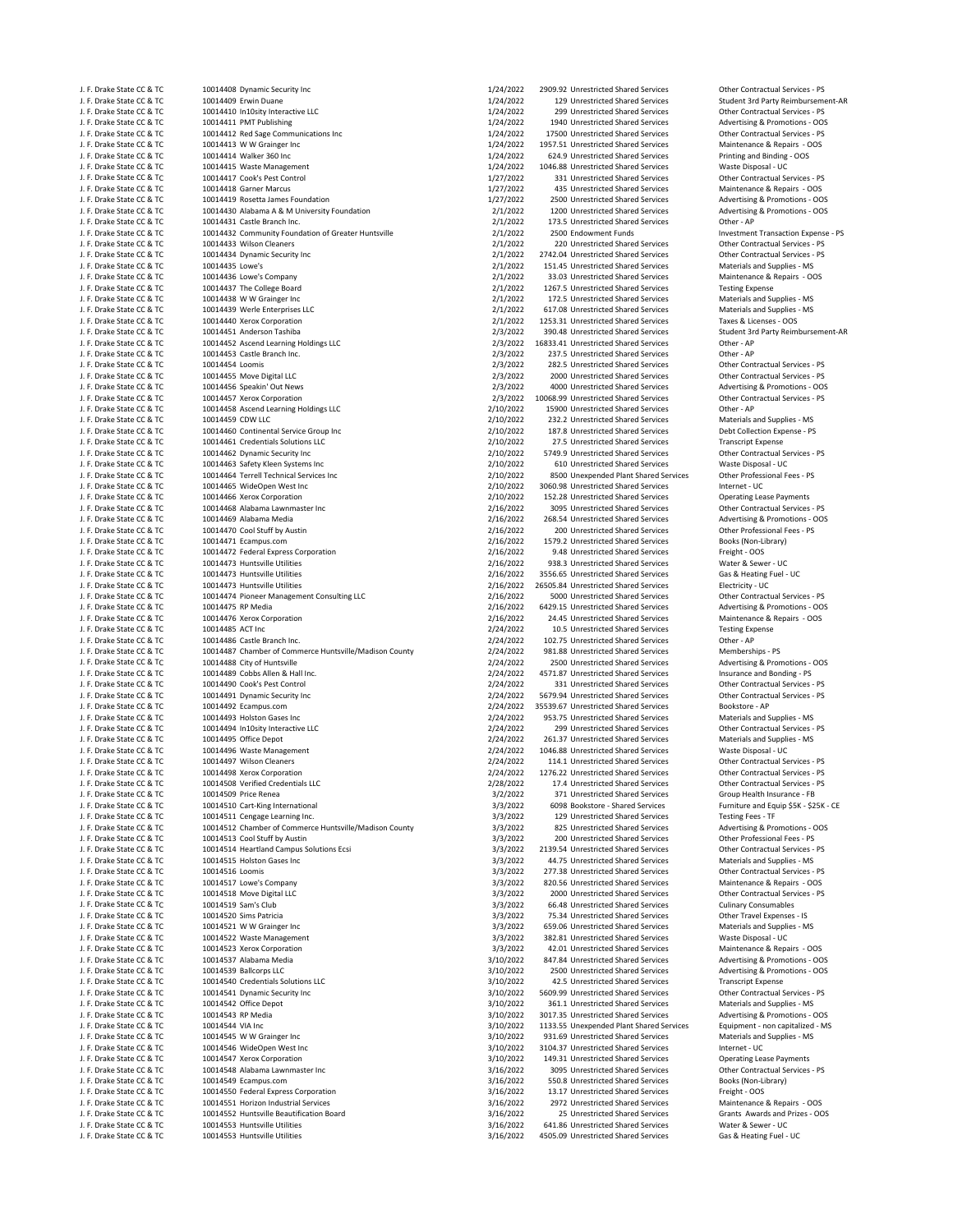| J. F. Drake State CC & TC                              |
|--------------------------------------------------------|
| J. F. Drake State CC & TC                              |
| J. F. Drake State CC & TC                              |
| J. F. Drake State CC & TC                              |
| J. F. Drake State CC & TC                              |
| J. F. Drake State CC & TC                              |
| J. F. Drake State CC & TC                              |
| J. F. Drake State CC & TC                              |
| J. F. Drake State CC & TC                              |
| J. F. Drake State CC & TC                              |
| J. F. Drake State CC & TC                              |
| J. F. Drake State CC & TC                              |
| J. F. Drake State CC & TC                              |
| J. F. Drake State CC & TC                              |
| J. F. Drake State CC & TC                              |
| J. F. Drake State CC & TC                              |
| J. F. Drake State CC & TC                              |
| J. F. Drake State CC & TC                              |
| J. F. Drake State CC & TC                              |
| J. F. Drake State CC & TC                              |
| J. F. Drake State CC & TC                              |
| J. F. Drake State CC & TC                              |
| J. F. Drake State CC & TC                              |
| J. F. Drake State CC & TC                              |
| J. F. Drake State CC & TC                              |
| J. F. Drake State CC & TC                              |
| J. F. Drake State CC & TC                              |
| J. F. Drake State CC & TC                              |
| J. F. Drake State CC & TC                              |
| J. F. Drake State CC & TC                              |
| J. F. Drake State CC & TC                              |
| J. F. Drake State CC & TC                              |
| J. F. Drake State CC & TC                              |
| J. F. Drake State CC & TC                              |
| J. F. Drake State CC & TC                              |
| J. F. Drake State CC & TC                              |
| J. F. Drake State CC & TC                              |
| J. F. Drake State CC & TC                              |
| J. F. Drake State CC & TC                              |
| J. F. Drake State CC & TC                              |
| J. F. Drake State CC & TC                              |
| J. F. Drake State CC & TC                              |
|                                                        |
| J. F. Drake State CC & TC                              |
| J. F. Drake State CC & TC<br>J. F. Drake State CC & TC |
|                                                        |
| J. F. Drake State CC & TC<br>J. F. Drake State CC & TC |
|                                                        |
|                                                        |
| J. F. Drake State CC & TC                              |
| J. F. Drake State CC & TC                              |
| J. F. Drake State CC & TC                              |
| J. F. Drake State CC & TC                              |
| J. F. Drake State CC & TC                              |
| J. F. Drake State CC & TC                              |
| J. F. Drake State CC & TC                              |
| J. F. Drake State CC & TC                              |
| J. F. Drake State CC & TC                              |
| J. F. Drake State CC & TC                              |
| J. F. Drake State CC & TC                              |
| J. F. Drake State CC & TC                              |
| J. F. Drake State CC & TC                              |
| J. F. Drake State CC & TC                              |
| J. F. Drake State CC & TC                              |
| J. F. Drake State CC & TO                              |
| J. F. Drake State CC & TC                              |
| J. F. Drake State CC & TC                              |
| J. F. Drake State CC & TC                              |
| J. F. Drake State CC & TC                              |
| J. F. Drake State CC & TC                              |
| J. F. Drake State CC & TC                              |
| J. F. Drake State CC & TC                              |
| J. F. Drake State CC & TC                              |
| J. F. Drake State CC & TC                              |
| J. F. Drake State CC & TC                              |
| J. F. Drake State CC & TC                              |
| J. F. Drake State CC & TC                              |
| J. F. Drake State CC & TC                              |
| J. F. Drake State CC & TC                              |
| J. F. Drake State CC & TC                              |
| J. F. Drake State CC & TC                              |
| J. F. Drake State CC & TC                              |
| J. F. Drake State CC & TC                              |
| J. F. Drake State CC & TC                              |
| J. F. Drake State CC & TC                              |
| J. F. Drake State CC & TC                              |
| J. F. Drake State CC & TC                              |
| J. F. Drake State CC & TC                              |
| J. F. Drake State CC & TC                              |
| J. F. Drake State CC & TC                              |
| J. F. Drake State CC & TC                              |
| J. F. Drake State CC & TC                              |
| J. F. Drake State CC & TC                              |
| J. F. Drake State CC & TC                              |
| J. F. Drake State CC & TC                              |
| J. F. Drake State CC & TC<br>J. F. Drake State CC & TC |

**J. Drake State Contractual CCC & TC 10014410 Interactive CONTRACT CONTRACT CONTRACT CONTRACT CONTRACT CONTRACT<br>1/24/2022 299 Unrestricted Shared Services Contractual Services Other Contractual Services → PS<br>1/24/2022 19** 1991/1992 17500 Unrestricted Shared Services Softer Contractual Services - PS 1/24/2022 17500 Unrestricted Shared Services Communications Inc 1/24/2022 17500 Unrestricted Shared Services Maintenance & Repairs - OOS J. F. Drake State CC & TC 10014413 W W Grainger Inc 1/24/2022 1957.51 Unrestricted Shared Services Maintenance & Repairs ‐ OOS J. F. Drake State Cock and the Cock of the CC and the CC and the Cock of the Cock of the Communism of the Contractual Services COL 10014417 Cook's Pest Contractual Services PS and the Contractual Services - PS and the Cont J. F. Drake State CC & TC 10014417 Cook's Pest Control 1/27/2022 331 Unrestricted Shared Services Other Contractual Services ‐ PS J. F. Drake State CC & TC 10014418 Garner Marcus 1/27/2022 435 Unrestricted Shared Services Maintenance & Repairs ‐ OOS J. F. 2001 Alabama A & M University Foundation Alabama COC & TO 10014430 Alabama A & M University Foundation 20<br>10014431 Castle Branch Inc. Compare and Cockey and Cockey and Cockey and Cockey and Cockey and Deromotions Co 10014432 Community Foundation of Greater Huntsville  $2/1/2022$ 220 Unrestricted Shared Services Contractual Services - PS<br>
2/1/2022 2742.04 Unrestricted Shared Services Other Contractual Services - PS<br>
2/1/2022 2742.04 Unrestricted Shared Services Other Contractual Services J. F. Drake State CC & TC 10014434 Dynamic Security Inc 2/1/2022 2742.04 Unrestricted Shared Services Other Contractual Services ‐ PS J. F. Drake State CC & TC 10014435 Lowe's 2/1/2022 151.45 Unrestricted Shared Services Materials and Supplies ‐ MS J. F. Drake State Company Company 10014436 Lowe's Company 2011/2022 33.03 Unrestricted Shared Services Maintenance & Repairs - OOS<br>1991/2022 1267.5 Unrestricted Shared Services Testing Expense  $10014438 \,$  W W Grainger Inc 10014439 Werle Enterprises LLC **Annual Computer State Computer State Computer** 2/1/2022 617.08 Unrestricted Shared Services Materials and Supplies - MS<br>10014440 Xerox Corporation Computer State Computer State Computer 2/1/ J. F. Drake State CC & TC 10014440 Xerox Corporation 2/1/2022 1253.31 Unrestricted Shared Services Taxes & Licenses ‐ OOS J. F. Drake State CC & TC 10014452 Ascend Learning Holdings LLC 2/3/2022 16833.41 Unrestricted Shared Services Other ‐ AP J. J. F. Drake State Coccine Communication Communication of the Communication Communication Communication Communication Communication Communication Communication Communication Communication Communication Communication Comm  $2/3/2022 \qquad 282.5 \text{ Unrestricted Shared Service}$   $2/3/2022 \qquad 282.5 \text{ Unrestricted Shared Service}$   $2/3/2022 \qquad 282.5 \text{ Unrestricted Shared Service}$   $2/3/2022 \qquad 282.5 \text{ Unrestricted Shared Service}$   $2/3/2022 \qquad 282.5 \text{ Unrestricted Shared Service}$   $2/3/2022 \qquad 282.5 \text{ Unrestricted Shared Service}$ J. F. Drake State CC & TC 10014455 Move Digital LLC 2/3/2022 2000 Unrestricted Shared Services Other Contractual Services ‐ PS J. F. Drake State CC & TC 10014456 Speakin' Out News 2/3/2022 4000 Unrestricted Shared Services Advertising & Promotions ‐ OOS 1974458 Ascend Learning Holdings LLC (1992) 2002 215900 Unrestricted Shared Services of the computer of the CO<br>1971/2022 232.2 Unrestricted Shared Services Materials and Supplies - MS J. F. Drake State CC & TC 10014459 CDW LLC 2/10/2022 232.2 Unrestricted Shared Services Materials and Supplies ‐ MS J. F. Drake State CC & TC 10014460 Continental Service Group Inc 2/10/2022 187.8 Unrestricted Shared Services Debt Collection Expense ‐ PS 10014461 Credentials Solutions LLC and the Company of the Cause COVID 20022 27.5 Unrestricted Shared Services Transcript Expense<br>10014462 Dynamic Security Inc Company of Company 2/10/2022 5749.9 Unrestricted Shared Service J. F. Drake State CC & TC 10014463 Safety Kleen Systems Inc 2/10/2022 610 Unrestricted Shared Services Waste Disposal ‐ UC 10014464 Terrell Technical Services Inc 2001 10014464 Terrell Technical Services و 2/10/2022 8500 Unexpended Plant Shared Services<br>10014465 WideOpen West Inc 2007 1001 1001 1001 1002 100202 3060.98 Unrestricted Shared Ser J. F. Drake State CC & TC 10014465 WideOpen West Inc 2/10/2022 3060.98 Unrestricted Shared Services Internet ‐ UC 10014468 Alabama Lawnmaster Inc J. F. Drake State CC & TC 10014469 Alabama Media 2/16/2022 268.54 Unrestricted Shared Services Advertising & Promotions ‐ OOS J. F. Drake State CC & TC 10014470 Cool Stuff by Austin 2/16/2022 200 Unrestricted Shared Services Other Professional Fees ‐ PS 10014472 Federal Express Corporation هات المستوى التي توجد المستوى التي توجد المستوى التي يوم 10014472 10014472<br>10014473 Huntsville Utilities مستوى التي توجد التي توجد التي توجد التي توجد التي توجد التي توجد التي توجد الت J. F. Drake State CC & TC 10014473 Huntsville Utilities 2/16/2022 938.3 Unrestricted Shared Services Water & Sewer ‐ UC J. F. Drake State CC & TC 10014473 Huntsville Utilities 2/16/2022 26505.84 Unrestricted Shared Services Electricity ‐ UC 10014474 Pioneer Management Consulting LLC and the Consulting LC 2/16/2022 5000 Unrestricted Shared Services of the Contractual Services - PS 2/16/2022 6429.15 Unrestricted Shared Services Advertising & Promotions - OOS J. F. 2/16/2022 24.45 Unrestricted Shared Services Maintenance & Testing Expense<br>10014485 ACT Inc Corporation 2/24/2022 10.5 Unrestricted Shared Services Testing Expense J. F. Drake State CC & TC 10014485 ACT Inc 2/24/2022 10.5 Unrestricted Shared Services Testing Expense 10014487 Chamber of Commerce Huntsville/Madison County **2/24/2022** 981.88 Unrestricted Shared Services Memberships - PS<br>10014488 City of Huntsville and Services 2/24/2022 2500 Unrestricted Shared Services Advertising & Pro J. F. Drake State CC & TC 10014488 City of Huntsville 2/24/2022 2500 Unrestricted Shared Services Advertising & Promotions ‐ OOS 10014489 Cobbs Allen & Hall Inc. بين المستخدم المستخدم المستخدم المستخدم المستخدم المستخدم المستخدم المستخدم ال<br>2/24/2022 10014489 Cobbs Allen & Hall Incestricted Shared Services And Contractual Services PS و 10014480 Coo J. F. Drake State CC & TC 10014490 Cook's Pest Control 2/24/2022 331 Unrestricted Shared Services Other Contractual Services ‐ PS 10014491 Dynamic Security Inc and the Contractual Services CC 2/24/2022 5679.94 Unrestricted Shared Services Contractual Services - PS<br>10014492 Ecampus.com and the Contractual Services 2/24/2022 35539.67 Unrestricted Share J. F. Drake State CC & TC 10014492 Ecampus.com 2/24/2022 35539.67 Unrestricted Shared Services Bookstore ‐ AP J. F. Drake State CC & TC 10014493 Holston Gases Inc 2/24/2022 953.75 Unrestricted Shared Services Materials and Supplies - MS J. F. 2/24/2022 299 Unrestricted Shared Services Contractual Services - PS 2/24/2022 299 Unrestricted Shared Services Other Contractual Services - PS 2/24/2022 261.37 Unrestricted Shared Services Materials and Supplies - M J. F. Drake State Companies Companies Companies (1949)<br>1991 - The Companies Companies Companies (1949) 1992 - 114.1 Unrestricted Shared Services Management Contractual Services - PS<br>1991-1992 - The Companies Companies Comp 1. 10014497 Wilson Cleaners Contractual Services - PS 2/24/2022 114.1 Unrestricted Shared Services Contractual Services - PS 2/24/2022 1276.22 Unrestricted Shared Services Other Contractual Services - PS 2/24/2022 1276.22 10014508 Verified Credentials LLC J. F. 3/2/2022 371 Unrestricted Shared Services Group Health Insurance - FB 3/2/2022 371 Unrestricted Shared Services Group Health Insurance - FB 3/3/2022 371 Unrestricted Shared Services Group Health Insurance - FB 3/3/20 10014511 Cengage Learning Inc.<br>10014512 Chamber of Commerce Huntsville/Madison County 12/3/2022 129 Unrestricted Shared Services Testing Fees<br>10014512 Chamber of Commerce Huntsville/Madison County 12/3/2022 129 Unrestrict J. I. B. H. B. S. H. B. S. S. Advertising & Promotions - C. Drake State County S. S. S. Advertising & Promotions - C<br>19. S. S. 2001 Unrestricted Shared Services Advertising & Promotions - C. P. S. S. S. S. S. S. S. S. S. S J. F. B. B. S. Alter Contractual Services COMENSIA Heartland Campus State Contractual Services Contractual Services<br>1997 - J. Drake State Contractual Services Contractual Services Contractual Services Contractual Services  $3/3/2022$ 44.75 Unrestricted Shared Services Materials and Supplies - MS<br>
3/3/2022 277.38 Unrestricted Shared Services Other Contractual Services - PS J. F. Drake State CC & TC 10014516 Loomis 3/3/2022 277.38 Unrestricted Shared Services Other Contractual Services ‐ PS 10014518 Move Digital LLC **Capacital Services** - PS 3/3/2022 2000 Unrestricted Shared Services Other Contractual Services - PS 3/3/2022 66.48 Unrestricted Shared Services Culinary Consumables Cub J. F. Drake State CC & TC 10014519 Sam's Club 3/3/2022 66.48 Unrestricted Shared Services Culinary Consumables 10014521 W W Grainger Inc<br>10014522 Waste Management 10014522 Waste Claude Communication State Communications and Supplies and Supplies 3<br>10014522 Waste Management 10026 10026 10026 10026 10026 10026 10026 10026 10026 10026 ربية 10014522 Waste Management و 10014522 Waste Disposal - UC<br>10014523 Xerox Corporation و 10014523 Waste Disposal - UCC 10014523 42.01 Unrestricted Shared Services Maintenance & Repairs - OOS J. F. Drake State CC & TC 10014523 Xerox Corporation 3/3/2022 42.01 Unrestricted Shared Services Maintenance & Repairs ‐ OOS J. F. Drake State CC & TC 10014539 Ballcorps LLC 3/10/2022 2500 Unrestricted Shared Services Advertising & Promotions ‐ OOS J. F. Drake State CC & TC 10014540 Credentials Solutions LLC 3/10/2022 42.5 Unrestricted Shared Services Transcript Expense 10014541 Dynamic Security Inc<br>30014542 Office Depot J. F. Drake State CC & TC 10014542 Office Depot 3/10/2022 361.1 Unrestricted Shared Services Materials and Supplies ‐ MS J. F. Drake State CC & TC 10014543 RP Media 3/10/2022 3017.35 Unrestricted Shared Services Advertising & Promotions ‐ OOS  $\emph{3/10/2022} \quad \emph{931.69 Unrestricted Shared Service}$   $\emph{3/10/2022} \quad \emph{931.69 Unrestricted Shared Service}$   $\emph{3/10/2022} \quad \emph{3104.37 Unrestricted Shared Service}$   $\emph{43.69} \quad \emph{44.60}$   $\emph{54.61} \quad \emph{55.61}$ J. F. Drake State CC & TC 10014546 WideOpen West Inc 3/10/2022 3104.37 Unrestricted Shared Services Internet ‐ UC J. F. Drake State CC & TC 10014548 Alabama Lawnmaster Inc 3/16/2022 3095 Unrestricted Shared Services Other Contractual Services ‐ PS J. F. Drake State CC & TC 10014550 Federal Express Corporation 3/16/2022 13.17 Unrestricted Shared Services Freight ‐ OOS J. F. Drake State CC & TC 10014551 Horizon Industrial Services 3/16/2022 2972 Unrestricted Shared Services Maintenance & Repairs ‐ OOS J. F. Drake State CC & TC 10014552 Huntsville Beautification Board 3/16/2022 25 Unrestricted Shared Services Grants Awards and Prizes ‐ OOS J. F. Drake State CC & TC 10014553 Huntsville Utilities 3/16/2022 641.86 Unrestricted Shared Services Water & Sewer ‐ UC

1. 10014408 Dynamic Security Inc COMENSILE CONTROL CONTROL CONTROL CONTROL 2009.92 Unrestricted Shared Services Other Contractual Services - PS<br>1/24/2022 2909.92 Unrestricted Shared Services Student 3rd Party Reimbursem 1/24/2022 129 Unrestricted Shared Services Student 3rd Party Reimbursement-AR<br>1/24/2022 299 Unrestricted Shared Services Other Contractual Services - PS 1/24/2022 1940 Unrestricted Shared Services Advertising & Promotions - OOS<br>1/24/2022 17500 Unrestricted Shared Services Cher Contractual Services - PS 624.9 Unrestricted Shared Services J.<br>J. P. 2000 Unrestricted Shared Services Advertising & Promotions - OOS<br>2/1/2022 21200 Unrestricted Shared Services Advertising & Promotions - OOS 2/1/2022 173.5 Unrestricted Shared Services Other - AP<br>2/1/2022 2500 Endowment Funds Investment Transaction Expense - PS P. 1267.5 Unrestricted Shared Services Testing Expense<br>1972022 1267.5 Unrestricted Shared Services Materials and Supplies - MS J. F. 2/3/2022 390.48 Unrestricted Shared Services Student 3rd Party Reimbursement-AR<br>1/3/2022 16833.41 Unrestricted Shared Services Other - AP 2/3/2022 10068.99 Unrestricted Shared Services **Contractual Contractual Shared Services** Other Contractual Services **Contractual Services** Other Contractual Services **Contractual Services Contractual Services Contractu** 2/10/2022 5749.9 Unrestricted Shared Services **110. 1001462 CONTREGUARG**<br>2/10/2022 610 Unrestricted Shared Services Waste Disposal - UC 2/10/2022 152.28 Unrestricted Shared Services 00erating Lease Payments<br>2/16/2022 3095 Unrestricted Shared Services 0ther Contractual Services - PS 1/16/2022 1579.2 Unrestricted Shared Services Books (Non-Library)<br>2/16/2022 19.48 Unrestricted Shared Services Books (Non-Li 3556.65 Unrestricted Shared Services J. F. Drake State Cocc & TC 2015 Unrestricted Shared Services Advertising & Promotions - OOS<br>2015 Maintenance & Repairs - OOS J. F. D. F. D. Drake State Co. 2. F. Dr. 2010<br>J. P. Drake State Co. 2010<br>J. S. Drake State Co. 2011 Memberships – P. 24/2022 102.11 New Lemberships – P. 2014 J. 1/24/2022 261.37 Unrestricted Shared Services Materials and Supplies 2/24/2022 261.37 Unrestricted Shared Services Materials and Suppli 2/24/2022 1276.22 Unrestricted Shared Services Contractual Services - PS<br>2/28/2022 17.4 Unrestricted Shared Services Contractual Services - PS J. F. B. E. Drake State Coccious Coccious State CCC & Termiture and Equip \$5K - \$25K · CE 10012022 6098 Bookstore · Shared Services Furniture and Equip \$5K · \$25K · CE J.<br>1991/2022 200 Unrestricted Shared Services Communication State Contractional Fees - PS<br>1912022 2139.54 Unrestricted Shared Services Other Contractual Services - PS 820.56 Unrestricted Shared Services J. F. 34 Unrestricted Shared Services Companies Companies Companies COMET (1992)<br>1999 - State Companies State Companies Companies Materials and Supplies - MS 1133.55 Unexpended Plant Shared Services 149.31 Unrestricted Shared Services J. F. B. Drake State Cocc & TC 10014549 Ecampus.com 3/16/2022 550.8 Unrestricted Shared Services Books (Non-Li<br>1990/16/2022 13.17 Unrestricted Shared Services Books (Non-Li J. F. Drake State CC & TC 10014553 Huntsville Utilities 3/16/2022 4505.09 Unrestricted Shared Services Gas & Heating Fuel ‐ UC

Advertising & Promotions - OOS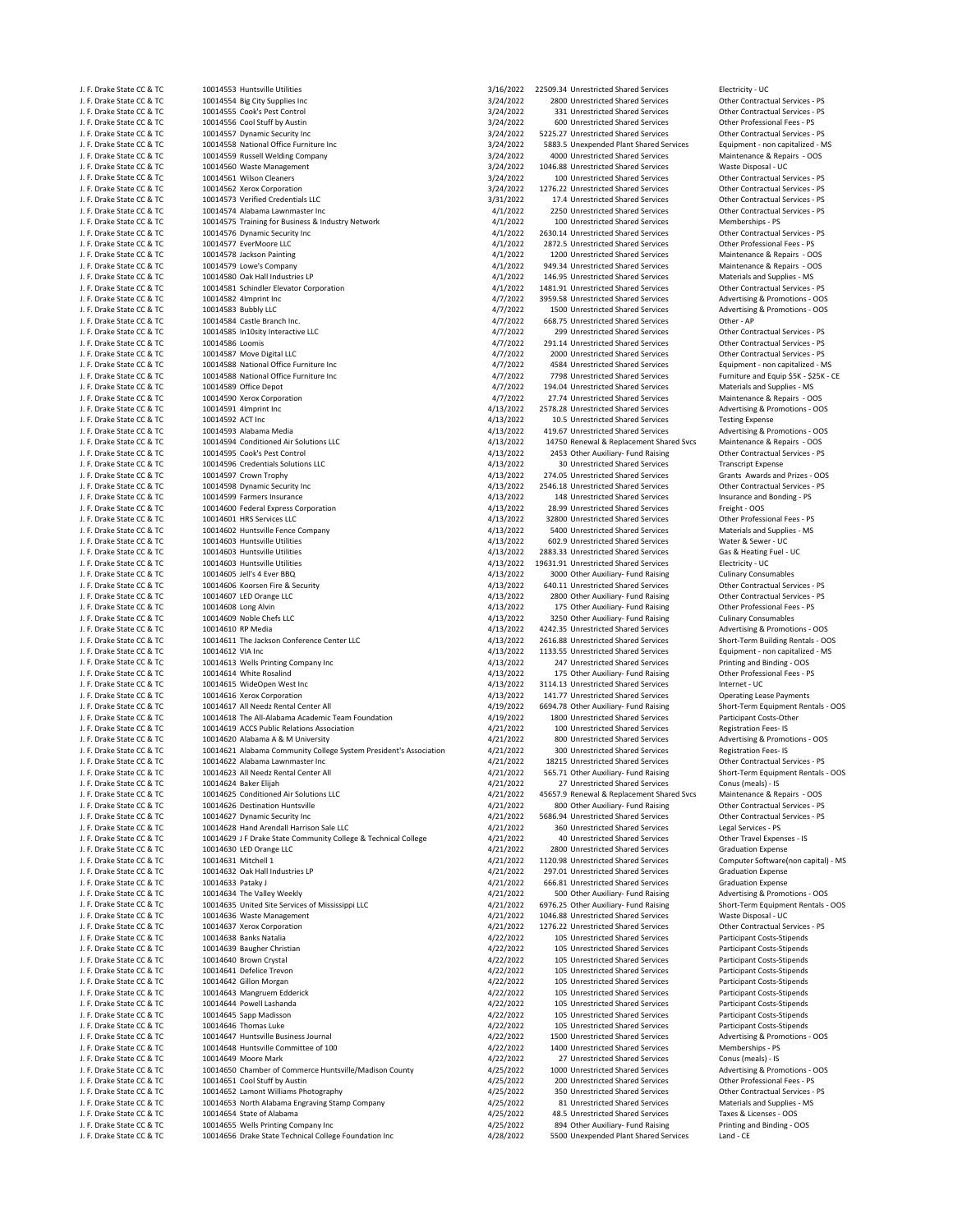J. F. Drake State CC & TC 10014553 Huntsville Utilities 3/16/2022 22509.34 Unrestricted Shared Services Electricity - UC = 10014553 Huntsville Utilities 3/16/2022 22509.34 Unrestricted Shared Services Electricity - UC = 10 J. F. Drake State CC & TC 10014554 Big City Supplies Inc 3/24/2022 3/24/2022 2800 Unrestricted Shared Services Other Contractual Services - PS<br>1. F. Drake State CC & TC 10014555 Cook's Pest Control 3. State Contractual Ser J. F. Drake State CC & TC 10014555 Cook's Pest Control Control 3/24/2022 331 Unrestricted Shared Services Other Contractual Services of the Control 3/24/2022 331 Unrestricted Shared Services Other Professional Fees - PS J. F. Drake State CC & TC 10014556 Cool Stuff by Austin 3/24/2022 524/2022 600 Unrestricted Shared Services Other Professional Fees - PS<br>J. F. Drake State CC & TC 10014557 Dynamic Security Inc 3/24/2022 5225.27 Unrestricte J. F. Drake State CC & TC 10014557 Dynamic Security Inc 3/25 Security 1nc 3/24/2022 5225.27 Unrestricted Shared Services Cher Contractual Services PS<br>J. F. Drake State CC & TC 10014558 National Office Furniture Inc 3/24/20 J. F. Drake State CC & TC 10014558 National Office Furniture Inc 3/24 5882.5 Unexpended Plant Shared Services Equipment ‐ non capitalized ‐ 10014559 National Office Furniture Inc 3/24/2022 5883.5 Unexpended Plant Shared Se 10014559 Russell Welding Company J. F. Drake State CC & TC 10014560 Waste Management 3/24/2022 1046.88 Unrestricted Shared Services Waste Disposal ‐ UC J. F. Drake State CC & TC 10014561 Wilson Cleaners 3/24/2022 100 Unrestricted Shared Services Other Contractual Services - PS 3/24/2022 1276.22 Unrestricted Shared Services Other Contractual Services - PS 3/24/2022 1276.22 J. F. Drake State CC & TC 10014562 Xerox Corporation 3/24/2022 1276.22 Unrestricted Shared Services Other Contractual Services - PS<br>1. F. Drake State CC & TC 10014573 Verified Credentials LLC 3/31/2022 1276.22 Unrestricted J. F. Drake State CC & TC 10014573 Verified Credentials LLC and the Credentials LLC 3/31/2022 17.4 Unrestricted Shared Services Other Contractual Services - PS<br>J. F. Drake State CC & TC 10014574 Alabama Lawnmaster Inc and J. F. Drake State CC & TC 10014574 Alabama Lawnmaster Inc 1001457 Alabama Lawnmaster Inc 4/1/2022 2250 Unrestricted Shared Services 6 Contractual CONTERCONTER CONTRACTUAL SERVICES 10014575 Training for Business & Industry J. F. Drake State CC & TC 10014575 Training for Business & Industry Network 4/1/2022 400 Unrestricted Shared Services Memberships ‐ PS<br>J. F. Drake State CC & TC 10014576 Dynamic Security Inc view of the Contractual Service J. F. Drake State CC & TC 10014577 EverMoore LLC 4/1/2022 2872.5 Unrestricted Shared Services Other Professional Fees ‐ PS J. F. Drake State CC & TC 10014578 Jackson Painting and the state of the state of the state of the state of the state of the state of the state of the state of the state of the state of the state of the state of the state J. F. Drake State CC & TC 10014579 Lowe's Company 4/1/2022 949.34 Unrestricted Shared Services Maintenance & Repairs ‐ OOS J. F. Drake State CC & TC 10014580 Oak Hall Industries LP 4000 CHALL 4/1/2022 146.95 Unrestricted Shared Services Materials and Supplies - MS<br>J. F. Drake State CC & TC 10014581 Schindler Elevator Corporation 4/1/2022 1481. J. F. Drake State CC & TC 10014581 Schindler Elevator Corporation 1999 1481.91 Unrestricted Shared Services 1<br>J. F. Drake State CC & TC 10014582 4Imprint Inc 1. Drake Services 6 10014582 4 11/2022 1481.91 Unrestricted Shar J. F. Drake State CC & TC 10014583 Bubbly LLC 4/7/2022 1500 Unrestricted Shared Services Advertising & Promotions - OOS<br>J. F. Drake State CC & TC 10014584 Castle Branch Inc. And the Communications and the Communications an J. F. Drake State CC & TC 10014584 Castle Branch Inc. 4/7/2022 668.75 Unrestricted Shared Services Other ‐ AP J. F. Drake State Contractive LC and the Contractual Services of the Contractual Services of the Contractual Services - PS 4/7/2022 299 Unrestricted Shared Services Other Contractual Services - PS 4/7/2022 299 Unrestricted J. F. Drake State CC & TC 10014586 Loomis 10014586 Loomis 1997 COLL 10014587 Loomis 11 All 12022 291.14 Unrestricted Shared Services Other Contractual Services - PS 1. Prake State CC & TC 10014587 Move Digital LLC 10014587 J. F. Drake State CC & TC 10014587 Move Digital LLC 4/7/2022 45000 Unrestricted Shared Services 10014587 Move Digital LLC 4000 Unrestricted Shared Services (1999) 1. F. Drake State CC & TC 10014588 National Office Furnitur J. F. Drake State CC & TC 10014588 National Office Furniture Inc enter the state of the state of the 4/7/2022 4584 Unrestricted Shared Services Equipment - non capitalized - MS and the Services Equipment - non capitalized J. F. Drake State CC & TC 10014588 National Office Furniture Inc 100014580 Unrestricted Shared Services Furniture and Equip \$5K - \$25K - CE 10014589 Office Depot<br>J. F. Drake State CC & TC 10014589 Office Depot J. F. Drake State CC & TC 10014589 Office Depot 1. F. Drake State CC & TC 10014589 Office Depot 1. F. Drake State CC & TC 10014590 Xerox Corporation 1. F. Drake State CC & TC 10014590 Xerox Corporation J. F. Drake State CC & TC 10014590 Xerox Corporation 4/7/2022 27.74 Unrestricted Shared Services Maintenance & Repairs - OOS<br>1. F. Drake State CC & TC 10014591 4Umprint Inc 10014591 4Imprint Inc **Access 2001 12014591 4** and the State CC 2578.28 Unrestricted Shared Services Advertising & Promotions - OOS<br>10014592 ACT Inc **CCC 2006 2006 2007 4** and the Alta 2/2022 10.5 Unrestricted Shared Servi 1. F. Drake State CC & TC 10014592 ACT Inc 40014592 ACT Inc. 4/13/2022 10.5 Unrestricted Shared Services Testing Expense<br>1. F. Drake State CC & TC 10014593 Alabama Media 1998 and 1999 11:47 Unrestricted Shared Services Adv J. F. Drake State CC & TC 10014593 Alabama Media 1001469 Alabama Media 19.67 Unrestricted Shared Services Advertising & Promotions - 00<br>1. F. Drake State CC & TC 10014594 Conditioned Air Solutions IIC 19.1000 113/2002 1275 J. F. Drake State CC & TC 10014594 Conditioned Air Solutions LLC 10014594 Conditioned Air Solutions LLC 10014595 Cook's Pest Control<br>J. F. Drake State CC & TC 10014595 Cook's Pest Control 10014695 - PS Cookie Repairs 2001 J. F. Drake State CC & TC 10014595 Cook's Pest Control 4/13/2022 2453 Other Auxiliary‐ Fund Raising Other Contractual Services ‐ PS J. F. Drake State CC & TC 10014596 Credentials Solutions LLC 100014596 Credentials Solutions LLC 10014596 Credentials Solutions LLC 10014597 Crown Trophy 10014597 Crown Transcript Expense 1. E. Drake State CC & TC 10014597 J. F. Drake State CC & TC and the CO14597 Crown Trophy equity the compare to the compare of the compare of the<br>In the State CC & TC and the contractual Services - PS (1912) and the compare of the contractual Services - PS<br> J. F. Drake State CC & TC 10014599 Farmers Insurance<br>
1. F. Drake State CC & TC 10014600 Federal Express Corporation<br>
1. F. Drake State CC & TC 10014600 Federal Express Corporation<br>
1. P. Drake State CC & TC 10014600 Feder J. F. Drake State CC & TC 10014600 Federal Express Corporation 4/13/2022 28.99 Unrestricted Shared Services Freight ‐ OOS J. F. Drake State CC & TC 10014601 HRS Services LLC 6 COMBANG COMPONER 1999 FOR SERVICES AND A 4/13/2022 32800 Unrestricted Shared Services Other Professional Fees - PS (1999) For Services COMPONER 15 AM SUPPLIES - MS (199 J. F. Drake State CC & TC 10014602 Huntsville Fence Company and the Company and the state of the development of the development of the development of the development of the development of the development of the development J. F. Drake State CC & TC 10014603 Huntsville Utilities 4/13/2022 602.9 Unrestricted Shared Services Water & Sewer ‐ UC J. F. Drake State CC & TC 10014603 Huntsville Utilities and the Company of the Case of A13/2022 2883.33 Unrestricted Shared Services Gas & Heating Fuel Case & Heating Fuel Case & Heating Fuel Case of the Case of the Case o J. F. Drake State CC & TC 10014603 Huntsville Utilities (113)<br>
1. F. Drake State CC & TC 10014605 Jell's 4 Ever BBQ 1. All 13/2022 3000 Other Auxiliary- Fund Raising Culinary Consumables J. F. Drake State CC & TC 10014606 Koorsen Fire & Security 1990 1990 1991 1991 1992 11: Altanum 10014606 Apple<br>J. F. Drake State CC & TC 10014607 LED Orange LLC 10014607 LC 1001460 1991 1991 1992 1992 1990 11: Altanum 100<br> J. F. Drake State CC & TC 10014607 LED Orange LLC 4/13/2022 2800 Other Auxiliary‐ Fund Raising Other Contractual Services ‐ PS J. F. Drake State CC & TC 10014609 Noble Chefs LLC 4/13/2022 3250 Other Auxiliary‐ Fund Raising Culinary Consumables J. F. Drake State CC & TC 10014610 RP Media 4/13/2022 4242.35 Unrestricted Shared Services Advertising & Promotions ‐ OOS J. F. Drake State CC & TC 10014611 The Jackson Conference Center LLC 10014611 The Jackson Conference Center LLC<br>J. F. Drake State CC & TC 10014612 VIA Inc 10014612 VIA Inc J. F. Drake State CC & TC 10014612 VIA Inc 4/13/2022 1133.55 Unrestricted Shared Services Equipment - non capitalized - MS<br>J. F. Drake State CC & TC 10014613 Wells Printing Company Inc 4/13/2022 4/13/2022 247 Unrestricted J. F. Drake State CC & TC 10014613 Wells Printing Company Inc and the COST of the COST of the COST of the COST<br>J. F. Drake State CC & TC 10014614 White Rosalind and the Cost of the Cost of the Archive Cost of the Professio J. F. Drake State CC & TC 10014614 White Rosalind 400 and the Communication of the Auxiliary Fund Raising 1001<br>J. F. Drake State CC & TC 10014615 WideOpen West Inc and the Communicational Fees and Auxiliary 114.13 Unrestri J. F. Drake State CC & TC 10014616 Xerox Corporation 1. 1990 and the state of the state of the state of the state CC & TC 10014617 All Needz Rental C-near All 199022 141.77 Unrestricted Shared Services Operating Lease Paym J. F. Drake State CC & TC 10014617 All Needz Rental Center All **All Accords** All 4/19/2022 6694.78 Other Auxiliary‐ Fund Raising Short‐Term Equipment Rental Center All 4/19/2022 6694.78 Other Auxiliary‐ Fund Raising Short‐ J. F. Drake State CC & TC 10014618 The All-Alabama Academic Team Foundation and the May 19/2022 1800 Unrestricted Shared Services Participant Costs-Other Services Participant Costs-Other Services Participant Costs-Other Se J. F. Drake State CC & TC 10014619 ACCS Public Relations Association and the state of the definition of the definition of the definition of the definition of the definitions Accs Public Rese- IS<br>1. F. Drake State CC & TC 1 J. F. Drake State CC & TC 10014620 Alabama A & M University 10014620 Advertising & Promotions and Material Advertising & Promotions and Material Advertising & Promotions and Advertising & Promotions and Advertising & Promo 10014621 Alabama Community College System President's Association <br>10014622 Alabama Lawnmaster Inc Community College System President's Association 4/21/2022 18215 Unrestricted Shared Services Cher Contractual Services - J. F. Drake State CC & TC and The Contractual Services - PS (1991) ADD 471/2022 18215 Unrestricted Shared Services Souther Contractual Services - PS (1991) 2022 18215 Unrestricted Shared Services Other Contractual Services J. F. Drake State CC & TC 10014623 All Needz Rental Center All Needz Rental Center All All 2022 565.71 Other Auxiliary‐ Fund Raising Short‐Term Equipment Rental Center Auxiliary‐ Fund Raising Short‐Term Equipment Rentals ) J. F. Drake State CC & TC 10014625 Conditioned Air Solutions LLC 10014625 Conditioned Air Solutions LC 10014626 Conditioned Air Solutions LC 10014626 Destination Huntsville 10014626 Destination Huntsville 10014626 COS 1001 J. F. Drake State CC & TC 10014626 Destination Huntsville 1999 Channel According the Muslim According According According the Contractual Services - PS 4/21/2022 800 Other Auxiliary‐ Fund Raising Other Contractual Services J. F. Drake State CC & TC 10014627 Dynamic Security Inc 10014627 Dynamic Security Inc 10014627 Dynamic Security Inc 10014627 Dynamic Security Inc 4/21/2022 5686.94 Unrestricted Shared Services Cher Contractual Services - P J. F. Drake State CC & TC 10014628 Hand Arendall Harrison Sale LLC 4/21/2022 360 Unrestricted Shared Services Legal Services ‐ PS J. F. Drake State CC & TC 10014629 J F Drake State Community College & Technical College 1971/2022 40 Unrestricted Shared Services Collect Travel Expense<br>1. F. Drake State CC & TC 10014630 LED Orange LLC 10014630 LED Orang J. F. Drake State CC & TC 10014630 LED Orange LLC 1000 LCC 4/21/2022 4/21/2022 2800 Unrestricted Shared Services Graduation Expense<br>J. F. Drake State CC & TC 10014631 Mitchell 1 MS J. F. Drake State CC & TC 10014631 Mitchell 1 1 and the Software Computer Software Computer Software (non capi<br>J. F. Drake State CC & TC 10014632 Oak Hall Industries LP 1 and capital and capital capital (non capital) 4/21/ J. F. Drake State CC & TC 10014632 Oak Hall Industries LP 1992 CHA 10014632 Oraduation Expense<br>1. F. Drake State CC & TC 10014633 Pataky J (10014638 Pataky J) (10014638 Pataky J) (10014638 Craduation Expense<br>1. F. Drake St J. F. Drake State CC & TC 10014634 The Valley Weekly 4/21/2022 4/21/2022 500 Other Auxiliary‐ Fund Raising Advertising & Promotions - OOS<br>1. F. Drake State CC & TC 10014635 United Site Services of Mississippi LLC 4 4/21/20 J. F. Drake State CC & TC 10014635 United Site Services of Mississippi LLC 4/21/2022 6976.25 Other Auxiliary‐ Fund Raising Short‐Term Equipment Australiany‐ Fund Raising Short‐Term Equipment Rentals Australiany‐ Orien Equi J. F. Drake State CC & TC 10014636 Waste Management 1999 (1999)<br>J. F. Drake State CC & TC 10014637 Xerox Corporation 1999 (1999) (1999) (1999) (1999) (1999) (1999) (1999) (19<br>J. F. Drake State CC & TC 10014637 Xerox Corpor J. F. Drake State CC & TC 10014637 Xerox Corporation 4/21/2022 1276.22 Unrestricted Shared Services Other Contractual Services ‐ PS J. F. Drake State CC & TC 10014638 Banks Natalia 1. The State Costs - State Costs - State Costs - State Costs-Stipends<br>J. F. Drake State CC & TC 10014639 Baugher Christian 1. The State Costs - State Costs - State Costs - S J. F. Drake State CC & TC 10014639 Baugher Christian and the State Christian and the Magazine of the Magazine A<br>J. F. Drake State CC & TC 10014640 Brown Crystal and the State of the State of the Magazine and the Magazine A J. F. Drake State CC & TC 10014641 Defelice Trevon 10014641 Defelice Trevon 10014642 Orientical Costs‐Stipends<br>J. F. Drake State CC & TC 10014642 Gillon Morgan 10014642 105 Unrestricted Shared Services Participant Costs‐St J. F. Drake State CC & TC 10014642 Gillon Morgan 10014642 Gillon Morgan 4/22/2022 105 Unrestricted Shared Services Participant Costs‐Stipends<br>1. F. Drake State CC & TC 10014643 Mangruem Edderick 4/22/2022 105 Unrestricted 10014643 Mangruem Edderick J. F. Drake State CC & TC 10014644 Powell Lashanda 1999 105 Unrestricted Shared Services Alta 22/2022 105 Unrestricted Shared Services Participant Costs-Stipends<br>1. F. Drake State CC & TC 10014645 Sapp Madisson 1999 1999 1 J. F. Drake State CC & TC 10014645 Sapp Madisson 4/22/2022 105 Unrestricted Shared Services Participant Costs‐Stipends J. F. Drake State CC & TC 10014647 Huntsville Business Journal 4/22/2022 1500 Unrestricted Shared Services Advertising & Promotions ‐ OOS J. F. Drake State CC & TC 10014648 Huntsville Committee of 100 4/22/2022 1400 Unrestricted Shared Services Memberships ‐ PS J. F. Drake State CC & TC 10014650 Chamber of Commerce Huntsville/Madison County 1/25/2022 1000 Unrestricted Shared Services Advertising & Promotions - OOS<br>1. F. Drake State CC & TC 10014651 Cool Stuff by Austin 1995 Adver J. F. Drake State CC & TC 10014651 Cool Stuff by Austin 10014651 Cool Stuff by Austin 10014651 Cool Stuff by Austin 10014651 Cool Stuff by Austin 10014652 PS 4/25/2022 200 Unrestricted Shared Services Other Professional Fe J. F. Drake State CC & TC 10014652 Lamont Williams Photography 1990 Company 1990 CHA 25/2022 350 Unrestricted Shared Services Cher Contractual Services (1990) 2016 Press, 2016 Cher Contractual Services (1990) 2020 2020 203 J. F. Drake State CC & TC 10014653 North Alabama Engraving Stamp Company and the state of Alabama Company 4/25/2022 81 Unrestricted Shared Services Materials and Supplies and Supplies and Supplies and Supplies and Supplies J. F. Drake State CC & TC 10014654 State of Alabama 4/25/2022 48.5 Unrestricted Shared Services Taxes & Licenses ‐ OOS 10014656 Drake State Technical College Foundation Inc

2630.14 Unrestricted Shared Services 3000 Other Auxiliary- Fund Raising 175 Other Auxiliary- Fund Raising 3114 13 Unrestricted Shared Services 27 Unrestricted Shared Services 666.81 Unrestricted Shared Services 105 Unrestricted Shared Services **105 Unrestricted Shared Services The Thomas Participant Costs-Stipends**<br>1980 Unrestricted Shared Services Participant Costs Promotions - OOS 27 Unrestricted Shared Services J. F. Drake State CC & TC 10014655 Wells Printing Company Inc 1997 Company inc and the Auxiliary Fund Raising Printing and Printing and Binding and Binding and Binding and Binding and Binding and Binding and Binding and Bi

Advertising & Promotions - OOS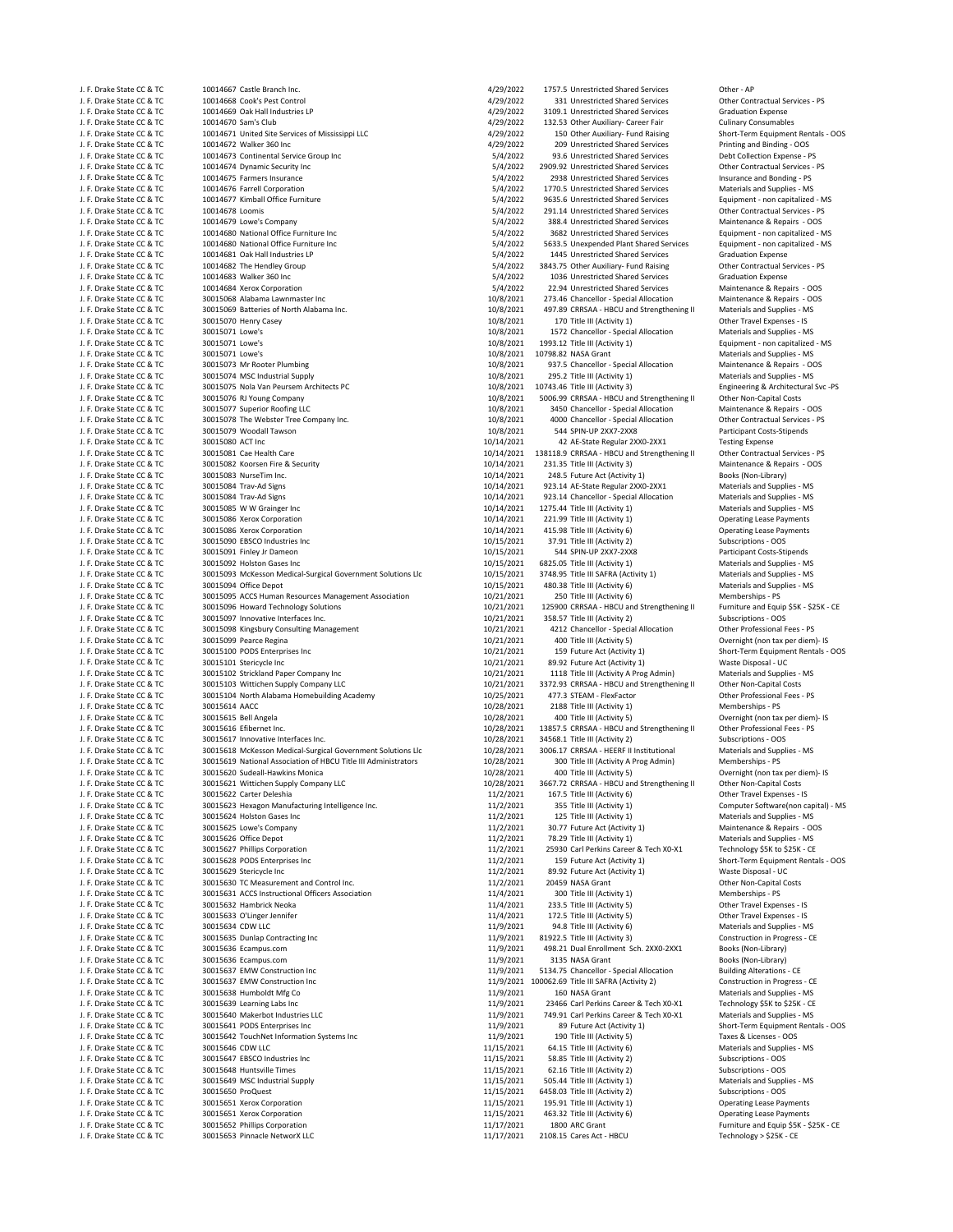J. F. Drake State CC & TC 10014668 Cook's Pest Control 1001468 Cook's Pest Control 10014668 Cook's Pest Control<br>J. F. Drake State CC & TC 10014669 Oak Hall Industries LP 1. 1998 109 2022 109.1 Unrestricted Shared Services J. F. Drake State CC & TC 10014669 Oak Hall Industries LP 4/29/2022 3109.1 Unrestricted Shared Services Graduation Expense<br>1. F. Drake State CC & TC 10014670 Sam's Club<br>4/29/2022 132.53 Other Auxiliary- Career Fair Culinar J. F. Drake State CC & TC 10014670 Sam's Club 4/29/2022 132.53 Other Auxiliary‐ Career Fair Culinary Consumables<br>J. F. Drake State CC & TC 10014671 United Site Services of Mississippi LLC 4 4/29/2022 150 Other Auxiliary‐ F J. F. Drake State CC & TC 10014671 United Site Services of Mississippi LLC 1. May be a 4/29/2022 150 Other Auxiliary‐ Fund Raising Short‐Term Equipment Rentals Rentals Rentals Rentals Auxiliary‐ OOS<br>1. F. Drake State CC & J. F. Drake State CC & TC 10014672 Walker 360 Inc 4/29/2022 4/29/2022 209 Unrestricted Shared Services Printing and Binding - OOS<br>J. F. Drake State CC & TC 10014673 Continental Service Group Inc 64/2022 54/2022 93.6 Unrest 10014673 Continental Service Group Inc J. F. Drake State CC & TC 10014674 Dynamic Security Inc contractual Services FS of the Contractual Services - PS of the Contractual Services - PS of the Contractual Services - PS of the Contractual Services - PS of the Con J. F. Drake State CC & TC 10014675 Farmers Insurance 5/4/2022 2938 Unrestricted Shared Services Insurance and Bonding ‐ PS J. F. Drake State CC & TC 10014676 Farrell Corporation (1990) on the state of the State Services Materials and Supplies - MS<br>J. F. Drake State CC & TC 10014677 Kimball Office Furniture 1999 on the State of the State Servic J. F. Drake State CC & TC 10014677 Kimball Office Furniture 5/4/2022 9635.6 Unrestricted Shared Services Equipment Shared Services Equipment Shared Services Equipment Shared Services Equipment CC & TC 10014678 Loomis J. F. Drake State CC & TC 10014678 Loomis 1001478 Loomis 1999 11 11 11 12 12 13 14/2022 291.14 Unrestricted Shared Services Cher Contractual Services - PS<br>1. F. Drake State CC & TC 10014679 Lowe's Company 1999 12 12 1388.4 J. F. Drake State CC & TC 10014679 Lowe's Company 5/4/2022 588.4 Unrestricted Shared Services Maintenance & Repairs - OOS<br>J. F. Drake State CC & TC 10014680 National Office Furniture Inc State of Company 19882 Unrestricted 10014680 National Office Furniture Inc J. F. Drake State CC & TC 10014680 National Office Furniture Inc 1001 1001 0001 1001 0001 5/4/2022 5633.5 Unexpended Plant Shared Services Equipment - non capitalized - MS<br>J. F. Drake State CC & TC 10014681 Oak Hall Indust J. F. Drake State CC & TC 10014681 Oak Hall Industries LP 5/4/2022 1445 Unrestricted Shared Services Graduation Expense<br>1. F. Drake State CC & TC 10014682 The Hendley Group J. F. Drake State CC & TC 10014682 The Hendley Group 5/4/2022 5/4/2022 3843.75 Other Auxiliary‐ Fund Raising C<br>J. F. Drake State CC & TC 10014683 Walker 360 Inc 6 100 0ther Contractual Services 5/4/2022 1036 Unrestricted S J. F. Drake State CC & TC 10014683 Walker 360 Inc 5/4/2022 1036 Unrestricted Shared Services Graduation Expense J. F. Drake State CC & TC 10014684 Xerox Corporation 5/4/2022 22.94 Unrestricted Shared Services Maintenance & Repairs ‐ OOS J. F. Drake State CC & TC 30015069 Batteries of North Alabama Inc. <br>J. F. Drake State CC & TC 30015070 Henry Casey exercise and Supplies • Materials and Supplies • MS and Supplies • MS and Supplies • MS and Supplies • MS a J. F. Drake State CC & TC 30015070 Henry Casey 10/8/2021 108/2021 170 Title III (Activity 1) Other Travel Expenses - IS<br>J. F. Drake State CC & TC 30015071 Lowe's 10/8/2021 1572 Chancellor - Special Allocation Materials and J. F. Drake State CC & TC and the Hall and Supplies - MS (2021 - 1572 Chancellor - Special Allocation Materials and Supplies - MS<br>J. F. Drake State CC & TC 30015071 Lowe's And the State of Material and the State of All and J. F. Drake State CC & TC 30015071 Lowe's 10/8/2021 10798.82 NASA Grant CC & TC 30015071 Lowe's 10/8/2021 10798.82 NASA Grant Materials and Supplies - MS<br>10/8/2021 10798.82 NASA Grant Materials and Supplies - MS 400151 10/ J. F. Drake State CC & TC 30015073 Mr Rooter Plumbing 10/8/2021 937.5 Chancellor ‐ Special Allocation Maintenance & Repairs ‐ OOS J. F. Drake State CC & TC 30015074 MSC Industrial Supply 10/8/2021 2095.2 Title III (Activity 1) Materials and Supplies - MS<br>J. F. Drake State CC & TC 30015075 Nola Van Peursem Architects PC 10/8/2021 10743.46 Title III (A J. F. Drake State CC & TC 30015075 Nola Van Peursem Architects PC 10/8/2021 10743.46 Title III (Activity 3) Engineering & Architectural Svc ‐PS J. F. Drake State CC & TC 30015076 RJ Young Company 10/8/2021 5006.99 CRRSAA – HBCU and Strengthening II Other Non-Capital Costs<br>J. F. Drake State CC & TC 30015077 Superior Roofine LLC 10 10 10 10 10/8/2021 3450 Chancellor J. F. Drake State CC & TC 30015077 Superior Roofing LLC 100 Chancellor Special Allocation Maintenance & Repairs - OOS<br>J. F. Drake State CC & TC 30015078 The Webster Tree Company Inc. 10/8/2021 10/8/2021 4000 Chancellor - S J. F. Drake State CC & TC 30015078 The Webster Tree Company Inc. 10/8/2021 4000 Chancellor - Special Allocation Other Contractual Services • 10/8/2021 4000 Chancellor - Special Allocation Other Contractual Services • Parti J. F. Drake State CC & TC 30015079 Woodall Tawson 10.1 10/8/2021 544 SPIN‐UP 2XX7‐2XX8 Participant Costs<br>۱. F. Drake State CC & TC 30015080 ACT Inc J. F. Drake State CC & TC 30015080 ACT Inc 30016080 ACT Inc 10/14/2021 42 AE‐State Regular 2XX0‐2XX1 Testing Expense<br>1999 J. F. Drake State CC & TC 30015081 Cae Health Care 3001608 10/14/2021 138118.9 CRSAA - HBCU and Str J. F. Drake State CC & TC 30015081 Cae Health Care 10/14/2021 138118.9 CRRSAA ‐ HBCU and Strengthening II Other Contractual Services ‐ PS J. F. Drake State CC & TC 30015082 Koorsen Fire & Security 10/14/2021 231.35 Title III (Activity 3) Maintenance & Repairs 10/14/2021 231.35 Title III (Activity 3) Maintenance & Repairs 10/14/2021 248.5 Future Act (Activity J. F. Drake State CC & TC 30015083 NurseTim Inc. 10.11 10/14/2021 248.5 Future Act (Activity 1) Acts and Supplies - MS = 10.114/2021 248.5 Future Act (Activity 1) 30015084 Trav-Ad Signs = 10/14/2021 223.14 AE-State Regular 1. F. Drake State CC & TC 30015084 Trav←Ad Signs 10/14/2021 923.14 AE‐State Regular 2XX0‐2XX1 Materials and Supplies - MS<br>1. F. Drake State CC & TC 30015084 Trav‐Ad Signs 10/14/2021 923.14 Chancellor - Special Allocatio J. F. Drake State CC & TC 30015084 Trav‐Ad Signs 10/14/2021 923.14 Chancellor – Special Allocation Materials and Supplies ‐ MS<br>10/14/2021 1275.44 Title III (Activity 1) Materials and Supplies ‐ MS (Materials and Supplies ‐ J. F. Drake State CC & TC 30015085 W W Grainger Inc 10/14/2021 1275.44 Title III (Activity 1) Materials and Supplies ‐ MS J. F. Drake State CC & TC 30015086 Xerox Corporation 10/14/2021 221.99 Title III (Activity 1) Operating Lease Payments J. F. Drake State CC & TC 30015086 Xerox Corporation 10/14/2021 415.98 Title III (Activity 6) Operating Lease Payments J. F. Drake State CC & TC 30015090 EBSCO Industries Inc 10/15/2021 37.91 Title III (Activity 2) Subscriptions ‐ OOS J. F. Drake State CC & TC 30015091 Finley Jr Dameon 10/15/2021 544 SPIN‐UP 2XX7‐2XX8 Participant Costs‐Stipends J. F. Drake State CC & TC 30015092 Holston Gases Inc 10/15/2021 6825.05 Title III (Activity 1) Materials and Supplies ‐ MS 30015093 McKesson Medical-Surgical Government Solutions Llc J. F. Drake State CC & TC 30015094 Office Depot 10/15/2021 480.38 Title III (Activity 6) Materials and Supplies - MS J. F. Drake State CC & TC 30015095 ACCS Human Resources Management Association 10/21/2021 250 Title III (Activity 6) Memberships - PS Memberships - PS 1. Expective and Equip \$5K - \$25K - CE 11 (Activity 6) Memberships - PS J. F. Drake State CC & TC 30015097 Innovative Interfaces Inc. 10. 10.11/2021 358.57 Title III (Activity 2) Subscriptions - OOS<br>J. F. Drake State CC & TC 30015098 Kingsbury Consulting Management 10.11/201001 4212 Chancellor J. F. Drake State CC & TC 30015098 Kingsbury Consulting Management 10/21/2021 4212 Chancellor - Special Allocation Other Professional Allocation Other Professional Allocation Other Professional Allocation Other Professiona J. F. Drake State CC & TC 30015099 Pearce Regina 10. The CC ACC 30015099 Pearce Regina 10/21/2021 400 Title III (Activity 5) Overnight (non tax per diem)‐ IS<br>10/21/2021 159 Future Act (Activity 1) Short-Term Equipment Rent J. F. Drake State CC & TC 30015100 PODS Enterprises Inc 10/21/2021 159 Future Act (Activity 1) Short‐Term Equipment Rentals - OOS<br>19/21/2021 159 Future Act (Activity 1) Waste Disposal - UC 30015101 Steries (Activity 1) Was J. F. Drake State CC & TC 30015100 PODS Enterprises Inc 10/21 169 CHALL 10/21/2021 159 Future Act (Activity 1)<br>J. F. Drake State CC & TC 30015101 Stericycle Inc 10/21/2021 89.92 Future Act (Activity 1) Waste Disposal - UC<br> J. F. Drake State CC & TC 30015102 Strickland Paper Company Inc 10/21/2021 1118 Title III (Activity A Prog Admin) Materials and Supplies -<br>1. F. Drake State CC & TC 30015103 Wittichen Supply Company LLC 10/21/2021 10/21/20 J. F. Drake State CC & TC 30015103 Wittichen Supply Company LLC 10/21/2021 3372.93 CRRSAA ‐ HBCU and Strengthening II Other Non‐Capital Costs J. F. Drake State CC & TC 30015104 North Alabama Homebuilding Academy 10/25/2021 477.3 STEAM - FlexFactor 50ther Professional Fees - PS<br>10/28/2021 2188 Title III (Activity 1) Memberships - PS Memberships - PS (Particle 1) J. F. Drake State CC & TC 30015614 AACC **10/28/2021** 2188 Title III (Activity 1) Memberships - PS<br>J. F. Drake State CC & TC 30015615 Pall Aggela and a college and the state of the USA/2021 2188 Title III (Activity 5) (Nerg J. F. Drake State CC & TC 30015615 Bell Angela 10/28/2021 400 Title III (Activity 5) Overnight (non tax per diem)‐ IS J. F. Drake State CC & TC 30015616 Efibernet Inc. 10. 10. 10. 10. 10. 10. 10. 13857.5 CRRSAA - HBCU and Strengthening II Other Professional Fees - PS<br>10/28/2021 34568.1 Title III (Activity 2) Subscriptions - OOS Subscripti J. F. Drake State CC & TC 30015617 Innovative Interfaces Inc. 10.11 10/28/2021 34568.1 Title III (Activity 2) Subscriptions - OOS<br>J. F. Drake State CC & TC 30015618 McKesson Medical-Surgical Government Solutions Llc 10/28/ J. F. Drake State CC & TC 30015618 McKesson Medical-Surgical Government Solutions Llc 10/28/2021 3006.17 CRRSAA - HEERF Il Institutional Materials and Supplies - MS<br>J. F. Drake State CC & TC 30015619 J. F. Drake State CC & TC 30015620 Sudeall‐Hawkins Monica 10/28/2021 400 Title III (Activity 5) Overnight (non tax per diem)‐ IS<br>J. F. Drake State CC & TC 30015621 Wittichen Supply Company LLC 10/28/2021 3667.72 CRRSAA - H 30015621 Wittichen Supply Company LLC J. F. Drake State CC & TC 30015622 Carter Deleshia 11/2/201 167.5 Title III (Activity 6) Other Travel Expenses - IS<br>J. F. Drake State CC & TC 30015623 Hexagon Manufacturing Intelligence Inc. 11/2/2021 157.5 Title III (Acti J. F. Drake State CC & TC 30015623 Hexagon Manufacturing Intelligence Inc. 11/2/2021 355 Title III (Activity 1)<br>J. F. Drake State CC & TC 30015624 Holston Gases Inc and capital and capital intelligence Inc. 11/2/2021 125 T J. F. Drake State CC & TC 30015624 Holston Gases Inc 11/2/2021 125 Title III (Activity 1) Materials and Supplies - MS<br>11/2/2021 125 Title III (Activity 1) Materials and Supplies - MS 4027 Future Activity 1) Materials and S J. F. Drake State CC & TC 30015625 Lowe's Company 11/2/2021 30.77 Future Act (Activity 1) Maintenance & Repairs ‐ OOS 1.1. Drake State CC & TC 30015626 Office Depot 11/2/2021 78.29 Title III (Activity 1) Materials and Supplies – MS<br>1. P. Drake State CC & TC 30015627 Phillips Corporation 11/2/2021 78.29 Title III (Activity 1) Materials a J. F. Drake State CC & TC 30015627 Phillips Corporation 11/2/2021 25930 Carl Perkins Career & Tech X0‐X1 Career & Tech X0‐X1 to \$30015628 PODS Enterprises Inc J. F. Drake State CC & TC 30015628 PODS Enterprises Inc 11/2/2021 11/2/2021 159 Future Act (Activity 1) Short-Term Equipment Rentals - OOS<br>11/2/2021 89.92 Future Act (Activity 1) Waste Disposal - UC 30015629 Stericycle Inc J. F. Drake State CC & TC 30015629 Stericycle Inc 11/2/2021 89.92 Future Act (Activity 1) Waste Disposal - UC<br>J. F. Drake State CC & TC 30015630 TC Measurement and Control Inc. 11/2/2021 20459 NASA Grant Other Non-Capital 30015630 TC Measurement and Control Inc. J. F. Drake State CC & TC 30015631 ACCS Instructional Officers Association 11/4/2021 300 Title III (Activity 1)<br>J. F. Drake State CC & TC 30015632 Hambrick Neoka 11/8/201 233.5 Title III (Activity 5) 300 Title Travel Expen J. F. Drake State CC & TC 30015632 Hambrick Neoka 11/4/2021 233.5 Title III (Activity 5) Other Travel Expenses ‐ IS<br>11/4/2021 172.5 Title III (Activity 5) Other Travel Expenses ‐ IS (Other Travel Expenses ‐ IS (Activity 5) J. F. Drake State CC & TC 30015633 O'Linger Jennifer 11/4/2021 172.5 Title III (Activity 5) Other Travel Expenses 61.<br>11/9/2021 94.8 Title III (Activity 6) OR STATE 11/9/2021 94.8 Title III (Activity 6) J. F. Drake State CC & TC 30015634 CDW LLC 11/9/201 94.8 Title III (Activity 6) Materials and Supplies - MS and Supplies - MS and Supplies - MS and Supplies - MS and Supplies - MS and Supplies - MS and Supplies - MS and Su J. F. Drake State CC & TC 30015635 Dunlap Contracting Inc 11/9/2021 81922.5 Title III (Activity 3) Construction in Progress ‐ CE J. F. Drake State CC & TC 30015636 Ecampus.com 11/9/2021 498.21 Dual Enrollment Sch. 2XX0‐2XX1 Books (Non-Library)<br>J. F. Drake State CC & TC 30015636 Ecampus.com 11/9/2021 11/9/2021 3135 NASA Grant Books (Non-Library) 30015636 Ecampus.com J. F. Drake State CC & TC 30015637 EMW Construction Inc 11/9/2021 5134.75 Chancellor – Special Allocation Building Alterations - CE 30015637 EMW Construction Inc 11/9/2021 100062.69 Title III SAFRA (Activity 2) Constructio J. F. Drake State CC & TC 30015637 EMW Construction Inc and the CONSTRATE CONSTRATE INCOLLEGATION INCOLLEGATION CONSTRATE CONSTRATE INCOLLEGATION INCOLLEGATION INCOLLEGATION INCOLLEGATION INCOLLEGATION IN PROGRESS - CENSIL J. F. Drake State CC & TC 30015638 Humboldt Mfg Co 11/9/2021 160 NASA Grant Materials and Supplies - MS J. F. Drake State CC & TC 30015639 Learning Labs Inc 11/9/201 23466 Carl Perkins Career & Tech X0‐X1 Technology \$5K to \$25K - CE<br>11/9/2021 749.91 Carl Perkins Career & Tech X0‐X1 Materials and Supplies - MS (11/9/2021 749. J. F. Drake State CC & TC 30015640 Makerbot Industries LLC 11/9/2021 749.91 Carl Perkins Career & Tech X0‐X1<br>J. F. Drake State CC & TC 30015641 PODS Enterprises Inc 11/9/2021 89 Future Act (Activity 1) J. F. Drake State CC & TC 30015642 TouchNet Information Systems Inc 11/9/2021 190 Title III (Activity 5) 1. F. Drake State CC & TC 30015646 CDW LLC<br>11/15/2021 64.15 Title III (Activity 6) J. F. Drake State CC & TC 30015646 CDW LLC 11/15/2021 64.15 Title III (Activity 6) Materials and Supplies - MS<br>J. F. Drake State CC & TC 30015647 EBSCO Industries Inc 11/15/2021 58.85 Title III (Activity 2) Subscriptions -30015647 EBSCO Industries Inc J. F. Drake State CC & TC 30015648 Huntsville Times 11/15/2021 62.16 Title III (Activity 2) Subscriptions - OOS<br>J. F. Drake State CC & TC 30015649 MSC Industrial Supply 11/15/2021 505.44 Title III (Activity 1) Materials an J. F. Drake State CC & TC 30015649 MSC Industrial Supply 11/15/2021 505.44 Title III (Activity 1) Materials and Supplies and Supplies and Supplies and Supplies and Supplies and Supplies and Supplies and Supplies and Suppli J. F. Drake State CC & TC 30015650 ProQuest 11/15/2021 6458.03 Title III (Activity 2) Subscriptions - OOS<br>J. F. Drake State CC & TC 30015651 Xerox Corporation 11/15/2021 11/15/2021 195.91 Title III (Activity 1) Operating L J. F. Drake State CC & TC 30015651 Xerox Corporation 11/15/2021 195.91 Title III (Activity 1) Operating Lease Payments J. F. Drake State CC & TC 30015651 Xerox Corporation 11/15/2021 463.32 Title III (Activity 6) Operating Lease Payments<br>1. F. Drake State CC & TC 30015652 Phillips Corporation 11/17 (2021 1800 ARC Grant 11/17/2021 1800 ARC J. F. Drake State CC & TC 30015652 Phillips Corporation 11/17/2021 1800 ARC Grant Furniture and Equip \$5K - \$25K - CE<br>J. F. Drake State CC & TC 30015653 Pinnacle NetworX LLC 11/17/2021 11/17/2021 2108.15 Cares Act - HBCU 1

J. F. Drake State CC & TC 10014667 Castle Branch Inc. 4 (29 metric at the deliver of the state of the contract and the contract and the contract and services of the contractual Services PS and the Contractual Services PS a 273.46 Chancellor - Special Allocation 125900 CRRSAA - HBCU and Strengthening II 2108.15 Cares Act - HBCU

Maximum and experiment Rentals - OOS<br>Short-Term Equipment Rentals - OOS<br>Taxes & Licenses - OOS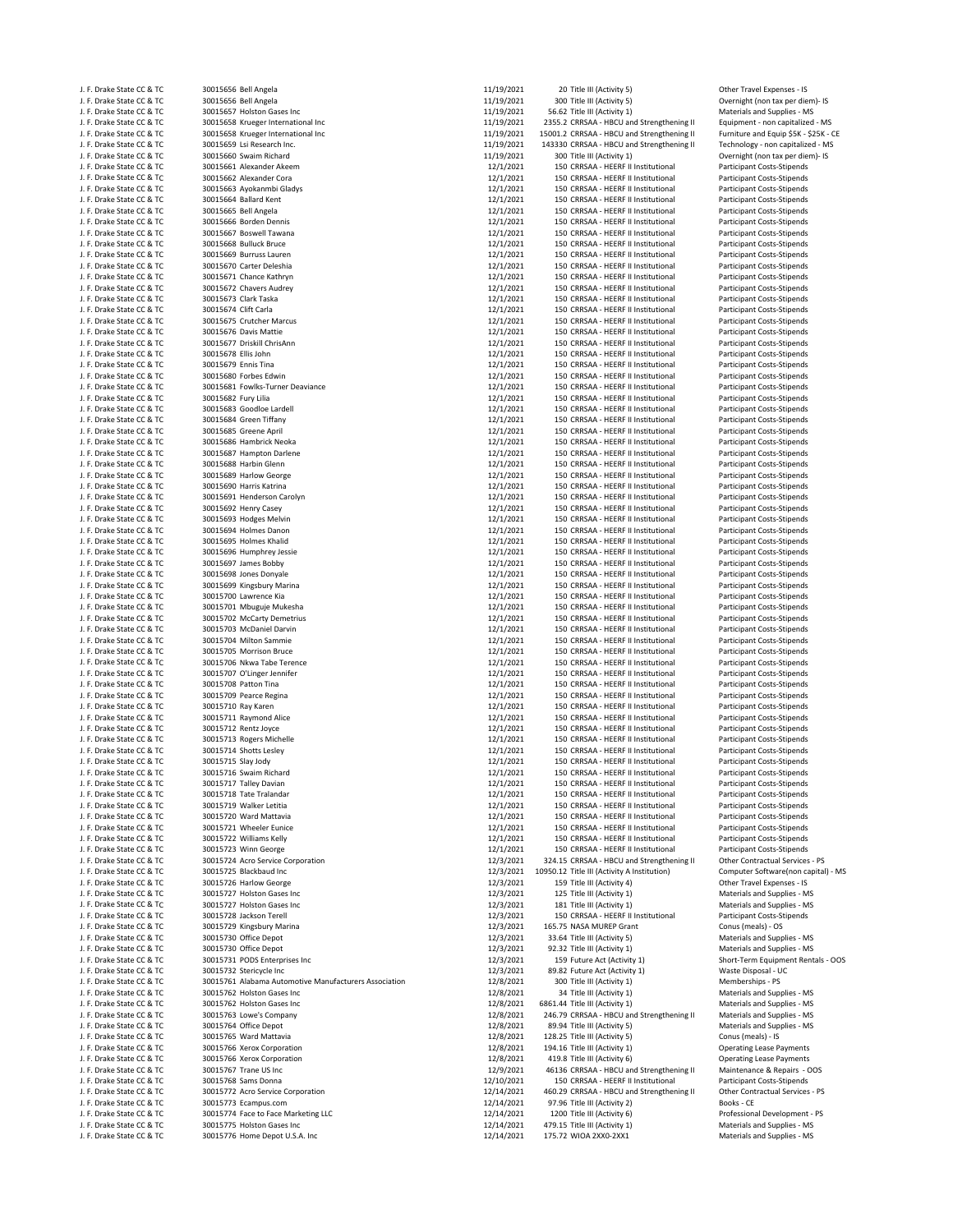| J. F. Drake State CC & TC                              | 30015656 Bell Angela                                  | 11/19/2021             | 20 Title III (Activity 5)                                                  | Other Travel Expenses - IS                                             |
|--------------------------------------------------------|-------------------------------------------------------|------------------------|----------------------------------------------------------------------------|------------------------------------------------------------------------|
| J. F. Drake State CC & TC                              | 30015656 Bell Angela                                  | 11/19/2021             | 300 Title III (Activity 5)                                                 | Overnight (non tax per diem)- IS                                       |
| J. F. Drake State CC & TC                              | 30015657 Holston Gases Inc                            | 11/19/2021             | 56.62 Title III (Activity 1)                                               | Materials and Supplies - MS                                            |
| J. F. Drake State CC & TC                              | 30015658 Krueger International Inc                    | 11/19/2021             | 2355.2 CRRSAA - HBCU and Strengthening II                                  | Equipment - non capitalized - MS                                       |
| J. F. Drake State CC & TC                              | 30015658 Krueger International Inc                    | 11/19/2021             | 15001.2 CRRSAA - HBCU and Strengthening II                                 | Furniture and Equip \$5K - \$25K - CE                                  |
| J. F. Drake State CC & TC                              | 30015659 Lsi Research Inc.                            | 11/19/2021             | 143330 CRRSAA - HBCU and Strengthening II                                  | Technology - non capitalized - MS                                      |
| J. F. Drake State CC & TC                              | 30015660 Swaim Richard                                | 11/19/2021             | 300 Title III (Activity 1)                                                 | Overnight (non tax per diem)- IS                                       |
| J. F. Drake State CC & TC                              | 30015661 Alexander Akeem                              | 12/1/2021              | 150 CRRSAA - HEERF II Institutional                                        | Participant Costs-Stipends                                             |
| J. F. Drake State CC & TC                              | 30015662 Alexander Cora                               | 12/1/2021              | 150 CRRSAA - HEERF II Institutional                                        | <b>Participant Costs-Stipends</b>                                      |
| J. F. Drake State CC & TC                              | 30015663 Ayokanmbi Gladys                             | 12/1/2021              | 150 CRRSAA - HEERF II Institutional                                        | <b>Participant Costs-Stipends</b>                                      |
| J. F. Drake State CC & TC                              | 30015664 Ballard Kent                                 | 12/1/2021              | 150 CRRSAA - HEERF II Institutional                                        | <b>Participant Costs-Stipends</b>                                      |
| J. F. Drake State CC & TC                              | 30015665 Bell Angela                                  | 12/1/2021              | 150 CRRSAA - HEERF II Institutional                                        | <b>Participant Costs-Stipends</b>                                      |
| J. F. Drake State CC & TC                              | 30015666 Borden Dennis                                | 12/1/2021              | 150 CRRSAA - HEERF II Institutional                                        | <b>Participant Costs-Stipends</b>                                      |
| J. F. Drake State CC & TC                              | 30015667 Boswell Tawana<br>30015668 Bulluck Bruce     | 12/1/2021<br>12/1/2021 | 150 CRRSAA - HEERF II Institutional<br>150 CRRSAA - HEERF II Institutional | <b>Participant Costs-Stipends</b>                                      |
| J. F. Drake State CC & TC<br>J. F. Drake State CC & TC | 30015669 Burruss Lauren                               | 12/1/2021              | 150 CRRSAA - HEERF II Institutional                                        | <b>Participant Costs-Stipends</b><br><b>Participant Costs-Stipends</b> |
| J. F. Drake State CC & TC                              | 30015670 Carter Deleshia                              | 12/1/2021              | 150 CRRSAA - HEERF II Institutional                                        | Participant Costs-Stipends                                             |
| J. F. Drake State CC & TC                              | 30015671 Chance Kathryn                               | 12/1/2021              | 150 CRRSAA - HEERF II Institutional                                        | <b>Participant Costs-Stipends</b>                                      |
| J. F. Drake State CC & TC                              | 30015672 Chavers Audrey                               | 12/1/2021              | 150 CRRSAA - HEERF II Institutional                                        | Participant Costs-Stipends                                             |
| J. F. Drake State CC & TC                              | 30015673 Clark Taska                                  | 12/1/2021              | 150 CRRSAA - HEERF II Institutional                                        | Participant Costs-Stipends                                             |
| J. F. Drake State CC & TC                              | 30015674 Clift Carla                                  | 12/1/2021              | 150 CRRSAA - HEERF II Institutional                                        | Participant Costs-Stipends                                             |
| J. F. Drake State CC & TC                              | 30015675 Crutcher Marcus                              | 12/1/2021              | 150 CRRSAA - HEERF II Institutional                                        | Participant Costs-Stipends                                             |
| J. F. Drake State CC & TC                              | 30015676 Davis Mattie                                 | 12/1/2021              | 150 CRRSAA - HEERF II Institutional                                        | <b>Participant Costs-Stipends</b>                                      |
| J. F. Drake State CC & TC                              | 30015677 Driskill ChrisAnn                            | 12/1/2021              | 150 CRRSAA - HEERF II Institutional                                        | <b>Participant Costs-Stipends</b>                                      |
| J. F. Drake State CC & TC                              | 30015678 Ellis John                                   | 12/1/2021              | 150 CRRSAA - HEERF II Institutional                                        | <b>Participant Costs-Stipends</b>                                      |
| J. F. Drake State CC & TC                              | 30015679 Ennis Tina                                   | 12/1/2021              | 150 CRRSAA - HEERF II Institutional                                        | <b>Participant Costs-Stipends</b>                                      |
| J. F. Drake State CC & TC                              | 30015680 Forbes Edwin                                 | 12/1/2021              | 150 CRRSAA - HEERF II Institutional                                        | Participant Costs-Stipends                                             |
| J. F. Drake State CC & TC                              | 30015681 Fowlks-Turner Deaviance                      | 12/1/2021              | 150 CRRSAA - HEERF II Institutional                                        | Participant Costs-Stipends                                             |
| J. F. Drake State CC & TC                              | 30015682 Fury Lilia                                   | 12/1/2021              | 150 CRRSAA - HEERF II Institutional                                        | Participant Costs-Stipends                                             |
| J. F. Drake State CC & TC                              | 30015683 Goodloe Lardell                              | 12/1/2021              | 150 CRRSAA - HEERF II Institutional                                        | Participant Costs-Stipends                                             |
| J. F. Drake State CC & TC                              | 30015684 Green Tiffany                                | 12/1/2021              | 150 CRRSAA - HEERF II Institutional                                        | Participant Costs-Stipends                                             |
| J. F. Drake State CC & TC                              | 30015685 Greene April                                 | 12/1/2021              | 150 CRRSAA - HEERF II Institutional                                        | Participant Costs-Stipends                                             |
| J. F. Drake State CC & TC                              | 30015686 Hambrick Neoka                               | 12/1/2021              | 150 CRRSAA - HEERF II Institutional                                        | <b>Participant Costs-Stipends</b>                                      |
| J. F. Drake State CC & TC                              | 30015687 Hampton Darlene                              | 12/1/2021              | 150 CRRSAA - HEERF II Institutional                                        | Participant Costs-Stipends                                             |
| J. F. Drake State CC & TC                              | 30015688 Harbin Glenn                                 | 12/1/2021              | 150 CRRSAA - HEERF II Institutional                                        | Participant Costs-Stipends                                             |
| J. F. Drake State CC & TC                              | 30015689 Harlow George                                | 12/1/2021              | 150 CRRSAA - HEERF II Institutional                                        | Participant Costs-Stipends                                             |
| J. F. Drake State CC & TC                              | 30015690 Harris Katrina                               | 12/1/2021              | 150 CRRSAA - HEERF II Institutional                                        | <b>Participant Costs-Stipends</b>                                      |
| J. F. Drake State CC & TC                              | 30015691 Henderson Carolyn                            | 12/1/2021              | 150 CRRSAA - HEERF II Institutional                                        | Participant Costs-Stipends                                             |
| J. F. Drake State CC & TC                              | 30015692 Henry Casey                                  | 12/1/2021              | 150 CRRSAA - HEERF II Institutional                                        | Participant Costs-Stipends                                             |
| J. F. Drake State CC & TC                              | 30015693 Hodges Melvin                                | 12/1/2021              | 150 CRRSAA - HEERF II Institutional                                        | <b>Participant Costs-Stipends</b>                                      |
| J. F. Drake State CC & TC                              | 30015694 Holmes Danon                                 | 12/1/2021              | 150 CRRSAA - HEERF II Institutional                                        | Participant Costs-Stipends                                             |
| J. F. Drake State CC & TC                              | 30015695 Holmes Khalid                                | 12/1/2021              | 150 CRRSAA - HEERF II Institutional                                        | <b>Participant Costs-Stipends</b>                                      |
| J. F. Drake State CC & TC                              | 30015696 Humphrey Jessie                              | 12/1/2021              | 150 CRRSAA - HEERF II Institutional                                        | Participant Costs-Stipends                                             |
| J. F. Drake State CC & TC                              | 30015697 James Bobby                                  | 12/1/2021              | 150 CRRSAA - HEERF II Institutional                                        | Participant Costs-Stipends                                             |
| J. F. Drake State CC & TC                              | 30015698 Jones Donyale                                | 12/1/2021              | 150 CRRSAA - HEERF II Institutional                                        | Participant Costs-Stipends                                             |
| J. F. Drake State CC & TC                              | 30015699 Kingsbury Marina                             | 12/1/2021              | 150 CRRSAA - HEERF II Institutional                                        | Participant Costs-Stipends                                             |
| J. F. Drake State CC & TC                              | 30015700 Lawrence Kia                                 | 12/1/2021              | 150 CRRSAA - HEERF II Institutional                                        | Participant Costs-Stipends                                             |
| J. F. Drake State CC & TC                              | 30015701 Mbuguje Mukesha                              | 12/1/2021              | 150 CRRSAA - HEERF II Institutional                                        | <b>Participant Costs-Stipends</b>                                      |
| J. F. Drake State CC & TC                              | 30015702 McCarty Demetrius                            | 12/1/2021              | 150 CRRSAA - HEERF II Institutional                                        | <b>Participant Costs-Stipends</b>                                      |
| J. F. Drake State CC & TC                              | 30015703 McDaniel Darvin                              | 12/1/2021              | 150 CRRSAA - HEERF II Institutional                                        | <b>Participant Costs-Stipends</b>                                      |
| J. F. Drake State CC & TC                              | 30015704 Milton Sammie                                | 12/1/2021              | 150 CRRSAA - HEERF II Institutional                                        | <b>Participant Costs-Stipends</b>                                      |
| J. F. Drake State CC & TC                              | 30015705 Morrison Bruce                               | 12/1/2021              | 150 CRRSAA - HEERF II Institutional                                        | Participant Costs-Stipends                                             |
| J. F. Drake State CC & TC                              | 30015706 Nkwa Tabe Terence                            | 12/1/2021              | 150 CRRSAA - HEERF II Institutional                                        | Participant Costs-Stipends                                             |
| J. F. Drake State CC & TC                              | 30015707 O'Linger Jennifer                            | 12/1/2021              | 150 CRRSAA - HEERF II Institutional                                        | <b>Participant Costs-Stipends</b>                                      |
| J. F. Drake State CC & TC                              | 30015708 Patton Tina                                  | 12/1/2021              | 150 CRRSAA - HEERF II Institutional                                        | <b>Participant Costs-Stipends</b>                                      |
| J. F. Drake State CC & TC                              | 30015709 Pearce Regina                                | 12/1/2021              | 150 CRRSAA - HEERF II Institutional                                        | Participant Costs-Stipends                                             |
| J. F. Drake State CC & TC                              | 30015710 Ray Karen                                    | 12/1/2021              | 150 CRRSAA - HEERF II Institutional                                        | Participant Costs-Stipends                                             |
| J. F. Drake State CC & TC                              | 30015711 Raymond Alice                                | 12/1/2021              | 150 CRRSAA - HEERF II Institutional                                        | <b>Participant Costs-Stipends</b>                                      |
| J. F. Drake State CC & TC                              | 30015712 Rentz Joyce                                  | 12/1/2021              | 150 CRRSAA - HEERF II Institutional                                        | Participant Costs-Stipends                                             |
| J. F. Drake State CC & TC                              | 30015713 Rogers Michelle                              | 12/1/2021              | 150 CRRSAA - HEERF II Institutional                                        | <b>Participant Costs-Stipends</b>                                      |
| J. F. Drake State CC & TC                              | 30015714 Shotts Lesley                                | 12/1/2021              | 150 CRRSAA - HEERF II Institutional                                        | <b>Participant Costs-Stipends</b>                                      |
| J. F. Drake State CC & TC                              | 30015715 Slay Jody                                    | 12/1/2021              | 150 CRRSAA - HEERF II Institutional                                        | Participant Costs-Stipends                                             |
| J. F. Drake State CC & TC                              | 30015716 Swaim Richard                                | 12/1/2021              | 150 CRRSAA - HEERF II Institutional                                        | Participant Costs-Stipends                                             |
| J. F. Drake State CC & TC                              | 30015717 Talley Davian                                | 12/1/2021              | 150 CRRSAA - HEERF II Institutional                                        | Participant Costs-Stipends                                             |
| J. F. Drake State CC & TC                              | 30015718 Tate Tralandar                               | 12/1/2021              | 150 CRRSAA - HEERF II Institutional                                        | Participant Costs-Stipends                                             |
| J. F. Drake State CC & TC                              | 30015719 Walker Letitia                               | 12/1/2021              | 150 CRRSAA - HEERF II Institutional                                        | Participant Costs-Stipends                                             |
| J. F. Drake State CC & TC                              | 30015720 Ward Mattavia                                | 12/1/2021              | 150 CRRSAA - HEERF II Institutional                                        | <b>Participant Costs-Stipends</b>                                      |
| J. F. Drake State CC & TC                              | 30015721 Wheeler Eunice                               | 12/1/2021              | 150 CRRSAA - HEERF II Institutional                                        | Participant Costs-Stipends                                             |
| J. F. Drake State CC & TC                              | 30015722 Williams Kelly                               | 12/1/2021              | 150 CRRSAA - HEERF II Institutional                                        | <b>Participant Costs-Stipends</b>                                      |
| J. F. Drake State CC & TC                              | 30015723 Winn George                                  | 12/1/2021              | 150 CRRSAA - HEERF II Institutional                                        | Participant Costs-Stipends                                             |
| J. F. Drake State CC & TC                              | 30015724 Acro Service Corporation                     | 12/3/2021              | 324.15 CRRSAA - HBCU and Strengthening II                                  | Other Contractual Services - PS                                        |
| J. F. Drake State CC & TC                              | 30015725 Blackbaud Inc                                | 12/3/2021              | 10950.12 Title III (Activity A Institution)                                | Computer Software(non capital) - MS                                    |
| J. F. Drake State CC & TC                              | 30015726 Harlow George                                | 12/3/2021              | 159 Title III (Activity 4)                                                 | Other Travel Expenses - IS                                             |
| J. F. Drake State CC & TC                              | 30015727 Holston Gases Inc                            | 12/3/2021              | 125 Title III (Activity 1)                                                 | Materials and Supplies - MS                                            |
| J. F. Drake State CC & TC                              | 30015727 Holston Gases Inc                            | 12/3/2021              | 181 Title III (Activity 1)                                                 | Materials and Supplies - MS                                            |
| J. F. Drake State CC & TC                              | 30015728 Jackson Terell                               | 12/3/2021              | 150 CRRSAA - HEERF II Institutional                                        | Participant Costs-Stipends                                             |
| J. F. Drake State CC & TC                              | 30015729 Kingsbury Marina                             | 12/3/2021              | 165.75 NASA MUREP Grant                                                    | Conus (meals) - OS                                                     |
| J. F. Drake State CC & TC                              | 30015730 Office Depot                                 | 12/3/2021              | 33.64 Title III (Activity 5)                                               | Materials and Supplies - MS                                            |
| J. F. Drake State CC & TC                              | 30015730 Office Depot                                 | 12/3/2021              | 92.32 Title III (Activity 1)                                               | Materials and Supplies - MS                                            |
| J. F. Drake State CC & TC                              | 30015731 PODS Enterprises Inc                         | 12/3/2021              | 159 Future Act (Activity 1)                                                | Short-Term Equipment Rentals - OOS                                     |
| J. F. Drake State CC & TC                              | 30015732 Stericycle Inc                               | 12/3/2021              | 89.82 Future Act (Activity 1)                                              | Waste Disposal - UC                                                    |
| J. F. Drake State CC & TC                              | 30015761 Alabama Automotive Manufacturers Association | 12/8/2021              | 300 Title III (Activity 1)                                                 | Memberships - PS                                                       |
| J. F. Drake State CC & TC                              | 30015762 Holston Gases Inc                            | 12/8/2021              | 34 Title III (Activity 1)                                                  | Materials and Supplies - MS                                            |
| J. F. Drake State CC & TC                              | 30015762 Holston Gases Inc                            | 12/8/2021              | 6861.44 Title III (Activity 1)                                             | Materials and Supplies - MS                                            |
| J. F. Drake State CC & TC                              | 30015763 Lowe's Company                               | 12/8/2021              | 246.79 CRRSAA - HBCU and Strengthening II                                  | Materials and Supplies - MS                                            |
| J. F. Drake State CC & TC                              | 30015764 Office Depot                                 | 12/8/2021              | 89.94 Title III (Activity 5)                                               | Materials and Supplies - MS                                            |
| J. F. Drake State CC & TC                              | 30015765 Ward Mattavia                                | 12/8/2021              | 128.25 Title III (Activity 5)                                              | Conus (meals) - IS                                                     |
| J. F. Drake State CC & TC                              | 30015766 Xerox Corporation                            | 12/8/2021              | 194.16 Title III (Activity 1)                                              | <b>Operating Lease Payments</b>                                        |
| J. F. Drake State CC & TC                              | 30015766 Xerox Corporation                            | 12/8/2021              | 419.8 Title III (Activity 6)                                               | <b>Operating Lease Payments</b>                                        |
| J. F. Drake State CC & TC                              | 30015767 Trane US Inc                                 | 12/9/2021              | 46136 CRRSAA - HBCU and Strengthening II                                   | Maintenance & Repairs - OOS                                            |
| J. F. Drake State CC & TC                              | 30015768 Sams Donna                                   | 12/10/2021             | 150 CRRSAA - HEERF II Institutional                                        | Participant Costs-Stipends                                             |
| J. F. Drake State CC & TC                              | 30015772 Acro Service Corporation                     | 12/14/2021             | 460.29 CRRSAA - HBCU and Strengthening II                                  | Other Contractual Services - PS                                        |
| J. F. Drake State CC & TC                              | 30015773 Ecampus.com                                  | 12/14/2021             | 97.96 Title III (Activity 2)                                               | Books - CE                                                             |
| J. F. Drake State CC & TC                              | 30015774 Face to Face Marketing LLC                   | 12/14/2021             | 1200 Title III (Activity 6)                                                | Professional Development - PS                                          |
| J. F. Drake State CC & TC                              | 30015775 Holston Gases Inc                            | 12/14/2021             | 479.15 Title III (Activity 1)                                              | Materials and Supplies - MS                                            |
| J. F. Drake State CC & TC                              | 30015776 Home Depot U.S.A. Inc                        | 12/14/2021             | 175.72 WIOA 2XX0-2XX1                                                      | Materials and Supplies - MS                                            |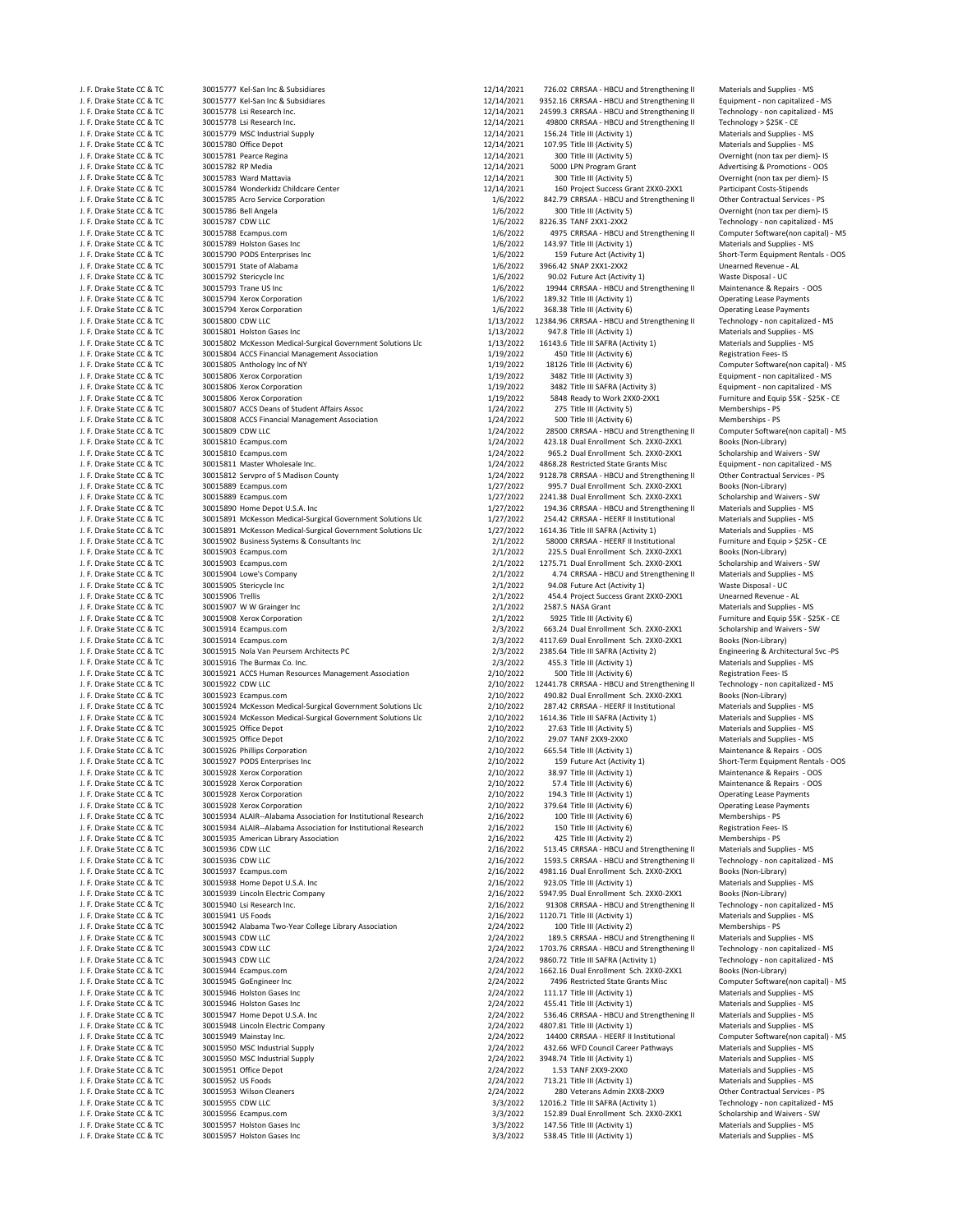J. F. Drake State CC & TC 30015777 Kel‐San Inc & Subsidiares 12/14/2021 726.02 CRRSAA ‐ HBCU and Strengthening II Materials and Supplies ‐ MS<br>12/14/2021 9352 16 CRA TC 30015777 Kel‐San Inc & Subsidiares 12/14/2021 9352 16 J. F. Drake State CC & TC 30015777 Kel‐San Inc & Subsidiares 12/11 12/14/2021 9352.16 CRRSAA ‐ HBCU and Strengthening II Equipment ‐ non capitalized ‐ MS<br>12/14/2021 24599.3 CRRSAA ‐ HBCU and Strengthening II Technology ‐ n J. F. Drake State CC & TC 30015778 Lsi Research Inc. 12000 12/14/2021 24599.3 CRRSAA ← HBCU and Strengthening II Technology – non capital and Strengthening II Technology – non capitalized and Strengthening II Technology – J. F. Drake State CC & TC 30015778 Lsi Research Inc. 12/14/2021 49800 CRRSAA ‐ HBCU and Strengthening II Technology > \$25K ‐ CE J. F. Drake State CC & TC 30015779 MSC Industrial Supply 12000 12000 12/14/2021 156.24 Title III (Activity 1)<br>12/14/2021 107.95 Title III (Activity 5) Material Support 12/14/2021 107.95 Title III (Activity 5) J. P. Drake J. F. Drake State CC & TC 30015780 Office Depot 12/14/2021 107.95 Title III (Activity 5) Materials and Supplies - MS<br>J. F. Drake State CC & TC 30015781 Pearce Regina 12/14/2021 12/14/2021 300 Title III (Activity 5) Overnig J. F. Drake State CC & TC 30015782 RP Media 12001 12/14/2021 5000 LPN Program Grant Advertising & Promotions - OOS<br>12/14/2021 300 Title III (Activity 5) Advertising & Promotions - Overnight (non tax per diem)- IS (Activity J. F. Drake State CC & TC 30015783 Ward Mattavia 12/14/2021 300 Title III (Activity 5) Overnight (non tax per diem)‐ IS J. F. Drake State CC & TC 30015784 Wonderkidz Childcare Center 12/14/2021 160 Project Success Grant 2XX0‐2XX1 Participant Costs‐Stipends J. F. Drake State CC & TC 30015785 Acro Service Corporation 1/6/2022 31/6/2022 842.79 CRRSAA - HBCU and Strengthening II<br>J. F. Drake State CC & TC 30015786 Bell Angela Service Contractual Services – PS 2001 1/6/2022 300 Ti J. F. Drake State CC & TC 30015786 Bell Angela 1999 and the state of the state of the state of the state of the state CC & TC 30015786 Bell Angela 1/6/2022 300 Title III (Activity 5) Overnight (non tax per diem)‐ IS and th J. F. Drake State CC & TC 30015787 CDW LLC<br>J. F. Drake State CC & TC 30015788 Ecampus.com and the state of the state of the state of the state of 30015788 Ecampus.com and Street and Street Alfonsoft and Street Alfonsofteni J. F. Drake State CC & TC 30015789 Holston Gases Inc 1/6/2022 145.97 Title III (Activity 1) Materials and Supplies - MS = MS = MS = 1/6/2022 143.97 Title III (Activity 1) Materials and Supplies - MS = MS = MS = MS = MS = M J. F. Drake State CC & TC 30015790 PODS Enterprises Inc 1/6/2022 159 Future Act (Activity 1) Short‐Term Equipment Rentals - OOS<br>1/6/2022 159 Future Act (Activity 1) Short‐Term Equipment Rentals ‐ OOS<br>1/6/2022 159 Future A J. F. Drake State CC & TC 30015791 State of Alabama 1/6/2022 3966.42 SNAP 2XX1-2XX2 Unearned Revenue - AL J. F. Drake State CC & TC 30015792 Stericycle Inc 1/6/2022 90.02 Future Act (Activity 1) Waste Disposal - UC 30015792 Stericycle Inc 1/6/2022 90.02 Future Act (Activity 1) Waste Disposal - UC 30015793 Trane US Inc 1/6/2022 J. F. Drake State CC & TC 30015793 Trane US Inc 1/6/2022 19944 CRRSAA - HBCU and Strengthening II Maintenance & Repairs - C<br>1/6/2022 189.32 Title III (Activity 1) Operating Lease Payments (asset Payments 1/6/2022 189.32 Ti 30015794 Xerox Corporation J. F. Drake State CC & TC 30015794 Xerox Corporation 1/6/2022 368.38 Title III (Activity 6) Operating Lease Payments J. F. Drake State CC & TC 30015800 CDW LLC 1/13/2022 12384.96 CRRSAA - HBCU and Strengthening II Technology - non capitalized in the state CC & TC 30015801 Holston Gases Inc 1/13/2022 12384.96 CRRSAA - HBCU and Strengtheni J. F. Drake State CC & TC 30015802 McKesson Medical-Surgical Government Solutions Llc 1/13/2022 16143.6 Title III SAFRA (Activity 1) Materials and Supplies - MS<br>J. F. Drake State CC & TC 30015804 ACCS Financial Management J. F. Drake State CC & TC 30015804 ACCS Financial Management Association 1997 199202 450 Title III (Activity 6) Registration Fees- IS<br>1997-02 1812 11: Drake State CC & TC 30015805 Anthology Inc. of NY 119702 1912022 18126 J. F. Drake State CC & TC 30015805 Anthology Inc of NY 1/19/2022 18126 Title III (Activity 6) Computer Software<br>J. F. Drake State CC & TC 30015806 Xerox Corporation capital and capital served to the software software diffe J. F. Drake State CC & TC 30015806 Xerox Corporation 1/19/2020 3482 Title III (Activity 3) Equipment - non capitalized - MS and CC & TC 30015806 Xerox Corporation 1/19/2022 3482 Title III SAFRA (Activity 3) Equipment - non J. F. Drake State CC & TC 30015806 Xerox Corporation 1/19/2022 3482 Title III SAFRA (Activity 3) Equipment - non capitalized - MS (Activity 3) Equipment - non capitalized - MS (Activity 3) Equipment - non capitalized - MS J. F. Drake State CC & TC 30015806 Xerox Corporation 1/19/2022 5848 Ready to Work 2XX0‐2XX1 Furniture and Equip \$5K ‐ \$25K ‐ CE J. F. Drake State CC & TC 30015807 ACCS Deans of Student Affairs Assoc 10 1/24/2022 275 Title III (Activity 5)<br>J. F. Drake State CC & TC 30015808 ACCS Financial Management Association 1/24/2022 500 Title III (Activity 6) M J. F. Drake State CC & TC 30015808 ACCS Financial Management Association 1/24/2022 500 Title III (Activity 6) Memberships ‐ PS Memberships ‐ PS Memberships ‐ PS Memberships ‐ PS Memberships ‐ PS Memberships ‐ PS Membership J. F. Drake State CC & TC 30015809 CDW LLC 1000 COMPUT COMPUTER 1/24/2022 28500 CRRSAA - HBCU and Strengthening II Computer Software(non capital) in the software of the software of the software of the society of the societ J. F. Drake State CC & TC 30015810 Ecampus.com 1/24/2022 423.18 Dual Enrollment Sch. 2XX0‐2XX1 Books (Non-Library)<br>J. F. Drake State CC & TC 30015810 Ecampus.com 1/24/2022 965.2 Dual Enrollment Sch. 2XX0‐2XX1 Scholarship a J. F. Drake State CC & TC 30015810 Ecampus.com 1/24/2022 965.2 Dual Enrollment Sch. 2XX0‐2XX1 Scholarship and Waivers ‐ SW J. F. Drake State CC & TC 30015811 Master Wholesale Inc. 1/24/2022 4868.28 Restricted State Grants Misc Equipment ‐ non capitalized ‐ MS J. F. Drake State CC & TC 30015812 Servpro of S Madison County 1998 and the state of the Contractual Server Co<br>J. F. Drake State CC & TC 30015889 Ecampus.com and State County 1/27/2022 995.7 Dual Enrollment Sch. 2XX0-2XX1 J. F. Drake State CC & TC 30015889 Ecampus.com 1/27/2022 995.7 Dual Enrollment Sch. 2XX0–2XX1 Books (Non-Library)<br>J. F. Drake State CC & TC 30015889 Ecampus.com 1/27/2022 2241.38 Dual Enrollment Sch. 2XX0–2XX1 Scholarship J. F. Drake State CC & TC 30015889 Ecampus.com 1/27/2022 2241.38 Dual Enrollment Sch. 2XX0‐2XX1 Scholarship and Waivers ‐ SW<br>J. F. Drake State CC & TC 30015890 Home Depot U.S.A. Inc the state of the state of the state of t J. F. Drake State CC & TC 30015891 McKesson Medical-Surgical Government Solutions Llc 1/27/2022 254.42 CRRSAA - HEERF II Institutional Materials and Supplies - MS<br>J. F. Drake State CC & TC 30015891 McKesson Medical-Surgica on the State CC & TC and the State State CC & TC 30015891 McKesson Medical-Surgical Government Solutions Llc 1/27/2022 1614.36 Title III SAFRA (Activity 1) Materials and Supplies - MS<br>1. F. Drake State CC & TC 30015902 J. F. Drake State CC & TC 30015902 Business Systems & Consultants Inc 2000 2012 58000 CRRSAA - HEERF II Institutional Furniture and Equip 3. The State CC & TC 30015903 Ecampus.com & Consultants Inc 2001 2002 225.5 Dual Enr J. F. Drake State CC & TC 30015903 Ecampus.com 2002 225.5 Dual Enrollment Sch. 2XX0‐2XX1 Books (Non-Library)<br>J. F. Drake State CC & TC 30015903 Ecampus.com 2003 2003 2003 2012022 1275.71 Dual Enrollment Sch. 2XX0‐2XX1 Scho J. F. Drake State CC & TC 30015903 Ecampus.com 2/1/2022 1275.71 Dual Enrollment Sch. 2XX0‐2XX1 Scholarship and Waivers ‐ SW J. F. Drake State CC & TC 30015905 Stericycle Inc 2002 2003 201/2022 94.08 Future Act (Activity 1) Waste Disposal - UC<br>J. F. Drake State CC & TC 30015906 Trellis 2001 2008 2008 201/2022 454.4 Project Success Grant 2XX0-2XX J. F. Drake State CC & TC 30015906 Trellis 20016 Trellis 2/1/2022 454.4 Project Success Grant 2XX0-2XX1 Unearned Revenue - AL<br>21/2022 2587.5 NASA Grant Materials and Supplies - MS and Supplies - MS and Supplies - MS and Su  $\frac{2}{1/2022}$  2587.5 NASA Grant 20015907 W W Grainger Inc 20015907 W Grant Materials and Supplies and Supplies and Supplies and Supplies and Supplies and Supplies and Supplies and Supplies and Supplies and Supplies and S J. F. Drake State CC & TC 30015908 Xerox Corporation 2010 2010 2012 2022 5925 Title III (Activity 6) Furniture and Equip \$5K - \$25K - CE<br>2/3/2022 663.24 Dual Enrollment Sch. 2XX0-2XX1 Scholarship and Waivers - \$W Scholarsh J. F. Drake State CC & TC 30015914 Ecampus.com 2001 Publiship and Waivers and Drama Communication of Scholarship and Waivers (2/3/2022 663.24 Dual Enrollment Sch. 2XX0–2XX1 Scholarship and Waivers (2/3/2022 4117.69 Dual En J. F. Drake State CC & TC 30015914 Ecampus.com<br>J. F. Drake State CC & TC 30015915 Nola Van Peursem Architects PC 3/3/2022 2385.64 Title III SAFRA (Activity 2) J. F. Drake State CC & TC 30015915 Nola Van Peursem Architects PC 2/3/2022 2385.64 Title III SAFRA (Activity 2) Engineering & Architectural Svc ‐PS 2/3/2022 2385.64 Title III (Activity 2) Engineering & Architectural Svc ‐P J. F. Drake State CC & TC 30015916 The Burmax Co. Inc. 2/3/2022 455.3 Title III (Activity 1) Materials and Supplies ‐ MS J. F. Drake State CC & TC 30015921 ACCS Human Resources Management Association 2/10/2022 500 Title III (Activity 6) Registration Fees- IS<br>J. F. Drake State CC & TC 30015922 CDW LLC CONDUCT MISSION 200202 12441.78 CRRSAA - J. F. Drake State CC & TC 30015923 Ecampus.com 2001 Ecampus.com 2/10/2022 490.82 Dual Enrollment Sch. 2XX0-2XX1 Books (Non-Library)<br>J. F. Drake State CC & TC 30015924 McKesson Medical-Surgical Government Solutions Llc 2/10 J. F. Drake State CC & TC 30015924 McKesson Medical-Surgical Government Solutions Llc 2/10/2022 287.42 CRRSAA ‐ HEERF II Institutional Materials and Supplies ‐ MS<br>J. F. Drake State CC & TC 30015924 McKesson Medical‐Surgica J. F. Drake State CC & TC 30015924 McKesson Medical‐Surgical Government Solutions Llc 2/10/2022 1614.36 Title III SAFRA (Act<br>J. F. Drake State CC & TC 30015925 Office Depot J. F. Drake State CC & TC 30015925 Office Depot 2012 2012 2012 2022 27.63 Title III (Activity 5) Materials and Supplies - MS<br>2/10/2022 29.07 TANP 2XX9-2XX0 Materials and Supplies - MS And Supplies - MS And Supplies - MS An J. F. Drake State CC & TC 30015925 Office Depot<br>J. F. Drake State CC & TC 30015926 Office Depot<br>J. F. Drake State CC & TC 30015926 Phillips Corporation Materials and Supplies – 0. 2/10/2022 665.54 Title III (Activity 1) Ma J. F. Drake State CC & TC 30015926 Phillips Corporation 2010 2001 2002 2002 565.54 Title III (Activity 1) Maintenance & Repairs - OOS<br>2110/2022 159 Future Act (Activity 1) Short-Term Equipment Rentals (Activity 1) Short-Te J. F. Drake State CC & TC 30015927 PODS Enterprises Inc 2/10/2022 159 Future Act (Activity 1) Short‐Term Equipment Rentals ‐ OOS J. F. Drake State CC & TC 30015928 Xerox Corporation 2010 2010 2022 38.97 Title III (Activity 1) Maintenance & Repairs - OOS<br>2010/2022 57.4 Title III (Activity 6) Maintenance & Repairs - OOS 2001/2020 57.4 Title III (Activ J. F. Drake State CC & TC 30015928 Xerox Corporation 2/10/2022 194.3 Title III (Activity 1) Operating Lease Payments J. F. Drake State CC & TC 30015928 Xerox Corporation 30016928 (2002) 379.64 Title III (Activity 6) Operating Lease P<br>J. F. Drake State CC & TC 30015934 ALAIR--Alabama Association for Institutional Research 2/16/2022 100 Ti J. F. Drake State CC & TC 30015934 ALAIR–Alabama Association for Institutional Research 2/16/2022 100 Title III (Activity 6) Memberships - PS<br>I. F. Drake State CC & TC 30015934 ALAIR–Alabama Association for Institutional J. F. Drake State CC & TC 30015934 ALAIR–Alabama Association for Institutional Research 2/16/2022 150 Title III (Activity 6) Registration Fees-I<br>J. F. Drake State CC & TC 30015935 American Library Association 2016/2022 201 J. F. Drake State CC & TC 30015935 American Library Association 2/16/2022 425 Title III (Activity 2) Memberships - PS<br>J. F. Drake State CC & TC 30015936 CDW LLC 30015936 CDW LLC 2002 513.45 CRRSAA - HBCU and Strengthening J. F. Drake State CC & TC 30015936 CDW LLC 2001 CONNUMBER 2001 CONNUMBER 2016/2022 513.45 CRRSAA - HBCU and Strengthening II Materials and Supplies - MS<br>2/16/2022 1593.5 CRRSAA - HBCU and Strengthening II Technology - non J. F. Drake State CC & TC 30015936 CDW LLC 2001 COM 2010 COM 2/16/2022 1593.5 CRRSAA - HBCU and Strengthening II Technology - non capitalized and strengthening II Technology - non capitalized and the state CC & TC 30015937 J. F. Drake State CC & TC 30015937 Ecampus.com 2001.<br>J. F. Drake State CC & TC 30015938 Home Depot U.S.A. Inc 2001 2/16/2022 523.05 Title III (Activity 1) Materials and Supplies - MS 30015938 Home Depot U.S.A. Inc J. F. Drake State CC & TC 30015939 Lincoln Electric Company 2/16/2022 5947.95 Dual Enrollment Sch. 2XX0‐2XX1 Books (Non‐Library) J. F. Drake State CC & TC 30015940 Lsi Research Inc. 2000 Line State CC & TC 30015940 Lsi Research Inc. 2/16/2022 91308 CRRSAA - HBCU and Strengthening II Technology – non capitalized entry the state CC & TC 30015941 US Fo J. F. Drake State CC & TC 30015941 US Foods 2/16/2022 1120.71 Title III (Activity 1) Materials and Supples and Supples and Supplies and Supplies and Supplies and Supplies and Supplies and Supplies and Supplies and Supplie J. F. Drake State CC & TC 30015942 Alabama Two-Year College Library Association 2/24/2022 100 Title III (Activity 2) Memberships ‐ PS<br>J. F. Drake State CC & TC 30015943 CDW LLC MUC PORTER ASSOCiation 2/24/2022 189.5 CRRSAA J. F. Drake State CC & TC 30015943 CDW LLC 2002 CONNECT 2/24/2022 189.5 CRRSAA - HBCU and Strengthening II Materials and Supplies - MS<br>2/24/2022 1703.76 CRRSAA - HBCU and Strengthening II Technology - non capitalized - MS J. F. Drake State CC & TC 30015943 CDW LLC 2000 COMPUTE COMPUTER COMPUTER 1703.76 CRRSAA - HBCU and Strengthening II<br>1. F. Drake State CC & TC 30015943 CDW LLC 2000 COMPUTER 1724/2022 9860.72 Title III SAFRA (Activity 1) J. F. Drake State CC & TC 30015944 Ecampus.com 2001 2002 2164/2022 1662.16 Dual Enrollment Sch. 2XX0-2XX1 Books (Non-Library)<br>2/24/2022 7496 Restricted State Grants Misc Computer Software(in Software) 8. 2. 24/2022 7496 Re J. F. Drake State CC & TC 30015945 GoEngineer Inc 2001 Computer Software Computer Software and Supplies Software(non capital) - MS 2/24/2022 7496 Restricted State Grants Misc Computer Software(non capital) - MS<br>2/24/2022 7 J. F. Drake State CC & TC 30015946 Holston Gases Inc 2002 2002 111.17 Title III (Activity 1) Materials and Supplies - MS<br>J. F. Drake State CC & TC 30015946 Holston Gases Inc 2008 2008 2012 2022 455.41 Title III (Activity 1 J. F. Drake State CC & TC 30015946 Holston Gases Inc 2022 455.41 Title III (Activity 1) Materials and Supplies - MS<br>2/24/2022 536.46 CRRSAA - HBCU and Strengthening II Materials and Supplies - MS . MS . MS . Materials and J. F. Drake State CC & TC 30015947 Home Depot U.S.A. Inc 2/24/2022 536.46 CRRSAA - HBCU and Strengthening II<br>J. F. Drake State CC & TC 30015948 Lincoln Electric Company 2012 124/2022 4807.81 Title III (Activity 1) J. F. Drake State CC & TC 30015949 Mainstay Inc. 2001 COMPUTER COMPUTER MAINSTAN COMPUTER SOFTWARE AND THE SOFTWARE SOFTWARE AND FINE SOFTWARE AND THE SOFTWARE AND THE SOFTWARE AND THE SOFTWARE OF THE SOFTWARE SOFTWARE AND J. F. Drake State CC & TC 30015950 MSC Industrial Supply 2001 2001 2002 432.66 WFD Council Career Pathways 3048.76 MM at the UI Council Career Pathways Council Career Pathways and Supplies and Supplies and Supplies and Sup J. F. Drake State CC & TC 30015951 Office Depot 2. 1.53 TANF 2XX9-2XX0 Materials and Supplies - MS 3/24/2022 1.53 TANF 2XX9-2XX0 Materials and Supplies - MS 3/24/2022 1.53 TANF 2XX9-2XX0 Materials and Supplies - MS 3/24/20 J. F. Drake State CC & TC 30015952 US Foods 2/24/2022 713.21 Title III (Activity 1) Materials and Supplies ‐ MS J. F. Drake State CC & TC 30015953 Wilson Cleaners 2000 2000 2012/2022 280 Veterans Admin 2XX8-2XX9 Other Contractual Services - PS 2/24/2022 280 Veterans Admin 2XX8-2XX9 Other Contractual Services - PS 2/34/2022 12016.2 T J. F. Drake State CC & TC 30015955 CDW LLC 3/3/2022 12016.2 Title III SAFRA (Activity 1) Technology ‐ non capitalized<br>J. F. Drake State CC & TC 30015956 Ecampus.com 3/3/2022 152.89 Dual Enrollment Sch. J. F. Drake State CC & TC 30015956 Ecampus.com 3/3/2022 152.89 Dual Enrollment Sch. 2XX0‐2XX1 Scholarship and Waivers ‐ SW 3/3/2022 152.89 Dual Enrollment Sch. 2XX0‐2XX1 Scholarship and Waivers ‐ SW 3/3/2022 147.56 Title I J. F. Drake State CC & TC 30015957 Holston Gases Inc 3/3/2022 147.56 Title III (Activity 1) Materials and Supplies ‐ MS

4975 CRRSAA - HBCU and Strengthening II 1. F. Drake State Construction Construction COVID-1/13/2022 947.8 Title III (Activity 1)<br>1/13/2022 16143.6 Title III SAFRA (Activity 1) 1989. F. Drake State CC and Strengthening II<br>194.36 CRRSAA - HBCU and Strengthening II<br>254.42 CRRSAA - HEFRE II Institutional 4.74 CRRSAA - HBCU and Strengthening II 12441.78 CRRSAA - HBCU and Strengthening II J. F. Drake State CC & TC 30015957 Holston Gases Inc 3/3/2022 538.45 Title III (Activity 1) Materials and Supplies - MS

Drake State Cocc 3.<br>Drake State Cocc 3001-11/2021 Species Regional 12/14/2021 300 Title III (non tax per diem) Maintenance & Repairs - OOS Technology - non capitalized - MS Materials and Supplies - MS Materials and Supplies - MS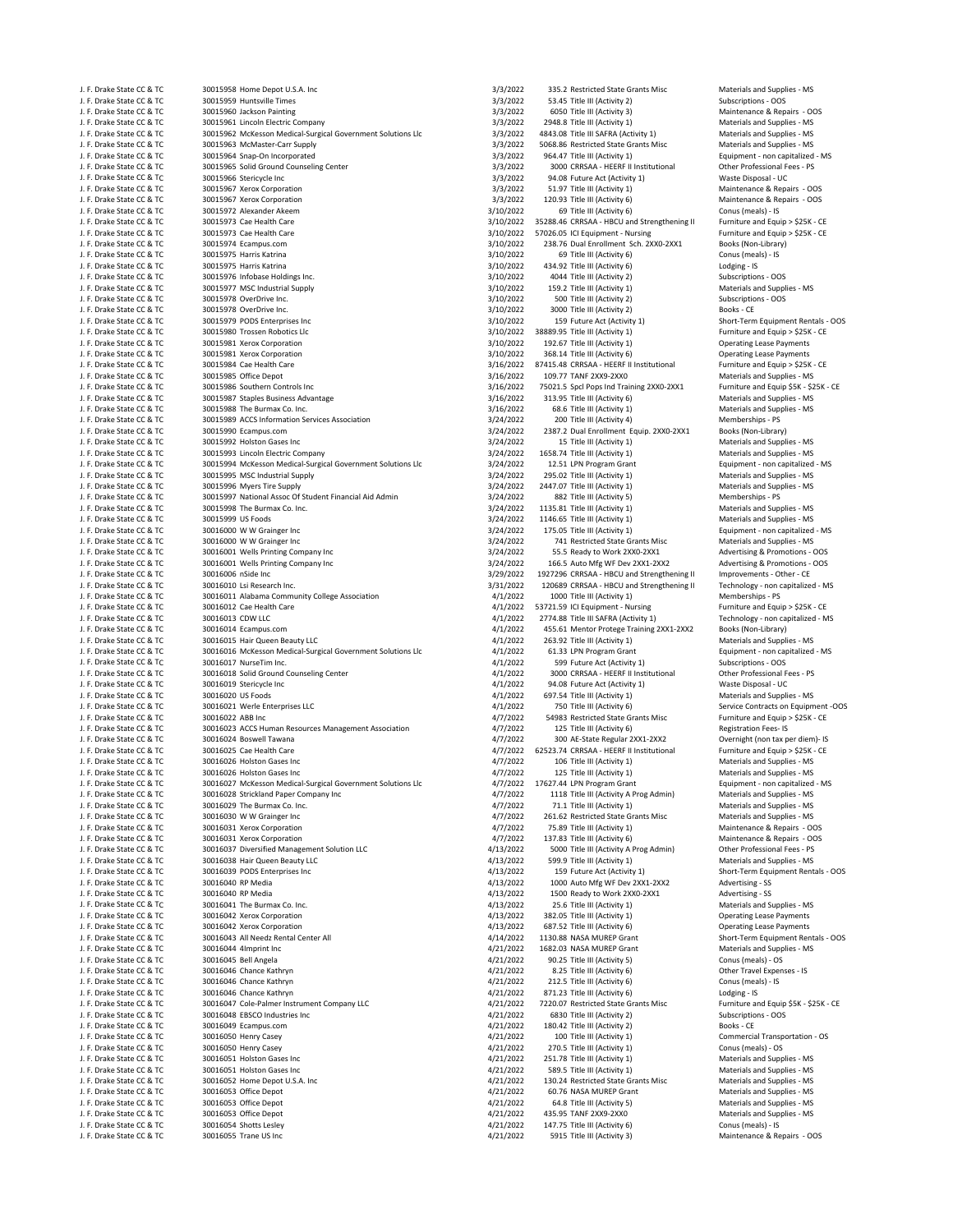| J. F. Drake State CC & TC                              | 30015958 Home Depot U.S.A. Inc                                                                   | 3/3/2022             | 335.2 Restricted State Grants Misc                                    | Materials and Supplies - MS                                |
|--------------------------------------------------------|--------------------------------------------------------------------------------------------------|----------------------|-----------------------------------------------------------------------|------------------------------------------------------------|
| J. F. Drake State CC & TC                              | 30015959 Huntsville Times                                                                        | 3/3/2022             | 53.45 Title III (Activity 2)                                          | Subscriptions - OOS                                        |
| J. F. Drake State CC & TC                              | 30015960 Jackson Painting                                                                        | 3/3/2022             | 6050 Title III (Activity 3)                                           | Maintenance & Repairs - OOS                                |
| J. F. Drake State CC & TC                              | 30015961 Lincoln Electric Company<br>30015962 McKesson Medical-Surgical Government Solutions Llc | 3/3/2022<br>3/3/2022 | 2948.8 Title III (Activity 1)<br>4843.08 Title III SAFRA (Activity 1) | Materials and Supplies - MS                                |
| J. F. Drake State CC & TC<br>J. F. Drake State CC & TC | 30015963 McMaster-Carr Supply                                                                    | 3/3/2022             | 5068.86 Restricted State Grants Misc                                  | Materials and Supplies - MS<br>Materials and Supplies - MS |
| J. F. Drake State CC & TC                              | 30015964 Snap-On Incorporated                                                                    | 3/3/2022             | 964.47 Title III (Activity 1)                                         | Equipment - non capitalized - MS                           |
| J. F. Drake State CC & TC                              | 30015965 Solid Ground Counseling Center                                                          | 3/3/2022             | 3000 CRRSAA - HEERF II Institutional                                  | Other Professional Fees - PS                               |
| J. F. Drake State CC & TC                              | 30015966 Stericycle Inc                                                                          | 3/3/2022             | 94.08 Future Act (Activity 1)                                         | Waste Disposal - UC                                        |
| J. F. Drake State CC & TC                              | 30015967 Xerox Corporation                                                                       | 3/3/2022             | 51.97 Title III (Activity 1)                                          | Maintenance & Repairs - OOS                                |
| J. F. Drake State CC & TC                              | 30015967 Xerox Corporation                                                                       | 3/3/2022             | 120.93 Title III (Activity 6)                                         | Maintenance & Repairs - OOS                                |
| J. F. Drake State CC & TC                              | 30015972 Alexander Akeem                                                                         | 3/10/2022            | 69 Title III (Activity 6)                                             | Conus (meals) - IS                                         |
| J. F. Drake State CC & TC                              | 30015973 Cae Health Care                                                                         | 3/10/2022            | 35288.46 CRRSAA - HBCU and Strengthening II                           | Furniture and Equip > \$25K - CE                           |
| J. F. Drake State CC & TC                              | 30015973 Cae Health Care                                                                         | 3/10/2022            | 57026.05 ICI Equipment - Nursing                                      | Furniture and Equip > \$25K - CE                           |
| J. F. Drake State CC & TC                              | 30015974 Ecampus.com                                                                             | 3/10/2022            | 238.76 Dual Enrollment Sch. 2XX0-2XX1                                 | Books (Non-Library)                                        |
| J. F. Drake State CC & TC                              | 30015975 Harris Katrina                                                                          | 3/10/2022            | 69 Title III (Activity 6)                                             | Conus (meals) - IS                                         |
| J. F. Drake State CC & TC                              | 30015975 Harris Katrina                                                                          | 3/10/2022            | 434.92 Title III (Activity 6)                                         | Lodging - IS                                               |
| J. F. Drake State CC & TC                              | 30015976 Infobase Holdings Inc.                                                                  | 3/10/2022            | 4044 Title III (Activity 2)                                           | Subscriptions - OOS                                        |
| J. F. Drake State CC & TC                              | 30015977 MSC Industrial Supply                                                                   | 3/10/2022            | 159.2 Title III (Activity 1)                                          | Materials and Supplies - MS                                |
| J. F. Drake State CC & TC                              | 30015978 OverDrive Inc.                                                                          | 3/10/2022            | 500 Title III (Activity 2)                                            | Subscriptions - OOS                                        |
| J. F. Drake State CC & TC                              | 30015978 OverDrive Inc.                                                                          | 3/10/2022            | 3000 Title III (Activity 2)                                           | Books - CE                                                 |
| J. F. Drake State CC & TC                              | 30015979 PODS Enterprises Inc                                                                    | 3/10/2022            | 159 Future Act (Activity 1)                                           | Short-Term Equipment Rentals - OOS                         |
| J. F. Drake State CC & TC                              | 30015980 Trossen Robotics Llc                                                                    | 3/10/2022            | 38889.95 Title III (Activity 1)                                       | Furniture and Equip > \$25K - CE                           |
| J. F. Drake State CC & TC                              | 30015981 Xerox Corporation                                                                       | 3/10/2022            | 192.67 Title III (Activity 1)                                         | <b>Operating Lease Payments</b>                            |
| J. F. Drake State CC & TC                              | 30015981 Xerox Corporation                                                                       | 3/10/2022            | 368.14 Title III (Activity 6)                                         | <b>Operating Lease Payments</b>                            |
| J. F. Drake State CC & TC                              | 30015984 Cae Health Care                                                                         | 3/16/2022            | 87415.48 CRRSAA - HEERF II Institutional                              | Furniture and Equip > \$25K - CE                           |
| J. F. Drake State CC & TC                              | 30015985 Office Depot                                                                            | 3/16/2022            | 109.77 TANF 2XX9-2XX0                                                 | Materials and Supplies - MS                                |
| J. F. Drake State CC & TC                              | 30015986 Southern Controls Inc                                                                   | 3/16/2022            | 75021.5 Spcl Pops Ind Training 2XX0-2XX1                              | Furniture and Equip \$5K - \$25K - CE                      |
| J. F. Drake State CC & TC                              | 30015987 Staples Business Advantage                                                              | 3/16/2022            | 313.95 Title III (Activity 6)                                         | Materials and Supplies - MS                                |
| J. F. Drake State CC & TC                              | 30015988 The Burmax Co. Inc.                                                                     | 3/16/2022            | 68.6 Title III (Activity 1)                                           | Materials and Supplies - MS                                |
| J. F. Drake State CC & TC                              | 30015989 ACCS Information Services Association                                                   | 3/24/2022            | 200 Title III (Activity 4)                                            | Memberships - PS                                           |
| J. F. Drake State CC & TC                              | 30015990 Ecampus.com                                                                             | 3/24/2022            | 2387.2 Dual Enrollment Equip. 2XX0-2XX1                               | Books (Non-Library)                                        |
| J. F. Drake State CC & TC                              | 30015992 Holston Gases Inc                                                                       | 3/24/2022            | 15 Title III (Activity 1)                                             | Materials and Supplies - MS                                |
| J. F. Drake State CC & TC                              | 30015993 Lincoln Electric Company                                                                | 3/24/2022            | 1658.74 Title III (Activity 1)                                        | Materials and Supplies - MS                                |
| J. F. Drake State CC & TC                              | 30015994 McKesson Medical-Surgical Government Solutions Llc                                      | 3/24/2022            | 12.51 LPN Program Grant                                               | Equipment - non capitalized - MS                           |
| J. F. Drake State CC & TC                              | 30015995 MSC Industrial Supply                                                                   | 3/24/2022            | 295.02 Title III (Activity 1)                                         | Materials and Supplies - MS                                |
| J. F. Drake State CC & TC                              | 30015996 Myers Tire Supply                                                                       | 3/24/2022            | 2447.07 Title III (Activity 1)                                        | Materials and Supplies - MS                                |
| J. F. Drake State CC & TC                              | 30015997 National Assoc Of Student Financial Aid Admin                                           | 3/24/2022            | 882 Title III (Activity 5)                                            | Memberships - PS                                           |
| J. F. Drake State CC & TC                              | 30015998 The Burmax Co. Inc.                                                                     | 3/24/2022            | 1135.81 Title III (Activity 1)                                        | Materials and Supplies - MS                                |
| J. F. Drake State CC & TC                              | 30015999 US Foods                                                                                | 3/24/2022            | 1146.65 Title III (Activity 1)                                        | Materials and Supplies - MS                                |
| J. F. Drake State CC & TC                              | 30016000 W W Grainger Inc                                                                        | 3/24/2022            | 175.05 Title III (Activity 1)                                         | Equipment - non capitalized - MS                           |
| J. F. Drake State CC & TC                              | 30016000 W W Grainger Inc                                                                        | 3/24/2022            | 741 Restricted State Grants Misc                                      | Materials and Supplies - MS                                |
| J. F. Drake State CC & TC                              | 30016001 Wells Printing Company Inc                                                              | 3/24/2022            | 55.5 Ready to Work 2XX0-2XX1                                          | Advertising & Promotions - OOS                             |
| J. F. Drake State CC & TC                              | 30016001 Wells Printing Company Inc                                                              | 3/24/2022            | 166.5 Auto Mfg WF Dev 2XX1-2XX2                                       | Advertising & Promotions - OOS                             |
| J. F. Drake State CC & TC                              | 30016006 nSide Inc                                                                               | 3/29/2022            | 1927296 CRRSAA - HBCU and Strengthening II                            | Improvements - Other - CE                                  |
| J. F. Drake State CC & TC                              | 30016010 Lsi Research Inc.                                                                       | 3/31/2022            | 120689 CRRSAA - HBCU and Strengthening II                             | Technology - non capitalized - MS                          |
| J. F. Drake State CC & TC                              | 30016011 Alabama Community College Association                                                   | 4/1/2022             | 1000 Title III (Activity 1)                                           | Memberships - PS                                           |
| J. F. Drake State CC & TC                              | 30016012 Cae Health Care                                                                         | 4/1/2022             | 53721.59 ICI Equipment - Nursing                                      | Furniture and Equip > \$25K - CE                           |
|                                                        |                                                                                                  |                      |                                                                       | Technology - non capitalized - MS                          |
| J. F. Drake State CC & TC                              | 30016013 CDW LLC                                                                                 | 4/1/2022             | 2774.88 Title III SAFRA (Activity 1)                                  |                                                            |
| J. F. Drake State CC & TC                              | 30016014 Ecampus.com                                                                             | 4/1/2022             | 455.61 Mentor Protege Training 2XX1-2XX2                              | Books (Non-Library)                                        |
| J. F. Drake State CC & TC                              | 30016015 Hair Queen Beauty LLC                                                                   | 4/1/2022             | 263.92 Title III (Activity 1)                                         | Materials and Supplies - MS                                |
| J. F. Drake State CC & TC                              | 30016016 McKesson Medical-Surgical Government Solutions Llc                                      | 4/1/2022             | 61.33 LPN Program Grant                                               | Equipment - non capitalized - MS                           |
| J. F. Drake State CC & TC                              | 30016017 NurseTim Inc.                                                                           | 4/1/2022             | 599 Future Act (Activity 1)                                           | Subscriptions - OOS                                        |
| J. F. Drake State CC & TC                              | 30016018 Solid Ground Counseling Center                                                          | 4/1/2022             | 3000 CRRSAA - HEERF II Institutional                                  | Other Professional Fees - PS                               |
| J. F. Drake State CC & TC                              | 30016019 Stericycle Inc                                                                          | 4/1/2022             | 94.08 Future Act (Activity 1)                                         | Waste Disposal - UC                                        |
| J. F. Drake State CC & TC                              | 30016020 US Foods                                                                                | 4/1/2022             | 697.54 Title III (Activity 1)                                         | Materials and Supplies - MS                                |
| J. F. Drake State CC & TC                              | 30016021 Werle Enterprises LLC                                                                   | 4/1/2022             | 750 Title III (Activity 6)                                            | Service Contracts on Equipment -OOS                        |
| J. F. Drake State CC & TC                              | 30016022 ABB Inc                                                                                 | 4/7/2022             | 54983 Restricted State Grants Misc                                    | Furniture and Equip > \$25K - CE                           |
| J. F. Drake State CC & TC                              | 30016023 ACCS Human Resources Management Association                                             | 4/7/2022             | 125 Title III (Activity 6)                                            | Registration Fees-IS                                       |
| J. F. Drake State CC & TC                              | 30016024 Boswell Tawana                                                                          | 4/7/2022             | 300 AE-State Regular 2XX1-2XX2                                        | Overnight (non tax per diem)- IS                           |
| J. F. Drake State CC & TC                              | 30016025 Cae Health Care                                                                         | 4/7/2022             | 62523.74 CRRSAA - HEERF II Institutional                              | Furniture and Equip > \$25K - CE                           |
| J. F. Drake State CC & TC                              | 30016026 Holston Gases Inc                                                                       | 4/7/2022             | 106 Title III (Activity 1)                                            | Materials and Supplies - MS                                |
| J. F. Drake State CC & TC                              | 30016026 Holston Gases Inc                                                                       | 4/7/2022             | 125 Title III (Activity 1)                                            | Materials and Supplies - MS                                |
| J. F. Drake State CC & TC                              | 30016027 McKesson Medical-Surgical Government Solutions Llc                                      |                      | 4/7/2022 17627.44 LPN Program Grant                                   | Equipment - non capitalized - MS                           |
| J. F. Drake State CC & TC                              | 30016028 Strickland Paper Company Inc                                                            | 4/7/2022             | 1118 Title III (Activity A Prog Admin)                                | Materials and Supplies - MS                                |
| J. F. Drake State CC & TC                              | 30016029 The Burmax Co. Inc.                                                                     | 4/7/2022             | 71.1 Title III (Activity 1)                                           | Materials and Supplies - MS                                |
| J. F. Drake State CC & TC                              | 30016030 W W Grainger Inc                                                                        | 4/7/2022             | 261.62 Restricted State Grants Misc                                   | Materials and Supplies - MS                                |
| J. F. Drake State CC & TC                              | 30016031 Xerox Corporation                                                                       | 4/7/2022             | 75.89 Title III (Activity 1)                                          | Maintenance & Repairs - OOS                                |
| J. F. Drake State CC & TC                              | 30016031 Xerox Corporation                                                                       | 4/7/2022             | 137.83 Title III (Activity 6)                                         | Maintenance & Repairs - OOS                                |
| J. F. Drake State CC & TC                              | 30016037 Diversified Management Solution LLC                                                     | 4/13/2022            | 5000 Title III (Activity A Prog Admin)                                | Other Professional Fees - PS                               |
| J. F. Drake State CC & TC                              | 30016038 Hair Queen Beauty LLC                                                                   | 4/13/2022            | 599.9 Title III (Activity 1)                                          | Materials and Supplies - MS                                |
| J. F. Drake State CC & TC                              | 30016039 PODS Enterprises Inc                                                                    | 4/13/2022            | 159 Future Act (Activity 1)                                           | Short-Term Equipment Rentals - OOS                         |
| J. F. Drake State CC & TC                              | 30016040 RP Media                                                                                | 4/13/2022            | 1000 Auto Mfg WF Dev 2XX1-2XX2                                        | Advertising - SS                                           |
| J. F. Drake State CC & TC                              | 30016040 RP Media                                                                                | 4/13/2022            | 1500 Ready to Work 2XX0-2XX1                                          | Advertising - SS                                           |
| J. F. Drake State CC & TC                              | 30016041 The Burmax Co. Inc.                                                                     | 4/13/2022            | 25.6 Title III (Activity 1)                                           | Materials and Supplies - MS                                |
| J. F. Drake State CC & TC                              | 30016042 Xerox Corporation                                                                       | 4/13/2022            | 382.05 Title III (Activity 1)                                         | <b>Operating Lease Payments</b>                            |
| J. F. Drake State CC & TC                              | 30016042 Xerox Corporation                                                                       | 4/13/2022            | 687.52 Title III (Activity 6)                                         | <b>Operating Lease Payments</b>                            |
| J. F. Drake State CC & TC                              | 30016043 All Needz Rental Center All                                                             | 4/14/2022            | 1130.88 NASA MUREP Grant                                              | Short-Term Equipment Rentals - OOS                         |
| J. F. Drake State CC & TC                              | 30016044 4Imprint Inc                                                                            | 4/21/2022            | 1682.03 NASA MUREP Grant                                              | Materials and Supplies - MS                                |
| J. F. Drake State CC & TC                              | 30016045 Bell Angela                                                                             | 4/21/2022            | 90.25 Title III (Activity 5)                                          | Conus (meals) - OS                                         |
| J. F. Drake State CC & TC                              | 30016046 Chance Kathryn                                                                          | 4/21/2022            | 8.25 Title III (Activity 6)                                           | Other Travel Expenses - IS                                 |
| J. F. Drake State CC & TC                              | 30016046 Chance Kathryn                                                                          | 4/21/2022            | 212.5 Title III (Activity 6)                                          | Conus (meals) - IS                                         |
| J. F. Drake State CC & TC                              | 30016046 Chance Kathryn                                                                          | 4/21/2022            | 871.23 Title III (Activity 6)                                         | Lodging - IS                                               |
| J. F. Drake State CC & TC                              | 30016047 Cole-Palmer Instrument Company LLC                                                      | 4/21/2022            | 7220.07 Restricted State Grants Misc                                  | Furniture and Equip \$5K - \$25K - CE                      |
| J. F. Drake State CC & TC                              | 30016048 EBSCO Industries Inc                                                                    | 4/21/2022            | 6830 Title III (Activity 2)                                           | Subscriptions - OOS                                        |
| J. F. Drake State CC & TC                              | 30016049 Ecampus.com                                                                             | 4/21/2022            | 180.42 Title III (Activity 2)                                         | Books - CE                                                 |
| J. F. Drake State CC & TC                              | 30016050 Henry Casey                                                                             | 4/21/2022            | 100 Title III (Activity 1)                                            | Commercial Transportation - OS                             |
| J. F. Drake State CC & TC                              | 30016050 Henry Casey                                                                             | 4/21/2022            | 270.5 Title III (Activity 1)                                          | Conus (meals) - OS                                         |
| J. F. Drake State CC & TC                              | 30016051 Holston Gases Inc                                                                       | 4/21/2022            | 251.78 Title III (Activity 1)                                         | Materials and Supplies - MS                                |
| J. F. Drake State CC & TC                              | 30016051 Holston Gases Inc                                                                       | 4/21/2022            | 589.5 Title III (Activity 1)                                          | Materials and Supplies - MS                                |
| J. F. Drake State CC & TC                              | 30016052 Home Depot U.S.A. Inc                                                                   | 4/21/2022            | 130.24 Restricted State Grants Misc                                   | Materials and Supplies - MS                                |
| J. F. Drake State CC & TC                              | 30016053 Office Depot                                                                            | 4/21/2022            | 60.76 NASA MUREP Grant                                                | Materials and Supplies - MS                                |
| J. F. Drake State CC & TC                              | 30016053 Office Depot                                                                            | 4/21/2022            | 64.8 Title III (Activity 5)                                           | Materials and Supplies - MS                                |
| J. F. Drake State CC & TC                              | 30016053 Office Depot                                                                            | 4/21/2022            | 435.95 TANF 2XX9-2XX0                                                 | Materials and Supplies - MS                                |
| J. F. Drake State CC & TC                              | 30016054 Shotts Lesley                                                                           | 4/21/2022            | 147.75 Title III (Activity 6)                                         | Conus (meals) - IS                                         |
| J. F. Drake State CC & TC                              | 30016055 Trane US Inc                                                                            | 4/21/2022            | 5915 Title III (Activity 3)                                           | Maintenance & Repairs - OOS                                |

|           | 335.2 Restricted State Grants Misc          | Materials and Supplies - MS          |
|-----------|---------------------------------------------|--------------------------------------|
| 3/3/2022  | 53.45 Title III (Activity 2)                | Subscriptions - OOS                  |
| 3/3/2022  | 6050 Title III (Activity 3)                 | Maintenance & Repairs - OOS          |
| 3/3/2022  | 2948.8 Title III (Activity 1)               | Materials and Supplies - MS          |
|           |                                             |                                      |
| 3/3/2022  | 4843.08 Title III SAFRA (Activity 1)        | Materials and Supplies - MS          |
| 3/3/2022  | 5068.86 Restricted State Grants Misc        | Materials and Supplies - MS          |
| 3/3/2022  | 964.47 Title III (Activity 1)               | Equipment - non capitalized - MS     |
| 3/3/2022  | 3000 CRRSAA - HEERF II Institutional        | Other Professional Fees - PS         |
| 3/3/2022  | 94.08 Future Act (Activity 1)               | Waste Disposal - UC                  |
| 3/3/2022  | 51.97 Title III (Activity 1)                | Maintenance & Repairs - OOS          |
| 3/3/2022  | 120.93 Title III (Activity 6)               | Maintenance & Repairs - OOS          |
|           |                                             |                                      |
| 3/10/2022 | 69 Title III (Activity 6)                   | Conus (meals) - IS                   |
| 3/10/2022 | 35288.46 CRRSAA - HBCU and Strengthening II | Furniture and Equip > \$25K - CE     |
| 3/10/2022 | 57026.05 ICI Equipment - Nursing            | Furniture and Equip > \$25K - CE     |
| 3/10/2022 | 238.76 Dual Enrollment Sch. 2XX0-2XX1       | Books (Non-Library)                  |
| 3/10/2022 | 69 Title III (Activity 6)                   | Conus (meals) - IS                   |
| 3/10/2022 | 434.92 Title III (Activity 6)               | Lodging - IS                         |
| 3/10/2022 | 4044 Title III (Activity 2)                 | Subscriptions - OOS                  |
| 3/10/2022 | 159.2 Title III (Activity 1)                | Materials and Supplies - MS          |
|           |                                             |                                      |
| 3/10/2022 | 500 Title III (Activity 2)                  | Subscriptions - OOS                  |
| 3/10/2022 | 3000 Title III (Activity 2)                 | Books - CE                           |
| 3/10/2022 | 159 Future Act (Activity 1)                 | Short-Term Equipment Rentals - 0     |
| 3/10/2022 | 38889.95 Title III (Activity 1)             | Furniture and Equip > \$25K - CE     |
| 3/10/2022 | 192.67 Title III (Activity 1)               | <b>Operating Lease Payments</b>      |
| 3/10/2022 | 368.14 Title III (Activity 6)               | <b>Operating Lease Payments</b>      |
| 3/16/2022 | 87415.48 CRRSAA - HEERF II Institutional    | Furniture and Equip > \$25K - CE     |
|           |                                             |                                      |
| 3/16/2022 | 109.77 TANF 2XX9-2XX0                       | Materials and Supplies - MS          |
| 3/16/2022 | 75021.5 Spcl Pops Ind Training 2XX0-2XX1    | Furniture and Equip \$5K - \$25K - 0 |
| 3/16/2022 | 313.95 Title III (Activity 6)               | Materials and Supplies - MS          |
| 3/16/2022 | 68.6 Title III (Activity 1)                 | Materials and Supplies - MS          |
| 3/24/2022 | 200 Title III (Activity 4)                  | Memberships - PS                     |
| 3/24/2022 | 2387.2 Dual Enrollment Equip. 2XX0-2XX1     | Books (Non-Library)                  |
|           |                                             |                                      |
| 3/24/2022 | 15 Title III (Activity 1)                   | Materials and Supplies - MS          |
| 3/24/2022 | 1658.74 Title III (Activity 1)              | Materials and Supplies - MS          |
| 3/24/2022 | 12.51 LPN Program Grant                     | Equipment - non capitalized - MS     |
| 3/24/2022 | 295.02 Title III (Activity 1)               | Materials and Supplies - MS          |
| 3/24/2022 | 2447.07 Title III (Activity 1)              | Materials and Supplies - MS          |
| 3/24/2022 | 882 Title III (Activity 5)                  | Memberships - PS                     |
|           |                                             |                                      |
| 3/24/2022 | 1135.81 Title III (Activity 1)              | Materials and Supplies - MS          |
| 3/24/2022 | 1146.65 Title III (Activity 1)              | Materials and Supplies - MS          |
| 3/24/2022 | 175.05 Title III (Activity 1)               | Equipment - non capitalized - MS     |
| 3/24/2022 | 741 Restricted State Grants Misc            | Materials and Supplies - MS          |
| 3/24/2022 | 55.5 Ready to Work 2XX0-2XX1                | Advertising & Promotions - OOS       |
|           | 166.5 Auto Mfg WF Dev 2XX1-2XX2             | Advertising & Promotions - OOS       |
| 3/24/2022 |                                             |                                      |
| 3/29/2022 | 1927296 CRRSAA - HBCU and Strengthening II  | Improvements - Other - CE            |
| 3/31/2022 | 120689 CRRSAA - HBCU and Strengthening II   | Technology - non capitalized - MS    |
| 4/1/2022  | 1000 Title III (Activity 1)                 | Memberships - PS                     |
| 4/1/2022  | 53721.59 ICI Equipment - Nursing            | Furniture and Equip > \$25K - CE     |
| 4/1/2022  | 2774.88 Title III SAFRA (Activity 1)        | Technology - non capitalized - MS    |
|           |                                             |                                      |
| 4/1/2022  | 455.61 Mentor Protege Training 2XX1-2XX2    | Books (Non-Library)                  |
| 4/1/2022  | 263.92 Title III (Activity 1)               | Materials and Supplies - MS          |
| 4/1/2022  | 61.33 LPN Program Grant                     | Equipment - non capitalized - MS     |
| 4/1/2022  | 599 Future Act (Activity 1)                 | Subscriptions - OOS                  |
| 4/1/2022  | 3000 CRRSAA - HEERF II Institutional        | Other Professional Fees - PS         |
|           |                                             |                                      |
|           |                                             |                                      |
| 4/1/2022  | 94.08 Future Act (Activity 1)               | Waste Disposal - UC                  |
| 4/1/2022  | 697.54 Title III (Activity 1)               | Materials and Supplies - MS          |
| 4/1/2022  | 750 Title III (Activity 6)                  | Service Contracts on Equipment -     |
| 4/7/2022  | 54983 Restricted State Grants Misc          | Furniture and Equip > \$25K - CE     |
|           |                                             |                                      |
| 4/7/2022  | 125 Title III (Activity 6)                  | Registration Fees-IS                 |
| 4/7/2022  | 300 AE-State Regular 2XX1-2XX2              | Overnight (non tax per diem)- IS     |
| 4/7/2022  | 62523.74 CRRSAA - HEERF II Institutional    | Furniture and Equip > \$25K - CE     |
| 4/7/2022  | 106 Title III (Activity 1)                  | Materials and Supplies - MS          |
| 4/7/2022  | 125 Title III (Activity 1)                  | Materials and Supplies - MS          |
| 4/7/2022  | 17627.44 LPN Program Grant                  | Equipment - non capitalized - MS     |
|           |                                             |                                      |
| 4/7/2022  | 1118 Title III (Activity A Prog Admin)      | Materials and Supplies - MS          |
| 4/7/2022  | 71.1 Title III (Activity 1)                 | Materials and Supplies - MS          |
| 4/7/2022  | 261.62 Restricted State Grants Misc         | Materials and Supplies - MS          |
| 4/7/2022  | 75.89 Title III (Activity 1)                | Maintenance & Repairs - OOS          |
| 4/7/2022  | 137.83 Title III (Activity 6)               | Maintenance & Repairs - OOS          |
| 4/13/2022 | 5000 Title III (Activity A Prog Admin)      | Other Professional Fees - PS         |
| 4/13/2022 | 599.9 Title III (Activity 1)                | Materials and Supplies - MS          |
| 4/13/2022 | 159 Future Act (Activity 1)                 | Short-Term Equipment Rentals - 0     |
|           |                                             |                                      |
| 4/13/2022 | 1000 Auto Mfg WF Dev 2XX1-2XX2              | Advertising - SS                     |
| 4/13/2022 | 1500 Ready to Work 2XX0-2XX1                | Advertising - SS                     |
| 4/13/2022 | 25.6 Title III (Activity 1)                 | Materials and Supplies - MS          |
| 4/13/2022 | 382.05 Title III (Activity 1)               | <b>Operating Lease Payments</b>      |
| 4/13/2022 | 687.52 Title III (Activity 6)               | <b>Operating Lease Payments</b>      |
| 4/14/2022 | 1130.88 NASA MUREP Grant                    | Short-Term Equipment Rentals - 0     |
|           | 1682.03 NASA MUREP Grant                    |                                      |
| 4/21/2022 |                                             | Materials and Supplies - MS          |
| 4/21/2022 | 90.25 Title III (Activity 5)                | Conus (meals) - OS                   |
| 4/21/2022 | 8.25 Title III (Activity 6)                 | Other Travel Expenses - IS           |
| 4/21/2022 | 212.5 Title III (Activity 6)                | Conus (meals) - IS                   |
| 4/21/2022 | 871.23 Title III (Activity 6)               | Lodging - IS                         |
|           |                                             |                                      |
| 4/21/2022 | 7220.07 Restricted State Grants Misc        | Furniture and Equip \$5K - \$25K - 0 |
| 4/21/2022 | 6830 Title III (Activity 2)                 | Subscriptions - OOS                  |
| 4/21/2022 | 180.42 Title III (Activity 2)               | Books - CE                           |
| 4/21/2022 | 100 Title III (Activity 1)                  | Commercial Transportation - OS       |
| 4/21/2022 | 270.5 Title III (Activity 1)                | Conus (meals) - OS                   |
| 4/21/2022 | 251.78 Title III (Activity 1)               | Materials and Supplies - MS          |
|           |                                             |                                      |
| 4/21/2022 | 589.5 Title III (Activity 1)                | Materials and Supplies - MS          |
| 4/21/2022 | 130.24 Restricted State Grants Misc         | Materials and Supplies - MS          |
| 4/21/2022 | 60.76 NASA MUREP Grant                      | Materials and Supplies - MS          |
| 4/21/2022 | 64.8 Title III (Activity 5)                 | Materials and Supplies - MS          |
| 4/21/2022 | 435.95 TANF 2XX9-2XX0                       | Materials and Supplies - MS          |
| 4/21/2022 | 147.75 Title III (Activity 6)               | Conus (meals) - IS                   |
| 4/21/2022 | 5915 Title III (Activity 3)                 | Maintenance & Repairs - OOS          |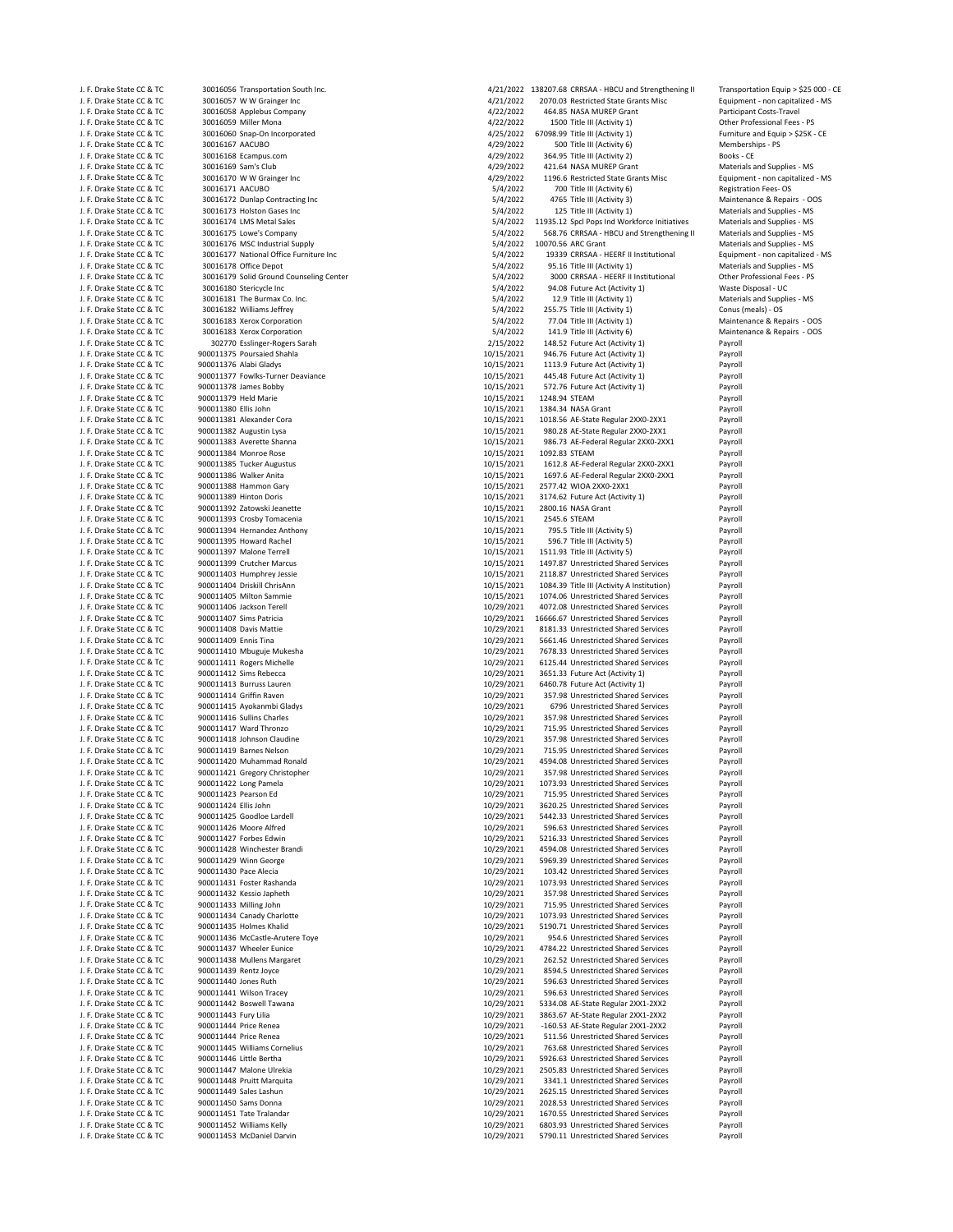| J. F. Drake State CC & TC | 30016056 Transportation South Inc.      |            |                    | 4/21/2022 138207.68 CRRSAA - HBCU and Strengthening II | Transportation Equip > \$25 000 - CE |
|---------------------------|-----------------------------------------|------------|--------------------|--------------------------------------------------------|--------------------------------------|
| J. F. Drake State CC & TC | 30016057 W W Grainger Inc               | 4/21/2022  |                    | 2070.03 Restricted State Grants Misc                   | Equipment - non capitalized - MS     |
| J. F. Drake State CC & TC | 30016058 Applebus Company               | 4/22/2022  |                    | 464.85 NASA MUREP Grant                                | Participant Costs-Travel             |
| J. F. Drake State CC & TC | 30016059 Miller Mona                    | 4/22/2022  |                    | 1500 Title III (Activity 1)                            | Other Professional Fees - PS         |
| J. F. Drake State CC & TC | 30016060 Snap-On Incorporated           | 4/25/2022  |                    | 67098.99 Title III (Activity 1)                        | Furniture and Equip > \$25K - CE     |
| J. F. Drake State CC & TC | 30016167 AACUBO                         | 4/29/2022  |                    | 500 Title III (Activity 6)                             | Memberships - PS                     |
| J. F. Drake State CC & TC | 30016168 Ecampus.com                    | 4/29/2022  |                    | 364.95 Title III (Activity 2)                          | Books - CE                           |
| J. F. Drake State CC & TC | 30016169 Sam's Club                     | 4/29/2022  |                    | 421.64 NASA MUREP Grant                                | Materials and Supplies - MS          |
| J. F. Drake State CC & TC | 30016170 W W Grainger Inc               | 4/29/2022  |                    | 1196.6 Restricted State Grants Misc                    | Equipment - non capitalized - MS     |
| J. F. Drake State CC & TC | 30016171 AACUBO                         | 5/4/2022   |                    | 700 Title III (Activity 6)                             | Registration Fees-OS                 |
| J. F. Drake State CC & TC | 30016172 Dunlap Contracting Inc         | 5/4/2022   |                    | 4765 Title III (Activity 3)                            | Maintenance & Repairs - OOS          |
| J. F. Drake State CC & TC | 30016173 Holston Gases Inc              | 5/4/2022   |                    | 125 Title III (Activity 1)                             | Materials and Supplies - MS          |
| J. F. Drake State CC & TC | 30016174 LMS Metal Sales                | 5/4/2022   |                    | 11935.12 Spcl Pops Ind Workforce Initiatives           | Materials and Supplies - MS          |
| J. F. Drake State CC & TC | 30016175 Lowe's Company                 | 5/4/2022   |                    | 568.76 CRRSAA - HBCU and Strengthening II              | Materials and Supplies - MS          |
| J. F. Drake State CC & TC | 30016176 MSC Industrial Supply          | 5/4/2022   | 10070.56 ARC Grant |                                                        | Materials and Supplies - MS          |
| J. F. Drake State CC & TC | 30016177 National Office Furniture Inc  | 5/4/2022   |                    | 19339 CRRSAA - HEERF II Institutional                  | Equipment - non capitalized - MS     |
| J. F. Drake State CC & TC | 30016178 Office Depot                   | 5/4/2022   |                    | 95.16 Title III (Activity 1)                           | Materials and Supplies - MS          |
| J. F. Drake State CC & TC | 30016179 Solid Ground Counseling Center | 5/4/2022   |                    | 3000 CRRSAA - HEERF II Institutional                   | Other Professional Fees - PS         |
| J. F. Drake State CC & TC | 30016180 Stericycle Inc                 | 5/4/2022   |                    | 94.08 Future Act (Activity 1)                          | Waste Disposal - UC                  |
| J. F. Drake State CC & TC | 30016181 The Burmax Co. Inc.            | 5/4/2022   |                    | 12.9 Title III (Activity 1)                            | Materials and Supplies - MS          |
| J. F. Drake State CC & TC | 30016182 Williams Jeffrey               | 5/4/2022   |                    | 255.75 Title III (Activity 1)                          | Conus (meals) - OS                   |
| J. F. Drake State CC & TC | 30016183 Xerox Corporation              | 5/4/2022   |                    | 77.04 Title III (Activity 1)                           | Maintenance & Repairs - OOS          |
| J. F. Drake State CC & TC | 30016183 Xerox Corporation              | 5/4/2022   |                    | 141.9 Title III (Activity 6)                           | Maintenance & Repairs - OOS          |
| J. F. Drake State CC & TC | 302770 Esslinger-Rogers Sarah           | 2/15/2022  |                    | 148.52 Future Act (Activity 1)                         | Payroll                              |
|                           |                                         |            |                    |                                                        |                                      |
| J. F. Drake State CC & TC | 900011375 Poursaied Shahla              | 10/15/2021 |                    | 946.76 Future Act (Activity 1)                         | Payroll                              |
| J. F. Drake State CC & TC | 900011376 Alabi Gladys                  | 10/15/2021 |                    | 1113.9 Future Act (Activity 1)                         | Payroll                              |
| J. F. Drake State CC & TC | 900011377 Fowlks-Turner Deaviance       | 10/15/2021 |                    | 445.48 Future Act (Activity 1)                         | Payroll                              |
| J. F. Drake State CC & TC | 900011378 James Bobby                   | 10/15/2021 |                    | 572.76 Future Act (Activity 1)                         | Payroll                              |
| J. F. Drake State CC & TC | 900011379 Held Marie                    | 10/15/2021 | 1248.94 STEAM      |                                                        | Payroll                              |
| J. F. Drake State CC & TC | 900011380 Ellis John                    | 10/15/2021 | 1384.34 NASA Grant |                                                        | Payroll                              |
| J. F. Drake State CC & TC | 900011381 Alexander Cora                | 10/15/2021 |                    | 1018.56 AE-State Regular 2XX0-2XX1                     | Payroll                              |
| J. F. Drake State CC & TC | 900011382 Augustin Lysa                 | 10/15/2021 |                    | 980.28 AE-State Regular 2XX0-2XX1                      | Payroll                              |
| J. F. Drake State CC & TC | 900011383 Averette Shanna               | 10/15/2021 |                    | 986.73 AE-Federal Regular 2XX0-2XX1                    | Payroll                              |
| J. F. Drake State CC & TC | 900011384 Monroe Rose                   | 10/15/2021 | 1092.83 STEAM      |                                                        | Payroll                              |
| J. F. Drake State CC & TC | 900011385 Tucker Augustus               | 10/15/2021 |                    | 1612.8 AE-Federal Regular 2XX0-2XX1                    | Payroll                              |
| J. F. Drake State CC & TC | 900011386 Walker Anita                  | 10/15/2021 |                    | 1697.6 AE-Federal Regular 2XX0-2XX1                    | Payroll                              |
| J. F. Drake State CC & TC | 900011388 Hammon Gary                   | 10/15/2021 |                    | 2577.42 WIOA 2XX0-2XX1                                 | Payroll                              |
| J. F. Drake State CC & TC | 900011389 Hinton Doris                  | 10/15/2021 |                    | 3174.62 Future Act (Activity 1)                        | Payroll                              |
| J. F. Drake State CC & TC | 900011392 Zatowski Jeanette             | 10/15/2021 | 2800.16 NASA Grant |                                                        | Payroll                              |
| J. F. Drake State CC & TC | 900011393 Crosby Tomacenia              | 10/15/2021 | 2545.6 STEAM       |                                                        | Payroll                              |
| J. F. Drake State CC & TC | 900011394 Hernandez Anthony             | 10/15/2021 |                    | 795.5 Title III (Activity 5)                           | Payroll                              |
| J. F. Drake State CC & TC | 900011395 Howard Rachel                 | 10/15/2021 |                    | 596.7 Title III (Activity 5)                           | Payroll                              |
| J. F. Drake State CC & TC | 900011397 Malone Terrell                | 10/15/2021 |                    | 1511.93 Title III (Activity 5)                         | Payroll                              |
| J. F. Drake State CC & TC | 900011399 Crutcher Marcus               | 10/15/2021 |                    | 1497.87 Unrestricted Shared Services                   | Payroll                              |
| J. F. Drake State CC & TC | 900011403 Humphrey Jessie               | 10/15/2021 |                    | 2118.87 Unrestricted Shared Services                   | Payroll                              |
| J. F. Drake State CC & TC | 900011404 Driskill ChrisAnn             | 10/15/2021 |                    | 1084.39 Title III (Activity A Institution)             | Payroll                              |
| J. F. Drake State CC & TC | 900011405 Milton Sammie                 | 10/15/2021 |                    | 1074.06 Unrestricted Shared Services                   | Payroll                              |
| J. F. Drake State CC & TC | 900011406 Jackson Terell                | 10/29/2021 |                    | 4072.08 Unrestricted Shared Services                   | Payroll                              |
| J. F. Drake State CC & TC | 900011407 Sims Patricia                 | 10/29/2021 |                    | 16666.67 Unrestricted Shared Services                  | Payroll                              |
| J. F. Drake State CC & TC | 900011408 Davis Mattie                  | 10/29/2021 |                    | 8181.33 Unrestricted Shared Services                   | Payroll                              |
| J. F. Drake State CC & TC | 900011409 Ennis Tina                    | 10/29/2021 |                    | 5661.46 Unrestricted Shared Services                   | Payroll                              |
| J. F. Drake State CC & TC | 900011410 Mbuguje Mukesha               | 10/29/2021 |                    | 7678.33 Unrestricted Shared Services                   | Payroll                              |
|                           |                                         |            |                    | 6125.44 Unrestricted Shared Services                   |                                      |
| J. F. Drake State CC & TC | 900011411 Rogers Michelle               | 10/29/2021 |                    |                                                        | Payroll                              |
| J. F. Drake State CC & TC | 900011412 Sims Rebecca                  | 10/29/2021 |                    | 3651.33 Future Act (Activity 1)                        | Payroll                              |
| J. F. Drake State CC & TC | 900011413 Burruss Lauren                | 10/29/2021 |                    | 6460.78 Future Act (Activity 1)                        | Payroll                              |
| J. F. Drake State CC & TC | 900011414 Griffin Raven                 | 10/29/2021 |                    | 357.98 Unrestricted Shared Services                    | Payroll                              |
| J. F. Drake State CC & TC | 900011415 Ayokanmbi Gladys              | 10/29/2021 |                    | 6796 Unrestricted Shared Services                      | Payroll                              |
| J. F. Drake State CC & TC | 900011416 Sullins Charles               | 10/29/2021 |                    | 357.98 Unrestricted Shared Services                    | Payroll                              |
| J. F. Drake State CC & TC | 900011417 Ward Thronzo                  | 10/29/2021 |                    | 715.95 Unrestricted Shared Services                    | Payroll                              |
| J. F. Drake State CC & TC | 900011418 Johnson Claudine              | 10/29/2021 |                    | 357.98 Unrestricted Shared Services                    | Payroll                              |
| J. F. Drake State CC & TC | 900011419 Barnes Nelson                 | 10/29/2021 |                    | 715.95 Unrestricted Shared Services                    | Payroll                              |
| J. F. Drake State CC & TC | 900011420 Muhammad Ronald               | 10/29/2021 |                    | 4594.08 Unrestricted Shared Services                   | Payroll                              |
| J. F. Drake State CC & TC | 900011421 Gregory Christopher           | 10/29/2021 |                    | 357.98 Unrestricted Shared Services                    | Payroll                              |
| J. F. Drake State CC & TC | 900011422 Long Pamela                   | 10/29/2021 |                    | 1073.93 Unrestricted Shared Services                   | Payroll                              |
| J. F. Drake State CC & TC | 900011423 Pearson Ed                    | 10/29/2021 |                    | 715.95 Unrestricted Shared Services                    | Payroll                              |
| J. F. Drake State CC & TC | 900011424 Ellis John                    | 10/29/2021 |                    | 3620.25 Unrestricted Shared Services                   | Payroll                              |
| J. F. Drake State CC & TC | 900011425 Goodloe Lardell               | 10/29/2021 |                    | 5442.33 Unrestricted Shared Services                   | Payroll                              |
| J. F. Drake State CC & TC | 900011426 Moore Alfred                  | 10/29/2021 |                    | 596.63 Unrestricted Shared Services                    | Payroll                              |
| J. F. Drake State CC & TC | 900011427 Forbes Edwin                  | 10/29/2021 |                    | 5216.33 Unrestricted Shared Services                   | Payroll                              |
| J. F. Drake State CC & TC | 900011428 Winchester Brandi             | 10/29/2021 |                    | 4594.08 Unrestricted Shared Services                   | Payroll                              |
| J. F. Drake State CC & TC | 900011429 Winn George                   | 10/29/2021 |                    | 5969.39 Unrestricted Shared Services                   | Payroll                              |
| J. F. Drake State CC & TC | 900011430 Pace Alecia                   | 10/29/2021 |                    | 103.42 Unrestricted Shared Services                    | Payroll                              |
| J. F. Drake State CC & TC | 900011431 Foster Rashanda               | 10/29/2021 |                    | 1073.93 Unrestricted Shared Services                   | Payroll                              |
| J. F. Drake State CC & TC | 900011432 Kessio Japheth                | 10/29/2021 |                    | 357.98 Unrestricted Shared Services                    | Payroll                              |
| J. F. Drake State CC & TC | 900011433 Milling John                  | 10/29/2021 |                    | 715.95 Unrestricted Shared Services                    | Payroll                              |
| J. F. Drake State CC & TC | 900011434 Canady Charlotte              | 10/29/2021 |                    | 1073.93 Unrestricted Shared Services                   | Payroll                              |
| J. F. Drake State CC & TC | 900011435 Holmes Khalid                 | 10/29/2021 |                    | 5190.71 Unrestricted Shared Services                   | Payroll                              |
| J. F. Drake State CC & TC | 900011436 McCastle-Arutere Toye         | 10/29/2021 |                    | 954.6 Unrestricted Shared Services                     | Payroll                              |
| J. F. Drake State CC & TC | 900011437 Wheeler Eunice                | 10/29/2021 |                    | 4784.22 Unrestricted Shared Services                   | Payroll                              |
| J. F. Drake State CC & TC | 900011438 Mullens Margaret              | 10/29/2021 |                    | 262.52 Unrestricted Shared Services                    | Payroll                              |
| J. F. Drake State CC & TC | 900011439 Rentz Joyce                   | 10/29/2021 |                    | 8594.5 Unrestricted Shared Services                    | Payroll                              |
| J. F. Drake State CC & TC | 900011440 Jones Ruth                    | 10/29/2021 |                    | 596.63 Unrestricted Shared Services                    | Payroll                              |
| J. F. Drake State CC & TC | 900011441 Wilson Tracey                 | 10/29/2021 |                    | 596.63 Unrestricted Shared Services                    | Payroll                              |
| J. F. Drake State CC & TC | 900011442 Boswell Tawana                | 10/29/2021 |                    | 5334.08 AE-State Regular 2XX1-2XX2                     | Payroll                              |
| J. F. Drake State CC & TC | 900011443 Fury Lilia                    | 10/29/2021 |                    | 3863.67 AE-State Regular 2XX1-2XX2                     | Payroll                              |
| J. F. Drake State CC & TC | 900011444 Price Renea                   | 10/29/2021 |                    | -160.53 AE-State Regular 2XX1-2XX2                     | Payroll                              |
| J. F. Drake State CC & TC | 900011444 Price Renea                   |            |                    | 511.56 Unrestricted Shared Services                    | Payroll                              |
|                           |                                         | 10/29/2021 |                    |                                                        |                                      |
| J. F. Drake State CC & TC | 900011445 Williams Cornelius            | 10/29/2021 |                    | 763.68 Unrestricted Shared Services                    | Payroll                              |
| J. F. Drake State CC & TC | 900011446 Little Bertha                 | 10/29/2021 |                    | 5926.63 Unrestricted Shared Services                   | Payroll                              |
| J. F. Drake State CC & TC | 900011447 Malone Ulrekia                | 10/29/2021 |                    | 2505.83 Unrestricted Shared Services                   | Payroll                              |
| J. F. Drake State CC & TC | 900011448 Pruitt Marquita               | 10/29/2021 |                    | 3341.1 Unrestricted Shared Services                    | Payroll                              |
| J. F. Drake State CC & TC | 900011449 Sales Lashun                  | 10/29/2021 |                    | 2625.15 Unrestricted Shared Services                   | Payroll                              |
| J. F. Drake State CC & TC | 900011450 Sams Donna                    | 10/29/2021 |                    | 2028.53 Unrestricted Shared Services                   | Payroll                              |
| J. F. Drake State CC & TC | 900011451 Tate Tralandar                | 10/29/2021 |                    | 1670.55 Unrestricted Shared Services                   | Payroll                              |
| J. F. Drake State CC & TC | 900011452 Williams Kelly                | 10/29/2021 |                    | 6803.93 Unrestricted Shared Services                   | Payroll                              |
| J. E. Drake State CC & TC | 900011453 McDaniel Darvin               | 10/29/2021 |                    | 5790.11 Unrestricted Shared Services                   | Pavrol                               |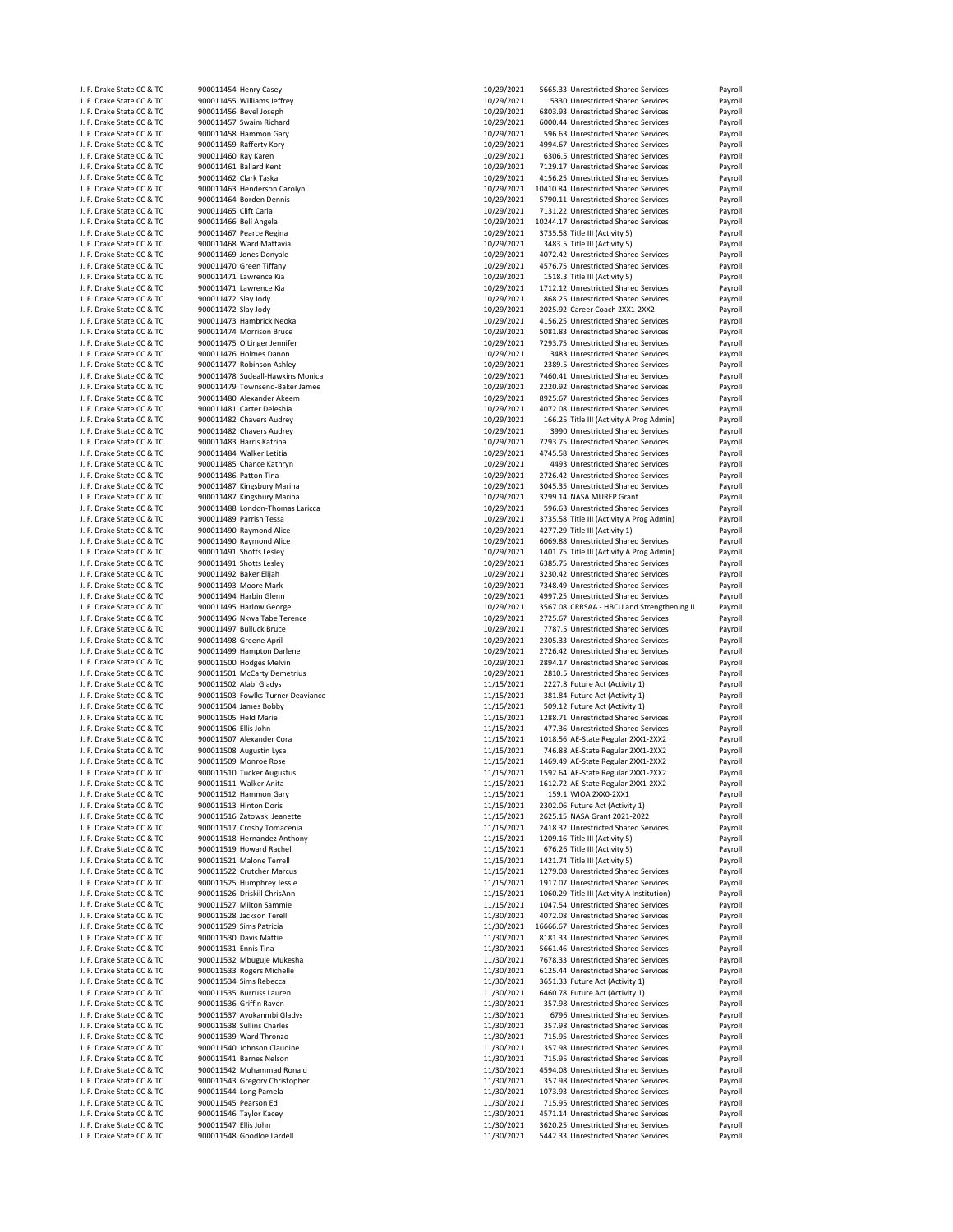| J. F. Drake State CC & TC                              | 900011454 Henry Casey                           |            | 5665.33 Unrestricted Shared Services                       |         |
|--------------------------------------------------------|-------------------------------------------------|------------|------------------------------------------------------------|---------|
|                                                        |                                                 | 10/29/2021 |                                                            | Payroll |
| J. F. Drake State CC & TC                              | 900011455 Williams Jeffrey                      | 10/29/2021 | 5330 Unrestricted Shared Services                          | Payroll |
| J. F. Drake State CC & TC                              | 900011456 Bevel Joseph                          | 10/29/2021 | 6803.93 Unrestricted Shared Services                       | Payroll |
| J. F. Drake State CC & TC                              | 900011457 Swaim Richard                         | 10/29/2021 | 6000.44 Unrestricted Shared Services                       | Payroll |
| J. F. Drake State CC & TC                              | 900011458 Hammon Gary                           | 10/29/2021 | 596.63 Unrestricted Shared Services                        | Payroll |
| J. F. Drake State CC & TC                              | 900011459 Rafferty Kory                         | 10/29/2021 | 4994.67 Unrestricted Shared Services                       | Payroll |
| J. F. Drake State CC & TC                              | 900011460 Ray Karen                             | 10/29/2021 | 6306.5 Unrestricted Shared Services                        | Payroll |
| J. F. Drake State CC & TC                              | 900011461 Ballard Kent                          | 10/29/2021 | 7129.17 Unrestricted Shared Services                       | Payroll |
|                                                        |                                                 |            |                                                            |         |
| J. F. Drake State CC & TC                              | 900011462 Clark Taska                           | 10/29/2021 | 4156.25 Unrestricted Shared Services                       | Payroll |
| J. F. Drake State CC & TC                              | 900011463 Henderson Carolyn                     | 10/29/2021 | 10410.84 Unrestricted Shared Services                      | Payroll |
| J. F. Drake State CC & TC                              | 900011464 Borden Dennis                         | 10/29/2021 | 5790.11 Unrestricted Shared Services                       | Payroll |
| J. F. Drake State CC & TC                              | 900011465 Clift Carla                           | 10/29/2021 | 7131.22 Unrestricted Shared Services                       | Payroll |
| J. F. Drake State CC & TC                              | 900011466 Bell Angela                           | 10/29/2021 | 10244.17 Unrestricted Shared Services                      | Payroll |
| J. F. Drake State CC & TC                              |                                                 | 10/29/2021 | 3735.58 Title III (Activity 5)                             |         |
|                                                        | 900011467 Pearce Regina                         |            |                                                            | Payroll |
| J. F. Drake State CC & TC                              | 900011468 Ward Mattavia                         | 10/29/2021 | 3483.5 Title III (Activity 5)                              | Payroll |
| J. F. Drake State CC & TC                              | 900011469 Jones Donyale                         | 10/29/2021 | 4072.42 Unrestricted Shared Services                       | Payroll |
| J. F. Drake State CC & TC                              | 900011470 Green Tiffany                         | 10/29/2021 | 4576.75 Unrestricted Shared Services                       | Payroll |
| J. F. Drake State CC & TC                              | 900011471 Lawrence Kia                          | 10/29/2021 | 1518.3 Title III (Activity 5)                              | Payroll |
| J. F. Drake State CC & TC                              | 900011471 Lawrence Kia                          | 10/29/2021 | 1712.12 Unrestricted Shared Services                       | Payroll |
| J. F. Drake State CC & TC                              | 900011472 Slay Jody                             | 10/29/2021 | 868.25 Unrestricted Shared Services                        | Payroll |
|                                                        |                                                 |            |                                                            |         |
| J. F. Drake State CC & TC                              | 900011472 Slay Jody                             | 10/29/2021 | 2025.92 Career Coach 2XX1-2XX2                             | Payroll |
| J. F. Drake State CC & TC                              | 900011473 Hambrick Neoka                        | 10/29/2021 | 4156.25 Unrestricted Shared Services                       | Payroll |
| J. F. Drake State CC & TC                              | 900011474 Morrison Bruce                        | 10/29/2021 | 5081.83 Unrestricted Shared Services                       | Payroll |
| J. F. Drake State CC & TC                              | 900011475 O'Linger Jennifer                     | 10/29/2021 | 7293.75 Unrestricted Shared Services                       | Payroll |
| J. F. Drake State CC & TC                              | 900011476 Holmes Danon                          | 10/29/2021 | 3483 Unrestricted Shared Services                          | Payroll |
| J. F. Drake State CC & TC                              | 900011477 Robinson Ashley                       | 10/29/2021 | 2389.5 Unrestricted Shared Services                        | Payroll |
|                                                        |                                                 |            |                                                            |         |
| J. F. Drake State CC & TC                              | 900011478 Sudeall-Hawkins Monica                | 10/29/2021 | 7460.41 Unrestricted Shared Services                       | Payroll |
| J. F. Drake State CC & TC                              | 900011479 Townsend-Baker Jamee                  | 10/29/2021 | 2220.92 Unrestricted Shared Services                       | Payroll |
| J. F. Drake State CC & TC                              | 900011480 Alexander Akeem                       | 10/29/2021 | 8925.67 Unrestricted Shared Services                       | Payroll |
| J. F. Drake State CC & TC                              | 900011481 Carter Deleshia                       | 10/29/2021 | 4072.08 Unrestricted Shared Services                       | Payroll |
| J. F. Drake State CC & TC                              | 900011482 Chavers Audrey                        | 10/29/2021 | 166.25 Title III (Activity A Prog Admin)                   | Payroll |
| J. F. Drake State CC & TC                              | 900011482 Chavers Audrey                        |            |                                                            |         |
|                                                        |                                                 | 10/29/2021 | 3990 Unrestricted Shared Services                          | Payroll |
| J. F. Drake State CC & TC                              | 900011483 Harris Katrina                        | 10/29/2021 | 7293.75 Unrestricted Shared Services                       | Payroll |
| J. F. Drake State CC & TC                              | 900011484 Walker Letitia                        | 10/29/2021 | 4745.58 Unrestricted Shared Services                       | Payroll |
| J. F. Drake State CC & TC                              | 900011485 Chance Kathryn                        | 10/29/2021 | 4493 Unrestricted Shared Services                          | Payroll |
| J. F. Drake State CC & TC                              | 900011486 Patton Tina                           | 10/29/2021 | 2726.42 Unrestricted Shared Services                       | Payroll |
| J. F. Drake State CC & TC                              | 900011487 Kingsbury Marina                      | 10/29/2021 | 3045.35 Unrestricted Shared Services                       | Payroll |
|                                                        |                                                 | 10/29/2021 |                                                            |         |
| J. F. Drake State CC & TC                              | 900011487 Kingsbury Marina                      |            | 3299.14 NASA MUREP Grant                                   | Payroll |
| J. F. Drake State CC & TC                              | 900011488 London-Thomas Laricca                 | 10/29/2021 | 596.63 Unrestricted Shared Services                        | Payroll |
| J. F. Drake State CC & TC                              | 900011489 Parrish Tessa                         | 10/29/2021 | 3735.58 Title III (Activity A Prog Admin)                  | Payroll |
| J. F. Drake State CC & TC                              | 900011490 Raymond Alice                         | 10/29/2021 | 4277.29 Title III (Activity 1)                             | Payroll |
| J. F. Drake State CC & TC                              | 900011490 Raymond Alice                         | 10/29/2021 | 6069.88 Unrestricted Shared Services                       | Payroll |
| J. F. Drake State CC & TC                              | 900011491 Shotts Lesley                         | 10/29/2021 | 1401.75 Title III (Activity A Prog Admin)                  | Payroll |
|                                                        |                                                 |            |                                                            |         |
| J. F. Drake State CC & TC                              | 900011491 Shotts Lesley                         | 10/29/2021 | 6385.75 Unrestricted Shared Services                       | Payroll |
| J. F. Drake State CC & TC                              | 900011492 Baker Elijah                          | 10/29/2021 | 3230.42 Unrestricted Shared Services                       | Payroll |
| J. F. Drake State CC & TC                              | 900011493 Moore Mark                            | 10/29/2021 | 7348.49 Unrestricted Shared Services                       | Payroll |
| J. F. Drake State CC & TC                              |                                                 | 10/29/2021 | 4997.25 Unrestricted Shared Services                       | Payroll |
|                                                        |                                                 |            |                                                            |         |
|                                                        | 900011494 Harbin Glenn                          |            |                                                            |         |
| J. F. Drake State CC & TC                              | 900011495 Harlow George                         | 10/29/2021 | 3567.08 CRRSAA - HBCU and Strengthening II                 | Payroll |
| J. F. Drake State CC & TC                              | 900011496 Nkwa Tabe Terence                     | 10/29/2021 | 2725.67 Unrestricted Shared Services                       | Payroll |
| J. F. Drake State CC & TC                              | 900011497 Bulluck Bruce                         | 10/29/2021 | 7787.5 Unrestricted Shared Services                        | Payroll |
| J. F. Drake State CC & TC                              | 900011498 Greene April                          | 10/29/2021 | 2305.33 Unrestricted Shared Services                       | Payroll |
| J. F. Drake State CC & TC                              | 900011499 Hampton Darlene                       | 10/29/2021 | 2726.42 Unrestricted Shared Services                       | Payroll |
|                                                        |                                                 |            |                                                            |         |
| J. F. Drake State CC & TC                              | 900011500 Hodges Melvin                         | 10/29/2021 | 2894.17 Unrestricted Shared Services                       | Payroll |
| J. F. Drake State CC & TC                              | 900011501 McCarty Demetrius                     | 10/29/2021 | 2810.5 Unrestricted Shared Services                        | Payroll |
| J. F. Drake State CC & TC                              | 900011502 Alabi Gladys                          | 11/15/2021 | 2227.8 Future Act (Activity 1)                             | Payroll |
| J. F. Drake State CC & TC                              | 900011503 Fowlks-Turner Deaviance               | 11/15/2021 | 381.84 Future Act (Activity 1)                             | Payroll |
| J. F. Drake State CC & TC                              | 900011504 James Bobby                           | 11/15/2021 | 509.12 Future Act (Activity 1)                             | Payroll |
| J. F. Drake State CC & TC                              | 900011505 Held Marie                            |            | 1288.71 Unrestricted Shared Services                       |         |
|                                                        |                                                 | 11/15/2021 |                                                            | Payroll |
| J. F. Drake State CC & TC                              | 900011506 Ellis John                            | 11/15/2021 | 477.36 Unrestricted Shared Services                        | Payroll |
| J. F. Drake State CC & TC                              | 900011507 Alexander Cora                        | 11/15/2021 | 1018.56 AE-State Regular 2XX1-2XX2                         | Payroll |
| J. F. Drake State CC & TC                              | 900011508 Augustin Lysa                         | 11/15/2021 | 746.88 AE-State Regular 2XX1-2XX2                          | Payroll |
| J. F. Drake State CC & TC                              | 900011509 Monroe Rose                           | 11/15/2021 | 1469.49 AE-State Regular 2XX1-2XX2                         | Payroll |
| J. F. Drake State CC & TC                              | 900011510 Tucker Augustus                       | 11/15/2021 | 1592.64 AE-State Regular 2XX1-2XX2                         | Payroll |
|                                                        |                                                 | 11/15/2021 |                                                            |         |
| J. F. Drake State CC & TC<br>J. F. Drake State CC & TC | 900011511 Walker Anita<br>900011512 Hammon Gary |            | 1612.72 AE-State Regular 2XX1-2XX2<br>159.1 WIOA 2XX0-2XX1 | Payroll |
|                                                        |                                                 | 11/15/2021 |                                                            | Payroll |
| J. F. Drake State CC & TC                              | 900011513 Hinton Doris                          | 11/15/2021 | 2302.06 Future Act (Activity 1)                            | Payroll |
| J. F. Drake State CC & TC                              | 900011516 Zatowski Jeanette                     | 11/15/2021 | 2625.15 NASA Grant 2021-2022                               | Payroll |
| J. F. Drake State CC & TC                              | 900011517 Crosby Tomacenia                      | 11/15/2021 | 2418.32 Unrestricted Shared Services                       | Payroll |
| J. F. Drake State CC & TC                              | 900011518 Hernandez Anthony                     | 11/15/2021 | 1209.16 Title III (Activity 5)                             | Payroll |
| J. F. Drake State CC & TC                              | 900011519 Howard Rachel                         | 11/15/2021 | 676.26 Title III (Activity 5)                              | Payroll |
| J. F. Drake State CC & TC                              | 900011521 Malone Terrell                        | 11/15/2021 | 1421.74 Title III (Activity 5)                             | Payroll |
| J. F. Drake State CC & TC                              | 900011522 Crutcher Marcus                       |            | 1279.08 Unrestricted Shared Services                       | Payroll |
|                                                        |                                                 | 11/15/2021 |                                                            |         |
| J. F. Drake State CC & TC                              | 900011525 Humphrey Jessie                       | 11/15/2021 | 1917.07 Unrestricted Shared Services                       | Payroll |
| J. F. Drake State CC & TC                              | 900011526 Driskill ChrisAnn                     | 11/15/2021 | 1060.29 Title III (Activity A Institution)                 | Payroll |
| J. F. Drake State CC & TC                              | 900011527 Milton Sammie                         | 11/15/2021 | 1047.54 Unrestricted Shared Services                       | Payroll |
| J. F. Drake State CC & TC                              | 900011528 Jackson Terell                        | 11/30/2021 | 4072.08 Unrestricted Shared Services                       | Payroll |
| J. F. Drake State CC & TC                              | 900011529 Sims Patricia                         | 11/30/2021 | 16666.67 Unrestricted Shared Services                      | Payroll |
|                                                        |                                                 |            | 8181.33 Unrestricted Shared Services                       |         |
| J. F. Drake State CC & TC                              | 900011530 Davis Mattie                          | 11/30/2021 |                                                            | Payroll |
| J. F. Drake State CC & TC                              | 900011531 Ennis Tina                            | 11/30/2021 | 5661.46 Unrestricted Shared Services                       | Payroll |
| J. F. Drake State CC & TC                              | 900011532 Mbuguje Mukesha                       | 11/30/2021 | 7678.33 Unrestricted Shared Services                       | Payroll |
| J. F. Drake State CC & TC                              | 900011533 Rogers Michelle                       | 11/30/2021 | 6125.44 Unrestricted Shared Services                       | Payroll |
| J. F. Drake State CC & TC                              | 900011534 Sims Rebecca                          | 11/30/2021 | 3651.33 Future Act (Activity 1)                            | Payroll |
| J. F. Drake State CC & TC                              | 900011535 Burruss Lauren                        |            | 6460.78 Future Act (Activity 1)                            | Payroll |
|                                                        |                                                 | 11/30/2021 |                                                            |         |
| J. F. Drake State CC & TC                              | 900011536 Griffin Raven                         | 11/30/2021 | 357.98 Unrestricted Shared Services                        | Payroll |
| J. F. Drake State CC & TC                              | 900011537 Ayokanmbi Gladys                      | 11/30/2021 | 6796 Unrestricted Shared Services                          | Payroll |
| J. F. Drake State CC & TC                              | 900011538 Sullins Charles                       | 11/30/2021 | 357.98 Unrestricted Shared Services                        | Payroll |
| J. F. Drake State CC & TC                              | 900011539 Ward Thronzo                          | 11/30/2021 | 715.95 Unrestricted Shared Services                        | Payroll |
| J. F. Drake State CC & TC                              | 900011540 Johnson Claudine                      | 11/30/2021 | 357.98 Unrestricted Shared Services                        | Payroll |
| J. F. Drake State CC & TC                              | 900011541 Barnes Nelson                         | 11/30/2021 | 715.95 Unrestricted Shared Services                        | Payroll |
|                                                        | 900011542 Muhammad Ronald                       |            | 4594.08 Unrestricted Shared Services                       |         |
| J. F. Drake State CC & TC                              |                                                 | 11/30/2021 |                                                            | Payroll |
| J. F. Drake State CC & TC                              | 900011543 Gregory Christopher                   | 11/30/2021 | 357.98 Unrestricted Shared Services                        | Payroll |
| J. F. Drake State CC & TC                              | 900011544 Long Pamela                           | 11/30/2021 | 1073.93 Unrestricted Shared Services                       | Payroll |
| J. F. Drake State CC & TC                              | 900011545 Pearson Ed                            | 11/30/2021 | 715.95 Unrestricted Shared Services                        | Payroll |
| J. F. Drake State CC & TC                              | 900011546 Taylor Kacey                          | 11/30/2021 | 4571.14 Unrestricted Shared Services                       | Payroll |
| J. F. Drake State CC & TC                              | 900011547 Ellis John                            | 11/30/2021 | 3620.25 Unrestricted Shared Services                       | Payroll |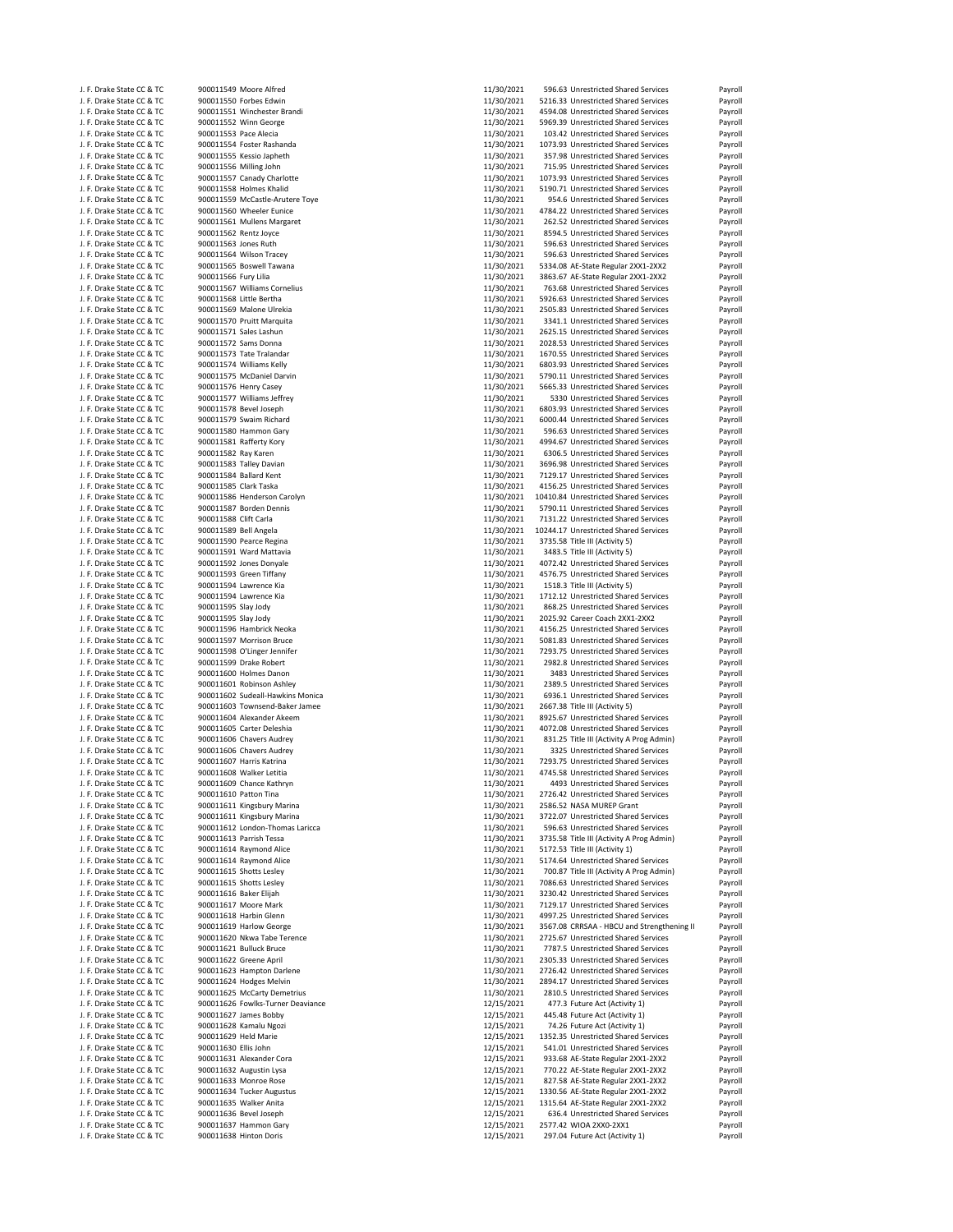| J. F. Drake State CC & TC                              | 900011549 Moore Alfred                          | 11/30/2021               | 596.63 Unrestricted Shared Services                      | Payroll                                  |
|--------------------------------------------------------|-------------------------------------------------|--------------------------|----------------------------------------------------------|------------------------------------------|
| J. F. Drake State CC & TC                              | 900011550 Forbes Edwin                          | 11/30/2021               | 5216.33 Unrestricted Shared Services                     | Payroll                                  |
| J. F. Drake State CC & TC                              | 900011551 Winchester Brandi                     | 11/30/2021               | 4594.08 Unrestricted Shared Services                     | Payroll                                  |
| J. F. Drake State CC & TC                              | 900011552 Winn George                           | 11/30/2021               | 5969.39 Unrestricted Shared Services                     | Payroll                                  |
| J. F. Drake State CC & TC                              | 900011553 Pace Alecia                           | 11/30/2021               | 103.42 Unrestricted Shared Services                      | Payroll                                  |
| J. F. Drake State CC & TC                              | 900011554 Foster Rashanda                       | 11/30/2021               | 1073.93 Unrestricted Shared Services                     | Payroll                                  |
| J. F. Drake State CC & TC                              | 900011555 Kessio Japheth                        | 11/30/2021               | 357.98 Unrestricted Shared Services                      | Payroll                                  |
|                                                        | 900011556 Milling John                          | 11/30/2021               | 715.95 Unrestricted Shared Services                      | Payroll                                  |
| J. F. Drake State CC & TC                              |                                                 |                          |                                                          |                                          |
| J. F. Drake State CC & TC                              | 900011557 Canady Charlotte                      | 11/30/2021               | 1073.93 Unrestricted Shared Services                     | Payroll                                  |
| J. F. Drake State CC & TC                              | 900011558 Holmes Khalid                         | 11/30/2021               | 5190.71 Unrestricted Shared Services                     | Payroll                                  |
| J. F. Drake State CC & TC                              | 900011559 McCastle-Arutere Toye                 | 11/30/2021               | 954.6 Unrestricted Shared Services                       | Payroll                                  |
| J. F. Drake State CC & TC                              | 900011560 Wheeler Eunice                        | 11/30/2021               | 4784.22 Unrestricted Shared Services                     | Payroll                                  |
| J. F. Drake State CC & TC                              | 900011561 Mullens Margaret                      | 11/30/2021               | 262.52 Unrestricted Shared Services                      | Payroll                                  |
| J. F. Drake State CC & TC                              | 900011562 Rentz Joyce                           | 11/30/2021               | 8594.5 Unrestricted Shared Services                      | Payroll                                  |
|                                                        |                                                 |                          |                                                          |                                          |
| J. F. Drake State CC & TC                              | 900011563 Jones Ruth                            | 11/30/2021               | 596.63 Unrestricted Shared Services                      | Payroll                                  |
| J. F. Drake State CC & TC                              | 900011564 Wilson Tracey                         | 11/30/2021               | 596.63 Unrestricted Shared Services                      | Payroll                                  |
| J. F. Drake State CC & TC                              | 900011565 Boswell Tawana                        | 11/30/2021               | 5334.08 AE-State Regular 2XX1-2XX2                       | Payroll                                  |
| J. F. Drake State CC & TC                              | 900011566 Fury Lilia                            | 11/30/2021               | 3863.67 AE-State Regular 2XX1-2XX2                       | Payroll                                  |
| J. F. Drake State CC & TC                              | 900011567 Williams Cornelius                    | 11/30/2021               | 763.68 Unrestricted Shared Services                      | Payroll                                  |
| J. F. Drake State CC & TC                              | 900011568 Little Bertha                         | 11/30/2021               | 5926.63 Unrestricted Shared Services                     | Payroll                                  |
|                                                        |                                                 |                          |                                                          |                                          |
| J. F. Drake State CC & TC                              | 900011569 Malone Ulrekia                        | 11/30/2021               | 2505.83 Unrestricted Shared Services                     | Payroll                                  |
| J. F. Drake State CC & TC                              | 900011570 Pruitt Marquita                       | 11/30/2021               | 3341.1 Unrestricted Shared Services                      | Payroll                                  |
| J. F. Drake State CC & TC                              | 900011571 Sales Lashun                          | 11/30/2021               | 2625.15 Unrestricted Shared Services                     | Payroll                                  |
| J. F. Drake State CC & TC                              | 900011572 Sams Donna                            | 11/30/2021               | 2028.53 Unrestricted Shared Services                     | Payroll                                  |
| J. F. Drake State CC & TC                              | 900011573 Tate Tralandar                        | 11/30/2021               | 1670.55 Unrestricted Shared Services                     | Payroll                                  |
| J. F. Drake State CC & TC                              | 900011574 Williams Kelly                        | 11/30/2021               | 6803.93 Unrestricted Shared Services                     | Payroll                                  |
| J. F. Drake State CC & TC                              | 900011575 McDaniel Darvin                       | 11/30/2021               | 5790.11 Unrestricted Shared Services                     | Payroll                                  |
|                                                        | 900011576 Henry Casey                           |                          | 5665.33 Unrestricted Shared Services                     |                                          |
| J. F. Drake State CC & TC                              |                                                 | 11/30/2021               |                                                          | Payroll                                  |
| J. F. Drake State CC & TC                              | 900011577 Williams Jeffrey                      | 11/30/2021               | 5330 Unrestricted Shared Services                        | Payroll                                  |
| J. F. Drake State CC & TC                              | 900011578 Bevel Joseph                          | 11/30/2021               | 6803.93 Unrestricted Shared Services                     | Payroll                                  |
| J. F. Drake State CC & TC                              | 900011579 Swaim Richard                         | 11/30/2021               | 6000.44 Unrestricted Shared Services                     | Payroll                                  |
| J. F. Drake State CC & TC                              | 900011580 Hammon Gary                           | 11/30/2021               | 596.63 Unrestricted Shared Services                      | Payroll                                  |
| J. F. Drake State CC & TC                              | 900011581 Rafferty Kory                         | 11/30/2021               | 4994.67 Unrestricted Shared Services                     | Payroll                                  |
|                                                        |                                                 |                          |                                                          |                                          |
| J. F. Drake State CC & TC                              | 900011582 Ray Karen                             | 11/30/2021               | 6306.5 Unrestricted Shared Services                      | Payroll                                  |
| J. F. Drake State CC & TC                              | 900011583 Talley Davian                         | 11/30/2021               | 3696.98 Unrestricted Shared Services                     | Payroll                                  |
| J. F. Drake State CC & TC                              | 900011584 Ballard Kent                          | 11/30/2021               | 7129.17 Unrestricted Shared Services                     | Payroll                                  |
| J. F. Drake State CC & TC                              | 900011585 Clark Taska                           | 11/30/2021               | 4156.25 Unrestricted Shared Services                     | Payroll                                  |
| J. F. Drake State CC & TC                              | 900011586 Henderson Carolyn                     | 11/30/2021               | 10410.84 Unrestricted Shared Services                    | Payroll                                  |
| J. F. Drake State CC & TC                              | 900011587 Borden Dennis                         | 11/30/2021               | 5790.11 Unrestricted Shared Services                     | Payroll                                  |
|                                                        |                                                 |                          |                                                          |                                          |
| J. F. Drake State CC & TC                              | 900011588 Clift Carla                           | 11/30/2021               | 7131.22 Unrestricted Shared Services                     | Payroll                                  |
| J. F. Drake State CC & TC                              | 900011589 Bell Angela                           | 11/30/2021               | 10244.17 Unrestricted Shared Services                    | Payroll                                  |
| J. F. Drake State CC & TC                              | 900011590 Pearce Regina                         | 11/30/2021               | 3735.58 Title III (Activity 5)                           | Payroll                                  |
| J. F. Drake State CC & TC                              | 900011591 Ward Mattavia                         | 11/30/2021               | 3483.5 Title III (Activity 5)                            | Payroll                                  |
| J. F. Drake State CC & TC                              | 900011592 Jones Donyale                         | 11/30/2021               | 4072.42 Unrestricted Shared Services                     | Payroll                                  |
|                                                        |                                                 | 11/30/2021               |                                                          |                                          |
| J. F. Drake State CC & TC                              | 900011593 Green Tiffany                         |                          | 4576.75 Unrestricted Shared Services                     | Payroll                                  |
| J. F. Drake State CC & TC                              | 900011594 Lawrence Kia                          | 11/30/2021               | 1518.3 Title III (Activity 5)                            | Payroll                                  |
| J. F. Drake State CC & TC                              | 900011594 Lawrence Kia                          | 11/30/2021               | 1712.12 Unrestricted Shared Services                     | Payroll                                  |
| J. F. Drake State CC & TC                              | 900011595 Slay Jody                             | 11/30/2021               | 868.25 Unrestricted Shared Services                      | Payroll                                  |
| J. F. Drake State CC & TC                              | 900011595 Slay Jody                             | 11/30/2021               | 2025.92 Career Coach 2XX1-2XX2                           | Payroll                                  |
| J. F. Drake State CC & TC                              | 900011596 Hambrick Neoka                        | 11/30/2021               | 4156.25 Unrestricted Shared Services                     | Payroll                                  |
|                                                        |                                                 |                          |                                                          |                                          |
| J. F. Drake State CC & TC                              | 900011597 Morrison Bruce                        | 11/30/2021               | 5081.83 Unrestricted Shared Services                     | Payroll                                  |
| J. F. Drake State CC & TC                              | 900011598 O'Linger Jennifer                     | 11/30/2021               | 7293.75 Unrestricted Shared Services                     | Payroll                                  |
| J. F. Drake State CC & TC                              | 900011599 Drake Robert                          | 11/30/2021               | 2982.8 Unrestricted Shared Services                      | Payroll                                  |
| J. F. Drake State CC & TC                              | 900011600 Holmes Danon                          | 11/30/2021               | 3483 Unrestricted Shared Services                        | Payroll                                  |
| J. F. Drake State CC & TC                              | 900011601 Robinson Ashley                       | 11/30/2021               | 2389.5 Unrestricted Shared Services                      | Payroll                                  |
| J. F. Drake State CC & TC                              | 900011602 Sudeall-Hawkins Monica                | 11/30/2021               | 6936.1 Unrestricted Shared Services                      | Payroll                                  |
|                                                        | 900011603 Townsend-Baker Jamee                  |                          |                                                          |                                          |
| J. F. Drake State CC & TC                              |                                                 | 11/30/2021               | 2667.38 Title III (Activity 5)                           | Payroll                                  |
| J. F. Drake State CC & TC                              | 900011604 Alexander Akeem                       | 11/30/2021               | 8925.67 Unrestricted Shared Services                     | Payroll                                  |
| J. F. Drake State CC & TC                              | 900011605 Carter Deleshia                       | 11/30/2021               | 4072.08 Unrestricted Shared Services                     | Payroll                                  |
| J. F. Drake State CC & TC                              | 900011606 Chavers Audrey                        | 11/30/2021               | 831.25 Title III (Activity A Prog Admin)                 | Payroll                                  |
| J. F. Drake State CC & TC                              | 900011606 Chavers Audrey                        | 11/30/2021               | 3325 Unrestricted Shared Services                        | Payroll                                  |
| J. F. Drake State CC & TC                              | 900011607 Harris Katrina                        | 11/30/2021               | 7293.75 Unrestricted Shared Services                     | Payroll                                  |
| J. F. Drake State CC & TC                              | 900011608 Walker Letitia                        | 11/30/2021               | 4745.58 Unrestricted Shared Services                     | Payroll                                  |
|                                                        |                                                 |                          |                                                          |                                          |
| J. F. Drake State CC & TC                              | 900011609 Chance Kathryn                        | 11/30/2021               | 4493 Unrestricted Shared Services                        | Payroll                                  |
| J. F. Drake State CC & TC                              | 900011610 Patton Tina                           | 11/30/2021               | 2726.42 Unrestricted Shared Services                     | Payroll                                  |
| J. F. Drake State CC & TC                              | 900011611 Kingsbury Marina                      | 11/30/2021               | 2586.52 NASA MUREP Grant                                 | Payroll                                  |
| J. F. Drake State CC & TC                              | 900011611 Kingsbury Marina                      | 11/30/2021               | 3722.07 Unrestricted Shared Services                     | Payroll                                  |
| J. F. Drake State CC & TC                              | 900011612 London-Thomas Laricca                 | 11/30/2021               | 596.63 Unrestricted Shared Services                      | Payroll                                  |
| J. F. Drake State CC & TC                              | 900011613 Parrish Tessa                         | 11/30/2021               | 3735.58 Title III (Activity A Prog Admin)                | Payroll                                  |
| J. F. Drake State CC & TC                              | 900011614 Raymond Alice                         | 11/30/2021               | 5172.53 Title III (Activity 1)                           | Payroll                                  |
|                                                        |                                                 |                          |                                                          |                                          |
| J. F. Drake State CC & TC                              | 900011614 Raymond Alice                         | 11/30/2021               | 5174.64 Unrestricted Shared Services                     | Payroll                                  |
| J. F. Drake State CC & TC                              | 900011615 Shotts Lesley                         | 11/30/2021               | 700.87 Title III (Activity A Prog Admin)                 | Payroll                                  |
| J. F. Drake State CC & TC                              | 900011615 Shotts Lesley                         | 11/30/2021               | 7086.63 Unrestricted Shared Services                     | Payroll                                  |
| J. F. Drake State CC & TC                              | 900011616 Baker Elijah                          | 11/30/2021               | 3230.42 Unrestricted Shared Services                     | Payroll                                  |
| J. F. Drake State CC & TC                              | 900011617 Moore Mark                            | 11/30/2021               | 7129.17 Unrestricted Shared Services                     | Payroll                                  |
| J. F. Drake State CC & TC                              | 900011618 Harbin Glenn                          | 11/30/2021               | 4997.25 Unrestricted Shared Services                     | Payroll                                  |
|                                                        |                                                 |                          |                                                          |                                          |
| J. F. Drake State CC & TC                              | 900011619 Harlow George                         | 11/30/2021               | 3567.08 CRRSAA - HBCU and Strengthening II               | Payroll                                  |
| J. F. Drake State CC & TC                              | 900011620 Nkwa Tabe Terence                     | 11/30/2021               | 2725.67 Unrestricted Shared Services                     | Payroll                                  |
| J. F. Drake State CC & TC                              | 900011621 Bulluck Bruce                         | 11/30/2021               | 7787.5 Unrestricted Shared Services                      | Payroll                                  |
| J. F. Drake State CC & TC                              | 900011622 Greene April                          | 11/30/2021               | 2305.33 Unrestricted Shared Services                     | Payroll                                  |
| J. F. Drake State CC & TC                              | 900011623 Hampton Darlene                       | 11/30/2021               | 2726.42 Unrestricted Shared Services                     | Payroll                                  |
| J. F. Drake State CC & TC                              | 900011624 Hodges Melvin                         | 11/30/2021               | 2894.17 Unrestricted Shared Services                     | Payroll                                  |
|                                                        |                                                 |                          |                                                          |                                          |
| J. F. Drake State CC & TC                              | 900011625 McCarty Demetrius                     | 11/30/2021               | 2810.5 Unrestricted Shared Services                      | Payroll                                  |
| J. F. Drake State CC & TC                              | 900011626 Fowlks-Turner Deaviance               | 12/15/2021               | 477.3 Future Act (Activity 1)                            | Payroll                                  |
| J. F. Drake State CC & TC                              | 900011627 James Bobby                           | 12/15/2021               | 445.48 Future Act (Activity 1)                           | Payroll                                  |
| J. F. Drake State CC & TC                              | 900011628 Kamalu Ngozi                          | 12/15/2021               | 74.26 Future Act (Activity 1)                            | Payroll                                  |
| J. F. Drake State CC & TC                              | 900011629 Held Marie                            | 12/15/2021               | 1352.35 Unrestricted Shared Services                     | Payroll                                  |
| J. F. Drake State CC & TC                              | 900011630 Ellis John                            | 12/15/2021               | 541.01 Unrestricted Shared Services                      | Payroll                                  |
|                                                        |                                                 |                          |                                                          |                                          |
| J. F. Drake State CC & TC                              | 900011631 Alexander Cora                        | 12/15/2021               | 933.68 AE-State Regular 2XX1-2XX2                        | Payroll                                  |
| J. F. Drake State CC & TC                              |                                                 | 12/15/2021               | 770.22 AE-State Regular 2XX1-2XX2                        | Payroll                                  |
| J. F. Drake State CC & TC                              | 900011632 Augustin Lysa                         |                          |                                                          |                                          |
|                                                        | 900011633 Monroe Rose                           | 12/15/2021               | 827.58 AE-State Regular 2XX1-2XX2                        | Payroll                                  |
| J. F. Drake State CC & TC                              | 900011634 Tucker Augustus                       | 12/15/2021               | 1330.56 AE-State Regular 2XX1-2XX2                       | Payroll                                  |
| J. F. Drake State CC & TC                              | 900011635 Walker Anita                          | 12/15/2021               | 1315.64 AE-State Regular 2XX1-2XX2                       |                                          |
|                                                        |                                                 |                          |                                                          |                                          |
| J. F. Drake State CC & TC                              | 900011636 Bevel Joseph                          | 12/15/2021               | 636.4 Unrestricted Shared Services                       |                                          |
| J. F. Drake State CC & TC<br>J. F. Drake State CC & TC | 900011637 Hammon Gary<br>900011638 Hinton Doris | 12/15/2021<br>12/15/2021 | 2577.42 WIOA 2XX0-2XX1<br>297.04 Future Act (Activity 1) | Payroll<br>Payroll<br>Payroll<br>Payroll |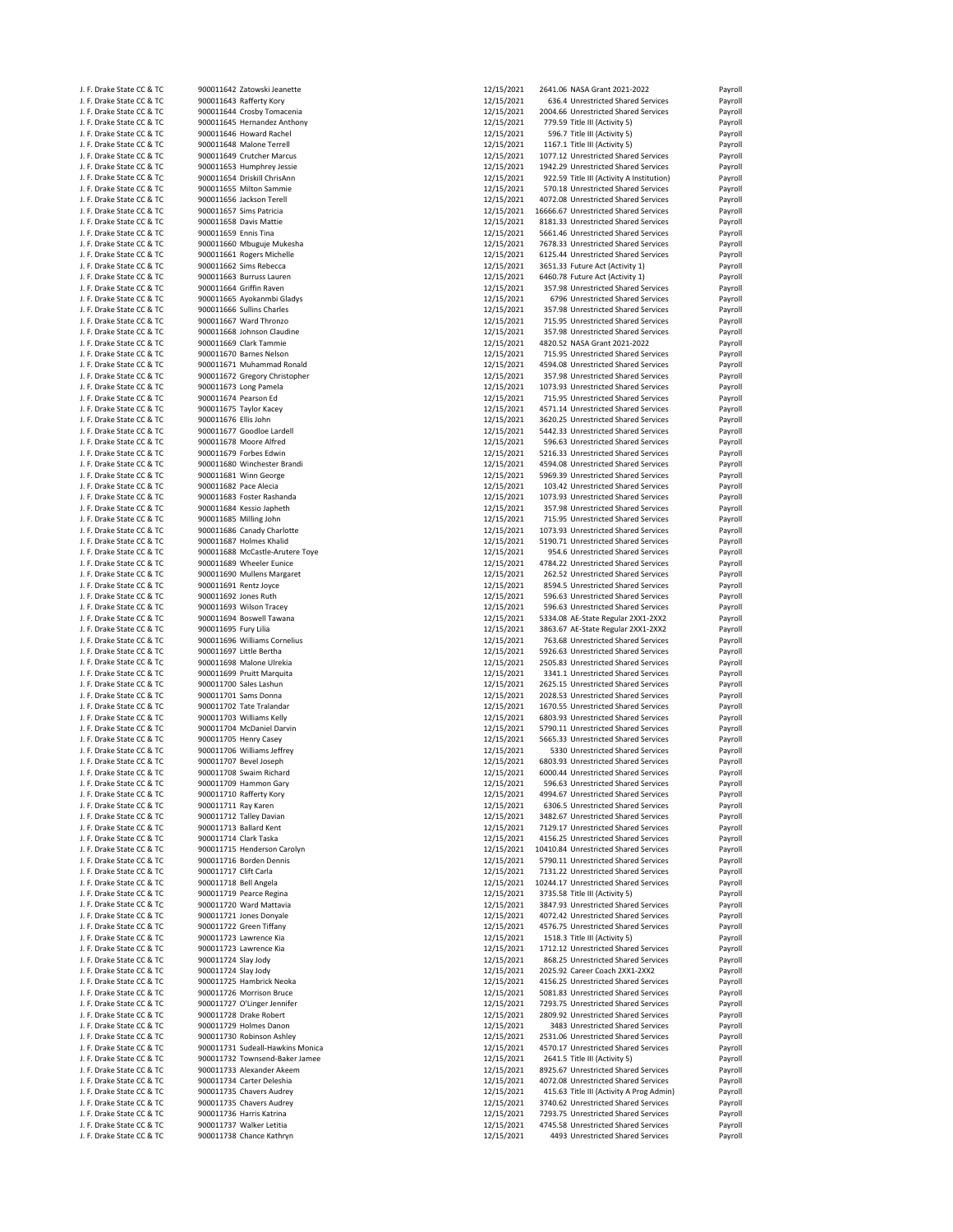| J. F. Drake State CC & TC                              | 900011642 Zatowski Jeanette                       | 12/15/2021 | 2641.06 NASA Grant 2021-2022                                        | Payroll |
|--------------------------------------------------------|---------------------------------------------------|------------|---------------------------------------------------------------------|---------|
| J. F. Drake State CC & TC                              | 900011643 Rafferty Kory                           | 12/15/2021 | 636.4 Unrestricted Shared Services                                  | Payroll |
| J. F. Drake State CC & TC                              | 900011644 Crosby Tomacenia                        | 12/15/2021 | 2004.66 Unrestricted Shared Services                                | Payroll |
| J. F. Drake State CC & TC                              | 900011645 Hernandez Anthony                       | 12/15/2021 | 779.59 Title III (Activity 5)                                       | Payroll |
| J. F. Drake State CC & TC                              | 900011646 Howard Rachel                           | 12/15/2021 | 596.7 Title III (Activity 5)                                        | Payroll |
| J. F. Drake State CC & TC                              | 900011648 Malone Terrell                          | 12/15/2021 | 1167.1 Title III (Activity 5)                                       | Payroll |
| J. F. Drake State CC & TC                              |                                                   | 12/15/2021 | 1077.12 Unrestricted Shared Services                                |         |
|                                                        | 900011649 Crutcher Marcus                         | 12/15/2021 |                                                                     | Payroll |
| J. F. Drake State CC & TC                              | 900011653 Humphrey Jessie                         |            | 1942.29 Unrestricted Shared Services                                | Payroll |
| J. F. Drake State CC & TC                              | 900011654 Driskill ChrisAnn                       | 12/15/2021 | 922.59 Title III (Activity A Institution)                           | Payroll |
| J. F. Drake State CC & TC                              | 900011655 Milton Sammie                           | 12/15/2021 | 570.18 Unrestricted Shared Services                                 | Payroll |
| J. F. Drake State CC & TC                              | 900011656 Jackson Terell                          | 12/15/2021 | 4072.08 Unrestricted Shared Services                                | Payroll |
| J. F. Drake State CC & TC                              | 900011657 Sims Patricia                           | 12/15/2021 | 16666.67 Unrestricted Shared Services                               | Payroll |
| J. F. Drake State CC & TC                              | 900011658 Davis Mattie                            | 12/15/2021 | 8181.33 Unrestricted Shared Services                                | Payroll |
| J. F. Drake State CC & TC                              | 900011659 Ennis Tina                              | 12/15/2021 | 5661.46 Unrestricted Shared Services                                | Payroll |
| J. F. Drake State CC & TC                              | 900011660 Mbuguje Mukesha                         | 12/15/2021 | 7678.33 Unrestricted Shared Services                                | Payroll |
| J. F. Drake State CC & TC                              | 900011661 Rogers Michelle                         | 12/15/2021 | 6125.44 Unrestricted Shared Services                                | Payroll |
| J. F. Drake State CC & TC                              | 900011662 Sims Rebecca                            | 12/15/2021 | 3651.33 Future Act (Activity 1)                                     | Payroll |
| J. F. Drake State CC & TC                              | 900011663 Burruss Lauren                          | 12/15/2021 | 6460.78 Future Act (Activity 1)                                     | Payroll |
| J. F. Drake State CC & TC                              | 900011664 Griffin Raven                           | 12/15/2021 | 357.98 Unrestricted Shared Services                                 | Payroll |
| J. F. Drake State CC & TC                              | 900011665 Ayokanmbi Gladys                        | 12/15/2021 | 6796 Unrestricted Shared Services                                   | Payroll |
| J. F. Drake State CC & TC                              | 900011666 Sullins Charles                         | 12/15/2021 | 357.98 Unrestricted Shared Services                                 | Payroll |
| J. F. Drake State CC & TC                              | 900011667 Ward Thronzo                            | 12/15/2021 | 715.95 Unrestricted Shared Services                                 | Payroll |
| J. F. Drake State CC & TC                              | 900011668 Johnson Claudine                        | 12/15/2021 | 357.98 Unrestricted Shared Services                                 | Payroll |
|                                                        |                                                   |            |                                                                     |         |
| J. F. Drake State CC & TC<br>J. F. Drake State CC & TC | 900011669 Clark Tammie<br>900011670 Barnes Nelson | 12/15/2021 | 4820.52 NASA Grant 2021-2022<br>715.95 Unrestricted Shared Services | Payroll |
|                                                        |                                                   | 12/15/2021 |                                                                     | Payroll |
| J. F. Drake State CC & TC                              | 900011671 Muhammad Ronald                         | 12/15/2021 | 4594.08 Unrestricted Shared Services                                | Payroll |
| J. F. Drake State CC & TC                              | 900011672 Gregory Christopher                     | 12/15/2021 | 357.98 Unrestricted Shared Services                                 | Payroll |
| J. F. Drake State CC & TC                              | 900011673 Long Pamela                             | 12/15/2021 | 1073.93 Unrestricted Shared Services                                | Payroll |
| J. F. Drake State CC & TC                              | 900011674 Pearson Ed                              | 12/15/2021 | 715.95 Unrestricted Shared Services                                 | Payroll |
| J. F. Drake State CC & TC                              | 900011675 Taylor Kacey                            | 12/15/2021 | 4571.14 Unrestricted Shared Services                                | Payroll |
| J. F. Drake State CC & TC                              | 900011676 Ellis John                              | 12/15/2021 | 3620.25 Unrestricted Shared Services                                | Payroll |
| J. F. Drake State CC & TC                              | 900011677 Goodloe Lardell                         | 12/15/2021 | 5442.33 Unrestricted Shared Services                                | Payroll |
| J. F. Drake State CC & TC                              | 900011678 Moore Alfred                            | 12/15/2021 | 596.63 Unrestricted Shared Services                                 | Payroll |
| J. F. Drake State CC & TC                              | 900011679 Forbes Edwin                            | 12/15/2021 | 5216.33 Unrestricted Shared Services                                | Payroll |
| J. F. Drake State CC & TC                              | 900011680 Winchester Brandi                       | 12/15/2021 | 4594.08 Unrestricted Shared Services                                | Payroll |
| J. F. Drake State CC & TC                              | 900011681 Winn George                             | 12/15/2021 | 5969.39 Unrestricted Shared Services                                | Payroll |
| J. F. Drake State CC & TC                              | 900011682 Pace Alecia                             | 12/15/2021 | 103.42 Unrestricted Shared Services                                 | Payroll |
| J. F. Drake State CC & TC                              | 900011683 Foster Rashanda                         | 12/15/2021 | 1073.93 Unrestricted Shared Services                                | Payroll |
| J. F. Drake State CC & TC                              | 900011684 Kessio Japheth                          | 12/15/2021 | 357.98 Unrestricted Shared Services                                 | Payroll |
| J. F. Drake State CC & TC                              | 900011685 Milling John                            | 12/15/2021 | 715.95 Unrestricted Shared Services                                 | Payroll |
| J. F. Drake State CC & TC                              | 900011686 Canady Charlotte                        | 12/15/2021 | 1073.93 Unrestricted Shared Services                                | Payroll |
|                                                        |                                                   |            |                                                                     |         |
| J. F. Drake State CC & TC                              | 900011687 Holmes Khalid                           | 12/15/2021 | 5190.71 Unrestricted Shared Services                                | Payroll |
| J. F. Drake State CC & TC                              | 900011688 McCastle-Arutere Toye                   | 12/15/2021 | 954.6 Unrestricted Shared Services                                  | Payroll |
| J. F. Drake State CC & TC                              | 900011689 Wheeler Eunice                          | 12/15/2021 | 4784.22 Unrestricted Shared Services                                | Payroll |
| J. F. Drake State CC & TC                              | 900011690 Mullens Margaret                        | 12/15/2021 | 262.52 Unrestricted Shared Services                                 | Payroll |
| J. F. Drake State CC & TC                              | 900011691 Rentz Joyce                             | 12/15/2021 | 8594.5 Unrestricted Shared Services                                 | Payroll |
| J. F. Drake State CC & TC                              | 900011692 Jones Ruth                              | 12/15/2021 | 596.63 Unrestricted Shared Services                                 | Payroll |
| J. F. Drake State CC & TC                              | 900011693 Wilson Tracey                           | 12/15/2021 | 596.63 Unrestricted Shared Services                                 | Payroll |
| J. F. Drake State CC & TC                              | 900011694 Boswell Tawana                          | 12/15/2021 | 5334.08 AE-State Regular 2XX1-2XX2                                  | Payroll |
| J. F. Drake State CC & TC                              | 900011695 Fury Lilia                              | 12/15/2021 | 3863.67 AE-State Regular 2XX1-2XX2                                  | Payroll |
| J. F. Drake State CC & TC                              | 900011696 Williams Cornelius                      | 12/15/2021 | 763.68 Unrestricted Shared Services                                 | Payroll |
| J. F. Drake State CC & TC                              | 900011697 Little Bertha                           | 12/15/2021 | 5926.63 Unrestricted Shared Services                                | Payroll |
| J. F. Drake State CC & TC                              | 900011698 Malone Ulrekia                          | 12/15/2021 | 2505.83 Unrestricted Shared Services                                | Payroll |
| J. F. Drake State CC & TC                              | 900011699 Pruitt Marquita                         | 12/15/2021 | 3341.1 Unrestricted Shared Services                                 | Payroll |
| J. F. Drake State CC & TC                              | 900011700 Sales Lashun                            | 12/15/2021 | 2625.15 Unrestricted Shared Services                                | Payroll |
| J. F. Drake State CC & TC                              | 900011701 Sams Donna                              | 12/15/2021 | 2028.53 Unrestricted Shared Services                                | Payroll |
|                                                        |                                                   |            |                                                                     |         |
| J. F. Drake State CC & TC                              | 900011702 Tate Tralandar                          | 12/15/2021 | 1670.55 Unrestricted Shared Services                                | Payroll |
| J. F. Drake State CC & TC                              | 900011703 Williams Kelly                          | 12/15/2021 | 6803.93 Unrestricted Shared Services                                | Payroll |
| J. F. Drake State CC & TC                              | 900011704 McDaniel Darvin                         | 12/15/2021 | 5790.11 Unrestricted Shared Services                                | Payroll |
| J. F. Drake State CC & TC                              | 900011705 Henry Casey                             | 12/15/2021 | 5665.33 Unrestricted Shared Services                                | Payroll |
| J. F. Drake State CC & TC                              | 900011706 Williams Jeffrey                        | 12/15/2021 | 5330 Unrestricted Shared Services                                   | Payroll |
| J. F. Drake State CC & TC                              | 900011707 Bevel Joseph                            | 12/15/2021 | 6803.93 Unrestricted Shared Services                                | Payroll |
| J. F. Drake State CC & TC                              | 900011708 Swaim Richard                           | 12/15/2021 | 6000.44 Unrestricted Shared Services                                | Payroll |
| J. F. Drake State CC & TC                              | 900011709 Hammon Gary                             | 12/15/2021 | 596.63 Unrestricted Shared Services                                 | Payroll |
| J. F. Drake State CC & TC                              | 900011710 Rafferty Kory                           | 12/15/2021 | 4994.67 Unrestricted Shared Services                                | Payroll |
| J. F. Drake State CC & TC                              | 900011711 Ray Karen                               | 12/15/2021 | 6306.5 Unrestricted Shared Services                                 | Payroll |
| J. F. Drake State CC & TC                              | 900011712 Talley Davian                           | 12/15/2021 | 3482.67 Unrestricted Shared Services                                | Payroll |
| J. F. Drake State CC & TC                              | 900011713 Ballard Kent                            | 12/15/2021 | 7129.17 Unrestricted Shared Services                                | Payroll |
| J. F. Drake State CC & TC                              | 900011714 Clark Taska                             | 12/15/2021 | 4156.25 Unrestricted Shared Services                                | Payroll |
| J. F. Drake State CC & TC                              | 900011715 Henderson Carolyn                       | 12/15/2021 | 10410.84 Unrestricted Shared Services                               | Payroll |
| J. F. Drake State CC & TC                              | 900011716 Borden Dennis                           | 12/15/2021 | 5790.11 Unrestricted Shared Services                                | Payroll |
| J. F. Drake State CC & TC                              | 900011717 Clift Carla                             | 12/15/2021 | 7131.22 Unrestricted Shared Services                                | Payroll |
| J. F. Drake State CC & TC                              | 900011718 Bell Angela                             | 12/15/2021 | 10244.17 Unrestricted Shared Services                               | Payroll |
| J. F. Drake State CC & TC                              | 900011719 Pearce Regina                           | 12/15/2021 | 3735.58 Title III (Activity 5)                                      | Payroll |
| J. F. Drake State CC & TC                              | 900011720 Ward Mattavia                           | 12/15/2021 | 3847.93 Unrestricted Shared Services                                | Payroll |
|                                                        |                                                   |            |                                                                     |         |
| J. F. Drake State CC & TC                              | 900011721 Jones Donyale                           | 12/15/2021 | 4072.42 Unrestricted Shared Services                                | Payroll |
| J. F. Drake State CC & TC                              | 900011722 Green Tiffany                           | 12/15/2021 | 4576.75 Unrestricted Shared Services                                | Payroll |
| J. F. Drake State CC & TC                              | 900011723 Lawrence Kia                            | 12/15/2021 | 1518.3 Title III (Activity 5)                                       | Payroll |
| J. F. Drake State CC & TC                              | 900011723 Lawrence Kia                            | 12/15/2021 | 1712.12 Unrestricted Shared Services                                | Payroll |
| J. F. Drake State CC & TC                              | 900011724 Slay Jody                               | 12/15/2021 | 868.25 Unrestricted Shared Services                                 | Payroll |
| J. F. Drake State CC & TC                              | 900011724 Slay Jody                               | 12/15/2021 | 2025.92 Career Coach 2XX1-2XX2                                      | Payroll |
| J. F. Drake State CC & TC                              | 900011725 Hambrick Neoka                          | 12/15/2021 | 4156.25 Unrestricted Shared Services                                | Payroll |
| J. F. Drake State CC & TC                              | 900011726 Morrison Bruce                          | 12/15/2021 | 5081.83 Unrestricted Shared Services                                | Payroll |
| J. F. Drake State CC & TC                              | 900011727 O'Linger Jennifer                       | 12/15/2021 | 7293.75 Unrestricted Shared Services                                | Payroll |
| J. F. Drake State CC & TC                              | 900011728 Drake Robert                            | 12/15/2021 | 2809.92 Unrestricted Shared Services                                | Payroll |
| J. F. Drake State CC & TC                              | 900011729 Holmes Danon                            | 12/15/2021 | 3483 Unrestricted Shared Services                                   | Payroll |
| J. F. Drake State CC & TC                              | 900011730 Robinson Ashley                         | 12/15/2021 | 2531.06 Unrestricted Shared Services                                | Payroll |
| J. F. Drake State CC & TC                              | 900011731 Sudeall-Hawkins Monica                  | 12/15/2021 | 4570.17 Unrestricted Shared Services                                | Payroll |
| J. F. Drake State CC & TC                              | 900011732 Townsend-Baker Jamee                    | 12/15/2021 | 2641.5 Title III (Activity 5)                                       | Payroll |
| J. F. Drake State CC & TC                              | 900011733 Alexander Akeem                         | 12/15/2021 | 8925.67 Unrestricted Shared Services                                | Payroll |
| J. F. Drake State CC & TC                              | 900011734 Carter Deleshia                         | 12/15/2021 | 4072.08 Unrestricted Shared Services                                | Payroll |
| J. F. Drake State CC & TC                              | 900011735 Chavers Audrey                          |            | 415.63 Title III (Activity A Prog Admin)                            | Payroll |
|                                                        |                                                   | 12/15/2021 |                                                                     |         |
| J. F. Drake State CC & TC                              | 900011735 Chavers Audrey                          | 12/15/2021 | 3740.62 Unrestricted Shared Services                                | Payroll |
| J. F. Drake State CC & TC                              | 900011736 Harris Katrina                          | 12/15/2021 | 7293.75 Unrestricted Shared Services                                | Payroll |
| J. F. Drake State CC & TC                              | 900011737 Walker Letitia                          | 12/15/2021 | 4745.58 Unrestricted Shared Services                                | Payroll |
| J. F. Drake State CC & TC                              | 900011738 Chance Kathryn                          | 12/15/2021 | 4493 Unrestricted Shared Services                                   | Payroll |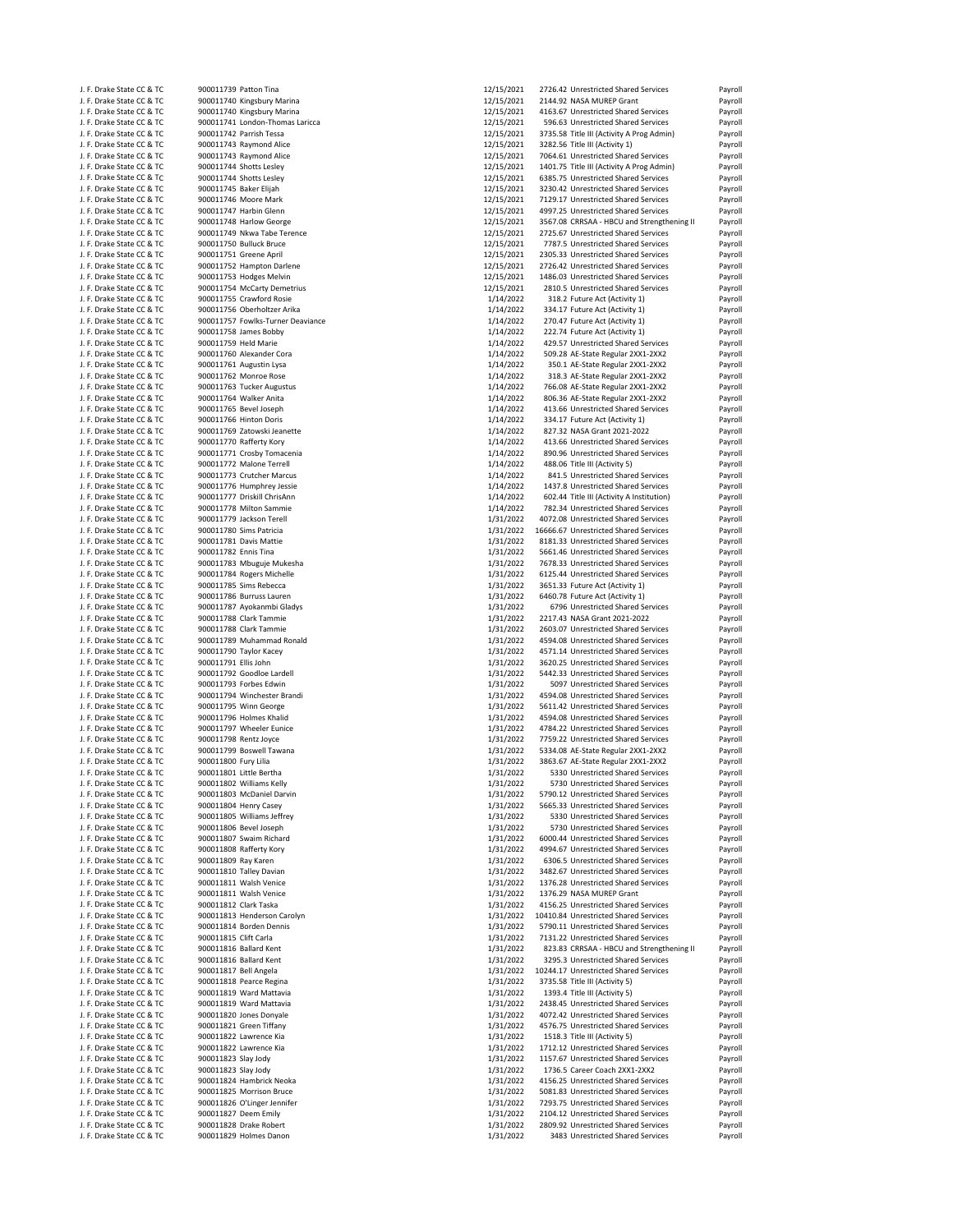| J. F. Drake State CC & TC | 900011739 Patton Tina             | 12/15/2021 | 2726.42 Unrestricted Shared Services       | Payroll |
|---------------------------|-----------------------------------|------------|--------------------------------------------|---------|
| J. F. Drake State CC & TC | 900011740 Kingsbury Marina        | 12/15/2021 | 2144.92 NASA MUREP Grant                   | Payroll |
| J. F. Drake State CC & TC | 900011740 Kingsbury Marina        | 12/15/2021 | 4163.67 Unrestricted Shared Services       | Payroll |
| J. F. Drake State CC & TC | 900011741 London-Thomas Laricca   | 12/15/2021 | 596.63 Unrestricted Shared Services        | Payroll |
|                           |                                   |            |                                            |         |
| J. F. Drake State CC & TC | 900011742 Parrish Tessa           | 12/15/2021 | 3735.58 Title III (Activity A Prog Admin)  | Payroll |
| J. F. Drake State CC & TC | 900011743 Raymond Alice           | 12/15/2021 | 3282.56 Title III (Activity 1)             | Payroll |
| J. F. Drake State CC & TC | 900011743 Raymond Alice           | 12/15/2021 | 7064.61 Unrestricted Shared Services       | Payroll |
| J. F. Drake State CC & TC | 900011744 Shotts Lesley           | 12/15/2021 | 1401.75 Title III (Activity A Prog Admin)  | Payroll |
| J. F. Drake State CC & TC | 900011744 Shotts Lesley           | 12/15/2021 | 6385.75 Unrestricted Shared Services       | Payroll |
|                           |                                   |            |                                            |         |
| J. F. Drake State CC & TC | 900011745 Baker Elijah            | 12/15/2021 | 3230.42 Unrestricted Shared Services       | Payroll |
| J. F. Drake State CC & TC | 900011746 Moore Mark              | 12/15/2021 | 7129.17 Unrestricted Shared Services       | Payroll |
| J. F. Drake State CC & TC | 900011747 Harbin Glenn            | 12/15/2021 | 4997.25 Unrestricted Shared Services       | Payroll |
| J. F. Drake State CC & TC | 900011748 Harlow George           | 12/15/2021 | 3567.08 CRRSAA - HBCU and Strengthening II | Payroll |
|                           |                                   |            |                                            |         |
| J. F. Drake State CC & TC | 900011749 Nkwa Tabe Terence       | 12/15/2021 | 2725.67 Unrestricted Shared Services       | Payroll |
| J. F. Drake State CC & TC | 900011750 Bulluck Bruce           | 12/15/2021 | 7787.5 Unrestricted Shared Services        | Payroll |
| J. F. Drake State CC & TC | 900011751 Greene April            | 12/15/2021 | 2305.33 Unrestricted Shared Services       | Payroll |
| J. F. Drake State CC & TC | 900011752 Hampton Darlene         | 12/15/2021 | 2726.42 Unrestricted Shared Services       | Payroll |
| J. F. Drake State CC & TC | 900011753 Hodges Melvin           | 12/15/2021 | 1486.03 Unrestricted Shared Services       | Payroll |
|                           | 900011754 McCarty Demetrius       | 12/15/2021 |                                            |         |
| J. F. Drake State CC & TC |                                   |            | 2810.5 Unrestricted Shared Services        | Payroll |
| J. F. Drake State CC & TC | 900011755 Crawford Rosie          | 1/14/2022  | 318.2 Future Act (Activity 1)              | Payroll |
| J. F. Drake State CC & TC | 900011756 Oberholtzer Arika       | 1/14/2022  | 334.17 Future Act (Activity 1)             | Payroll |
| J. F. Drake State CC & TC | 900011757 Fowlks-Turner Deaviance | 1/14/2022  | 270.47 Future Act (Activity 1)             | Payroll |
| J. F. Drake State CC & TC | 900011758 James Bobby             | 1/14/2022  | 222.74 Future Act (Activity 1)             | Payroll |
| J. F. Drake State CC & TC | 900011759 Held Marie              | 1/14/2022  | 429.57 Unrestricted Shared Services        | Payroll |
|                           |                                   |            |                                            |         |
| J. F. Drake State CC & TC | 900011760 Alexander Cora          | 1/14/2022  | 509.28 AE-State Regular 2XX1-2XX2          | Payroll |
| J. F. Drake State CC & TC | 900011761 Augustin Lysa           | 1/14/2022  | 350.1 AE-State Regular 2XX1-2XX2           | Payroll |
| J. F. Drake State CC & TC | 900011762 Monroe Rose             | 1/14/2022  | 318.3 AE-State Regular 2XX1-2XX2           | Payroll |
| J. F. Drake State CC & TC | 900011763 Tucker Augustus         | 1/14/2022  | 766.08 AE-State Regular 2XX1-2XX2          | Payroll |
| J. F. Drake State CC & TC | 900011764 Walker Anita            | 1/14/2022  | 806.36 AE-State Regular 2XX1-2XX2          | Payroll |
| J. F. Drake State CC & TC | 900011765 Bevel Joseph            | 1/14/2022  | 413.66 Unrestricted Shared Services        |         |
|                           |                                   |            |                                            | Payroll |
| J. F. Drake State CC & TC | 900011766 Hinton Doris            | 1/14/2022  | 334.17 Future Act (Activity 1)             | Payroll |
| J. F. Drake State CC & TC | 900011769 Zatowski Jeanette       | 1/14/2022  | 827.32 NASA Grant 2021-2022                | Payroll |
| J. F. Drake State CC & TC | 900011770 Rafferty Kory           | 1/14/2022  | 413.66 Unrestricted Shared Services        | Payroll |
| J. F. Drake State CC & TC | 900011771 Crosby Tomacenia        | 1/14/2022  | 890.96 Unrestricted Shared Services        | Payroll |
| J. F. Drake State CC & TC | 900011772 Malone Terrell          | 1/14/2022  | 488.06 Title III (Activity 5)              |         |
|                           |                                   |            |                                            | Payroll |
| J. F. Drake State CC & TC | 900011773 Crutcher Marcus         | 1/14/2022  | 841.5 Unrestricted Shared Services         | Payroll |
| J. F. Drake State CC & TC | 900011776 Humphrey Jessie         | 1/14/2022  | 1437.8 Unrestricted Shared Services        | Payroll |
| J. F. Drake State CC & TC | 900011777 Driskill ChrisAnn       | 1/14/2022  | 602.44 Title III (Activity A Institution)  | Payroll |
| J. F. Drake State CC & TC | 900011778 Milton Sammie           | 1/14/2022  | 782.34 Unrestricted Shared Services        | Payroll |
| J. F. Drake State CC & TC | 900011779 Jackson Terell          | 1/31/2022  | 4072.08 Unrestricted Shared Services       | Payroll |
| J. F. Drake State CC & TC | 900011780 Sims Patricia           | 1/31/2022  | 16666.67 Unrestricted Shared Services      | Payroll |
|                           |                                   |            |                                            |         |
| J. F. Drake State CC & TC | 900011781 Davis Mattie            | 1/31/2022  | 8181.33 Unrestricted Shared Services       | Payroll |
| J. F. Drake State CC & TC | 900011782 Ennis Tina              | 1/31/2022  | 5661.46 Unrestricted Shared Services       | Payroll |
| J. F. Drake State CC & TC | 900011783 Mbuguje Mukesha         | 1/31/2022  | 7678.33 Unrestricted Shared Services       | Payroll |
| J. F. Drake State CC & TC | 900011784 Rogers Michelle         | 1/31/2022  | 6125.44 Unrestricted Shared Services       | Payroll |
| J. F. Drake State CC & TC | 900011785 Sims Rebecca            | 1/31/2022  | 3651.33 Future Act (Activity 1)            | Payroll |
| J. F. Drake State CC & TC | 900011786 Burruss Lauren          | 1/31/2022  | 6460.78 Future Act (Activity 1)            | Payroll |
| J. F. Drake State CC & TC | 900011787 Ayokanmbi Gladys        | 1/31/2022  | 6796 Unrestricted Shared Services          | Payroll |
| J. F. Drake State CC & TC | 900011788 Clark Tammie            | 1/31/2022  | 2217.43 NASA Grant 2021-2022               | Payroll |
|                           |                                   |            |                                            |         |
| J. F. Drake State CC & TC | 900011788 Clark Tammie            | 1/31/2022  | 2603.07 Unrestricted Shared Services       | Payroll |
| J. F. Drake State CC & TC | 900011789 Muhammad Ronald         | 1/31/2022  | 4594.08 Unrestricted Shared Services       | Payroll |
| J. F. Drake State CC & TC | 900011790 Taylor Kacey            | 1/31/2022  | 4571.14 Unrestricted Shared Services       | Payroll |
| J. F. Drake State CC & TC | 900011791 Ellis John              | 1/31/2022  | 3620.25 Unrestricted Shared Services       | Payroll |
| J. F. Drake State CC & TC | 900011792 Goodloe Lardell         | 1/31/2022  | 5442.33 Unrestricted Shared Services       | Payroll |
| J. F. Drake State CC & TC | 900011793 Forbes Edwin            | 1/31/2022  | 5097 Unrestricted Shared Services          | Payroll |
| J. F. Drake State CC & TC | 900011794 Winchester Brandi       | 1/31/2022  | 4594.08 Unrestricted Shared Services       | Payroll |
| J. F. Drake State CC & TC | 900011795 Winn George             | 1/31/2022  | 5611.42 Unrestricted Shared Services       | Payroll |
|                           |                                   |            |                                            |         |
| J. F. Drake State CC & TC | 900011796 Holmes Khalid           | 1/31/2022  | 4594.08 Unrestricted Shared Services       | Payroll |
| J. F. Drake State CC & TC | 900011797 Wheeler Eunice          | 1/31/2022  | 4784.22 Unrestricted Shared Services       | Payroll |
| J. F. Drake State CC & TC | 900011798 Rentz Joyce             | 1/31/2022  | 7759.22 Unrestricted Shared Services       | Payroll |
| J. F. Drake State CC & TC | 900011799 Boswell Tawana          | 1/31/2022  | 5334.08 AE-State Regular 2XX1-2XX2         | Payroll |
| J. F. Drake State CC & TC | 900011800 Fury Lilia              | 1/31/2022  | 3863.67 AE-State Regular 2XX1-2XX2         | Payroll |
| J. F. Drake State CC & TC | 900011801 Little Bertha           | 1/31/2022  | 5330 Unrestricted Shared Services          | Payroll |
|                           |                                   |            |                                            |         |
| J. F. Drake State CC & TC | 900011802 Williams Kelly          | 1/31/2022  | 5730 Unrestricted Shared Services          | Payroll |
| J. F. Drake State CC & TC | 900011803 McDaniel Darvin         | 1/31/2022  | 5790.12 Unrestricted Shared Services       | Payroll |
| J. F. Drake State CC & TC | 900011804 Henry Casey             | 1/31/2022  | 5665.33 Unrestricted Shared Services       | Payroll |
| J. F. Drake State CC & TC | 900011805 Williams Jeffrey        | 1/31/2022  | 5330 Unrestricted Shared Services          | Payroll |
| J. F. Drake State CC & TC | 900011806 Bevel Joseph            | 1/31/2022  | 5730 Unrestricted Shared Services          | Payroll |
| J. F. Drake State CC & TC | 900011807 Swaim Richard           | 1/31/2022  | 6000.44 Unrestricted Shared Services       | Payroll |
| J. F. Drake State CC & TC |                                   |            | 4994.67 Unrestricted Shared Services       |         |
|                           | 900011808 Rafferty Kory           | 1/31/2022  |                                            | Payroll |
| J. F. Drake State CC & TC | 900011809 Ray Karen               | 1/31/2022  | 6306.5 Unrestricted Shared Services        | Payroll |
| J. F. Drake State CC & TC | 900011810 Talley Davian           | 1/31/2022  | 3482.67 Unrestricted Shared Services       | Payroll |
| J. F. Drake State CC & TC | 900011811 Walsh Venice            | 1/31/2022  | 1376.28 Unrestricted Shared Services       | Payroll |
| J. F. Drake State CC & TC | 900011811 Walsh Venice            | 1/31/2022  | 1376.29 NASA MUREP Grant                   | Payroll |
| J. F. Drake State CC & TC | 900011812 Clark Taska             | 1/31/2022  | 4156.25 Unrestricted Shared Services       | Payroll |
| J. F. Drake State CC & TC | 900011813 Henderson Carolyn       | 1/31/2022  | 10410.84 Unrestricted Shared Services      | Payroll |
|                           |                                   |            | 5790.11 Unrestricted Shared Services       |         |
| J. F. Drake State CC & TC | 900011814 Borden Dennis           | 1/31/2022  |                                            | Payroll |
| J. F. Drake State CC & TC | 900011815 Clift Carla             | 1/31/2022  | 7131.22 Unrestricted Shared Services       | Payroll |
| J. F. Drake State CC & TC | 900011816 Ballard Kent            | 1/31/2022  | 823.83 CRRSAA - HBCU and Strengthening II  | Payroll |
| J. F. Drake State CC & TC | 900011816 Ballard Kent            | 1/31/2022  | 3295.3 Unrestricted Shared Services        | Payroll |
| J. F. Drake State CC & TC | 900011817 Bell Angela             | 1/31/2022  | 10244.17 Unrestricted Shared Services      | Payroll |
| J. F. Drake State CC & TC | 900011818 Pearce Regina           | 1/31/2022  | 3735.58 Title III (Activity 5)             | Payroll |
| J. F. Drake State CC & TC | 900011819 Ward Mattavia           | 1/31/2022  | 1393.4 Title III (Activity 5)              | Payroll |
| J. F. Drake State CC & TC | 900011819 Ward Mattavia           | 1/31/2022  | 2438.45 Unrestricted Shared Services       |         |
|                           |                                   |            |                                            | Payroll |
| J. F. Drake State CC & TC | 900011820 Jones Donyale           | 1/31/2022  | 4072.42 Unrestricted Shared Services       | Payroll |
| J. F. Drake State CC & TC | 900011821 Green Tiffany           | 1/31/2022  | 4576.75 Unrestricted Shared Services       | Payroll |
| J. F. Drake State CC & TC | 900011822 Lawrence Kia            | 1/31/2022  | 1518.3 Title III (Activity 5)              | Payroll |
| J. F. Drake State CC & TC | 900011822 Lawrence Kia            | 1/31/2022  | 1712.12 Unrestricted Shared Services       | Payroll |
| J. F. Drake State CC & TC | 900011823 Slay Jody               | 1/31/2022  | 1157.67 Unrestricted Shared Services       | Payroll |
| J. F. Drake State CC & TC | 900011823 Slay Jody               | 1/31/2022  | 1736.5 Career Coach 2XX1-2XX2              | Payroll |
| J. F. Drake State CC & TC | 900011824 Hambrick Neoka          | 1/31/2022  | 4156.25 Unrestricted Shared Services       | Payroll |
| J. F. Drake State CC & TC | 900011825 Morrison Bruce          |            | 5081.83 Unrestricted Shared Services       |         |
|                           |                                   | 1/31/2022  |                                            | Payroll |
| J. F. Drake State CC & TC | 900011826 O'Linger Jennifer       | 1/31/2022  | 7293.75 Unrestricted Shared Services       | Payroll |
| J. F. Drake State CC & TC | 900011827 Deem Emily              | 1/31/2022  | 2104.12 Unrestricted Shared Services       | Payroll |
| J. F. Drake State CC & TC | 900011828 Drake Robert            | 1/31/2022  | 2809.92 Unrestricted Shared Services       | Payroll |
| J. F. Drake State CC & TC | 900011829 Holmes Danon            | 1/31/2022  | 3483 Unrestricted Shared Services          | Payroll |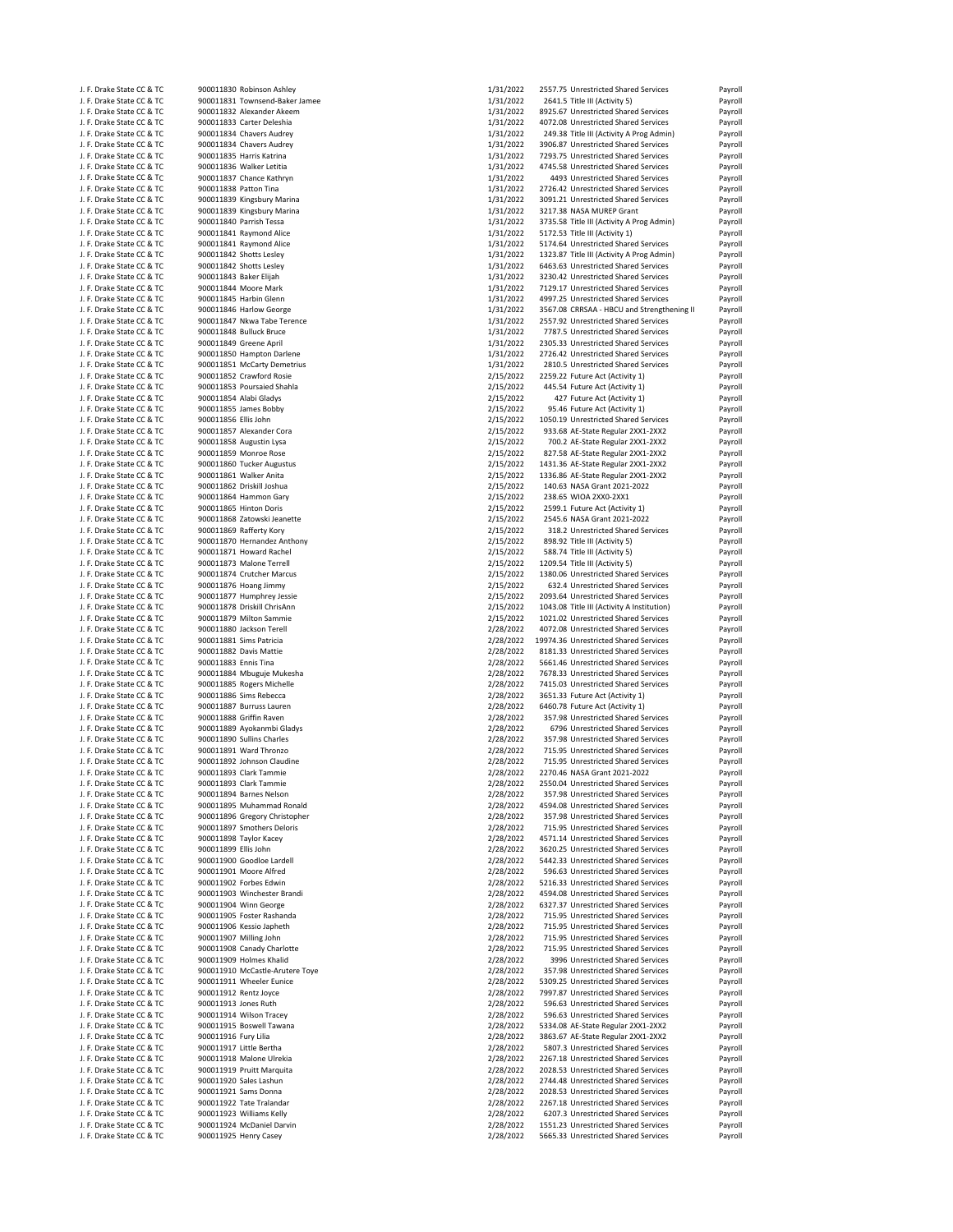| J. F. Drake State CC & TC                              |                                                    |                        | 2557.75 Unrestricted Shared Services                                         |                                          |
|--------------------------------------------------------|----------------------------------------------------|------------------------|------------------------------------------------------------------------------|------------------------------------------|
|                                                        | 900011830 Robinson Ashley                          | 1/31/2022              |                                                                              | Payroll                                  |
| J. F. Drake State CC & TC                              | 900011831 Townsend-Baker Jamee                     | 1/31/2022              | 2641.5 Title III (Activity 5)                                                | Payroll                                  |
| J. F. Drake State CC & TC                              | 900011832 Alexander Akeem                          | 1/31/2022              | 8925.67 Unrestricted Shared Services                                         | Payroll                                  |
| J. F. Drake State CC & TC                              | 900011833 Carter Deleshia                          | 1/31/2022              | 4072.08 Unrestricted Shared Services                                         | Payroll                                  |
| J. F. Drake State CC & TC                              | 900011834 Chavers Audrey                           | 1/31/2022              | 249.38 Title III (Activity A Prog Admin)                                     | Payroll                                  |
| J. F. Drake State CC & TC                              | 900011834 Chavers Audrey                           | 1/31/2022              | 3906.87 Unrestricted Shared Services                                         | Payroll                                  |
| J. F. Drake State CC & TC                              | 900011835 Harris Katrina                           | 1/31/2022              | 7293.75 Unrestricted Shared Services                                         | Payroll                                  |
| J. F. Drake State CC & TC                              | 900011836 Walker Letitia                           | 1/31/2022              | 4745.58 Unrestricted Shared Services                                         | Payroll                                  |
|                                                        |                                                    |                        |                                                                              |                                          |
| J. F. Drake State CC & TC                              | 900011837 Chance Kathryn                           | 1/31/2022              | 4493 Unrestricted Shared Services                                            | Payroll                                  |
| J. F. Drake State CC & TC                              | 900011838 Patton Tina                              | 1/31/2022              | 2726.42 Unrestricted Shared Services                                         | Payroll                                  |
| J. F. Drake State CC & TC                              | 900011839 Kingsbury Marina                         | 1/31/2022              | 3091.21 Unrestricted Shared Services                                         | Payroll                                  |
| J. F. Drake State CC & TC                              | 900011839 Kingsbury Marina                         | 1/31/2022              | 3217.38 NASA MUREP Grant                                                     | Payroll                                  |
| J. F. Drake State CC & TC                              | 900011840 Parrish Tessa                            | 1/31/2022              | 3735.58 Title III (Activity A Prog Admin)                                    | Payroll                                  |
|                                                        |                                                    |                        |                                                                              |                                          |
| J. F. Drake State CC & TC                              | 900011841 Raymond Alice                            | 1/31/2022              | 5172.53 Title III (Activity 1)                                               | Payroll                                  |
| J. F. Drake State CC & TC                              | 900011841 Raymond Alice                            | 1/31/2022              | 5174.64 Unrestricted Shared Services                                         | Payroll                                  |
| J. F. Drake State CC & TC                              | 900011842 Shotts Lesley                            | 1/31/2022              | 1323.87 Title III (Activity A Prog Admin)                                    | Payroll                                  |
| J. F. Drake State CC & TC                              | 900011842 Shotts Lesley                            | 1/31/2022              | 6463.63 Unrestricted Shared Services                                         | Payroll                                  |
| J. F. Drake State CC & TC                              | 900011843 Baker Elijah                             | 1/31/2022              | 3230.42 Unrestricted Shared Services                                         | Payroll                                  |
| J. F. Drake State CC & TC                              | 900011844 Moore Mark                               | 1/31/2022              | 7129.17 Unrestricted Shared Services                                         | Payroll                                  |
|                                                        |                                                    |                        |                                                                              |                                          |
| J. F. Drake State CC & TC                              | 900011845 Harbin Glenn                             | 1/31/2022              | 4997.25 Unrestricted Shared Services                                         | Payroll                                  |
| J. F. Drake State CC & TC                              | 900011846 Harlow George                            | 1/31/2022              | 3567.08 CRRSAA - HBCU and Strengthening II                                   | Payroll                                  |
| J. F. Drake State CC & TC                              | 900011847 Nkwa Tabe Terence                        | 1/31/2022              | 2557.92 Unrestricted Shared Services                                         | Payroll                                  |
| J. F. Drake State CC & TC                              | 900011848 Bulluck Bruce                            | 1/31/2022              | 7787.5 Unrestricted Shared Services                                          | Payroll                                  |
| J. F. Drake State CC & TC                              | 900011849 Greene April                             | 1/31/2022              | 2305.33 Unrestricted Shared Services                                         | Payroll                                  |
|                                                        |                                                    | 1/31/2022              | 2726.42 Unrestricted Shared Services                                         |                                          |
| J. F. Drake State CC & TC                              | 900011850 Hampton Darlene                          |                        |                                                                              | Payroll                                  |
| J. F. Drake State CC & TC                              | 900011851 McCarty Demetrius                        | 1/31/2022              | 2810.5 Unrestricted Shared Services                                          | Payroll                                  |
| J. F. Drake State CC & TC                              | 900011852 Crawford Rosie                           | 2/15/2022              | 2259.22 Future Act (Activity 1)                                              | Payroll                                  |
| J. F. Drake State CC & TC                              | 900011853 Poursaied Shahla                         | 2/15/2022              | 445.54 Future Act (Activity 1)                                               | Payroll                                  |
| J. F. Drake State CC & TC                              | 900011854 Alabi Gladys                             | 2/15/2022              | 427 Future Act (Activity 1)                                                  | Payroll                                  |
| J. F. Drake State CC & TC                              |                                                    |                        |                                                                              |                                          |
|                                                        | 900011855 James Bobby                              | 2/15/2022              | 95.46 Future Act (Activity 1)                                                | Payroll                                  |
| J. F. Drake State CC & TC                              | 900011856 Ellis John                               | 2/15/2022              | 1050.19 Unrestricted Shared Services                                         | Payroll                                  |
| J. F. Drake State CC & TC                              | 900011857 Alexander Cora                           | 2/15/2022              | 933.68 AE-State Regular 2XX1-2XX2                                            | Payroll                                  |
| J. F. Drake State CC & TC                              | 900011858 Augustin Lysa                            | 2/15/2022              | 700.2 AE-State Regular 2XX1-2XX2                                             | Payroll                                  |
| J. F. Drake State CC & TC                              | 900011859 Monroe Rose                              | 2/15/2022              | 827.58 AE-State Regular 2XX1-2XX2                                            | Payroll                                  |
| J. F. Drake State CC & TC                              | 900011860 Tucker Augustus                          | 2/15/2022              | 1431.36 AE-State Regular 2XX1-2XX2                                           | Payroll                                  |
|                                                        |                                                    |                        |                                                                              |                                          |
| J. F. Drake State CC & TC                              | 900011861 Walker Anita                             | 2/15/2022              | 1336.86 AE-State Regular 2XX1-2XX2                                           | Payroll                                  |
| J. F. Drake State CC & TC                              | 900011862 Driskill Joshua                          | 2/15/2022              | 140.63 NASA Grant 2021-2022                                                  | Payroll                                  |
| J. F. Drake State CC & TC                              | 900011864 Hammon Gary                              | 2/15/2022              | 238.65 WIOA 2XX0-2XX1                                                        | Payroll                                  |
| J. F. Drake State CC & TC                              | 900011865 Hinton Doris                             | 2/15/2022              | 2599.1 Future Act (Activity 1)                                               | Payroll                                  |
| J. F. Drake State CC & TC                              | 900011868 Zatowski Jeanette                        | 2/15/2022              | 2545.6 NASA Grant 2021-2022                                                  | Payroll                                  |
| J. F. Drake State CC & TC                              | 900011869 Rafferty Kory                            | 2/15/2022              | 318.2 Unrestricted Shared Services                                           | Payroll                                  |
|                                                        |                                                    |                        |                                                                              |                                          |
| J. F. Drake State CC & TC                              | 900011870 Hernandez Anthony                        | 2/15/2022              | 898.92 Title III (Activity 5)                                                | Payroll                                  |
| J. F. Drake State CC & TC                              | 900011871 Howard Rachel                            | 2/15/2022              | 588.74 Title III (Activity 5)                                                | Payroll                                  |
| J. F. Drake State CC & TC                              | 900011873 Malone Terrell                           | 2/15/2022              | 1209.54 Title III (Activity 5)                                               | Payroll                                  |
| J. F. Drake State CC & TC                              | 900011874 Crutcher Marcus                          | 2/15/2022              | 1380.06 Unrestricted Shared Services                                         | Payroll                                  |
| J. F. Drake State CC & TC                              | 900011876 Hoang Jimmy                              | 2/15/2022              | 632.4 Unrestricted Shared Services                                           | Payroll                                  |
|                                                        |                                                    | 2/15/2022              |                                                                              |                                          |
| J. F. Drake State CC & TC                              | 900011877 Humphrey Jessie                          |                        | 2093.64 Unrestricted Shared Services                                         | Payroll                                  |
| J. F. Drake State CC & TC                              | 900011878 Driskill ChrisAnn                        | 2/15/2022              | 1043.08 Title III (Activity A Institution)                                   | Payroll                                  |
| J. F. Drake State CC & TC                              | 900011879 Milton Sammie                            | 2/15/2022              | 1021.02 Unrestricted Shared Services                                         | Payroll                                  |
| J. F. Drake State CC & TC                              | 900011880 Jackson Terell                           | 2/28/2022              | 4072.08 Unrestricted Shared Services                                         | Payroll                                  |
| J. F. Drake State CC & TC                              | 900011881 Sims Patricia                            | 2/28/2022              | 19974.36 Unrestricted Shared Services                                        | Payroll                                  |
| J. F. Drake State CC & TC                              | 900011882 Davis Mattie                             | 2/28/2022              | 8181.33 Unrestricted Shared Services                                         | Payroll                                  |
|                                                        |                                                    |                        |                                                                              |                                          |
| J. F. Drake State CC & TC                              | 900011883 Ennis Tina                               | 2/28/2022              | 5661.46 Unrestricted Shared Services                                         | Payroll                                  |
| J. F. Drake State CC & TC                              | 900011884 Mbuguje Mukesha                          | 2/28/2022              | 7678.33 Unrestricted Shared Services                                         | Payroll                                  |
| J. F. Drake State CC & TC                              | 900011885 Rogers Michelle                          | 2/28/2022              | 7415.03 Unrestricted Shared Services                                         | Payroll                                  |
| J. F. Drake State CC & TC                              | 900011886 Sims Rebecca                             | 2/28/2022              | 3651.33 Future Act (Activity 1)                                              | Payroll                                  |
| J. F. Drake State CC & TC                              | 900011887 Burruss Lauren                           | 2/28/2022              | 6460.78 Future Act (Activity 1)                                              | Payroll                                  |
| J. F. Drake State CC & TC                              |                                                    |                        | 357.98 Unrestricted Shared Services                                          |                                          |
|                                                        | 900011888 Griffin Raven                            | 2/28/2022              |                                                                              | Payroll                                  |
| J. F. Drake State CC & TC                              | 900011889 Ayokanmbi Gladys                         | 2/28/2022              | 6796 Unrestricted Shared Services                                            | Payroll                                  |
| J. F. Drake State CC & TC                              | 900011890 Sullins Charles                          | 2/28/2022              | 357.98 Unrestricted Shared Services                                          | Payroll                                  |
| J. F. Drake State CC & TC                              | 900011891 Ward Thronzo                             | 2/28/2022              | 715.95 Unrestricted Shared Services                                          | Payroll                                  |
| J. F. Drake State CC & TC                              | 900011892 Johnson Claudine                         | 2/28/2022              | 715.95 Unrestricted Shared Services                                          | Payroll                                  |
| J. F. Drake State CC & TC                              | 900011893 Clark Tammie                             | 2/28/2022              | 2270.46 NASA Grant 2021-2022                                                 | Payroll                                  |
|                                                        |                                                    |                        |                                                                              |                                          |
| J. F. Drake State CC & TC                              | 900011893 Clark Tammie                             | 2/28/2022              | 2550.04 Unrestricted Shared Services                                         | Payroll                                  |
| J. F. Drake State CC & TC                              | 900011894 Barnes Nelson                            | 2/28/2022              | 357.98 Unrestricted Shared Services                                          | Payroll                                  |
| J. F. Drake State CC & TC                              | 900011895 Muhammad Ronald                          | 2/28/2022              | 4594.08 Unrestricted Shared Services                                         | Payroll                                  |
| J. F. Drake State CC & TC                              | 900011896 Gregory Christopher                      | 2/28/2022              | 357.98 Unrestricted Shared Services                                          | Payroll                                  |
| J. F. Drake State CC & TC                              | 900011897 Smothers Deloris                         | 2/28/2022              | 715.95 Unrestricted Shared Services                                          | Payroll                                  |
| J. F. Drake State CC & TC                              | 900011898 Taylor Kacey                             | 2/28/2022              | 4571.14 Unrestricted Shared Services                                         | Payroll                                  |
| J. F. Drake State CC & TC                              | 900011899 Ellis John                               | 2/28/2022              | 3620.25 Unrestricted Shared Services                                         | Payroll                                  |
|                                                        | 900011900 Goodloe Lardell                          |                        | 5442.33 Unrestricted Shared Services                                         |                                          |
| J. F. Drake State CC & TC                              |                                                    | 2/28/2022              |                                                                              | Payroll                                  |
| J. F. Drake State CC & TC                              |                                                    | 2/28/2022              | 596.63 Unrestricted Shared Services                                          |                                          |
| J. F. Drake State CC & TC                              | 900011901 Moore Alfred                             |                        |                                                                              | Payroll                                  |
| J. F. Drake State CC & TC                              | 900011902 Forbes Edwin                             | 2/28/2022              | 5216.33 Unrestricted Shared Services                                         | Payroll                                  |
|                                                        | 900011903 Winchester Brandi                        | 2/28/2022              | 4594.08 Unrestricted Shared Services                                         | Payroll                                  |
|                                                        |                                                    |                        |                                                                              |                                          |
| J. F. Drake State CC & TC                              | 900011904 Winn George                              | 2/28/2022              | 6327.37 Unrestricted Shared Services                                         | Payroll                                  |
| J. F. Drake State CC & TC                              | 900011905 Foster Rashanda                          | 2/28/2022              | 715.95 Unrestricted Shared Services                                          | Payroll                                  |
| J. F. Drake State CC & TC                              | 900011906 Kessio Japheth                           | 2/28/2022              | 715.95 Unrestricted Shared Services                                          | Payroll                                  |
| J. F. Drake State CC & TC                              | 900011907 Milling John                             | 2/28/2022              | 715.95 Unrestricted Shared Services                                          | Payroll                                  |
| J. F. Drake State CC & TC                              | 900011908 Canady Charlotte                         | 2/28/2022              | 715.95 Unrestricted Shared Services                                          | Payroll                                  |
| J. F. Drake State CC & TC                              | 900011909 Holmes Khalid                            | 2/28/2022              | 3996 Unrestricted Shared Services                                            | Payroll                                  |
|                                                        |                                                    |                        |                                                                              |                                          |
| J. F. Drake State CC & TC                              | 900011910 McCastle-Arutere Toye                    | 2/28/2022              | 357.98 Unrestricted Shared Services                                          | Payroll                                  |
| J. F. Drake State CC & TC                              | 900011911 Wheeler Eunice                           | 2/28/2022              | 5309.25 Unrestricted Shared Services                                         | Payroll                                  |
| J. F. Drake State CC & TC                              | 900011912 Rentz Joyce                              | 2/28/2022              | 7997.87 Unrestricted Shared Services                                         | Payroll                                  |
| J. F. Drake State CC & TC                              | 900011913 Jones Ruth                               | 2/28/2022              | 596.63 Unrestricted Shared Services                                          | Payroll                                  |
| J. F. Drake State CC & TC                              | 900011914 Wilson Tracey                            |                        | 596.63 Unrestricted Shared Services                                          | Payroll                                  |
|                                                        |                                                    | 2/28/2022              |                                                                              |                                          |
| J. F. Drake State CC & TC                              | 900011915 Boswell Tawana                           | 2/28/2022              | 5334.08 AE-State Regular 2XX1-2XX2                                           | Payroll                                  |
| J. F. Drake State CC & TC                              | 900011916 Fury Lilia                               | 2/28/2022              | 3863.67 AE-State Regular 2XX1-2XX2                                           | Payroll                                  |
| J. F. Drake State CC & TC                              | 900011917 Little Bertha                            | 2/28/2022              | 5807.3 Unrestricted Shared Services                                          | Payroll                                  |
| J. F. Drake State CC & TC                              | 900011918 Malone Ulrekia                           | 2/28/2022              | 2267.18 Unrestricted Shared Services                                         | Payroll                                  |
| J. F. Drake State CC & TC                              | 900011919 Pruitt Marquita                          | 2/28/2022              | 2028.53 Unrestricted Shared Services                                         | Payroll                                  |
| J. F. Drake State CC & TC                              | 900011920 Sales Lashun                             | 2/28/2022              | 2744.48 Unrestricted Shared Services                                         | Payroll                                  |
|                                                        |                                                    |                        |                                                                              |                                          |
| J. F. Drake State CC & TC                              | 900011921 Sams Donna                               | 2/28/2022              | 2028.53 Unrestricted Shared Services                                         | Payroll                                  |
| J. F. Drake State CC & TC                              | 900011922 Tate Tralandar                           | 2/28/2022              | 2267.18 Unrestricted Shared Services                                         |                                          |
| J. F. Drake State CC & TC                              | 900011923 Williams Kelly                           | 2/28/2022              | 6207.3 Unrestricted Shared Services                                          |                                          |
| J. F. Drake State CC & TC<br>J. F. Drake State CC & TC | 900011924 McDaniel Darvin<br>900011925 Henry Casey | 2/28/2022<br>2/28/2022 | 1551.23 Unrestricted Shared Services<br>5665.33 Unrestricted Shared Services | Payroll<br>Payroll<br>Payroll<br>Payroll |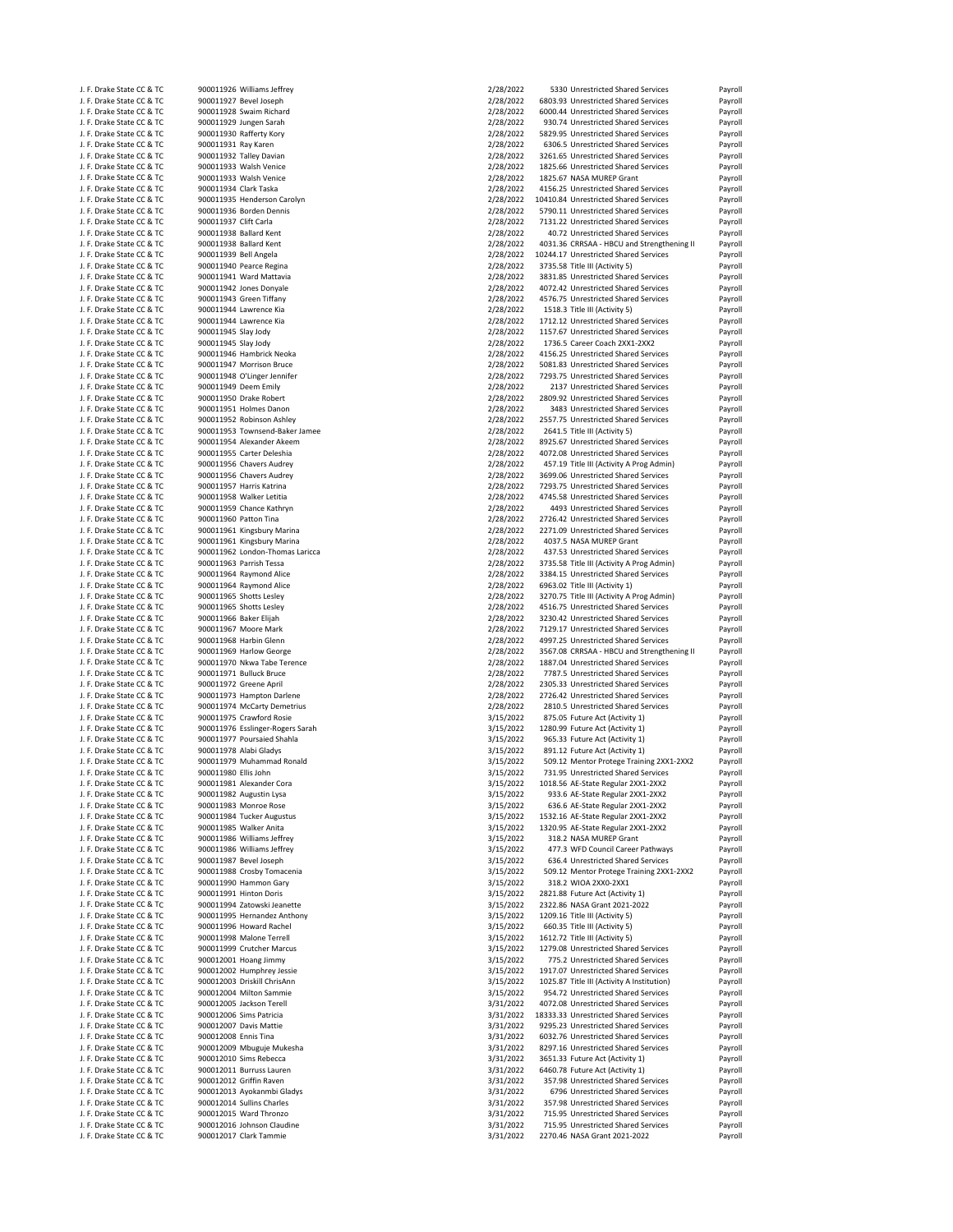| J. F. Drake State CC & TC                              | 900011926 Williams Jeffrey                           | 2/28/2022              | 5330 Unrestricted Shared Services                                   | Payroll            |
|--------------------------------------------------------|------------------------------------------------------|------------------------|---------------------------------------------------------------------|--------------------|
| J. F. Drake State CC & TC                              | 900011927 Bevel Joseph                               | 2/28/2022              | 6803.93 Unrestricted Shared Services                                | Payroll            |
| J. F. Drake State CC & TC                              | 900011928 Swaim Richard                              | 2/28/2022              | 6000.44 Unrestricted Shared Services                                | Payroll            |
| J. F. Drake State CC & TC                              | 900011929 Jungen Sarah                               | 2/28/2022              | 930.74 Unrestricted Shared Services                                 | Payroll            |
| J. F. Drake State CC & TC                              | 900011930 Rafferty Kory                              | 2/28/2022              | 5829.95 Unrestricted Shared Services                                | Payroll            |
| J. F. Drake State CC & TC                              | 900011931 Ray Karen                                  | 2/28/2022              | 6306.5 Unrestricted Shared Services                                 | Payroll            |
| J. F. Drake State CC & TC                              | 900011932 Talley Davian                              | 2/28/2022              | 3261.65 Unrestricted Shared Services                                | Payroll            |
| J. F. Drake State CC & TC                              | 900011933 Walsh Venice                               | 2/28/2022              | 1825.66 Unrestricted Shared Services                                | Payroll            |
| J. F. Drake State CC & TC                              | 900011933 Walsh Venice                               | 2/28/2022              | 1825.67 NASA MUREP Grant                                            | Payroll            |
| J. F. Drake State CC & TC                              | 900011934 Clark Taska                                | 2/28/2022              | 4156.25 Unrestricted Shared Services                                | Payroll            |
| J. F. Drake State CC & TC                              | 900011935 Henderson Carolyn                          | 2/28/2022              | 10410.84 Unrestricted Shared Services                               | Payroll            |
| J. F. Drake State CC & TC                              | 900011936 Borden Dennis                              | 2/28/2022              | 5790.11 Unrestricted Shared Services                                | Payroll            |
| J. F. Drake State CC & TC                              | 900011937 Clift Carla                                | 2/28/2022              | 7131.22 Unrestricted Shared Services                                | Payroll            |
| J. F. Drake State CC & TC                              | 900011938 Ballard Kent                               | 2/28/2022              | 40.72 Unrestricted Shared Services                                  | Payroll            |
| J. F. Drake State CC & TC                              | 900011938 Ballard Kent                               | 2/28/2022              | 4031.36 CRRSAA - HBCU and Strengthening II                          | Payroll            |
| J. F. Drake State CC & TC                              | 900011939 Bell Angela                                | 2/28/2022              | 10244.17 Unrestricted Shared Services                               | Payroll            |
| J. F. Drake State CC & TC                              | 900011940 Pearce Regina                              | 2/28/2022              | 3735.58 Title III (Activity 5)                                      | Payroll            |
| J. F. Drake State CC & TC                              | 900011941 Ward Mattavia                              | 2/28/2022              | 3831.85 Unrestricted Shared Services                                | Payroll            |
| J. F. Drake State CC & TC                              | 900011942 Jones Donyale                              | 2/28/2022              | 4072.42 Unrestricted Shared Services                                | Payroll            |
| J. F. Drake State CC & TC                              | 900011943 Green Tiffany                              | 2/28/2022              | 4576.75 Unrestricted Shared Services                                | Payroll            |
| J. F. Drake State CC & TC                              | 900011944 Lawrence Kia                               | 2/28/2022              | 1518.3 Title III (Activity 5)                                       | Payroll            |
| J. F. Drake State CC & TC                              | 900011944 Lawrence Kia                               | 2/28/2022              | 1712.12 Unrestricted Shared Services                                | Payroll            |
| J. F. Drake State CC & TC                              | 900011945 Slay Jody                                  | 2/28/2022              | 1157.67 Unrestricted Shared Services                                | Payroll            |
| J. F. Drake State CC & TC                              | 900011945 Slay Jody                                  | 2/28/2022              | 1736.5 Career Coach 2XX1-2XX2                                       | Payroll            |
| J. F. Drake State CC & TC                              | 900011946 Hambrick Neoka                             | 2/28/2022              | 4156.25 Unrestricted Shared Services                                | Payroll            |
| J. F. Drake State CC & TC                              | 900011947 Morrison Bruce                             | 2/28/2022              | 5081.83 Unrestricted Shared Services                                | Payroll            |
| J. F. Drake State CC & TC                              | 900011948 O'Linger Jennifer                          | 2/28/2022              | 7293.75 Unrestricted Shared Services                                | Payroll            |
| J. F. Drake State CC & TC                              | 900011949 Deem Emily                                 | 2/28/2022              | 2137 Unrestricted Shared Services                                   | Payroll            |
| J. F. Drake State CC & TC                              | 900011950 Drake Robert                               | 2/28/2022              | 2809.92 Unrestricted Shared Services                                | Payroll            |
| J. F. Drake State CC & TC                              | 900011951 Holmes Danon                               | 2/28/2022              | 3483 Unrestricted Shared Services                                   | Payroll            |
| J. F. Drake State CC & TC                              | 900011952 Robinson Ashley                            | 2/28/2022              | 2557.75 Unrestricted Shared Services                                | Payroll            |
| J. F. Drake State CC & TC                              | 900011953 Townsend-Baker Jamee                       | 2/28/2022              | 2641.5 Title III (Activity 5)                                       | Payroll            |
| J. F. Drake State CC & TC                              | 900011954 Alexander Akeem                            | 2/28/2022              | 8925.67 Unrestricted Shared Services                                | Payroll            |
| J. F. Drake State CC & TC                              | 900011955 Carter Deleshia                            | 2/28/2022              | 4072.08 Unrestricted Shared Services                                | Payroll            |
| J. F. Drake State CC & TC                              | 900011956 Chavers Audrey                             | 2/28/2022              | 457.19 Title III (Activity A Prog Admin)                            | Payroll            |
| J. F. Drake State CC & TC                              | 900011956 Chavers Audrey                             | 2/28/2022              | 3699.06 Unrestricted Shared Services                                | Payroll            |
| J. F. Drake State CC & TC                              | 900011957 Harris Katrina                             | 2/28/2022              | 7293.75 Unrestricted Shared Services                                | Payroll            |
| J. F. Drake State CC & TC                              | 900011958 Walker Letitia                             | 2/28/2022              | 4745.58 Unrestricted Shared Services                                | Payroll            |
| J. F. Drake State CC & TC                              | 900011959 Chance Kathryn                             | 2/28/2022              | 4493 Unrestricted Shared Services                                   | Payroll            |
| J. F. Drake State CC & TC                              | 900011960 Patton Tina                                | 2/28/2022              | 2726.42 Unrestricted Shared Services                                | Payroll            |
| J. F. Drake State CC & TC                              | 900011961 Kingsbury Marina                           | 2/28/2022              | 2271.09 Unrestricted Shared Services                                | Payroll            |
| J. F. Drake State CC & TC                              | 900011961 Kingsbury Marina                           | 2/28/2022              | 4037.5 NASA MUREP Grant                                             | Payroll            |
| J. F. Drake State CC & TC                              | 900011962 London-Thomas Laricca                      | 2/28/2022              | 437.53 Unrestricted Shared Services                                 | Payroll            |
| J. F. Drake State CC & TC                              | 900011963 Parrish Tessa                              | 2/28/2022              | 3735.58 Title III (Activity A Prog Admin)                           | Payroll            |
| J. F. Drake State CC & TC                              | 900011964 Raymond Alice                              | 2/28/2022              | 3384.15 Unrestricted Shared Services                                | Payroll            |
| J. F. Drake State CC & TC                              | 900011964 Raymond Alice                              | 2/28/2022              | 6963.02 Title III (Activity 1)                                      | Payroll            |
| J. F. Drake State CC & TC                              | 900011965 Shotts Lesley                              | 2/28/2022              | 3270.75 Title III (Activity A Prog Admin)                           | Payroll            |
| J. F. Drake State CC & TC                              | 900011965 Shotts Lesley                              | 2/28/2022              | 4516.75 Unrestricted Shared Services                                | Payroll            |
| J. F. Drake State CC & TC                              | 900011966 Baker Elijah                               | 2/28/2022              | 3230.42 Unrestricted Shared Services                                | Payroll            |
| J. F. Drake State CC & TC                              | 900011967 Moore Mark                                 | 2/28/2022              | 7129.17 Unrestricted Shared Services                                | Payroll            |
| J. F. Drake State CC & TC                              | 900011968 Harbin Glenn                               | 2/28/2022              | 4997.25 Unrestricted Shared Services                                | Payroll            |
| J. F. Drake State CC & TC                              | 900011969 Harlow George                              | 2/28/2022              | 3567.08 CRRSAA - HBCU and Strengthening II                          | Payroll            |
| J. F. Drake State CC & TC                              | 900011970 Nkwa Tabe Terence                          | 2/28/2022              | 1887.04 Unrestricted Shared Services                                | Payroll            |
| J. F. Drake State CC & TC                              | 900011971 Bulluck Bruce                              | 2/28/2022              | 7787.5 Unrestricted Shared Services                                 | Payroll            |
| J. F. Drake State CC & TC                              | 900011972 Greene April                               | 2/28/2022              | 2305.33 Unrestricted Shared Services                                | Payroll            |
| J. F. Drake State CC & TC                              | 900011973 Hampton Darlene                            | 2/28/2022              | 2726.42 Unrestricted Shared Services                                | Payroll            |
| J. F. Drake State CC & TC                              | 900011974 McCarty Demetrius                          | 2/28/2022              | 2810.5 Unrestricted Shared Services                                 | Payroll            |
| J. F. Drake State CC & TC                              | 900011975 Crawford Rosie                             | 3/15/2022              | 875.05 Future Act (Activity 1)                                      | Payroll            |
| J. F. Drake State CC & TC                              | 900011976 Esslinger-Rogers Sarah                     | 3/15/2022              | 1280.99 Future Act (Activity 1)                                     | Payroll            |
| J. F. Drake State CC & TC                              | 900011977 Poursaied Shahla                           | 3/15/2022              | 965.33 Future Act (Activity 1)                                      | Payroll            |
| J. F. Drake State CC & TC                              | 900011978 Alabi Gladys                               | 3/15/2022              | 891.12 Future Act (Activity 1)                                      | Payroll            |
| J. F. Drake State CC & TC                              | 900011979 Muhammad Ronald                            | 3/15/2022              | 509.12 Mentor Protege Training 2XX1-2XX2                            | Payroll            |
| J. F. Drake State CC & TC                              | 900011980 Ellis John                                 | 3/15/2022              | 731.95 Unrestricted Shared Services                                 | Payroll            |
| J. F. Drake State CC & TC                              | 900011981 Alexander Cora                             | 3/15/2022              | 1018.56 AE-State Regular 2XX1-2XX2                                  | Payroll            |
| J. F. Drake State CC & TC                              | 900011982 Augustin Lysa                              | 3/15/2022              | 933.6 AE-State Regular 2XX1-2XX2                                    | Payroll            |
| J. F. Drake State CC & TC                              | 900011983 Monroe Rose                                | 3/15/2022              | 636.6 AE-State Regular 2XX1-2XX2                                    | Payroll            |
| J. F. Drake State CC & TC                              | 900011984 Tucker Augustus                            | 3/15/2022              | 1532.16 AE-State Regular 2XX1-2XX2                                  | Payroll            |
| J. F. Drake State CC & TC                              | 900011985 Walker Anita                               | 3/15/2022              | 1320.95 AE-State Regular 2XX1-2XX2                                  | Payroll            |
| J. F. Drake State CC & TC                              | 900011986 Williams Jeffrey                           | 3/15/2022              | 318.2 NASA MUREP Grant                                              | Payroll            |
| J. F. Drake State CC & TC                              | 900011986 Williams Jeffrey                           | 3/15/2022              | 477.3 WFD Council Career Pathways                                   | Payroll            |
| J. F. Drake State CC & TC                              | 900011987 Bevel Joseph                               | 3/15/2022              | 636.4 Unrestricted Shared Services                                  | Payroll            |
| J. F. Drake State CC & TC                              | 900011988 Crosby Tomacenia                           | 3/15/2022              | 509.12 Mentor Protege Training 2XX1-2XX2                            | Payroll            |
| J. F. Drake State CC & TC                              | 900011990 Hammon Gary                                | 3/15/2022              | 318.2 WIOA 2XX0-2XX1                                                | Payroll            |
| J. F. Drake State CC & TC                              | 900011991 Hinton Doris                               | 3/15/2022              | 2821.88 Future Act (Activity 1)                                     | Payroll            |
| J. F. Drake State CC & TC                              | 900011994 Zatowski Jeanette                          | 3/15/2022              | 2322.86 NASA Grant 2021-2022                                        | Payroll            |
| J. F. Drake State CC & TC                              | 900011995 Hernandez Anthony                          | 3/15/2022              | 1209.16 Title III (Activity 5)                                      | Payroll            |
| J. F. Drake State CC & TC                              | 900011996 Howard Rachel                              | 3/15/2022              | 660.35 Title III (Activity 5)                                       | Payroll            |
| J. F. Drake State CC & TC                              | 900011998 Malone Terrell                             | 3/15/2022              | 1612.72 Title III (Activity 5)                                      | Payroll            |
| J. F. Drake State CC & TC                              | 900011999 Crutcher Marcus                            | 3/15/2022              | 1279.08 Unrestricted Shared Services                                | Payroll            |
| J. F. Drake State CC & TC                              | 900012001 Hoang Jimmy                                | 3/15/2022              | 775.2 Unrestricted Shared Services                                  | Payroll            |
| J. F. Drake State CC & TC                              | 900012002 Humphrey Jessie                            | 3/15/2022              | 1917.07 Unrestricted Shared Services                                | Payroll            |
| J. F. Drake State CC & TC                              | 900012003 Driskill ChrisAnn                          | 3/15/2022              | 1025.87 Title III (Activity A Institution)                          | Payroll            |
| J. F. Drake State CC & TC                              | 900012004 Milton Sammie                              | 3/15/2022              | 954.72 Unrestricted Shared Services                                 | Payroll            |
| J. F. Drake State CC & TC                              | 900012005 Jackson Terell                             | 3/31/2022              | 4072.08 Unrestricted Shared Services                                | Payroll            |
| J. F. Drake State CC & TC                              | 900012006 Sims Patricia                              | 3/31/2022              | 18333.33 Unrestricted Shared Services                               | Payroll            |
| J. F. Drake State CC & TC                              | 900012007 Davis Mattie                               | 3/31/2022              | 9295.23 Unrestricted Shared Services                                | Payroll            |
| J. F. Drake State CC & TC                              | 900012008 Ennis Tina                                 | 3/31/2022              | 6032.76 Unrestricted Shared Services                                | Payroll            |
| J. F. Drake State CC & TC                              | 900012009 Mbuguje Mukesha                            | 3/31/2022              | 8297.16 Unrestricted Shared Services                                | Payroll            |
| J. F. Drake State CC & TC                              | 900012010 Sims Rebecca                               | 3/31/2022              | 3651.33 Future Act (Activity 1)                                     | Payroll            |
| J. F. Drake State CC & TC                              | 900012011 Burruss Lauren                             | 3/31/2022              | 6460.78 Future Act (Activity 1)                                     | Payroll            |
| J. F. Drake State CC & TC                              | 900012012 Griffin Raven                              | 3/31/2022              | 357.98 Unrestricted Shared Services                                 | Payroll            |
| J. F. Drake State CC & TC                              | 900012013 Ayokanmbi Gladys                           | 3/31/2022              | 6796 Unrestricted Shared Services                                   | Payroll            |
| J. F. Drake State CC & TC                              | 900012014 Sullins Charles                            | 3/31/2022              | 357.98 Unrestricted Shared Services                                 | Payroll            |
| J. F. Drake State CC & TC                              | 900012015 Ward Thronzo                               | 3/31/2022              | 715.95 Unrestricted Shared Services                                 | Payroll            |
|                                                        |                                                      |                        |                                                                     |                    |
| J. F. Drake State CC & TC<br>J. F. Drake State CC & TC | 900012016 Johnson Claudine<br>900012017 Clark Tammie | 3/31/2022<br>3/31/2022 | 715.95 Unrestricted Shared Services<br>2270.46 NASA Grant 2021-2022 | Payroll<br>Payroll |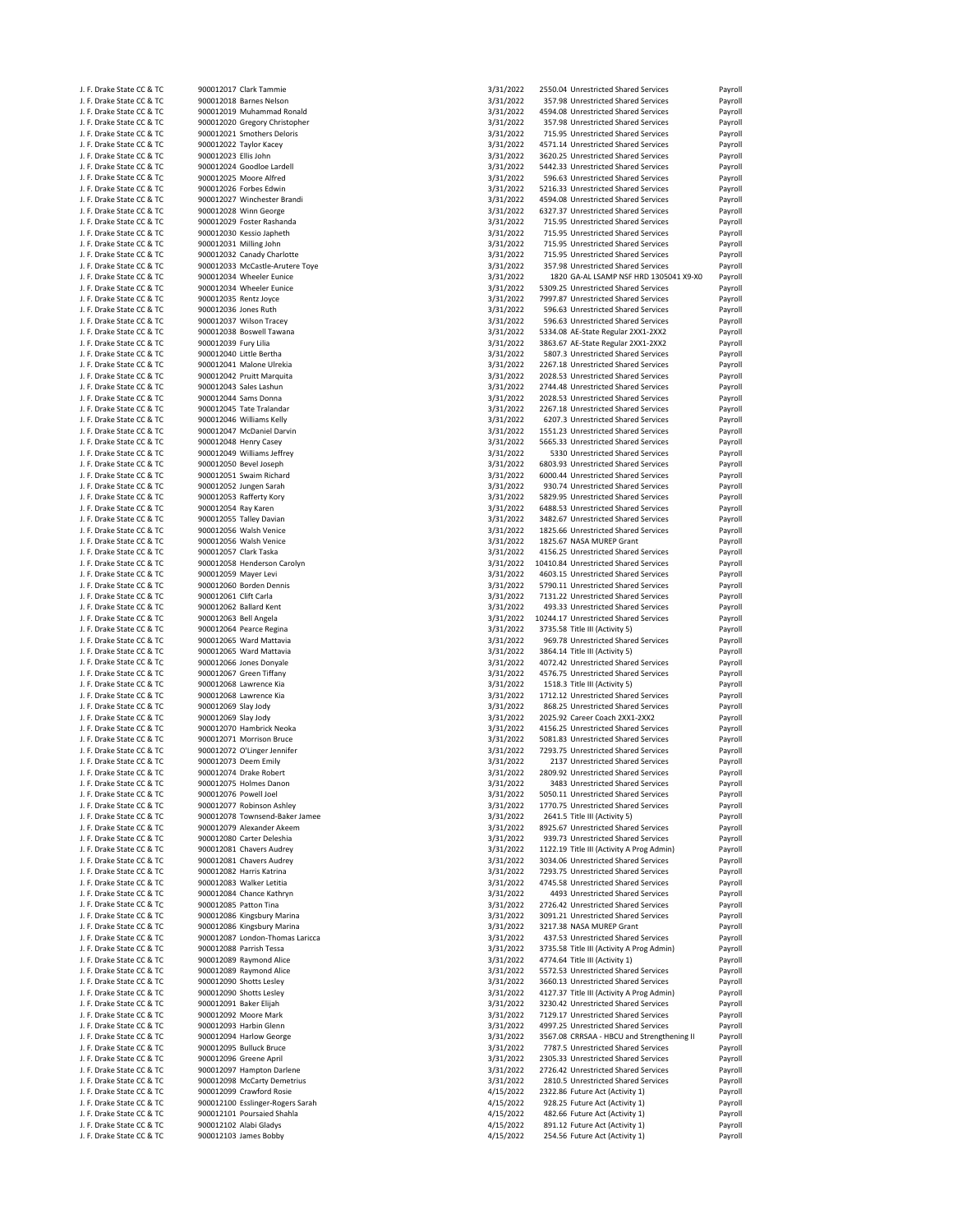| J. F. Drake State CC & TC |                       | 900012017 Clark Tammie           | 3/31/2022 | 2550.04 Unrestricted Shared Services       | Payroll |
|---------------------------|-----------------------|----------------------------------|-----------|--------------------------------------------|---------|
| J. F. Drake State CC & TC |                       | 900012018 Barnes Nelson          | 3/31/2022 | 357.98 Unrestricted Shared Services        | Payroll |
| J. F. Drake State CC & TC |                       | 900012019 Muhammad Ronald        | 3/31/2022 | 4594.08 Unrestricted Shared Services       | Payroll |
| J. F. Drake State CC & TC |                       | 900012020 Gregory Christopher    | 3/31/2022 | 357.98 Unrestricted Shared Services        | Payroll |
| J. F. Drake State CC & TC |                       | 900012021 Smothers Deloris       | 3/31/2022 | 715.95 Unrestricted Shared Services        | Payroll |
| J. F. Drake State CC & TC |                       | 900012022 Taylor Kacey           | 3/31/2022 | 4571.14 Unrestricted Shared Services       | Payroll |
| J. F. Drake State CC & TC | 900012023 Ellis John  |                                  | 3/31/2022 | 3620.25 Unrestricted Shared Services       | Payroll |
| J. F. Drake State CC & TC |                       | 900012024 Goodloe Lardell        | 3/31/2022 | 5442.33 Unrestricted Shared Services       | Payroll |
| J. F. Drake State CC & TC |                       | 900012025 Moore Alfred           | 3/31/2022 | 596.63 Unrestricted Shared Services        | Payroll |
| J. F. Drake State CC & TC |                       | 900012026 Forbes Edwin           |           | 5216.33 Unrestricted Shared Services       |         |
|                           |                       |                                  | 3/31/2022 |                                            | Payroll |
| J. F. Drake State CC & TC |                       | 900012027 Winchester Brandi      | 3/31/2022 | 4594.08 Unrestricted Shared Services       | Payroll |
| J. F. Drake State CC & TC |                       | 900012028 Winn George            | 3/31/2022 | 6327.37 Unrestricted Shared Services       | Payroll |
| J. F. Drake State CC & TC |                       | 900012029 Foster Rashanda        | 3/31/2022 | 715.95 Unrestricted Shared Services        | Payroll |
| J. F. Drake State CC & TC |                       | 900012030 Kessio Japheth         | 3/31/2022 | 715.95 Unrestricted Shared Services        | Payroll |
| J. F. Drake State CC & TC |                       | 900012031 Milling John           | 3/31/2022 | 715.95 Unrestricted Shared Services        | Payroll |
| J. F. Drake State CC & TC |                       | 900012032 Canady Charlotte       | 3/31/2022 | 715.95 Unrestricted Shared Services        | Payroll |
| J. F. Drake State CC & TC |                       | 900012033 McCastle-Arutere Toye  | 3/31/2022 | 357.98 Unrestricted Shared Services        | Payroll |
| J. F. Drake State CC & TC |                       | 900012034 Wheeler Eunice         | 3/31/2022 | 1820 GA-AL LSAMP NSF HRD 1305041 X9-X0     | Payroll |
| J. F. Drake State CC & TC |                       | 900012034 Wheeler Eunice         | 3/31/2022 | 5309.25 Unrestricted Shared Services       | Payroll |
| J. F. Drake State CC & TC | 900012035 Rentz Joyce |                                  | 3/31/2022 | 7997.87 Unrestricted Shared Services       | Payroll |
| J. F. Drake State CC & TC | 900012036 Jones Ruth  |                                  | 3/31/2022 | 596.63 Unrestricted Shared Services        | Payroll |
| J. F. Drake State CC & TC |                       | 900012037 Wilson Tracey          | 3/31/2022 | 596.63 Unrestricted Shared Services        | Payroll |
| J. F. Drake State CC & TC |                       | 900012038 Boswell Tawana         | 3/31/2022 | 5334.08 AE-State Regular 2XX1-2XX2         | Payroll |
| J. F. Drake State CC & TC | 900012039 Fury Lilia  |                                  | 3/31/2022 | 3863.67 AE-State Regular 2XX1-2XX2         | Payroll |
| J. F. Drake State CC & TC |                       | 900012040 Little Bertha          | 3/31/2022 | 5807.3 Unrestricted Shared Services        | Payroll |
| J. F. Drake State CC & TC |                       | 900012041 Malone Ulrekia         | 3/31/2022 | 2267.18 Unrestricted Shared Services       | Payroll |
|                           |                       |                                  | 3/31/2022 |                                            |         |
| J. F. Drake State CC & TC |                       | 900012042 Pruitt Marquita        |           | 2028.53 Unrestricted Shared Services       | Payroll |
| J. F. Drake State CC & TC |                       | 900012043 Sales Lashun           | 3/31/2022 | 2744.48 Unrestricted Shared Services       | Payroll |
| J. F. Drake State CC & TC |                       | 900012044 Sams Donna             | 3/31/2022 | 2028.53 Unrestricted Shared Services       | Payroll |
| J. F. Drake State CC & TC |                       | 900012045 Tate Tralandar         | 3/31/2022 | 2267.18 Unrestricted Shared Services       | Payroll |
| J. F. Drake State CC & TC |                       | 900012046 Williams Kelly         | 3/31/2022 | 6207.3 Unrestricted Shared Services        | Payroll |
| J. F. Drake State CC & TC |                       | 900012047 McDaniel Darvin        | 3/31/2022 | 1551.23 Unrestricted Shared Services       | Payroll |
| J. F. Drake State CC & TC |                       | 900012048 Henry Casey            | 3/31/2022 | 5665.33 Unrestricted Shared Services       | Payroll |
| J. F. Drake State CC & TC |                       | 900012049 Williams Jeffrey       | 3/31/2022 | 5330 Unrestricted Shared Services          | Payroll |
| J. F. Drake State CC & TC |                       | 900012050 Bevel Joseph           | 3/31/2022 | 6803.93 Unrestricted Shared Services       | Payroll |
| J. F. Drake State CC & TC |                       | 900012051 Swaim Richard          | 3/31/2022 | 6000.44 Unrestricted Shared Services       | Payroll |
| J. F. Drake State CC & TC |                       | 900012052 Jungen Sarah           | 3/31/2022 | 930.74 Unrestricted Shared Services        | Payroll |
| J. F. Drake State CC & TC |                       | 900012053 Rafferty Kory          | 3/31/2022 | 5829.95 Unrestricted Shared Services       | Payroll |
| J. F. Drake State CC & TC | 900012054 Ray Karen   |                                  | 3/31/2022 | 6488.53 Unrestricted Shared Services       | Payroll |
| J. F. Drake State CC & TC |                       | 900012055 Talley Davian          | 3/31/2022 | 3482.67 Unrestricted Shared Services       | Payroll |
| J. F. Drake State CC & TC |                       | 900012056 Walsh Venice           | 3/31/2022 | 1825.66 Unrestricted Shared Services       | Payroll |
| J. F. Drake State CC & TC |                       | 900012056 Walsh Venice           | 3/31/2022 | 1825.67 NASA MUREP Grant                   | Payroll |
| J. F. Drake State CC & TC | 900012057 Clark Taska |                                  | 3/31/2022 | 4156.25 Unrestricted Shared Services       |         |
|                           |                       |                                  |           |                                            | Payroll |
| J. F. Drake State CC & TC |                       | 900012058 Henderson Carolyn      | 3/31/2022 | 10410.84 Unrestricted Shared Services      | Payroll |
| J. F. Drake State CC & TC | 900012059 Mayer Levi  |                                  | 3/31/2022 | 4603.15 Unrestricted Shared Services       | Payroll |
| J. F. Drake State CC & TC |                       | 900012060 Borden Dennis          | 3/31/2022 | 5790.11 Unrestricted Shared Services       | Payroll |
| J. F. Drake State CC & TC | 900012061 Clift Carla |                                  | 3/31/2022 | 7131.22 Unrestricted Shared Services       | Payroll |
| J. F. Drake State CC & TC |                       | 900012062 Ballard Kent           | 3/31/2022 | 493.33 Unrestricted Shared Services        | Payroll |
| J. F. Drake State CC & TC | 900012063 Bell Angela |                                  | 3/31/2022 | 10244.17 Unrestricted Shared Services      | Payroll |
| J. F. Drake State CC & TC |                       | 900012064 Pearce Regina          | 3/31/2022 | 3735.58 Title III (Activity 5)             | Payroll |
| J. F. Drake State CC & TC |                       | 900012065 Ward Mattavia          | 3/31/2022 | 969.78 Unrestricted Shared Services        | Payroll |
| J. F. Drake State CC & TC |                       | 900012065 Ward Mattavia          | 3/31/2022 | 3864.14 Title III (Activity 5)             | Payroll |
| J. F. Drake State CC & TC |                       | 900012066 Jones Donyale          | 3/31/2022 | 4072.42 Unrestricted Shared Services       | Payroll |
| J. F. Drake State CC & TC |                       | 900012067 Green Tiffany          | 3/31/2022 | 4576.75 Unrestricted Shared Services       | Payroll |
| J. F. Drake State CC & TC |                       | 900012068 Lawrence Kia           | 3/31/2022 | 1518.3 Title III (Activity 5)              | Payroll |
| J. F. Drake State CC & TC |                       | 900012068 Lawrence Kia           | 3/31/2022 | 1712.12 Unrestricted Shared Services       | Payroll |
| J. F. Drake State CC & TC | 900012069 Slay Jody   |                                  | 3/31/2022 | 868.25 Unrestricted Shared Services        | Payroll |
| J. F. Drake State CC & TC | 900012069 Slay Jody   |                                  | 3/31/2022 | 2025.92 Career Coach 2XX1-2XX2             | Payroll |
| J. F. Drake State CC & TC |                       | 900012070 Hambrick Neoka         | 3/31/2022 | 4156.25 Unrestricted Shared Services       | Payroll |
| J. F. Drake State CC & TC |                       | 900012071 Morrison Bruce         | 3/31/2022 | 5081.83 Unrestricted Shared Services       | Payroll |
| J. F. Drake State CC & TC |                       | 900012072 O'Linger Jennifer      | 3/31/2022 | 7293.75 Unrestricted Shared Services       | Payroll |
| J. F. Drake State CC & TC |                       | 900012073 Deem Emily             | 3/31/2022 | 2137 Unrestricted Shared Services          | Payroll |
| J. F. Drake State CC & TC |                       | 900012074 Drake Robert           | 3/31/2022 |                                            |         |
|                           |                       |                                  |           | 2809.92 Unrestricted Shared Services       | Payroll |
| J. F. Drake State CC & TC |                       | 900012075 Holmes Danon           | 3/31/2022 | 3483 Unrestricted Shared Services          | Payroll |
| J. F. Drake State CC & TC | 900012076 Powell Joel |                                  | 3/31/2022 | 5050.11 Unrestricted Shared Services       | Payroll |
| J. F. Drake State CC & TC |                       | 900012077 Robinson Ashley        | 3/31/2022 | 1770.75 Unrestricted Shared Services       | Payroll |
| J. F. Drake State CC & TC |                       | 900012078 Townsend-Baker Jamee   | 3/31/2022 | 2641.5 Title III (Activity 5)              | Payroll |
| J. F. Drake State CC & TC |                       | 900012079 Alexander Akeem        | 3/31/2022 | 8925.67 Unrestricted Shared Services       | Payroll |
| J. F. Drake State CC & TC |                       | 900012080 Carter Deleshia        | 3/31/2022 | 939.73 Unrestricted Shared Services        | Payroll |
| J. F. Drake State CC & TC |                       | 900012081 Chavers Audrey         | 3/31/2022 | 1122.19 Title III (Activity A Prog Admin)  | Payroll |
| J. F. Drake State CC & TC |                       | 900012081 Chavers Audrey         | 3/31/2022 | 3034.06 Unrestricted Shared Services       | Payroll |
| J. F. Drake State CC & TC |                       | 900012082 Harris Katrina         | 3/31/2022 | 7293.75 Unrestricted Shared Services       | Payroll |
| J. F. Drake State CC & TC |                       | 900012083 Walker Letitia         | 3/31/2022 | 4745.58 Unrestricted Shared Services       | Payroll |
| J. F. Drake State CC & TC |                       | 900012084 Chance Kathryn         | 3/31/2022 | 4493 Unrestricted Shared Services          | Payroll |
| J. F. Drake State CC & TC | 900012085 Patton Tina |                                  | 3/31/2022 | 2726.42 Unrestricted Shared Services       | Payroll |
| J. F. Drake State CC & TC |                       | 900012086 Kingsbury Marina       | 3/31/2022 | 3091.21 Unrestricted Shared Services       | Payroll |
| J. F. Drake State CC & TC |                       | 900012086 Kingsbury Marina       | 3/31/2022 | 3217.38 NASA MUREP Grant                   | Payroll |
| J. F. Drake State CC & TC |                       | 900012087 London-Thomas Laricca  | 3/31/2022 | 437.53 Unrestricted Shared Services        | Payroll |
| J. F. Drake State CC & TC |                       | 900012088 Parrish Tessa          | 3/31/2022 | 3735.58 Title III (Activity A Prog Admin)  | Payroll |
| J. F. Drake State CC & TC |                       | 900012089 Raymond Alice          |           | 4774.64 Title III (Activity 1)             | Payroll |
|                           |                       |                                  | 3/31/2022 |                                            |         |
| J. F. Drake State CC & TC |                       | 900012089 Raymond Alice          | 3/31/2022 | 5572.53 Unrestricted Shared Services       | Payroll |
| J. F. Drake State CC & TC |                       | 900012090 Shotts Lesley          | 3/31/2022 | 3660.13 Unrestricted Shared Services       | Payroll |
| J. F. Drake State CC & TC |                       | 900012090 Shotts Lesley          | 3/31/2022 | 4127.37 Title III (Activity A Prog Admin)  | Payroll |
| J. F. Drake State CC & TC |                       | 900012091 Baker Elijah           | 3/31/2022 | 3230.42 Unrestricted Shared Services       | Payroll |
| J. F. Drake State CC & TC |                       | 900012092 Moore Mark             | 3/31/2022 | 7129.17 Unrestricted Shared Services       | Payroll |
| J. F. Drake State CC & TC |                       | 900012093 Harbin Glenn           | 3/31/2022 | 4997.25 Unrestricted Shared Services       | Payroll |
| J. F. Drake State CC & TC |                       | 900012094 Harlow George          | 3/31/2022 | 3567.08 CRRSAA - HBCU and Strengthening II | Payroll |
| J. F. Drake State CC & TC |                       | 900012095 Bulluck Bruce          | 3/31/2022 | 7787.5 Unrestricted Shared Services        | Payroll |
| J. F. Drake State CC & TC |                       | 900012096 Greene April           | 3/31/2022 | 2305.33 Unrestricted Shared Services       | Payroll |
| J. F. Drake State CC & TC |                       | 900012097 Hampton Darlene        | 3/31/2022 | 2726.42 Unrestricted Shared Services       | Payroll |
| J. F. Drake State CC & TC |                       | 900012098 McCarty Demetrius      | 3/31/2022 | 2810.5 Unrestricted Shared Services        | Payroll |
| J. F. Drake State CC & TC |                       | 900012099 Crawford Rosie         | 4/15/2022 | 2322.86 Future Act (Activity 1)            | Payroll |
| J. F. Drake State CC & TC |                       | 900012100 Esslinger-Rogers Sarah | 4/15/2022 | 928.25 Future Act (Activity 1)             | Payroll |
| J. F. Drake State CC & TC |                       | 900012101 Poursaied Shahla       | 4/15/2022 | 482.66 Future Act (Activity 1)             | Payroll |
| J. F. Drake State CC & TC |                       | 900012102 Alabi Gladys           | 4/15/2022 | 891.12 Future Act (Activity 1)             | Payroll |
| J. F. Drake State CC & TC |                       | 900012103 James Bobby            | 4/15/2022 | 254.56 Future Act (Activity 1)             | Payroll |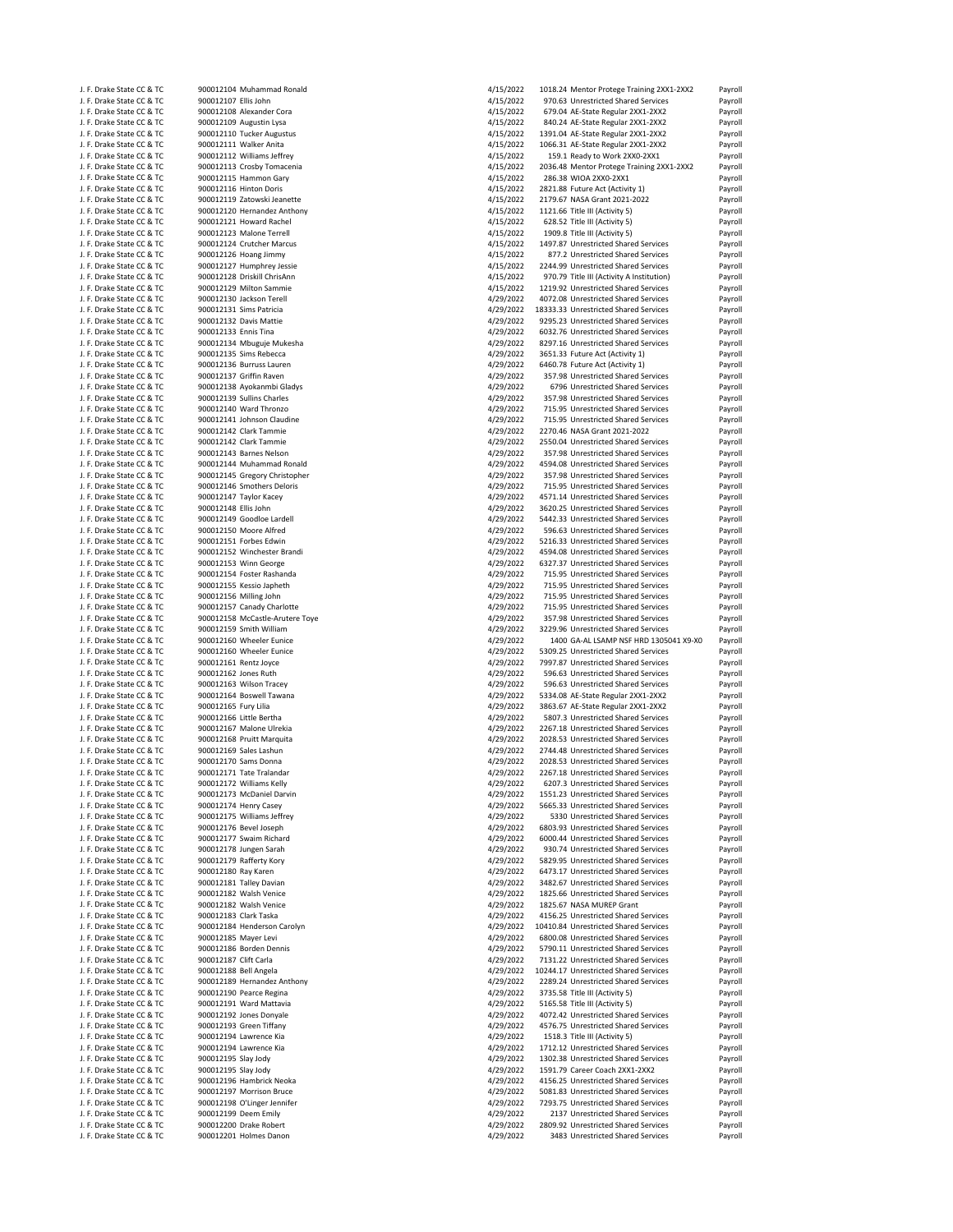| J. F. Drake State CC & TC | 900012104 Muhammad Ronald       | 4/15/2022 | 1018.24 Mentor Protege Training 2XX1-2XX2 | Payroll |
|---------------------------|---------------------------------|-----------|-------------------------------------------|---------|
| J. F. Drake State CC & TC | 900012107 Ellis John            | 4/15/2022 | 970.63 Unrestricted Shared Services       | Payroll |
| J. F. Drake State CC & TC | 900012108 Alexander Cora        | 4/15/2022 | 679.04 AE-State Regular 2XX1-2XX2         | Payroll |
|                           |                                 | 4/15/2022 |                                           |         |
| J. F. Drake State CC & TC | 900012109 Augustin Lysa         |           | 840.24 AE-State Regular 2XX1-2XX2         | Payroll |
| J. F. Drake State CC & TC | 900012110 Tucker Augustus       | 4/15/2022 | 1391.04 AE-State Regular 2XX1-2XX2        | Payroll |
| J. F. Drake State CC & TC | 900012111 Walker Anita          | 4/15/2022 | 1066.31 AE-State Regular 2XX1-2XX2        | Payroll |
| J. F. Drake State CC & TC | 900012112 Williams Jeffrey      | 4/15/2022 | 159.1 Ready to Work 2XX0-2XX1             | Payroll |
| J. F. Drake State CC & TC | 900012113 Crosby Tomacenia      | 4/15/2022 | 2036.48 Mentor Protege Training 2XX1-2XX2 | Payroll |
| J. F. Drake State CC & TC | 900012115 Hammon Gary           | 4/15/2022 | 286.38 WIOA 2XX0-2XX1                     | Payroll |
| J. F. Drake State CC & TC | 900012116 Hinton Doris          | 4/15/2022 | 2821.88 Future Act (Activity 1)           | Payroll |
|                           |                                 |           |                                           |         |
| J. F. Drake State CC & TC | 900012119 Zatowski Jeanette     | 4/15/2022 | 2179.67 NASA Grant 2021-2022              | Payroll |
| J. F. Drake State CC & TC | 900012120 Hernandez Anthony     | 4/15/2022 | 1121.66 Title III (Activity 5)            | Payroll |
| J. F. Drake State CC & TC | 900012121 Howard Rachel         | 4/15/2022 | 628.52 Title III (Activity 5)             | Payroll |
| J. F. Drake State CC & TC | 900012123 Malone Terrell        | 4/15/2022 | 1909.8 Title III (Activity 5)             | Payroll |
| J. F. Drake State CC & TC | 900012124 Crutcher Marcus       | 4/15/2022 | 1497.87 Unrestricted Shared Services      | Payroll |
|                           |                                 |           | 877.2 Unrestricted Shared Services        |         |
| J. F. Drake State CC & TC | 900012126 Hoang Jimmy           | 4/15/2022 |                                           | Payroll |
| J. F. Drake State CC & TC | 900012127 Humphrey Jessie       | 4/15/2022 | 2244.99 Unrestricted Shared Services      | Payroll |
| J. F. Drake State CC & TC | 900012128 Driskill ChrisAnn     | 4/15/2022 | 970.79 Title III (Activity A Institution) | Payroll |
| J. F. Drake State CC & TC | 900012129 Milton Sammie         | 4/15/2022 | 1219.92 Unrestricted Shared Services      | Payroll |
| J. F. Drake State CC & TC | 900012130 Jackson Terell        | 4/29/2022 | 4072.08 Unrestricted Shared Services      | Payroll |
| J. F. Drake State CC & TC | 900012131 Sims Patricia         | 4/29/2022 | 18333.33 Unrestricted Shared Services     | Payroll |
|                           | 900012132 Davis Mattie          | 4/29/2022 | 9295.23 Unrestricted Shared Services      |         |
| J. F. Drake State CC & TC |                                 |           |                                           | Payroll |
| J. F. Drake State CC & TC | 900012133 Ennis Tina            | 4/29/2022 | 6032.76 Unrestricted Shared Services      | Payroll |
| J. F. Drake State CC & TC | 900012134 Mbuguje Mukesha       | 4/29/2022 | 8297.16 Unrestricted Shared Services      | Payroll |
| J. F. Drake State CC & TC | 900012135 Sims Rebecca          | 4/29/2022 | 3651.33 Future Act (Activity 1)           | Payroll |
| J. F. Drake State CC & TC | 900012136 Burruss Lauren        | 4/29/2022 | 6460.78 Future Act (Activity 1)           | Payroll |
| J. F. Drake State CC & TC | 900012137 Griffin Raven         | 4/29/2022 | 357.98 Unrestricted Shared Services       | Payroll |
|                           |                                 | 4/29/2022 |                                           |         |
| J. F. Drake State CC & TC | 900012138 Ayokanmbi Gladys      |           | 6796 Unrestricted Shared Services         | Payroll |
| J. F. Drake State CC & TC | 900012139 Sullins Charles       | 4/29/2022 | 357.98 Unrestricted Shared Services       | Payroll |
| J. F. Drake State CC & TC | 900012140 Ward Thronzo          | 4/29/2022 | 715.95 Unrestricted Shared Services       | Payroll |
| J. F. Drake State CC & TC | 900012141 Johnson Claudine      | 4/29/2022 | 715.95 Unrestricted Shared Services       | Payroll |
| J. F. Drake State CC & TC | 900012142 Clark Tammie          | 4/29/2022 | 2270.46 NASA Grant 2021-2022              | Payroll |
| J. F. Drake State CC & TC | 900012142 Clark Tammie          | 4/29/2022 | 2550.04 Unrestricted Shared Services      | Payroll |
|                           |                                 |           |                                           |         |
| J. F. Drake State CC & TC | 900012143 Barnes Nelson         | 4/29/2022 | 357.98 Unrestricted Shared Services       | Payroll |
| J. F. Drake State CC & TC | 900012144 Muhammad Ronald       | 4/29/2022 | 4594.08 Unrestricted Shared Services      | Payroll |
| J. F. Drake State CC & TC | 900012145 Gregory Christopher   | 4/29/2022 | 357.98 Unrestricted Shared Services       | Payroll |
| J. F. Drake State CC & TC | 900012146 Smothers Deloris      | 4/29/2022 | 715.95 Unrestricted Shared Services       | Payroll |
| J. F. Drake State CC & TC | 900012147 Taylor Kacey          | 4/29/2022 | 4571.14 Unrestricted Shared Services      | Payroll |
| J. F. Drake State CC & TC | 900012148 Ellis John            | 4/29/2022 | 3620.25 Unrestricted Shared Services      |         |
|                           |                                 |           |                                           | Payroll |
| J. F. Drake State CC & TC | 900012149 Goodloe Lardell       | 4/29/2022 | 5442.33 Unrestricted Shared Services      | Payroll |
| J. F. Drake State CC & TC | 900012150 Moore Alfred          | 4/29/2022 | 596.63 Unrestricted Shared Services       | Payroll |
| J. F. Drake State CC & TC | 900012151 Forbes Edwin          | 4/29/2022 | 5216.33 Unrestricted Shared Services      | Payroll |
| J. F. Drake State CC & TC | 900012152 Winchester Brandi     | 4/29/2022 | 4594.08 Unrestricted Shared Services      | Payroll |
| J. F. Drake State CC & TC | 900012153 Winn George           | 4/29/2022 | 6327.37 Unrestricted Shared Services      | Payroll |
|                           |                                 |           |                                           |         |
| J. F. Drake State CC & TC | 900012154 Foster Rashanda       | 4/29/2022 | 715.95 Unrestricted Shared Services       | Payroll |
| J. F. Drake State CC & TC | 900012155 Kessio Japheth        | 4/29/2022 | 715.95 Unrestricted Shared Services       | Payroll |
|                           |                                 |           |                                           |         |
| J. F. Drake State CC & TC | 900012156 Milling John          | 4/29/2022 | 715.95 Unrestricted Shared Services       | Payroll |
|                           |                                 |           |                                           |         |
| J. F. Drake State CC & TC | 900012157 Canady Charlotte      | 4/29/2022 | 715.95 Unrestricted Shared Services       | Payroll |
| J. F. Drake State CC & TC | 900012158 McCastle-Arutere Toye | 4/29/2022 | 357.98 Unrestricted Shared Services       | Payroll |
| J. F. Drake State CC & TC | 900012159 Smith William         | 4/29/2022 | 3229.96 Unrestricted Shared Services      | Payroll |
| J. F. Drake State CC & TC | 900012160 Wheeler Eunice        | 4/29/2022 | 1400 GA-AL LSAMP NSF HRD 1305041 X9-X0    | Payroll |
| J. F. Drake State CC & TC | 900012160 Wheeler Eunice        | 4/29/2022 | 5309.25 Unrestricted Shared Services      | Payroll |
| J. F. Drake State CC & TC | 900012161 Rentz Joyce           | 4/29/2022 | 7997.87 Unrestricted Shared Services      | Payroll |
|                           |                                 |           | 596.63 Unrestricted Shared Services       |         |
| J. F. Drake State CC & TC | 900012162 Jones Ruth            | 4/29/2022 |                                           | Payroll |
| J. F. Drake State CC & TC | 900012163 Wilson Tracey         | 4/29/2022 | 596.63 Unrestricted Shared Services       | Payroll |
| J. F. Drake State CC & TC | 900012164 Boswell Tawana        | 4/29/2022 | 5334.08 AE-State Regular 2XX1-2XX2        | Payroll |
| J. F. Drake State CC & TC | 900012165 Fury Lilia            | 4/29/2022 | 3863.67 AE-State Regular 2XX1-2XX2        | Payroll |
| J. F. Drake State CC & TC | 900012166 Little Bertha         | 4/29/2022 | 5807.3 Unrestricted Shared Services       | Payroll |
| J. F. Drake State CC & TC | 900012167 Malone Ulrekia        | 4/29/2022 | 2267.18 Unrestricted Shared Services      | Payroll |
|                           |                                 |           |                                           |         |
| J. F. Drake State CC & TC | 900012168 Pruitt Marquita       | 4/29/2022 | 2028.53 Unrestricted Shared Services      | Payroll |
| J. F. Drake State CC & TC | 900012169 Sales Lashun          | 4/29/2022 | 2744.48 Unrestricted Shared Services      | Payroll |
| J. F. Drake State CC & TC | 900012170 Sams Donna            | 4/29/2022 | 2028.53 Unrestricted Shared Services      | Payroll |
| J. F. Drake State CC & TC | 900012171 Tate Tralandar        | 4/29/2022 | 2267.18 Unrestricted Shared Services      | Payroll |
| J. F. Drake State CC & TC | 900012172 Williams Kelly        | 4/29/2022 | 6207.3 Unrestricted Shared Services       | Payroll |
| J. F. Drake State CC & TC | 900012173 McDaniel Darvin       | 4/29/2022 | 1551.23 Unrestricted Shared Services      | Payroll |
| J. F. Drake State CC & TC |                                 |           |                                           |         |
|                           | 900012174 Henry Casey           | 4/29/2022 | 5665.33 Unrestricted Shared Services      | Payroll |
| J. F. Drake State CC & TC | 900012175 Williams Jeffrey      | 4/29/2022 | 5330 Unrestricted Shared Services         | Payroll |
| J. F. Drake State CC & TC | 900012176 Bevel Joseph          | 4/29/2022 | 6803.93 Unrestricted Shared Services      | Payroll |
| J. F. Drake State CC & TC | 900012177 Swaim Richard         | 4/29/2022 | 6000.44 Unrestricted Shared Services      | Payroll |
| J. F. Drake State CC & TC | 900012178 Jungen Sarah          | 4/29/2022 | 930.74 Unrestricted Shared Services       | Payroll |
| J. F. Drake State CC & TC | 900012179 Rafferty Kory         | 4/29/2022 | 5829.95 Unrestricted Shared Services      | Payroll |
| J. F. Drake State CC & TC | 900012180 Ray Karen             | 4/29/2022 | 6473.17 Unrestricted Shared Services      | Payroll |
|                           |                                 |           |                                           |         |
| J. F. Drake State CC & TC | 900012181 Talley Davian         | 4/29/2022 | 3482.67 Unrestricted Shared Services      | Payroll |
| J. F. Drake State CC & TC | 900012182 Walsh Venice          | 4/29/2022 | 1825.66 Unrestricted Shared Services      | Payroll |
| J. F. Drake State CC & TC | 900012182 Walsh Venice          | 4/29/2022 | 1825.67 NASA MUREP Grant                  | Payroll |
| J. F. Drake State CC & TC | 900012183 Clark Taska           | 4/29/2022 | 4156.25 Unrestricted Shared Services      | Payroll |
| J. F. Drake State CC & TC | 900012184 Henderson Carolyn     | 4/29/2022 | 10410.84 Unrestricted Shared Services     | Payroll |
| J. F. Drake State CC & TC | 900012185 Mayer Levi            | 4/29/2022 |                                           |         |
|                           |                                 |           | 6800.08 Unrestricted Shared Services      | Payroll |
| J. F. Drake State CC & TC | 900012186 Borden Dennis         | 4/29/2022 | 5790.11 Unrestricted Shared Services      | Payroll |
| J. F. Drake State CC & TC | 900012187 Clift Carla           | 4/29/2022 | 7131.22 Unrestricted Shared Services      | Payroll |
| J. F. Drake State CC & TC | 900012188 Bell Angela           | 4/29/2022 | 10244.17 Unrestricted Shared Services     | Payroll |
| J. F. Drake State CC & TC | 900012189 Hernandez Anthony     | 4/29/2022 | 2289.24 Unrestricted Shared Services      | Payroll |
| J. F. Drake State CC & TC | 900012190 Pearce Regina         | 4/29/2022 |                                           | Payroll |
|                           |                                 |           | 3735.58 Title III (Activity 5)            |         |
| J. F. Drake State CC & TC | 900012191 Ward Mattavia         | 4/29/2022 | 5165.58 Title III (Activity 5)            | Payroll |
| J. F. Drake State CC & TC | 900012192 Jones Donyale         | 4/29/2022 | 4072.42 Unrestricted Shared Services      | Payroll |
| J. F. Drake State CC & TC | 900012193 Green Tiffany         | 4/29/2022 | 4576.75 Unrestricted Shared Services      | Payroll |
| J. F. Drake State CC & TC | 900012194 Lawrence Kia          | 4/29/2022 | 1518.3 Title III (Activity 5)             | Payroll |
| J. F. Drake State CC & TC | 900012194 Lawrence Kia          | 4/29/2022 | 1712.12 Unrestricted Shared Services      | Payroll |
| J. F. Drake State CC & TC |                                 |           | 1302.38 Unrestricted Shared Services      |         |
|                           | 900012195 Slay Jody             | 4/29/2022 |                                           | Payroll |
| J. F. Drake State CC & TC | 900012195 Slay Jody             | 4/29/2022 | 1591.79 Career Coach 2XX1-2XX2            | Payroll |
| J. F. Drake State CC & TC | 900012196 Hambrick Neoka        | 4/29/2022 | 4156.25 Unrestricted Shared Services      | Payroll |
| J. F. Drake State CC & TC | 900012197 Morrison Bruce        | 4/29/2022 | 5081.83 Unrestricted Shared Services      | Payroll |
| J. F. Drake State CC & TC | 900012198 O'Linger Jennifer     | 4/29/2022 | 7293.75 Unrestricted Shared Services      | Payroll |
| J. F. Drake State CC & TC | 900012199 Deem Emily            | 4/29/2022 | 2137 Unrestricted Shared Services         | Payroll |
| J. F. Drake State CC & TC | 900012200 Drake Robert          | 4/29/2022 | 2809.92 Unrestricted Shared Services      | Payroll |
| J. F. Drake State CC & TC | 900012201 Holmes Danon          | 4/29/2022 | 3483 Unrestricted Shared Services         | Payroll |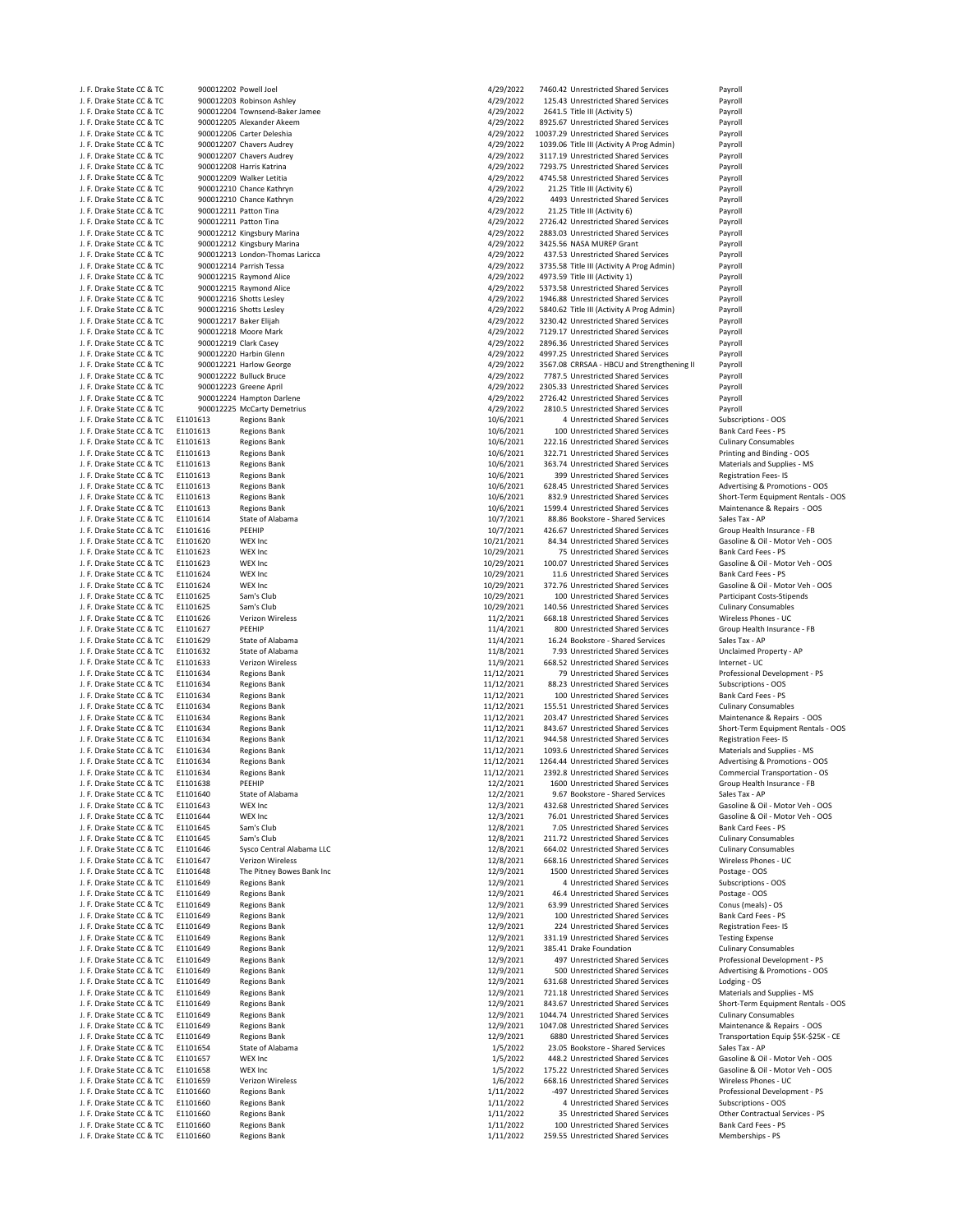| J. F. Drake State CC & TC                                                                                        | 900012202 POV |            |
|------------------------------------------------------------------------------------------------------------------|---------------|------------|
| J. F. Drake State CC & TC                                                                                        | 900012203 Rob |            |
| J. F. Drake State CC & TC                                                                                        | 900012204 Tov |            |
| J. F. Drake State CC & TC                                                                                        | 900012205 Ale |            |
|                                                                                                                  | 900012206 Car |            |
| J. F. Drake State CC & TC                                                                                        |               |            |
| J. F. Drake State CC & TC                                                                                        | 900012207 Cha |            |
| J. F. Drake State CC & TC                                                                                        | 900012207 Cha |            |
| J. F. Drake State CC & TC                                                                                        | 900012208 Har |            |
| J. F. Drake State CC & TC                                                                                        | 900012209 Wa  |            |
| J. F. Drake State CC & TC                                                                                        | 900012210 Cha |            |
| J. F. Drake State CC & TC                                                                                        | 900012210 Cha |            |
|                                                                                                                  |               |            |
| J. F. Drake State CC & TC                                                                                        | 900012211 Pat |            |
| J. F. Drake State CC & TC                                                                                        | 900012211 Pat |            |
| J. F. Drake State CC & TC                                                                                        | 900012212 Kin |            |
| J. F. Drake State CC & TC                                                                                        | 900012212 Kin |            |
| J. F. Drake State CC & TC                                                                                        | 900012213 Lon |            |
|                                                                                                                  | 900012214 Par |            |
| J. F. Drake State CC & TC                                                                                        |               |            |
| J. F. Drake State CC & TC                                                                                        | 900012215 Ray |            |
| J. F. Drake State CC & TC                                                                                        | 900012215 Ray |            |
| J. F. Drake State CC & TC                                                                                        | 900012216 Sho |            |
| J. F. Drake State CC & TC                                                                                        | 900012216 Sho |            |
| J. F. Drake State CC & TC                                                                                        | 900012217 Bak |            |
| J. F. Drake State CC & TC                                                                                        | 900012218 Mo  |            |
|                                                                                                                  |               |            |
| J. F. Drake State CC & TC                                                                                        | 900012219 Cla |            |
| J. F. Drake State CC & TC                                                                                        | 900012220 Har |            |
| J. F. Drake State CC & TC                                                                                        | 900012221 Har |            |
| J. F. Drake State CC & TC                                                                                        | 900012222 Bul |            |
| J. F. Drake State CC & TC                                                                                        | 900012223 Gre |            |
| J. F. Drake State CC & TC                                                                                        | 900012224 Har |            |
| J. F. Drake State CC & TC                                                                                        | 900012225 Mc  |            |
|                                                                                                                  |               |            |
| J. F. Drake State CC & TC                                                                                        | E1101613      | Reg        |
| J. F. Drake State CC & TC                                                                                        | E1101613      | Reg        |
| J. F. Drake State CC & TC                                                                                        | E1101613      | Reg        |
| J. F. Drake State CC & TC                                                                                        | E1101613      | Reg        |
| J. F. Drake State CC & TC                                                                                        | E1101613      | Reg        |
| J. F. Drake State CC & TC                                                                                        |               |            |
|                                                                                                                  | E1101613      | Reg        |
| J. F. Drake State CC & TC                                                                                        | E1101613      | Reg        |
| J. F. Drake State CC & TC                                                                                        | E1101613      | Reg        |
| J. F. Drake State CC & TC                                                                                        | E1101613      | Reg        |
| J. F. Drake State CC & TC                                                                                        | E1101614      | Sta        |
| J. F. Drake State CC & TC                                                                                        | E1101616      | PEE        |
| J. F. Drake State CC & TC                                                                                        | E1101620      | WE         |
|                                                                                                                  |               |            |
| J. F. Drake State CC & TC                                                                                        | E1101623      | WE         |
| J. F. Drake State CC & TC                                                                                        | E1101623      | WE         |
| J. F. Drake State CC & TC                                                                                        | E1101624      | WE         |
| J. F. Drake State CC & TC                                                                                        | E1101624      | WE         |
| J. F. Drake State CC & TC                                                                                        | E1101625      | San        |
| J. F. Drake State CC & TC                                                                                        | E1101625      | San        |
|                                                                                                                  |               |            |
| J. F. Drake State CC & TC                                                                                        | E1101626      | Ver        |
| J. F. Drake State CC & TC                                                                                        | E1101627      | PEE        |
| J. F. Drake State CC & TC                                                                                        | E1101629      | Sta        |
| J. F. Drake State CC & TC                                                                                        | E1101632      | <b>Sta</b> |
| J. F. Drake State CC & TC                                                                                        | E1101633      | Ver        |
| J. F. Drake State CC & TC                                                                                        | E1101634      | Reg        |
|                                                                                                                  |               |            |
| J. F. Drake State CC & TC                                                                                        | E1101634      | Reg        |
| J. F. Drake State CC & TC                                                                                        | E1101634      | Reg        |
| J. F. Drake State CC & TC                                                                                        | E1101634      | Reg        |
| J. F. Drake State CC & TC                                                                                        | E1101634      | Reg        |
| J. F. Drake State CC & TC                                                                                        | E1101634      | Reg        |
| J. F. Drake State CC & TC                                                                                        | E1101634      | Reg        |
| J. F. Drake State CC & TC                                                                                        | E1101634      | Reg        |
| J. F. Drake State CC & TC<br>J. F. Drake State CC & TC<br>J. F. Drake State CC & TC<br>J. F. Drake State CC & TC |               |            |
|                                                                                                                  | E1101634      | Reg        |
|                                                                                                                  | E1101634      | Reg        |
|                                                                                                                  | E1101638      | PEE        |
| J. F. Drake State CC & TC                                                                                        | E1101640      | Sta        |
| J. F. Drake State CC & TC                                                                                        | E1101643      | WE         |
| J. F. Drake State CC & TC                                                                                        | E1101644      | WE         |
| J. F. Drake State CC & TC                                                                                        | E1101645      | San        |
|                                                                                                                  |               |            |
| J. F. Drake State CC & TC                                                                                        | E1101645      | San        |
| J. F. Drake State CC & TC                                                                                        | E1101646      | Sys        |
| J. F. Drake State CC & TC                                                                                        | E1101647      | Ver        |
| J. F. Drake State CC & TC                                                                                        | E1101648      | The        |
| J. F. Drake State CC & TC                                                                                        | E1101649      | Reg        |
| J. F. Drake State CC & TC                                                                                        | E1101649      | Reg        |
| J. F. Drake State CC & TC                                                                                        |               |            |
|                                                                                                                  | E1101649      | Reg        |
| J. F. Drake State CC & TC                                                                                        | E1101649      | Reg        |
| J. F. Drake State CC & TC                                                                                        | E1101649      | Reg        |
| J. F. Drake State CC & TC                                                                                        | E1101649      | Reg        |
| J. F. Drake State CC & TC                                                                                        | E1101649      | Reg        |
| J. F. Drake State CC & TC                                                                                        | E1101649      | Reg        |
| J. F. Drake State CC & TC                                                                                        | E1101649      | Reg        |
|                                                                                                                  |               |            |
| J. F. Drake State CC & TC                                                                                        | E1101649      | Reg        |
| J. F. Drake State CC & TC                                                                                        | E1101649      | Reg        |
| J. F. Drake State CC & TC                                                                                        | E1101649      | Reg        |
| J. F. Drake State CC & TC                                                                                        | E1101649      | Reg        |
| J. F. Drake State CC & TC                                                                                        | E1101649      | Reg        |
| J. F. Drake State CC & TC                                                                                        | E1101649      | Reg        |
| J. F. Drake State CC & TC                                                                                        | E1101654      | Sta        |
|                                                                                                                  |               |            |
| J. F. Drake State CC & TC                                                                                        | E1101657      | WE         |
| J. F. Drake State CC & TC                                                                                        | E1101658      | WE         |
| J. F. Drake State CC & TC                                                                                        | E1101659      | Ver        |
| J. F. Drake State CC & TC                                                                                        | E1101660      | Reg        |
| J. F. Drake State CC & TC                                                                                        | E1101660      | Reg        |
| J. F. Drake State CC & TC                                                                                        | E1101660      | Reg        |
|                                                                                                                  |               |            |
| J. F. Drake State CC & TC                                                                                        | E1101660      | Reg        |
| J. F. Drake State CC & TC                                                                                        | E1101660      | Reg        |

| 202 Powell Joel                                   |
|---------------------------------------------------|
| 203 Robinson Ashley                               |
| 204 Townsend-Baker Jamee                          |
| 205 Alexander Akeem                               |
| 206 Carter Deleshia                               |
| 207 Chavers Audrey                                |
| 207 Chavers Audrey                                |
| 208 Harris Katrina                                |
| 209 Walker Letitia                                |
| 210 Chance Kathryn                                |
| 210 Chance Kathryn                                |
| 211 Patton Tina                                   |
| 211 Patton Tina                                   |
| 212 Kingsbury Marina                              |
| 212 Kingsbury Marina<br>213 London-Thomas Laricca |
| 214 Parrish Tessa                                 |
| 215 Raymond Alice                                 |
| 215 Raymond Alice                                 |
| 216 Shotts Lesley                                 |
| 216 Shotts Lesley                                 |
| 217 Baker Elijah                                  |
| 218 Moore Mark                                    |
| 219 Clark Casey                                   |
| 220 Harbin Glenn                                  |
| 221 Harlow George                                 |
| 222 Bulluck Bruce                                 |
| 223 Greene April                                  |
| 224 Hampton Darlene                               |
| 225 McCarty Demetrius                             |
| <b>Regions Bank</b>                               |
| <b>Regions Bank</b>                               |
| <b>Regions Bank</b>                               |
| <b>Regions Bank</b>                               |
| <b>Regions Bank</b>                               |
| <b>Regions Bank</b>                               |
| <b>Regions Bank</b>                               |
| <b>Regions Bank</b>                               |
| <b>Regions Bank</b>                               |
| <b>State of Alabama</b>                           |
| PEEHIP                                            |
| WEX Inc                                           |
| WEX Inc                                           |
| <b>WEX Inc</b>                                    |
| WEX Inc                                           |
| WEX Inc                                           |
| Sam's Club                                        |
| Sam's Club<br>Verizon Wireless                    |
| PEEHIP                                            |
| State of Alabama                                  |
| State of Alabama                                  |
| Verizon Wireless                                  |
| <b>Regions Bank</b>                               |
| <b>Regions Bank</b>                               |
| <b>Regions Bank</b>                               |
| <b>Regions Bank</b>                               |
| <b>Regions Bank</b>                               |
| <b>Regions Bank</b>                               |
| <b>Regions Bank</b>                               |
| <b>Regions Bank</b>                               |
| <b>Regions Bank</b>                               |
| <b>Regions Bank</b>                               |
| PEEHIP                                            |
| State of Alabama                                  |
| WEX Inc                                           |
| <b>WEX Inc</b>                                    |
| Sam's Club                                        |
| Sam's Club                                        |
| Sysco Central Alabama LLC                         |
| Verizon Wireless<br>The Pitney Bowes Bank Inc     |
| <b>Regions Bank</b>                               |
| <b>Regions Bank</b>                               |
| <b>Regions Bank</b>                               |
| <b>Regions Bank</b>                               |
| <b>Regions Bank</b>                               |
| <b>Regions Bank</b>                               |
| <b>Regions Bank</b>                               |
| <b>Regions Bank</b>                               |
| <b>Regions Bank</b>                               |
| <b>Regions Bank</b>                               |
| <b>Regions Bank</b>                               |
| <b>Regions Bank</b>                               |
| <b>Regions Bank</b>                               |
| <b>Regions Bank</b>                               |
| <b>Regions Bank</b>                               |
| State of Alabama                                  |
| <b>WEX Inc</b>                                    |
| <b>WEX Inc</b>                                    |
| Verizon Wireless                                  |
| <b>Regions Bank</b>                               |
| <b>Regions Bank</b>                               |
| <b>Regions Bank</b>                               |
| <b>Regions Bank</b>                               |

| J. F. Drake State CC & TC                              | 900012202 Powell Joel |                                                            | 4/29/2022              | 7460.42 Unrestricted Shared Services                                        | Payroll                              |
|--------------------------------------------------------|-----------------------|------------------------------------------------------------|------------------------|-----------------------------------------------------------------------------|--------------------------------------|
| J. F. Drake State CC & TC                              |                       | 900012203 Robinson Ashley                                  | 4/29/2022              | 125.43 Unrestricted Shared Services                                         | Payroll                              |
| J. F. Drake State CC & TC                              |                       | 900012204 Townsend-Baker Jamee                             | 4/29/2022              | 2641.5 Title III (Activity 5)                                               | Payroll                              |
| J. F. Drake State CC & TC                              |                       | 900012205 Alexander Akeem                                  | 4/29/2022              | 8925.67 Unrestricted Shared Services                                        | Payroll                              |
| J. F. Drake State CC & TC                              |                       | 900012206 Carter Deleshia                                  | 4/29/2022              | 10037.29 Unrestricted Shared Services                                       | Payroll                              |
| J. F. Drake State CC & TC                              |                       | 900012207 Chavers Audrey                                   | 4/29/2022              | 1039.06 Title III (Activity A Prog Admin)                                   | Payroll                              |
| J. F. Drake State CC & TC                              |                       | 900012207 Chavers Audrey                                   | 4/29/2022              | 3117.19 Unrestricted Shared Services                                        | Payroll                              |
| J. F. Drake State CC & TC                              |                       | 900012208 Harris Katrina                                   | 4/29/2022              | 7293.75 Unrestricted Shared Services                                        | Payroll                              |
| J. F. Drake State CC & TC                              |                       | 900012209 Walker Letitia                                   | 4/29/2022              | 4745.58 Unrestricted Shared Services                                        | Payroll                              |
| J. F. Drake State CC & TC                              |                       | 900012210 Chance Kathryn                                   | 4/29/2022              | 21.25 Title III (Activity 6)                                                | Payroll                              |
| J. F. Drake State CC & TC                              |                       | 900012210 Chance Kathryn                                   | 4/29/2022              | 4493 Unrestricted Shared Services                                           | Payroll                              |
| J. F. Drake State CC & TC                              |                       | 900012211 Patton Tina                                      | 4/29/2022              | 21.25 Title III (Activity 6)                                                | Payroll                              |
| J. F. Drake State CC & TC                              |                       | 900012211 Patton Tina                                      | 4/29/2022              | 2726.42 Unrestricted Shared Services                                        | Payroll                              |
| J. F. Drake State CC & TC                              |                       | 900012212 Kingsbury Marina                                 | 4/29/2022              | 2883.03 Unrestricted Shared Services                                        | Payroll                              |
| J. F. Drake State CC & TC                              |                       | 900012212 Kingsbury Marina                                 | 4/29/2022              | 3425.56 NASA MUREP Grant                                                    | Payroll                              |
| J. F. Drake State CC & TC<br>J. F. Drake State CC & TC |                       | 900012213 London-Thomas Laricca<br>900012214 Parrish Tessa | 4/29/2022              | 437.53 Unrestricted Shared Services                                         | Payroll                              |
|                                                        |                       |                                                            | 4/29/2022<br>4/29/2022 | 3735.58 Title III (Activity A Prog Admin)<br>4973.59 Title III (Activity 1) | Payroll                              |
| J. F. Drake State CC & TC<br>J. F. Drake State CC & TC |                       | 900012215 Raymond Alice<br>900012215 Raymond Alice         | 4/29/2022              | 5373.58 Unrestricted Shared Services                                        | Payroll<br>Payroll                   |
| J. F. Drake State CC & TC                              |                       | 900012216 Shotts Lesley                                    | 4/29/2022              | 1946.88 Unrestricted Shared Services                                        | Payroll                              |
| J. F. Drake State CC & TC                              |                       | 900012216 Shotts Lesley                                    | 4/29/2022              | 5840.62 Title III (Activity A Prog Admin)                                   | Payroll                              |
| J. F. Drake State CC & TC                              |                       | 900012217 Baker Elijah                                     | 4/29/2022              | 3230.42 Unrestricted Shared Services                                        | Payroll                              |
| J. F. Drake State CC & TC                              |                       | 900012218 Moore Mark                                       | 4/29/2022              | 7129.17 Unrestricted Shared Services                                        | Payroll                              |
| J. F. Drake State CC & TC                              |                       | 900012219 Clark Casey                                      | 4/29/2022              | 2896.36 Unrestricted Shared Services                                        | Payroll                              |
| J. F. Drake State CC & TC                              |                       | 900012220 Harbin Glenn                                     | 4/29/2022              | 4997.25 Unrestricted Shared Services                                        | Payroll                              |
| J. F. Drake State CC & TC                              |                       | 900012221 Harlow George                                    | 4/29/2022              | 3567.08 CRRSAA - HBCU and Strengthening II                                  | Payroll                              |
| J. F. Drake State CC & TC                              |                       | 900012222 Bulluck Bruce                                    | 4/29/2022              | 7787.5 Unrestricted Shared Services                                         | Payroll                              |
| J. F. Drake State CC & TC                              |                       | 900012223 Greene April                                     | 4/29/2022              | 2305.33 Unrestricted Shared Services                                        | Payroll                              |
| J. F. Drake State CC & TC                              |                       | 900012224 Hampton Darlene                                  | 4/29/2022              | 2726.42 Unrestricted Shared Services                                        | Payroll                              |
| J. F. Drake State CC & TC                              |                       | 900012225 McCarty Demetrius                                | 4/29/2022              | 2810.5 Unrestricted Shared Services                                         | Payroll                              |
| J. F. Drake State CC & TC                              | E1101613              | <b>Regions Bank</b>                                        | 10/6/2021              | 4 Unrestricted Shared Services                                              | Subscriptions - OOS                  |
| J. F. Drake State CC & TC                              | E1101613              | <b>Regions Bank</b>                                        | 10/6/2021              | 100 Unrestricted Shared Services                                            | Bank Card Fees - PS                  |
| J. F. Drake State CC & TC                              | E1101613              | <b>Regions Bank</b>                                        | 10/6/2021              | 222.16 Unrestricted Shared Services                                         | <b>Culinary Consumables</b>          |
| J. F. Drake State CC & TC                              | E1101613              | <b>Regions Bank</b>                                        | 10/6/2021              | 322.71 Unrestricted Shared Services                                         | Printing and Binding - OOS           |
| J. F. Drake State CC & TC                              | E1101613              | <b>Regions Bank</b>                                        | 10/6/2021              | 363.74 Unrestricted Shared Services                                         | Materials and Supplies - MS          |
| J. F. Drake State CC & TC                              | E1101613              | <b>Regions Bank</b>                                        | 10/6/2021              | 399 Unrestricted Shared Services                                            | Registration Fees-IS                 |
| J. F. Drake State CC & TC                              | E1101613              | <b>Regions Bank</b>                                        | 10/6/2021              | 628.45 Unrestricted Shared Services                                         | Advertising & Promotions - OOS       |
| J. F. Drake State CC & TC                              | E1101613              | <b>Regions Bank</b>                                        | 10/6/2021              | 832.9 Unrestricted Shared Services                                          | Short-Term Equipment Rentals - OOS   |
| J. F. Drake State CC & TC                              | E1101613              | <b>Regions Bank</b>                                        | 10/6/2021              | 1599.4 Unrestricted Shared Services                                         | Maintenance & Repairs - OOS          |
| J. F. Drake State CC & TC                              | E1101614              | State of Alabama                                           | 10/7/2021              | 88.86 Bookstore - Shared Services                                           | Sales Tax - AP                       |
| J. F. Drake State CC & TC                              | E1101616              | PEEHIP                                                     | 10/7/2021              | 426.67 Unrestricted Shared Services                                         | Group Health Insurance - FB          |
| J. F. Drake State CC & TC                              | E1101620              | WEX Inc                                                    | 10/21/2021             | 84.34 Unrestricted Shared Services                                          | Gasoline & Oil - Motor Veh - OOS     |
| J. F. Drake State CC & TC                              | E1101623              | WEX Inc                                                    | 10/29/2021             | 75 Unrestricted Shared Services                                             | Bank Card Fees - PS                  |
| J. F. Drake State CC & TC                              | E1101623              | WEX Inc                                                    | 10/29/2021             | 100.07 Unrestricted Shared Services                                         | Gasoline & Oil - Motor Veh - OOS     |
| J. F. Drake State CC & TC                              | E1101624              | WEX Inc                                                    | 10/29/2021             | 11.6 Unrestricted Shared Services                                           | Bank Card Fees - PS                  |
| J. F. Drake State CC & TC                              | E1101624              | WEX Inc                                                    | 10/29/2021             | 372.76 Unrestricted Shared Services                                         | Gasoline & Oil - Motor Veh - OOS     |
| J. F. Drake State CC & TC                              | E1101625              | Sam's Club                                                 | 10/29/2021             | 100 Unrestricted Shared Services                                            | Participant Costs-Stipends           |
| J. F. Drake State CC & TC                              | E1101625              | Sam's Club                                                 | 10/29/2021             | 140.56 Unrestricted Shared Services                                         | <b>Culinary Consumables</b>          |
| J. F. Drake State CC & TC                              | E1101626              | Verizon Wireless                                           | 11/2/2021              | 668.18 Unrestricted Shared Services                                         | Wireless Phones - UC                 |
| J. F. Drake State CC & TC                              | E1101627              | PEEHIP                                                     | 11/4/2021              | 800 Unrestricted Shared Services                                            | Group Health Insurance - FB          |
| J. F. Drake State CC & TC                              | E1101629              | State of Alabama                                           | 11/4/2021              | 16.24 Bookstore - Shared Services                                           | Sales Tax - AP                       |
| J. F. Drake State CC & TC                              | E1101632              | State of Alabama                                           | 11/8/2021              | 7.93 Unrestricted Shared Services                                           | Unclaimed Property - AP              |
| J. F. Drake State CC & TC                              | E1101633              | Verizon Wireless                                           | 11/9/2021              | 668.52 Unrestricted Shared Services                                         | Internet - UC                        |
| J. F. Drake State CC & TC                              | E1101634              | <b>Regions Bank</b>                                        | 11/12/2021             | 79 Unrestricted Shared Services                                             | Professional Development - PS        |
| J. F. Drake State CC & TC                              | E1101634              | <b>Regions Bank</b>                                        | 11/12/2021             | 88.23 Unrestricted Shared Services                                          | Subscriptions - OOS                  |
| J. F. Drake State CC & TC                              | E1101634              | <b>Regions Bank</b>                                        | 11/12/2021             | 100 Unrestricted Shared Services                                            | Bank Card Fees - PS                  |
| J. F. Drake State CC & TC                              | E1101634              | <b>Regions Bank</b>                                        | 11/12/2021             | 155.51 Unrestricted Shared Services                                         | <b>Culinary Consumables</b>          |
| J. F. Drake State CC & TC                              | E1101634              | <b>Regions Bank</b>                                        | 11/12/2021             | 203.47 Unrestricted Shared Services                                         | Maintenance & Repairs - OOS          |
| J. F. Drake State CC & TC                              | E1101634              | <b>Regions Bank</b>                                        | 11/12/2021             | 843.67 Unrestricted Shared Services                                         | Short-Term Equipment Rentals - OOS   |
| J. F. Drake State CC & TC                              | E1101634              | <b>Regions Bank</b>                                        | 11/12/2021             | 944.58 Unrestricted Shared Services                                         | Registration Fees-IS                 |
| J. F. Drake State CC & TC                              | E1101634              | <b>Regions Bank</b>                                        | 11/12/2021             | 1093.6 Unrestricted Shared Services                                         | Materials and Supplies - MS          |
| J. F. Drake State CC & TC                              | E1101634              | <b>Regions Bank</b>                                        | 11/12/2021             | 1264.44 Unrestricted Shared Services                                        | Advertising & Promotions - OOS       |
| J. F. Drake State CC & TC                              | E1101634              | <b>Regions Bank</b>                                        | 11/12/2021             | 2392.8 Unrestricted Shared Services                                         | Commercial Transportation - OS       |
| J. F. Drake State CC & TC                              | E1101638              | PEEHIP                                                     | 12/2/2021              | 1600 Unrestricted Shared Services                                           | Group Health Insurance - FB          |
| J. F. Drake State CC & TC                              | E1101640              | State of Alabama                                           | 12/2/2021              | 9.67 Bookstore - Shared Services                                            | Sales Tax - AP                       |
| J. F. Drake State CC & TC                              | E1101643              | WEX Inc                                                    | 12/3/2021              | 432.68 Unrestricted Shared Services                                         | Gasoline & Oil - Motor Veh - OOS     |
| J. F. Drake State CC & TC                              | E1101644              | WEX Inc                                                    | 12/3/2021              | 76.01 Unrestricted Shared Services                                          | Gasoline & Oil - Motor Veh - OOS     |
| J. F. Drake State CC & TC                              | E1101645              | Sam's Club                                                 | 12/8/2021              | 7.05 Unrestricted Shared Services                                           | Bank Card Fees - PS                  |
| J. F. Drake State CC & TC                              | E1101645              | Sam's Club                                                 | 12/8/2021              | 211.72 Unrestricted Shared Services                                         | <b>Culinary Consumables</b>          |
| J. F. Drake State CC & TC                              | E1101646              | Sysco Central Alabama LLC                                  | 12/8/2021              | 664.02 Unrestricted Shared Services                                         | <b>Culinary Consumables</b>          |
| J. F. Drake State CC & TC                              | E1101647              | Verizon Wireless                                           | 12/8/2021              | 668.16 Unrestricted Shared Services                                         | Wireless Phones - UC                 |
| J. F. Drake State CC & TC                              | E1101648              | The Pitney Bowes Bank Inc                                  | 12/9/2021              | 1500 Unrestricted Shared Services                                           | Postage - OOS                        |
| J. F. Drake State CC & TC                              | E1101649              | <b>Regions Bank</b>                                        | 12/9/2021              | 4 Unrestricted Shared Services                                              | Subscriptions - OOS                  |
| J. F. Drake State CC & TC                              | E1101649              | <b>Regions Bank</b>                                        | 12/9/2021              | 46.4 Unrestricted Shared Services                                           | Postage - OOS                        |
| J. F. Drake State CC & TC                              | E1101649              | <b>Regions Bank</b>                                        | 12/9/2021              | 63.99 Unrestricted Shared Services                                          | Conus (meals) - OS                   |
| J. F. Drake State CC & TC                              | E1101649              | <b>Regions Bank</b>                                        | 12/9/2021              | 100 Unrestricted Shared Services                                            | Bank Card Fees - PS                  |
| J. F. Drake State CC & TC                              | E1101649              | <b>Regions Bank</b>                                        | 12/9/2021              | 224 Unrestricted Shared Services                                            | <b>Registration Fees-IS</b>          |
| J. F. Drake State CC & TC                              | E1101649              | <b>Regions Bank</b>                                        | 12/9/2021              | 331.19 Unrestricted Shared Services                                         | <b>Testing Expense</b>               |
| J. F. Drake State CC & TC                              | E1101649              | <b>Regions Bank</b>                                        | 12/9/2021              | 385.41 Drake Foundation                                                     | <b>Culinary Consumables</b>          |
| J. F. Drake State CC & TC                              | E1101649              | <b>Regions Bank</b>                                        | 12/9/2021              | 497 Unrestricted Shared Services                                            | Professional Development - PS        |
| J. F. Drake State CC & TC                              | E1101649              | <b>Regions Bank</b>                                        | 12/9/2021              | 500 Unrestricted Shared Services                                            | Advertising & Promotions - OOS       |
| J. F. Drake State CC & TC                              | E1101649              | <b>Regions Bank</b>                                        | 12/9/2021              | 631.68 Unrestricted Shared Services                                         | Lodging - OS                         |
| J. F. Drake State CC & TC                              | E1101649              | <b>Regions Bank</b>                                        | 12/9/2021              | 721.18 Unrestricted Shared Services                                         | Materials and Supplies - MS          |
| J. F. Drake State CC & TC                              | E1101649              | <b>Regions Bank</b>                                        | 12/9/2021              | 843.67 Unrestricted Shared Services                                         | Short-Term Equipment Rentals - OOS   |
| J. F. Drake State CC & TC                              | E1101649              | <b>Regions Bank</b>                                        | 12/9/2021              | 1044.74 Unrestricted Shared Services                                        | <b>Culinary Consumables</b>          |
| J. F. Drake State CC & TC                              | E1101649              | <b>Regions Bank</b>                                        | 12/9/2021              | 1047.08 Unrestricted Shared Services                                        | Maintenance & Repairs - OOS          |
| J. F. Drake State CC & TC                              | E1101649              | <b>Regions Bank</b>                                        | 12/9/2021              | 6880 Unrestricted Shared Services                                           | Transportation Equip \$5K-\$25K - CE |
| J. F. Drake State CC & TC                              | E1101654              | State of Alabama                                           | 1/5/2022               | 23.05 Bookstore - Shared Services                                           | Sales Tax - AP                       |
| J. F. Drake State CC & TC                              | E1101657              | WEX Inc                                                    | 1/5/2022               | 448.2 Unrestricted Shared Services                                          | Gasoline & Oil - Motor Veh - OOS     |
| J. F. Drake State CC & TC                              | E1101658              | WEX Inc                                                    | 1/5/2022               | 175.22 Unrestricted Shared Services                                         | Gasoline & Oil - Motor Veh - OOS     |
| J. F. Drake State CC & TC                              | E1101659              | Verizon Wireless                                           | 1/6/2022               | 668.16 Unrestricted Shared Services                                         | Wireless Phones - UC                 |
| J. F. Drake State CC & TC                              | E1101660              | <b>Regions Bank</b>                                        | 1/11/2022              | -497 Unrestricted Shared Services                                           | Professional Development - PS        |
| J. F. Drake State CC & TC                              | E1101660              | <b>Regions Bank</b>                                        | 1/11/2022              | 4 Unrestricted Shared Services                                              | Subscriptions - OOS                  |
| J. F. Drake State CC & TC                              | E1101660              | <b>Regions Bank</b>                                        | 1/11/2022              | 35 Unrestricted Shared Services                                             | Other Contractual Services - PS      |
| J. F. Drake State CC & TC                              | E1101660              | <b>Regions Bank</b>                                        | 1/11/2022              | 100 Unrestricted Shared Services                                            | Bank Card Fees - PS                  |
| J. F. Drake State CC & TC                              | E1101660              | <b>Regions Bank</b>                                        | 1/11/2022              | 259.55 Unrestricted Shared Services                                         | Memberships - PS                     |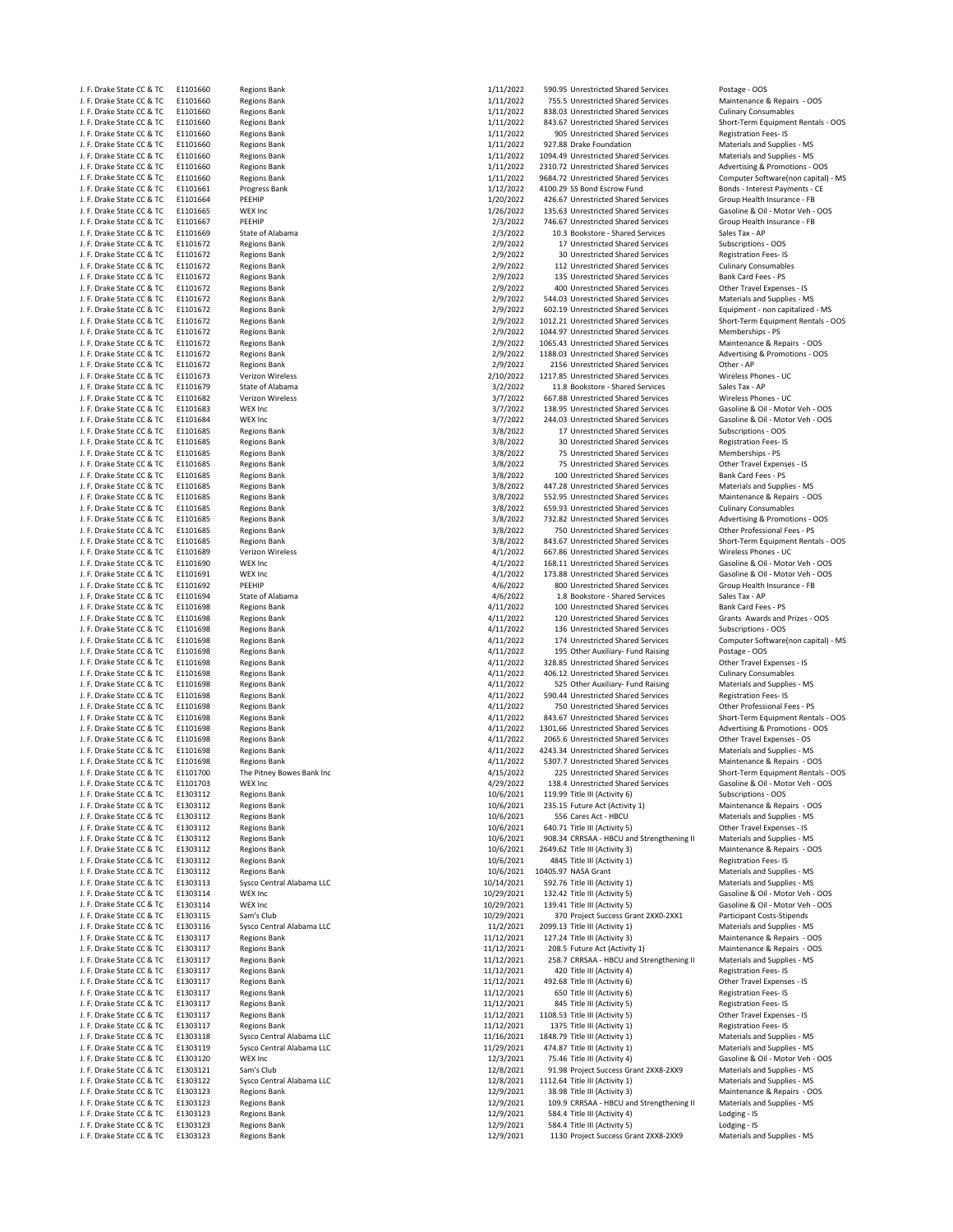| . | DIGVE STATE CC OF IC      |  | LIIUIUU  | "  |
|---|---------------------------|--|----------|----|
|   | J. F. Drake State CC & TC |  | E1101660 | Rε |
|   | J. F. Drake State CC & TC |  | E1101660 | Re |
|   | J. F. Drake State CC & TC |  | E1101660 | Rε |
|   | J. F. Drake State CC & TC |  | E1101660 | Rε |
|   | J. F. Drake State CC & TC |  | E1101660 | Rε |
|   | J. F. Drake State CC & TC |  | E1101660 | Rε |
|   | J. F. Drake State CC & TC |  |          |    |
|   |                           |  | E1101660 | Rε |
|   | J. F. Drake State CC & TC |  | E1101660 | R٤ |
|   | J. F. Drake State CC & TC |  | E1101661 | Pr |
|   | J. F. Drake State CC & TC |  | E1101664 | PE |
|   | J. F. Drake State CC & TC |  | E1101665 | W  |
|   | J. F. Drake State CC & TC |  | E1101667 | PE |
|   |                           |  |          |    |
|   | J. F. Drake State CC & TC |  | E1101669 | St |
|   | J. F. Drake State CC & TC |  | E1101672 | Rε |
|   | J. F. Drake State CC & TC |  | E1101672 | R  |
|   | J. F. Drake State CC & TC |  | E1101672 | Rε |
|   | J. F. Drake State CC & TC |  | E1101672 | Rε |
|   | J. F. Drake State CC & TC |  | E1101672 | R  |
|   | J. F. Drake State CC & TC |  | E1101672 | R  |
|   | J. F. Drake State CC & TC |  | E1101672 | Rε |
|   |                           |  |          |    |
|   | J. F. Drake State CC & TC |  | E1101672 | R  |
|   | J. F. Drake State CC & TC |  | E1101672 | Rε |
|   | J. F. Drake State CC & TC |  | E1101672 | R  |
|   | J. F. Drake State CC & TC |  | E1101672 | R  |
|   | J. F. Drake State CC & TC |  | E1101672 | R  |
|   | J. F. Drake State CC & TC |  | E1101673 | V  |
|   | J. F. Drake State CC & TC |  | E1101679 | St |
|   | J. F. Drake State CC & TC |  | E1101682 | V  |
|   |                           |  |          |    |
|   | J. F. Drake State CC & TC |  | E1101683 | W  |
|   | J. F. Drake State CC & TC |  | E1101684 | W  |
|   | J. F. Drake State CC & TC |  | E1101685 | Rε |
|   | J. F. Drake State CC & TC |  | E1101685 | R  |
|   | J. F. Drake State CC & TC |  | E1101685 | R6 |
|   | J. F. Drake State CC & TC |  | E1101685 | R  |
|   | J. F. Drake State CC & TC |  | E1101685 | R  |
|   | J. F. Drake State CC & TC |  |          |    |
|   |                           |  | E1101685 | R٤ |
|   | J. F. Drake State CC & TC |  | E1101685 | R6 |
|   | J. F. Drake State CC & TC |  | E1101685 | R  |
|   | J. F. Drake State CC & TC |  | E1101685 | Rε |
|   | J. F. Drake State CC & TC |  | E1101685 | R  |
|   | J. F. Drake State CC & TC |  | E1101685 | R6 |
|   | J. F. Drake State CC & TC |  | E1101689 | V  |
|   | J. F. Drake State CC & TC |  | E1101690 | W  |
|   |                           |  |          |    |
|   | J. F. Drake State CC & TC |  | E1101691 | W  |
|   | J. F. Drake State CC & TC |  | E1101692 | PE |
|   | J. F. Drake State CC & TC |  | E1101694 | St |
|   | J. F. Drake State CC & TC |  | E1101698 | R6 |
|   | J. F. Drake State CC & TC |  | E1101698 | R6 |
|   | J. F. Drake State CC & TC |  | E1101698 | R  |
|   | J. F. Drake State CC & TC |  | E1101698 | R  |
|   |                           |  |          |    |
|   | J. F. Drake State CC & TC |  | E1101698 | Rε |
|   | J. F. Drake State CC & TC |  | E1101698 | R  |
|   | J. F. Drake State CC & TC |  | E1101698 | R  |
|   | J. F. Drake State CC & TC |  | E1101698 | R  |
|   | J. F. Drake State CC & TC |  | E1101698 | Rε |
|   | J. F. Drake State CC & TC |  | E1101698 | Rε |
|   | J. F. Drake State CC & TC |  | E1101698 | R  |
|   | J. F. Drake State CC & TC |  | E1101698 | R6 |
|   |                           |  |          | R6 |
|   | J. F. Drake State CC & TC |  | E1101698 |    |
|   | J. F. Drake State CC & TC |  | E1101698 | R  |
|   | J. F. Drake State CC & TC |  | E1101698 | Rε |
|   | J. F. Drake State CC & TC |  | E1101700 | Tł |
|   | J. F. Drake State CC & TC |  | E1101703 | W  |
|   | J. F. Drake State CC & TC |  | E1303112 | Rε |
|   | J. F. Drake State CC & TC |  | E1303112 | Rε |
|   | J. F. Drake State CC & TC |  | E1303112 | R٤ |
|   | J. F. Drake State CC & TC |  | E1303112 | R  |
|   | J. F. Drake State CC & TC |  | E1303112 | Re |
|   | J. F. Drake State CC & TC |  |          |    |
|   |                           |  | E1303112 | R6 |
|   | J. F. Drake State CC & TC |  | E1303112 | Rε |
|   | J. F. Drake State CC & TC |  | E1303112 | R  |
|   | J. F. Drake State CC & TC |  | E1303113 | Sy |
|   | J. F. Drake State CC & TC |  | E1303114 | W  |
|   | J. F. Drake State CC & TC |  | E1303114 | w  |
|   | J. F. Drake State CC & TC |  | E1303115 | Sa |
|   | J. F. Drake State CC & TC |  | E1303116 | Sy |
|   | J. F. Drake State CC & TC |  | E1303117 | Re |
|   |                           |  |          |    |
|   | J. F. Drake State CC & TC |  | E1303117 | R  |
|   | J. F. Drake State CC & TC |  | E1303117 | R  |
|   | J. F. Drake State CC & TC |  | E1303117 | R  |
|   | J. F. Drake State CC & TC |  | E1303117 | Rε |
|   | J. F. Drake State CC & TC |  | E1303117 | R  |
|   | J. F. Drake State CC & TC |  | E1303117 | R  |
|   | J. F. Drake State CC & TC |  | E1303117 | R  |
|   |                           |  |          |    |
|   | J. F. Drake State CC & TC |  | E1303117 | Re |
|   | J. F. Drake State CC & TC |  | E1303118 | Sy |
|   | J. F. Drake State CC & TC |  | E1303119 | Sy |
|   | J. F. Drake State CC & TC |  | E1303120 | w  |
|   | J. F. Drake State CC & TC |  | E1303121 | Sa |
|   | J. F. Drake State CC & TC |  | E1303122 | Sy |
|   | J. F. Drake State CC & TC |  | E1303123 | R  |
|   | J. F. Drake State CC & TC |  | E1303123 | R6 |
|   |                           |  |          |    |
|   | J. F. Drake State CC & TC |  | E1303123 | R  |
|   | J. F. Drake State CC & TC |  | E1303123 | R  |
|   | J. F. Drake State CC & TC |  | E1303123 | Rε |
|   |                           |  |          |    |

| J. F. Drake State CC & TC | E1101660 | <b>Regions Bank</b>       | 1/11/2022  | 590.95 Unrestricted Shared Services       | Postage - OOS                       |
|---------------------------|----------|---------------------------|------------|-------------------------------------------|-------------------------------------|
|                           |          |                           |            |                                           |                                     |
| J. F. Drake State CC & TC | E1101660 | <b>Regions Bank</b>       | 1/11/2022  | 755.5 Unrestricted Shared Services        | Maintenance & Repairs - OOS         |
| J. F. Drake State CC & TC | E1101660 | <b>Regions Bank</b>       | 1/11/2022  | 838.03 Unrestricted Shared Services       | <b>Culinary Consumables</b>         |
| J. F. Drake State CC & TC | E1101660 | <b>Regions Bank</b>       | 1/11/2022  | 843.67 Unrestricted Shared Services       | Short-Term Equipment Rentals - OOS  |
| J. F. Drake State CC & TC | E1101660 | <b>Regions Bank</b>       | 1/11/2022  | 905 Unrestricted Shared Services          | Registration Fees-IS                |
| J. F. Drake State CC & TC | E1101660 | <b>Regions Bank</b>       | 1/11/2022  | 927.88 Drake Foundation                   | Materials and Supplies - MS         |
| J. F. Drake State CC & TC | E1101660 | <b>Regions Bank</b>       | 1/11/2022  | 1094.49 Unrestricted Shared Services      | Materials and Supplies - MS         |
| J. F. Drake State CC & TC | E1101660 | <b>Regions Bank</b>       | 1/11/2022  | 2310.72 Unrestricted Shared Services      | Advertising & Promotions - OOS      |
|                           |          |                           |            |                                           |                                     |
| J. F. Drake State CC & TC | E1101660 | <b>Regions Bank</b>       | 1/11/2022  | 9684.72 Unrestricted Shared Services      | Computer Software(non capital) - MS |
| J. F. Drake State CC & TC | E1101661 | Progress Bank             | 1/12/2022  | 4100.29 SS Bond Escrow Fund               | Bonds - Interest Payments - CE      |
| J. F. Drake State CC & TC | E1101664 | PEEHIP                    | 1/20/2022  | 426.67 Unrestricted Shared Services       | Group Health Insurance - FB         |
| J. F. Drake State CC & TC | E1101665 | WEX Inc                   | 1/26/2022  | 135.63 Unrestricted Shared Services       | Gasoline & Oil - Motor Veh - OOS    |
| J. F. Drake State CC & TC | E1101667 | PEEHIP                    | 2/3/2022   | 746.67 Unrestricted Shared Services       | Group Health Insurance - FB         |
|                           |          |                           |            |                                           |                                     |
| J. F. Drake State CC & TC | E1101669 | State of Alabama          | 2/3/2022   | 10.3 Bookstore - Shared Services          | Sales Tax - AP                      |
| J. F. Drake State CC & TC | E1101672 | <b>Regions Bank</b>       | 2/9/2022   | 17 Unrestricted Shared Services           | Subscriptions - OOS                 |
| J. F. Drake State CC & TC | E1101672 | <b>Regions Bank</b>       | 2/9/2022   | 30 Unrestricted Shared Services           | <b>Registration Fees-IS</b>         |
| J. F. Drake State CC & TC | E1101672 | <b>Regions Bank</b>       | 2/9/2022   | 112 Unrestricted Shared Services          | <b>Culinary Consumables</b>         |
| J. F. Drake State CC & TC | E1101672 | <b>Regions Bank</b>       | 2/9/2022   | 135 Unrestricted Shared Services          | Bank Card Fees - PS                 |
| J. F. Drake State CC & TC | E1101672 | <b>Regions Bank</b>       | 2/9/2022   | 400 Unrestricted Shared Services          | Other Travel Expenses - IS          |
|                           |          |                           |            |                                           |                                     |
| J. F. Drake State CC & TC | E1101672 | <b>Regions Bank</b>       | 2/9/2022   | 544.03 Unrestricted Shared Services       | Materials and Supplies - MS         |
| J. F. Drake State CC & TC | E1101672 | <b>Regions Bank</b>       | 2/9/2022   | 602.19 Unrestricted Shared Services       | Equipment - non capitalized - MS    |
| J. F. Drake State CC & TC | E1101672 | <b>Regions Bank</b>       | 2/9/2022   | 1012.21 Unrestricted Shared Services      | Short-Term Equipment Rentals - OOS  |
| J. F. Drake State CC & TC | E1101672 | <b>Regions Bank</b>       | 2/9/2022   | 1044.97 Unrestricted Shared Services      | Memberships - PS                    |
| J. F. Drake State CC & TC | E1101672 | <b>Regions Bank</b>       | 2/9/2022   | 1065.43 Unrestricted Shared Services      | Maintenance & Repairs - OOS         |
|                           |          |                           |            |                                           |                                     |
| J. F. Drake State CC & TC | E1101672 | <b>Regions Bank</b>       | 2/9/2022   | 1188.03 Unrestricted Shared Services      | Advertising & Promotions - OOS      |
| J. F. Drake State CC & TC | E1101672 | <b>Regions Bank</b>       | 2/9/2022   | 2156 Unrestricted Shared Services         | Other - AP                          |
| J. F. Drake State CC & TC | E1101673 | Verizon Wireless          | 2/10/2022  | 1217.85 Unrestricted Shared Services      | Wireless Phones - UC                |
| J. F. Drake State CC & TC | E1101679 | State of Alabama          | 3/2/2022   | 11.8 Bookstore - Shared Services          | Sales Tax - AP                      |
| J. F. Drake State CC & TC | E1101682 | Verizon Wireless          | 3/7/2022   | 667.88 Unrestricted Shared Services       | Wireless Phones - UC                |
| J. F. Drake State CC & TC | E1101683 | WEX Inc                   | 3/7/2022   | 138.95 Unrestricted Shared Services       | Gasoline & Oil - Motor Veh - OOS    |
|                           |          |                           |            |                                           |                                     |
| J. F. Drake State CC & TC | E1101684 | WEX Inc                   | 3/7/2022   | 244.03 Unrestricted Shared Services       | Gasoline & Oil - Motor Veh - OOS    |
| J. F. Drake State CC & TC | E1101685 | <b>Regions Bank</b>       | 3/8/2022   | 17 Unrestricted Shared Services           | Subscriptions - OOS                 |
| J. F. Drake State CC & TC | E1101685 | <b>Regions Bank</b>       | 3/8/2022   | 30 Unrestricted Shared Services           | <b>Registration Fees-IS</b>         |
| J. F. Drake State CC & TC | E1101685 | <b>Regions Bank</b>       | 3/8/2022   | 75 Unrestricted Shared Services           | Memberships - PS                    |
| J. F. Drake State CC & TC | E1101685 | <b>Regions Bank</b>       | 3/8/2022   | 75 Unrestricted Shared Services           | Other Travel Expenses - IS          |
|                           |          |                           |            |                                           |                                     |
| J. F. Drake State CC & TC | E1101685 | <b>Regions Bank</b>       | 3/8/2022   | 100 Unrestricted Shared Services          | Bank Card Fees - PS                 |
| J. F. Drake State CC & TC | E1101685 | <b>Regions Bank</b>       | 3/8/2022   | 447.28 Unrestricted Shared Services       | Materials and Supplies - MS         |
| J. F. Drake State CC & TC | E1101685 | <b>Regions Bank</b>       | 3/8/2022   | 552.95 Unrestricted Shared Services       | Maintenance & Repairs - OOS         |
| J. F. Drake State CC & TC | E1101685 | <b>Regions Bank</b>       | 3/8/2022   | 659.93 Unrestricted Shared Services       | <b>Culinary Consumables</b>         |
| J. F. Drake State CC & TC | E1101685 | <b>Regions Bank</b>       | 3/8/2022   | 732.82 Unrestricted Shared Services       | Advertising & Promotions - OOS      |
| J. F. Drake State CC & TC | E1101685 | <b>Regions Bank</b>       | 3/8/2022   | 750 Unrestricted Shared Services          | Other Professional Fees - PS        |
|                           |          |                           |            |                                           |                                     |
| J. F. Drake State CC & TC | E1101685 | <b>Regions Bank</b>       | 3/8/2022   | 843.67 Unrestricted Shared Services       | Short-Term Equipment Rentals - OOS  |
| J. F. Drake State CC & TC | E1101689 | Verizon Wireless          | 4/1/2022   | 667.86 Unrestricted Shared Services       | Wireless Phones - UC                |
| J. F. Drake State CC & TC | E1101690 | WEX Inc                   | 4/1/2022   | 168.11 Unrestricted Shared Services       | Gasoline & Oil - Motor Veh - OOS    |
| J. F. Drake State CC & TC | E1101691 | WEX Inc                   | 4/1/2022   | 173.88 Unrestricted Shared Services       | Gasoline & Oil - Motor Veh - OOS    |
| J. F. Drake State CC & TC | E1101692 | PEEHIP                    | 4/6/2022   | 800 Unrestricted Shared Services          | Group Health Insurance - FB         |
|                           |          |                           |            |                                           |                                     |
| J. F. Drake State CC & TC | E1101694 | State of Alabama          | 4/6/2022   | 1.8 Bookstore - Shared Services           | Sales Tax - AP                      |
| J. F. Drake State CC & TC | E1101698 | <b>Regions Bank</b>       | 4/11/2022  | 100 Unrestricted Shared Services          | Bank Card Fees - PS                 |
| J. F. Drake State CC & TC | E1101698 | <b>Regions Bank</b>       | 4/11/2022  | 120 Unrestricted Shared Services          | Grants Awards and Prizes - OOS      |
| J. F. Drake State CC & TC | E1101698 | <b>Regions Bank</b>       | 4/11/2022  | 136 Unrestricted Shared Services          | Subscriptions - OOS                 |
| J. F. Drake State CC & TC | E1101698 | <b>Regions Bank</b>       | 4/11/2022  | 174 Unrestricted Shared Services          | Computer Software(non capital) - MS |
|                           |          |                           |            |                                           |                                     |
| J. F. Drake State CC & TC | E1101698 | <b>Regions Bank</b>       | 4/11/2022  | 195 Other Auxiliary- Fund Raising         | Postage - OOS                       |
| J. F. Drake State CC & TC | E1101698 | <b>Regions Bank</b>       | 4/11/2022  | 328.85 Unrestricted Shared Services       | Other Travel Expenses - IS          |
| J. F. Drake State CC & TC | E1101698 | <b>Regions Bank</b>       | 4/11/2022  | 406.12 Unrestricted Shared Services       | <b>Culinary Consumables</b>         |
| J. F. Drake State CC & TC | E1101698 | <b>Regions Bank</b>       | 4/11/2022  | 525 Other Auxiliary- Fund Raising         | Materials and Supplies - MS         |
| J. F. Drake State CC & TC | E1101698 | <b>Regions Bank</b>       | 4/11/2022  | 590.44 Unrestricted Shared Services       | Registration Fees-IS                |
| J. F. Drake State CC & TC | E1101698 | <b>Regions Bank</b>       | 4/11/2022  | 750 Unrestricted Shared Services          | Other Professional Fees - PS        |
|                           |          |                           |            |                                           |                                     |
| J. F. Drake State CC & TC | E1101698 | <b>Regions Bank</b>       | 4/11/2022  | 843.67 Unrestricted Shared Services       | Short-Term Equipment Rentals - OOS  |
| J. F. Drake State CC & TC | E1101698 | <b>Regions Bank</b>       | 4/11/2022  | 1301.66 Unrestricted Shared Services      | Advertising & Promotions - OOS      |
| J. F. Drake State CC & TC | E1101698 | <b>Regions Bank</b>       | 4/11/2022  | 2065.6 Unrestricted Shared Services       | Other Travel Expenses - OS          |
| J. F. Drake State CC & TC | E1101698 | <b>Regions Bank</b>       | 4/11/2022  | 4243.34 Unrestricted Shared Services      | Materials and Supplies - MS         |
| J. F. Drake State CC & TC | E1101698 | <b>Regions Bank</b>       | 4/11/2022  | 5307.7 Unrestricted Shared Services       | Maintenance & Repairs - OOS         |
| J. F. Drake State CC & TC | E1101700 | The Pitney Bowes Bank Inc | 4/15/2022  | 225 Unrestricted Shared Services          | Short-Term Equipment Rentals - OOS  |
|                           |          |                           |            |                                           |                                     |
| J. F. Drake State CC & TC | E1101703 | <b>WEX Inc</b>            | 4/29/2022  | 138.4 Unrestricted Shared Services        | Gasoline & Oil - Motor Veh - OOS    |
| J. F. Drake State CC & TC | E1303112 | <b>Regions Bank</b>       | 10/6/2021  | 119.99 Title III (Activity 6)             | Subscriptions - OOS                 |
| J. F. Drake State CC & TC | E1303112 | <b>Regions Bank</b>       | 10/6/2021  | 235.15 Future Act (Activity 1)            | Maintenance & Repairs - OOS         |
| J. F. Drake State CC & TC | E1303112 | <b>Regions Bank</b>       | 10/6/2021  | 556 Cares Act - HBCU                      | Materials and Supplies - MS         |
| J. F. Drake State CC & TC | E1303112 | <b>Regions Bank</b>       | 10/6/2021  | 640.71 Title III (Activity 5)             | Other Travel Expenses - IS          |
| J. F. Drake State CC & TC |          |                           |            | 908.34 CRRSAA - HBCU and Strengthening II |                                     |
|                           | E1303112 | <b>Regions Bank</b>       | 10/6/2021  |                                           | Materials and Supplies - MS         |
| J. F. Drake State CC & TC | E1303112 | <b>Regions Bank</b>       | 10/6/2021  | 2649.62 Title III (Activity 3)            | Maintenance & Repairs - OOS         |
| J. F. Drake State CC & TC | E1303112 | <b>Regions Bank</b>       | 10/6/2021  | 4845 Title III (Activity 1)               | Registration Fees-IS                |
| J. F. Drake State CC & TC | E1303112 | <b>Regions Bank</b>       | 10/6/2021  | 10405.97 NASA Grant                       | Materials and Supplies - MS         |
| J. F. Drake State CC & TC | E1303113 | Sysco Central Alabama LLC | 10/14/2021 | 592.76 Title III (Activity 1)             | Materials and Supplies - MS         |
|                           |          | WEX Inc                   |            | 132.42 Title III (Activity 5)             |                                     |
| J. F. Drake State CC & TC | E1303114 |                           | 10/29/2021 |                                           | Gasoline & Oil - Motor Veh - OOS    |
| J. F. Drake State CC & TC | E1303114 | <b>WEX Inc</b>            | 10/29/2021 | 139.41 Title III (Activity 5)             | Gasoline & Oil - Motor Veh - OOS    |
| J. F. Drake State CC & TC | E1303115 | Sam's Club                | 10/29/2021 | 370 Project Success Grant 2XX0-2XX1       | Participant Costs-Stipends          |
| J. F. Drake State CC & TC | E1303116 | Sysco Central Alabama LLC | 11/2/2021  | 2099.13 Title III (Activity 1)            | Materials and Supplies - MS         |
| J. F. Drake State CC & TC | E1303117 | <b>Regions Bank</b>       | 11/12/2021 | 127.24 Title III (Activity 3)             | Maintenance & Repairs - OOS         |
| J. F. Drake State CC & TC | E1303117 | <b>Regions Bank</b>       | 11/12/2021 | 208.5 Future Act (Activity 1)             | Maintenance & Repairs - OOS         |
| J. F. Drake State CC & TC |          |                           | 11/12/2021 |                                           | Materials and Supplies - MS         |
|                           | E1303117 | <b>Regions Bank</b>       |            | 258.7 CRRSAA - HBCU and Strengthening II  |                                     |
| J. F. Drake State CC & TC | E1303117 | <b>Regions Bank</b>       | 11/12/2021 | 420 Title III (Activity 4)                | Registration Fees-IS                |
| J. F. Drake State CC & TC | E1303117 | <b>Regions Bank</b>       | 11/12/2021 | 492.68 Title III (Activity 6)             | Other Travel Expenses - IS          |
| J. F. Drake State CC & TC | E1303117 | <b>Regions Bank</b>       | 11/12/2021 | 650 Title III (Activity 6)                | Registration Fees-IS                |
| J. F. Drake State CC & TC | E1303117 | <b>Regions Bank</b>       | 11/12/2021 | 845 Title III (Activity 5)                | Registration Fees-IS                |
|                           |          |                           |            |                                           |                                     |
| J. F. Drake State CC & TC | E1303117 | <b>Regions Bank</b>       | 11/12/2021 | 1108.53 Title III (Activity 5)            | Other Travel Expenses - IS          |
| J. F. Drake State CC & TC | E1303117 | <b>Regions Bank</b>       | 11/12/2021 | 1375 Title III (Activity 1)               | Registration Fees-IS                |
| J. F. Drake State CC & TC | E1303118 | Sysco Central Alabama LLC | 11/16/2021 | 1848.79 Title III (Activity 1)            | Materials and Supplies - MS         |
| J. F. Drake State CC & TC | E1303119 | Sysco Central Alabama LLC | 11/29/2021 | 474.87 Title III (Activity 1)             | Materials and Supplies - MS         |
| J. F. Drake State CC & TC | E1303120 | WEX Inc                   | 12/3/2021  | 75.46 Title III (Activity 4)              | Gasoline & Oil - Motor Veh - OOS    |
| J. F. Drake State CC & TC | E1303121 | Sam's Club                | 12/8/2021  | 91.98 Project Success Grant 2XX8-2XX9     | Materials and Supplies - MS         |
|                           |          |                           |            |                                           |                                     |
| J. F. Drake State CC & TC | E1303122 | Sysco Central Alabama LLC | 12/8/2021  | 1112.64 Title III (Activity 1)            | Materials and Supplies - MS         |
| J. F. Drake State CC & TC | E1303123 | <b>Regions Bank</b>       | 12/9/2021  | 38.98 Title III (Activity 3)              | Maintenance & Repairs - OOS         |
| J. F. Drake State CC & TC | E1303123 | <b>Regions Bank</b>       | 12/9/2021  | 109.9 CRRSAA - HBCU and Strengthening II  | Materials and Supplies - MS         |
| J. F. Drake State CC & TC | E1303123 | <b>Regions Bank</b>       | 12/9/2021  | 584.4 Title III (Activity 4)              | Lodging - IS                        |
| J. F. Drake State CC & TC | E1303123 | <b>Regions Bank</b>       | 12/9/2021  | 584.4 Title III (Activity 5)              | Lodging - IS                        |
| J. F. Drake State CC & TC | E1303123 | <b>Regions Bank</b>       | 12/9/2021  | 1130 Project Success Grant 2XX8-2XX9      | Materials and Supplies - MS         |